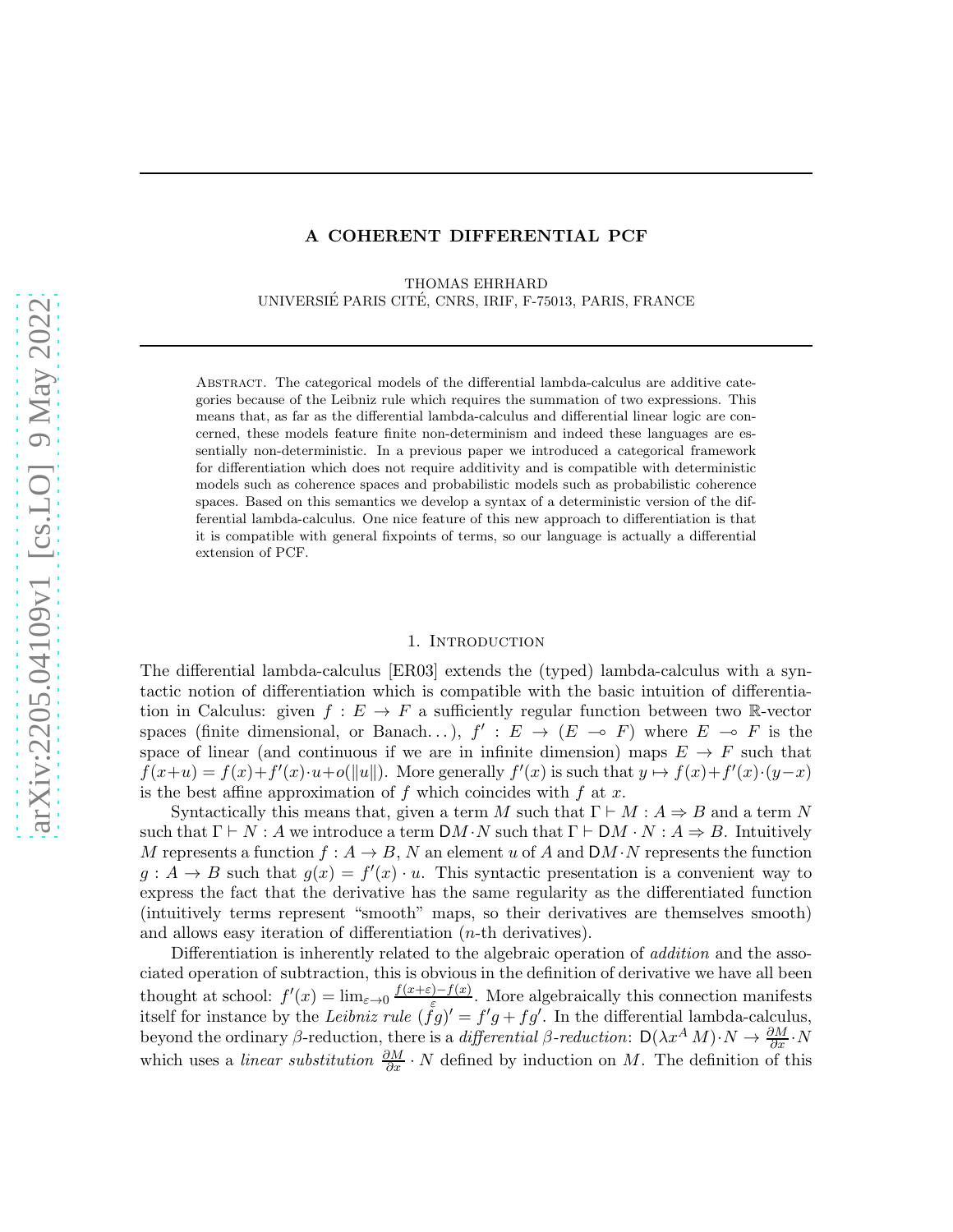#### A COHERENT DIFFERENTIAL PCF

THOMAS EHRHARD UNIVERSIÉ PARIS CITÉ, CNRS, IRIF, F-75013, PARIS, FRANCE

Abstract. The categorical models of the differential lambda-calculus are additive categories because of the Leibniz rule which requires the summation of two expressions. This means that, as far as the differential lambda-calculus and differential linear logic are concerned, these models feature finite non-determinism and indeed these languages are essentially non-deterministic. In a previous paper we introduced a categorical framework for differentiation which does not require additivity and is compatible with deterministic models such as coherence spaces and probabilistic models such as probabilistic coherence spaces. Based on this semantics we develop a syntax of a deterministic version of the differential lambda-calculus. One nice feature of this new approach to differentiation is that it is compatible with general fixpoints of terms, so our language is actually a differential extension of PCF.

### 1. INTRODUCTION

<span id="page-0-0"></span>The differential lambda-calculus [\[ER03\]](#page-71-0) extends the (typed) lambda-calculus with a syntactic notion of differentiation which is compatible with the basic intuition of differentiation in Calculus: given  $f: E \to F$  a sufficiently regular function between two R-vector spaces (finite dimensional, or Banach...),  $f' : E \to (E \multimap F)$  where  $E \multimap F$  is the space of linear (and continuous if we are in infinite dimension) maps  $E \to F$  such that  $f(x+u) = f(x)+f'(x) \cdot u+o(||u||)$ . More generally  $f'(x)$  is such that  $y \mapsto f(x)+f'(x) \cdot (y-x)$ is the best affine approximation of f which coincides with f at x.

Syntactically this means that, given a term M such that  $\Gamma \vdash M : A \Rightarrow B$  and a term N such that  $\Gamma \vdash N : A$  we introduce a term  $\mathcal{D}M \cdot N$  such that  $\Gamma \vdash \mathcal{D}M \cdot N : A \Rightarrow B$ . Intuitively M represents a function  $f: A \to B$ , N an element u of A and  $DM \cdot N$  represents the function  $g: A \to B$  such that  $g(x) = f'(x) \cdot u$ . This syntactic presentation is a convenient way to express the fact that the derivative has the same regularity as the differentiated function (intuitively terms represent "smooth" maps, so their derivatives are themselves smooth) and allows easy iteration of differentiation (n-th derivatives).

Differentiation is inherently related to the algebraic operation of *addition* and the associated operation of subtraction, this is obvious in the definition of derivative we have all been thought at school:  $f'(x) = \lim_{\varepsilon \to 0} \frac{f(x+\varepsilon)-f(x)}{\varepsilon}$ . More algebraically this connection manifests itself for instance by the Leibniz rule  $(fg)' = f'g + fg'$ . In the differential lambda-calculus, beyond the ordinary β-reduction, there is a differential β-reduction:  $D(\lambda x^A M) \cdot N \to \frac{\partial M}{\partial x} \cdot N$ which uses a *linear substitution*  $\frac{\partial M}{\partial x} \cdot N$  defined by induction on M. The definition of this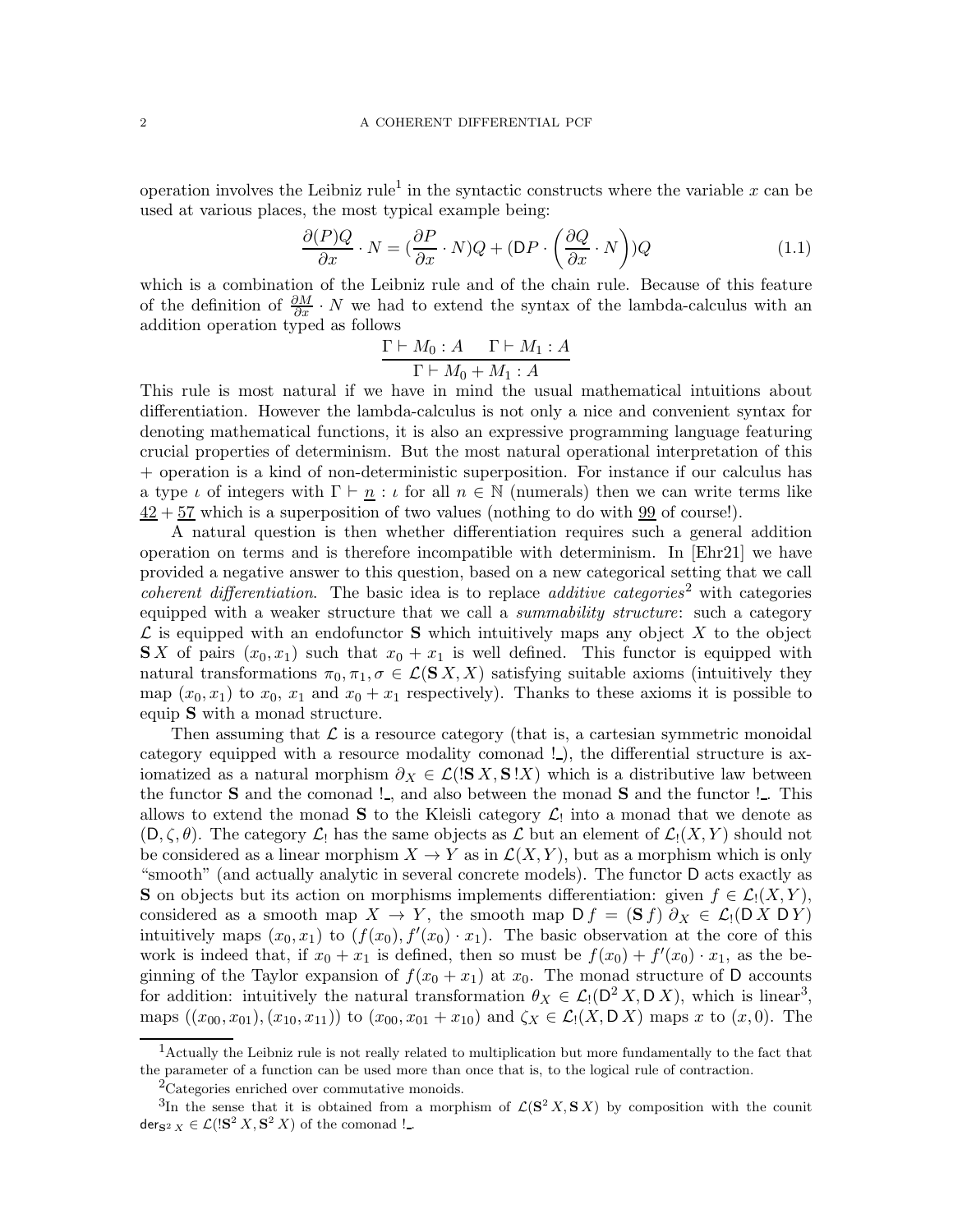operation involves the Leibniz rule<sup>[1](#page-1-0)</sup> in the syntactic constructs where the variable x can be used at various places, the most typical example being:

$$
\frac{\partial (P)Q}{\partial x} \cdot N = \left(\frac{\partial P}{\partial x} \cdot N\right)Q + \left(\mathsf{D}P \cdot \left(\frac{\partial Q}{\partial x} \cdot N\right)\right)Q\tag{1.1}
$$

which is a combination of the Leibniz rule and of the chain rule. Because of this feature of the definition of  $\frac{\partial M}{\partial x} \cdot N$  we had to extend the syntax of the lambda-calculus with an addition operation typed as follows

<span id="page-1-3"></span>
$$
\frac{\Gamma \vdash M_0 : A \qquad \Gamma \vdash M_1 : A}{\Gamma \vdash M_0 + M_1 : A}
$$

This rule is most natural if we have in mind the usual mathematical intuitions about differentiation. However the lambda-calculus is not only a nice and convenient syntax for denoting mathematical functions, it is also an expressive programming language featuring crucial properties of determinism. But the most natural operational interpretation of this + operation is a kind of non-deterministic superposition. For instance if our calculus has a type  $\iota$  of integers with  $\Gamma \vdash \underline{n} : \iota$  for all  $n \in \mathbb{N}$  (numerals) then we can write terms like  $42 + 57$  which is a superposition of two values (nothing to do with 99 of course!).

A natural question is then whether differentiation requires such a general addition operation on terms and is therefore incompatible with determinism. In [\[Ehr21\]](#page-71-1) we have provided a negative answer to this question, based on a new categorical setting that we call *coherent differentiation*. The basic idea is to replace *additive categories*<sup>[2](#page-1-1)</sup> with categories equipped with a weaker structure that we call a *summability structure*: such a category  $\mathcal L$  is equipped with an endofunctor **S** which intuitively maps any object X to the object **S**X of pairs  $(x_0, x_1)$  such that  $x_0 + x_1$  is well defined. This functor is equipped with natural transformations  $\pi_0, \pi_1, \sigma \in \mathcal{L}(\mathbf{S} | X, X)$  satisfying suitable axioms (intuitively they map  $(x_0, x_1)$  to  $x_0, x_1$  and  $x_0 + x_1$  respectively). Thanks to these axioms it is possible to equip S with a monad structure.

Then assuming that  $\mathcal L$  is a resource category (that is, a cartesian symmetric monoidal category equipped with a resource modality comonad !.), the differential structure is axiomatized as a natural morphism  $\partial_X \in \mathcal{L}(\mathbf{S} X, \mathbf{S} X)$  which is a distributive law between the functor  $S$  and the comonad !., and also between the monad  $S$  and the functor !.. This allows to extend the monad **S** to the Kleisli category  $\mathcal{L}_1$  into a monad that we denote as  $(D, \zeta, \theta)$ . The category  $\mathcal{L}_1$  has the same objects as  $\mathcal{L}$  but an element of  $\mathcal{L}_1(X, Y)$  should not be considered as a linear morphism  $X \to Y$  as in  $\mathcal{L}(X, Y)$ , but as a morphism which is only "smooth" (and actually analytic in several concrete models). The functor D acts exactly as **S** on objects but its action on morphisms implements differentiation: given  $f \in \mathcal{L}_1(X, Y)$ , considered as a smooth map  $X \to Y$ , the smooth map  $D f = (\mathbf{S} f) \partial_X \in \mathcal{L}_1(D X D Y)$ intuitively maps  $(x_0, x_1)$  to  $(f(x_0), f'(x_0) \cdot x_1)$ . The basic observation at the core of this work is indeed that, if  $x_0 + x_1$  is defined, then so must be  $f(x_0) + f'(x_0) \cdot x_1$ , as the beginning of the Taylor expansion of  $f(x_0 + x_1)$  at  $x_0$ . The monad structure of D accounts for addition: intuitively the natural transformation  $\theta_X \in \mathcal{L}_1(\mathsf{D}^2 X, \mathsf{D} X)$ , which is linear<sup>[3](#page-1-2)</sup>, maps  $((x_{00}, x_{01}), (x_{10}, x_{11}))$  to  $(x_{00}, x_{01} + x_{10})$  and  $\zeta_X \in \mathcal{L}_1(X, \mathsf{D}\,X)$  maps x to  $(x, 0)$ . The

<sup>&</sup>lt;sup>1</sup>Actually the Leibniz rule is not really related to multiplication but more fundamentally to the fact that the parameter of a function can be used more than once that is, to the logical rule of contraction.

<span id="page-1-1"></span><span id="page-1-0"></span><sup>2</sup>Categories enriched over commutative monoids.

<span id="page-1-2"></span><sup>&</sup>lt;sup>3</sup>In the sense that it is obtained from a morphism of  $\mathcal{L}(\mathbf{S}^2 X, \mathbf{S} X)$  by composition with the counit der<sub>S<sup>2</sup></sub>  $_X \in \mathcal{L}($ !S<sup>2</sup>  $X,$  S<sup>2</sup>  $X)$  of the comonad !..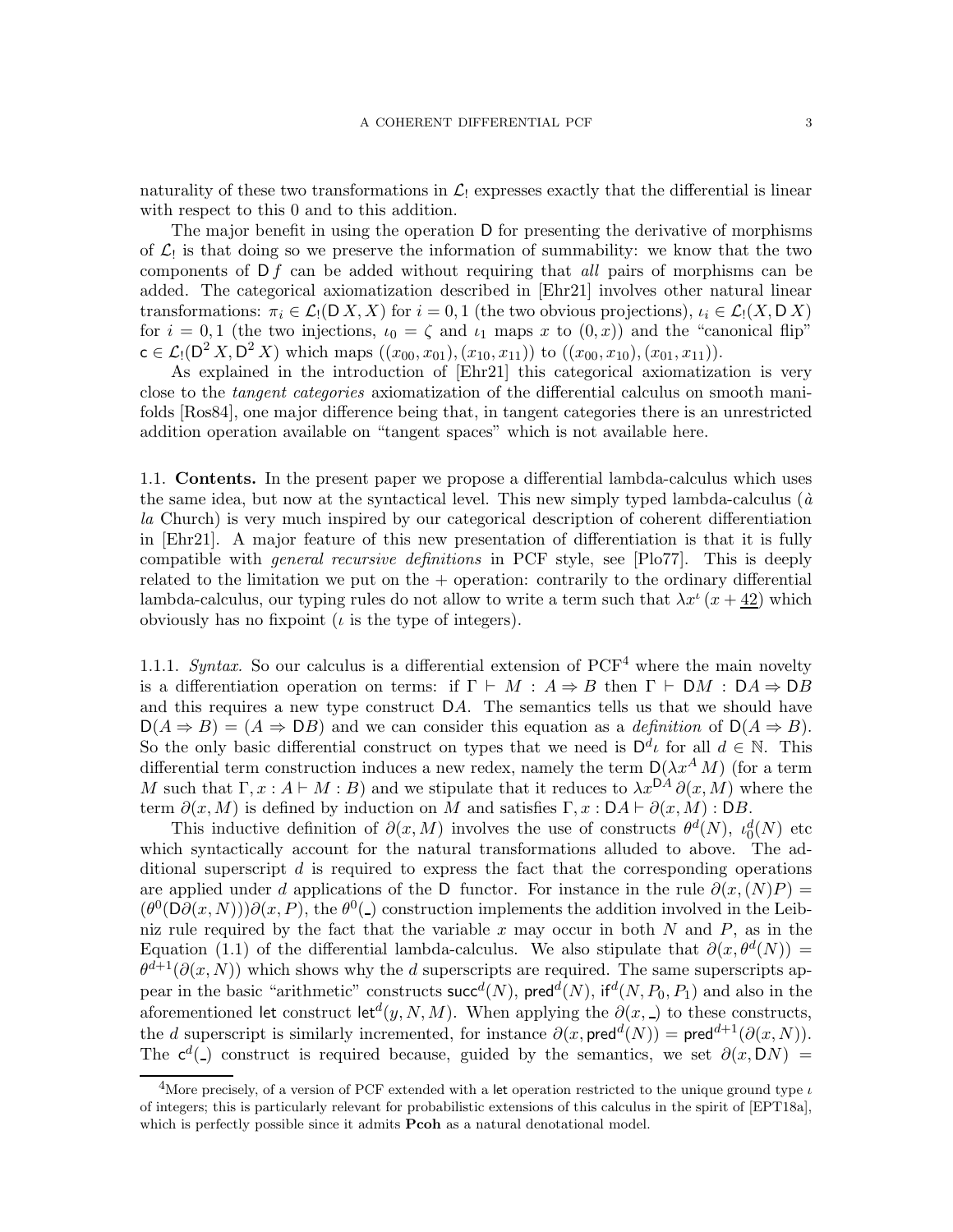naturality of these two transformations in  $\mathcal{L}_1$  expresses exactly that the differential is linear with respect to this 0 and to this addition.

The major benefit in using the operation D for presenting the derivative of morphisms of  $\mathcal{L}_!$  is that doing so we preserve the information of summability: we know that the two components of  $Df$  can be added without requiring that *all* pairs of morphisms can be added. The categorical axiomatization described in [\[Ehr21\]](#page-71-1) involves other natural linear transformations:  $\pi_i \in \mathcal{L}_1(D X, X)$  for  $i = 0, 1$  (the two obvious projections),  $\iota_i \in \mathcal{L}_1(X, D X)$ for  $i = 0, 1$  (the two injections,  $\iota_0 = \zeta$  and  $\iota_1$  maps x to  $(0, x)$ ) and the "canonical flip"  $c \in \mathcal{L}_1(D^2 X, D^2 X)$  which maps  $((x_{00}, x_{01}), (x_{10}, x_{11}))$  to  $((x_{00}, x_{10}), (x_{01}, x_{11}))$ .

As explained in the introduction of [\[Ehr21\]](#page-71-1) this categorical axiomatization is very close to the tangent categories axiomatization of the differential calculus on smooth manifolds [\[Ros84\]](#page-72-0), one major difference being that, in tangent categories there is an unrestricted addition operation available on "tangent spaces" which is not available here.

<span id="page-2-1"></span>1.1. Contents. In the present paper we propose a differential lambda-calculus which uses the same idea, but now at the syntactical level. This new simply typed lambda-calculus  $(\hat{a})$ la Church) is very much inspired by our categorical description of coherent differentiation in [\[Ehr21\]](#page-71-1). A major feature of this new presentation of differentiation is that it is fully compatible with general recursive definitions in PCF style, see [\[Plo77\]](#page-72-1). This is deeply related to the limitation we put on the  $+$  operation: contrarily to the ordinary differential lambda-calculus, our typing rules do not allow to write a term such that  $\lambda x^i$   $(x + \underline{42})$  which obviously has no fixpoint  $\mu$  is the type of integers).

1.1.1. Syntax. So our calculus is a differential extension of  $PCF<sup>4</sup>$  $PCF<sup>4</sup>$  $PCF<sup>4</sup>$  where the main novelty is a differentiation operation on terms: if  $\Gamma \vdash M : A \Rightarrow B$  then  $\Gamma \vdash DM : DA \Rightarrow DB$ and this requires a new type construct DA. The semantics tells us that we should have  $D(A \Rightarrow B) = (A \Rightarrow DB)$  and we can consider this equation as a *definition* of  $D(A \Rightarrow B)$ . So the only basic differential construct on types that we need is  $D^d\iota$  for all  $d \in \mathbb{N}$ . This differential term construction induces a new redex, namely the term  $D(\lambda x^A M)$  (for a term M such that  $\Gamma, x : A \vdash M : B$  and we stipulate that it reduces to  $\lambda x^{DA} \partial(x, M)$  where the term  $\partial(x, M)$  is defined by induction on M and satisfies  $\Gamma, x : DA \vdash \partial(x, M) : DB$ .

This inductive definition of  $\partial(x, M)$  involves the use of constructs  $\theta^d(N)$ ,  $\iota_0^d(N)$  etc which syntactically account for the natural transformations alluded to above. The additional superscript  $d$  is required to express the fact that the corresponding operations are applied under d applications of the D functor. For instance in the rule  $\partial(x,(N)P) =$  $(\theta^0(D\partial(x,N)))\partial(x,P)$ , the  $\theta^0$ (\_) construction implements the addition involved in the Leibniz rule required by the fact that the variable x may occur in both  $N$  and  $P$ , as in the Equation [\(1.1\)](#page-1-3) of the differential lambda-calculus. We also stipulate that  $\partial(x, \theta^d(N)) =$  $\theta^{d+1}(\partial(x, N))$  which shows why the d superscripts are required. The same superscripts appear in the basic "arithmetic" constructs  $succ^d(N)$ ,  $pred^d(N)$ , if  $d(N, P_0, P_1)$  and also in the aforementioned let construct let<sup> $d$ </sup> $(y, N, M)$ . When applying the  $\partial(x, \Delta)$  to these constructs, the d superscript is similarly incremented, for instance  $\partial(x, \text{pred}^d(N)) = \text{pred}^{d+1}(\partial(x, N)).$ The  $c^d$ (\_) construct is required because, guided by the semantics, we set  $\partial(x, DN)$  =

<span id="page-2-0"></span><sup>&</sup>lt;sup>4</sup>More precisely, of a version of PCF extended with a let operation restricted to the unique ground type  $\iota$ of integers; this is particularly relevant for probabilistic extensions of this calculus in the spirit of [\[EPT18a\]](#page-71-2), which is perfectly possible since it admits **Pcoh** as a natural denotational model.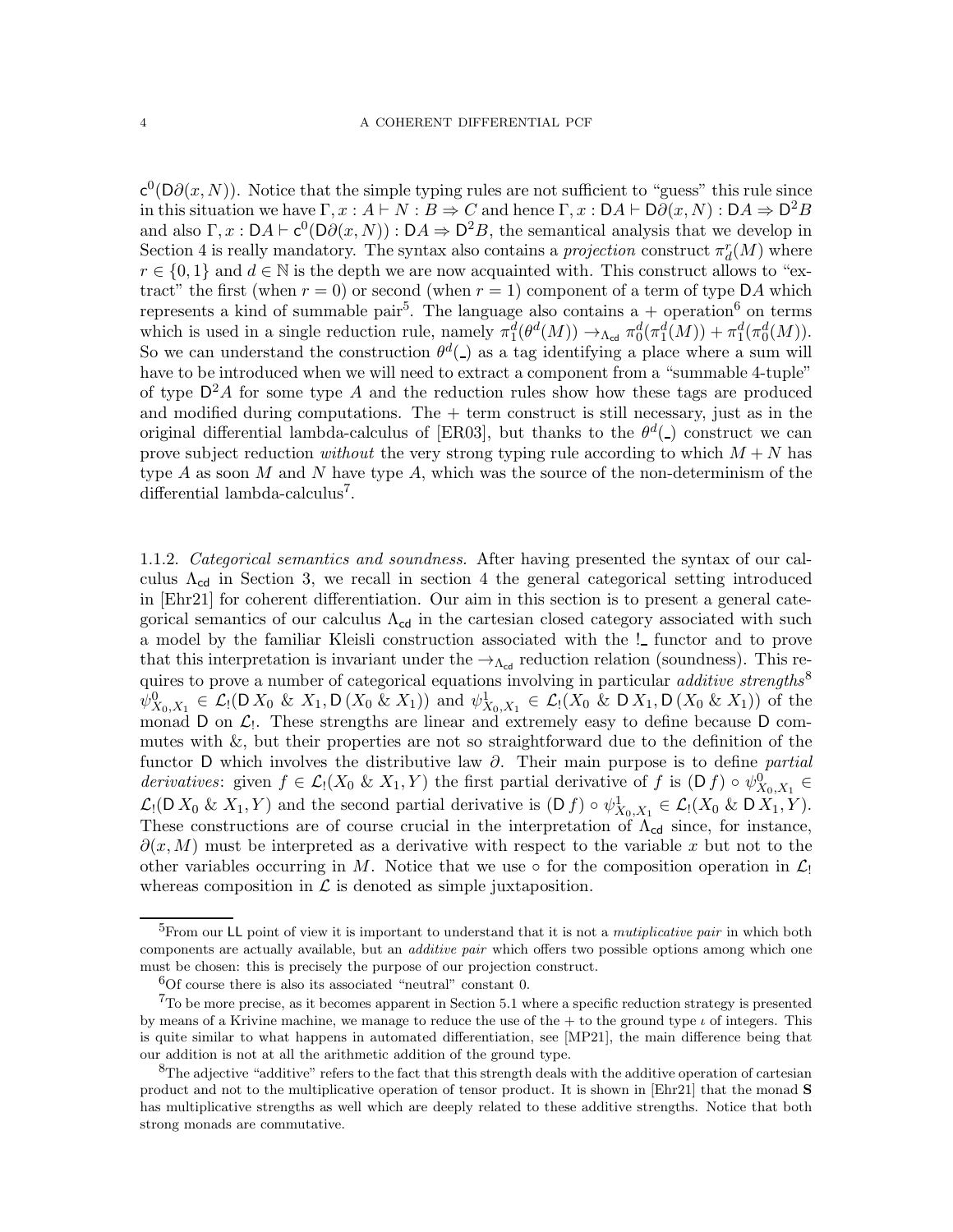$c^0(D\partial(x,N))$ . Notice that the simple typing rules are not sufficient to "guess" this rule since in this situation we have  $\Gamma, x : A \vdash N : B \Rightarrow C$  and hence  $\Gamma, x : DA \vdash D\partial(x, N) : DA \Rightarrow D^2B$ and also  $\Gamma, x : DA \vdash c^0(D\partial(x, N)) : DA \Rightarrow D^2B$ , the semantical analysis that we develop in Section [4](#page-14-0) is really mandatory. The syntax also contains a *projection* construct  $\pi_d^r(M)$  where  $r \in \{0,1\}$  and  $d \in \mathbb{N}$  is the depth we are now acquainted with. This construct allows to "extract" the first (when  $r = 0$ ) or second (when  $r = 1$ ) component of a term of type DA which represents a kind of summable pair<sup>[5](#page-3-0)</sup>. The language also contains a + operation<sup>[6](#page-3-1)</sup> on terms which is used in a single reduction rule, namely  $\pi_1^d(\theta^d(M)) \to_{\Lambda_{\text{cd}}} \pi_0^d(\pi_1^d(M)) + \pi_1^d(\pi_0^d(M)).$ So we can understand the construction  $\theta^d$ .) as a tag identifying a place where a sum will have to be introduced when we will need to extract a component from a "summable 4-tuple" of type  $D^2A$  for some type A and the reduction rules show how these tags are produced and modified during computations. The  $+$  term construct is still necessary, just as in the original differential lambda-calculus of [\[ER03\]](#page-71-0), but thanks to the  $\theta^d$ ( $\Box$ ) construct we can prove subject reduction *without* the very strong typing rule according to which  $M + N$  has type A as soon M and N have type A, which was the source of the non-determinism of the differential lambda-calculus<sup>[7](#page-3-2)</sup>.

1.1.2. Categorical semantics and soundness. After having presented the syntax of our calculus  $\Lambda_{cd}$  in Section [3,](#page-6-0) we recall in section [4](#page-14-0) the general categorical setting introduced in [\[Ehr21\]](#page-71-1) for coherent differentiation. Our aim in this section is to present a general categorical semantics of our calculus  $\Lambda_{cd}$  in the cartesian closed category associated with such a model by the familiar Kleisli construction associated with the ! functor and to prove that this interpretation is invariant under the  $\rightarrow_{\Lambda_{\rm cd}}$  reduction relation (soundness). This requires to prove a number of categorical equations involving in particular *additive strengths*<sup>[8](#page-3-3)</sup>  $\psi^0_{X_0,X_1} \in \mathcal{L}_! (\mathsf{D} X_0 \& X_1, \mathsf{D} (X_0 \& X_1))$  and  $\psi^1_{X_0,X_1} \in \mathcal{L}_! (X_0 \& \mathsf{D} X_1, \mathsf{D} (X_0 \& X_1))$  of the monad  $D$  on  $\mathcal{L}_1$ . These strengths are linear and extremely easy to define because  $D$  commutes with  $\&$ , but their properties are not so straightforward due to the definition of the functor D which involves the distributive law  $\partial$ . Their main purpose is to define *partial* derivatives: given  $f \in \mathcal{L}_1(X_0 \& X_1, Y)$  the first partial derivative of f is  $(D f) \circ \psi_{X_0, X_1}^0 \in$  $\mathcal{L}_1(D X_0 \& X_1, Y)$  and the second partial derivative is  $(D f) \circ \psi^1_{X_0, X_1} \in \mathcal{L}_1(X_0 \& D X_1, Y)$ . These constructions are of course crucial in the interpretation of  $\Lambda_{cd}$  since, for instance,  $\partial(x, M)$  must be interpreted as a derivative with respect to the variable x but not to the other variables occurring in M. Notice that we use  $\circ$  for the composition operation in  $\mathcal{L}_1$ whereas composition in  $\mathcal L$  is denoted as simple juxtaposition.

<span id="page-3-0"></span><sup>&</sup>lt;sup>5</sup>From our LL point of view it is important to understand that it is not a *mutiplicative pair* in which both components are actually available, but an *additive pair* which offers two possible options among which one must be chosen: this is precisely the purpose of our projection construct.

<span id="page-3-1"></span> ${}^{6}$ Of course there is also its associated "neutral" constant 0.

<span id="page-3-2"></span> $7$ To be more precise, as it becomes apparent in Section [5.1](#page-45-0) where a specific reduction strategy is presented by means of a Krivine machine, we manage to reduce the use of the  $+$  to the ground type  $\iota$  of integers. This is quite similar to what happens in automated differentiation, see [\[MP21\]](#page-71-3), the main difference being that our addition is not at all the arithmetic addition of the ground type.

<span id="page-3-3"></span><sup>&</sup>lt;sup>8</sup>The adjective "additive" refers to the fact that this strength deals with the additive operation of cartesian product and not to the multiplicative operation of tensor product. It is shown in [\[Ehr21\]](#page-71-1) that the monad S has multiplicative strengths as well which are deeply related to these additive strengths. Notice that both strong monads are commutative.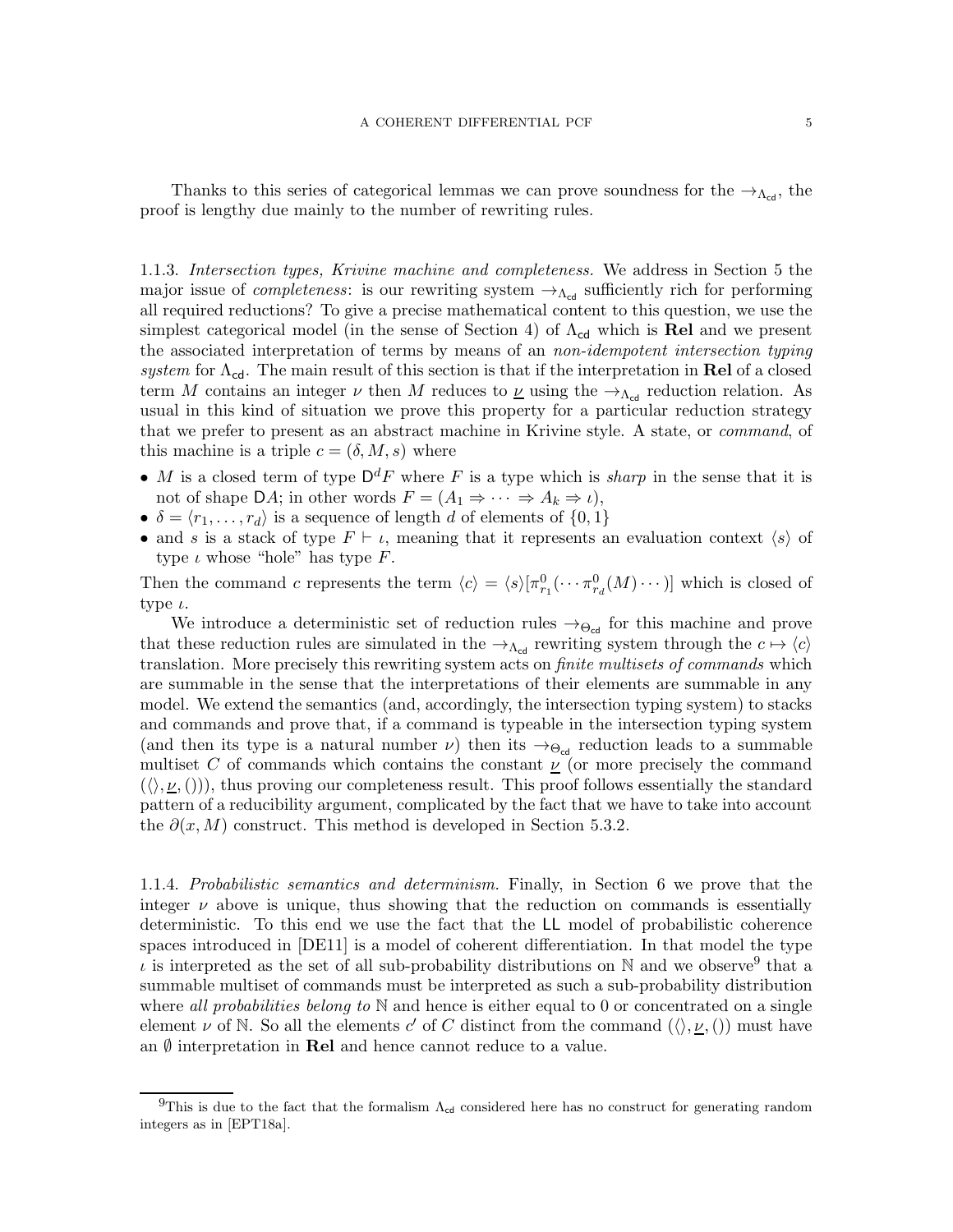Thanks to this series of categorical lemmas we can prove soundness for the  $\rightarrow_{\Delta_{\text{col}}}$ , the proof is lengthy due mainly to the number of rewriting rules.

1.1.3. Intersection types, Krivine machine and completeness. We address in Section [5](#page-45-1) the major issue of *completeness*: is our rewriting system  $\rightarrow_{\Lambda_{\text{cd}}}$  sufficiently rich for performing all required reductions? To give a precise mathematical content to this question, we use the simplest categorical model (in the sense of Section [4\)](#page-14-0) of  $\Lambda_{cd}$  which is Rel and we present the associated interpretation of terms by means of an non-idempotent intersection typing system for  $\Lambda_{cd}$ . The main result of this section is that if the interpretation in Rel of a closed term M contains an integer  $\nu$  then M reduces to  $\underline{\nu}$  using the  $\rightarrow_{\Lambda_{\text{cd}}}$  reduction relation. As usual in this kind of situation we prove this property for a particular reduction strategy that we prefer to present as an abstract machine in Krivine style. A state, or command, of this machine is a triple  $c = (\delta, M, s)$  where

- M is a closed term of type  $\mathsf{D}^d F$  where F is a type which is *sharp* in the sense that it is not of shape DA; in other words  $F = (A_1 \Rightarrow \cdots \Rightarrow A_k \Rightarrow \iota),$
- $\delta = \langle r_1, \ldots, r_d \rangle$  is a sequence of length d of elements of  $\{0, 1\}$
- and s is a stack of type  $F \vdash \iota$ , meaning that it represents an evaluation context  $\langle s \rangle$  of type  $\iota$  whose "hole" has type  $F$ .

Then the command c represents the term  $\langle c \rangle = \langle s \rangle [\pi_{r_1}^0(\cdots \pi_{r_d}^0(M) \cdots)]$  which is closed of type  $\iota$ .

We introduce a deterministic set of reduction rules  $\rightarrow \Theta_{\text{cd}}$  for this machine and prove that these reduction rules are simulated in the  $\rightarrow_{\Lambda_{cd}}$  rewriting system through the  $c \mapsto \langle c \rangle$ translation. More precisely this rewriting system acts on finite multisets of commands which are summable in the sense that the interpretations of their elements are summable in any model. We extend the semantics (and, accordingly, the intersection typing system) to stacks and commands and prove that, if a command is typeable in the intersection typing system (and then its type is a natural number  $\nu$ ) then its  $\rightarrow \Theta_{\text{cd}}$  reduction leads to a summable multiset C of commands which contains the constant  $\nu$  (or more precisely the command  $(\langle \rangle, \nu,$  ()), thus proving our completeness result. This proof follows essentially the standard pattern of a reducibility argument, complicated by the fact that we have to take into account the  $\partial(x, M)$  construct. This method is developed in Section [5.3.2.](#page-56-0)

1.1.4. Probabilistic semantics and determinism. Finally, in Section [6](#page-64-0) we prove that the integer  $\nu$  above is unique, thus showing that the reduction on commands is essentially deterministic. To this end we use the fact that the LL model of probabilistic coherence spaces introduced in [\[DE11\]](#page-71-4) is a model of coherent differentiation. In that model the type  $\iota$  is interpreted as the set of all sub-probability distributions on N and we observe<sup>[9](#page-4-0)</sup> that a summable multiset of commands must be interpreted as such a sub-probability distribution where all probabilities belong to  $\mathbb N$  and hence is either equal to 0 or concentrated on a single element  $\nu$  of N. So all the elements c' of C distinct from the command  $(\langle \rangle, \underline{\nu}, ())$  must have an  $\emptyset$  interpretation in **Rel** and hence cannot reduce to a value.

<span id="page-4-0"></span><sup>&</sup>lt;sup>9</sup>This is due to the fact that the formalism  $\Lambda_{cd}$  considered here has no construct for generating random integers as in [\[EPT18a\]](#page-71-2).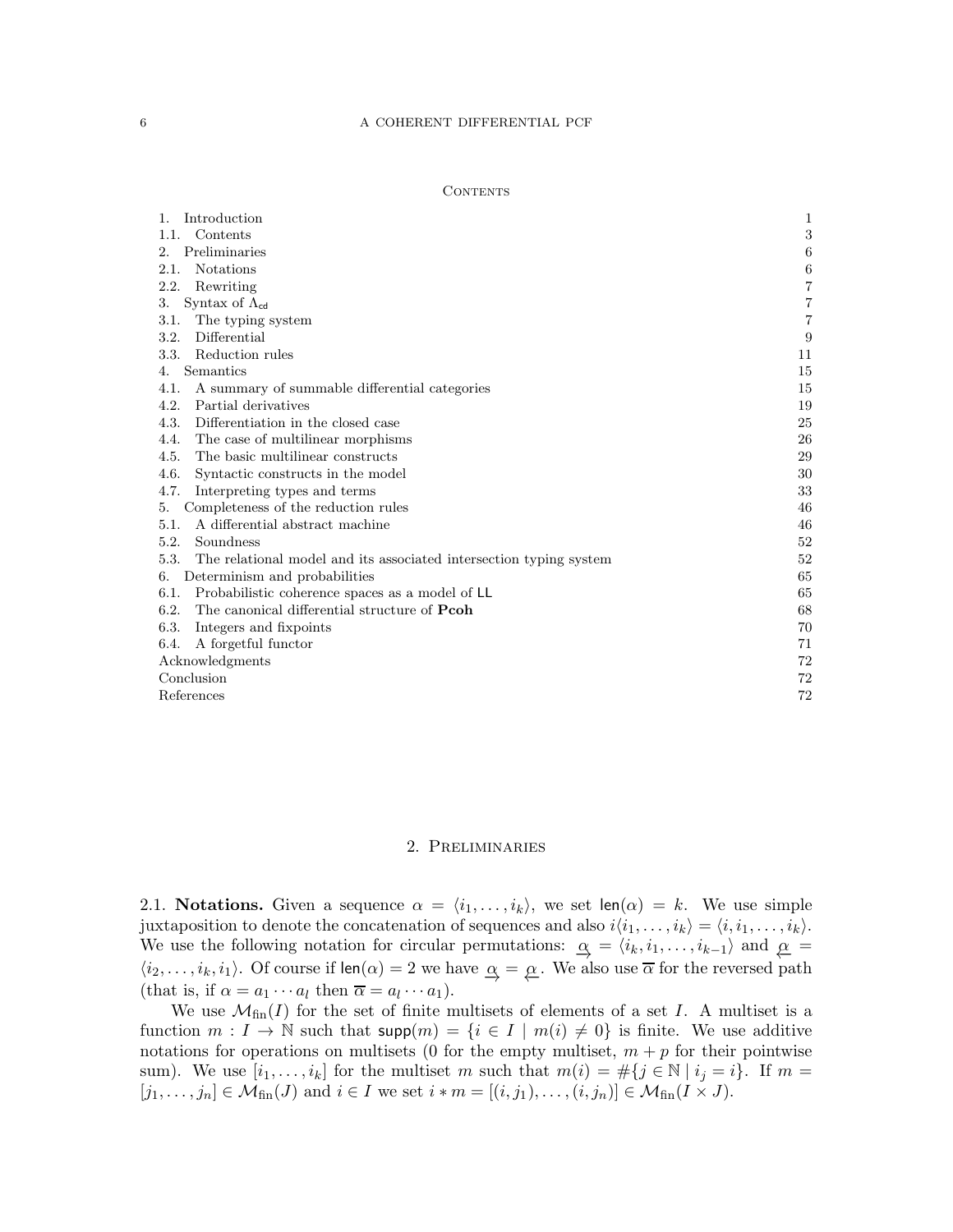| 1.<br>Introduction                                                         | 1  |
|----------------------------------------------------------------------------|----|
| Contents<br>1.1.                                                           | 3  |
| Preliminaries<br>2.                                                        | 6  |
| <b>Notations</b><br>2.1.                                                   | 6  |
| 2.2.<br>Rewriting                                                          | 7  |
| Syntax of $\Lambda_{cd}$<br>3.                                             | 7  |
| 3.1.<br>The typing system                                                  | 7  |
| Differential<br>3.2.                                                       | 9  |
| Reduction rules<br>3.3.                                                    | 11 |
| Semantics<br>4.                                                            | 15 |
| 4.1.<br>A summary of summable differential categories                      | 15 |
| 4.2.<br>Partial derivatives                                                | 19 |
| 4.3.<br>Differentiation in the closed case                                 | 25 |
| 4.4.<br>The case of multilinear morphisms                                  | 26 |
| The basic multilinear constructs<br>4.5.                                   | 29 |
| 4.6.<br>Syntactic constructs in the model                                  | 30 |
| 4.7.<br>Interpreting types and terms                                       | 33 |
| Completeness of the reduction rules<br>5.                                  | 46 |
| A differential abstract machine<br>5.1.                                    | 46 |
| 5.2.<br>Soundness                                                          | 52 |
| 5.3.<br>The relational model and its associated intersection typing system | 52 |
| Determinism and probabilities<br>6.                                        | 65 |
| Probabilistic coherence spaces as a model of LL<br>6.1.                    | 65 |
| The canonical differential structure of <b>Pcoh</b><br>6.2.                | 68 |
| 6.3.<br>Integers and fixpoints                                             | 70 |
| A forgetful functor<br>6.4.                                                | 71 |
| Acknowledgments                                                            | 72 |
| Conclusion                                                                 | 72 |
| References                                                                 | 72 |

# 2. Preliminaries

<span id="page-5-1"></span><span id="page-5-0"></span>2.1. Notations. Given a sequence  $\alpha = \langle i_1, \ldots, i_k \rangle$ , we set len $(\alpha) = k$ . We use simple juxtaposition to denote the concatenation of sequences and also  $i\langle i_1, \ldots, i_k \rangle = \langle i, i_1, \ldots, i_k \rangle$ . We use the following notation for circular permutations:  $\alpha = \langle i_k, i_1, \ldots, i_{k-1} \rangle$  and  $\alpha =$  $\langle i_2,\ldots,i_k,i_1\rangle$ . Of course if  $\text{len}(\alpha) = 2$  we have  $\alpha = \alpha$ . We also use  $\overline{\alpha}$  for the reversed path (that is, if  $\alpha = a_1 \cdots a_l$  then  $\overline{\alpha} = a_l \cdots a_1$ ).

We use  $\mathcal{M}_{fin}(I)$  for the set of finite multisets of elements of a set I. A multiset is a function  $m: I \to \mathbb{N}$  such that  $\text{supp}(m) = \{i \in I \mid m(i) \neq 0\}$  is finite. We use additive notations for operations on multisets (0 for the empty multiset,  $m + p$  for their pointwise sum). We use  $[i_1, \ldots, i_k]$  for the multiset m such that  $m(i) = \#\{j \in \mathbb{N} \mid i_j = i\}$ . If  $m =$  $[j_1, \ldots, j_n] \in \mathcal{M}_{fin}(J)$  and  $i \in I$  we set  $i * m = [(i, j_1), \ldots, (i, j_n)] \in \mathcal{M}_{fin}(I \times J)$ .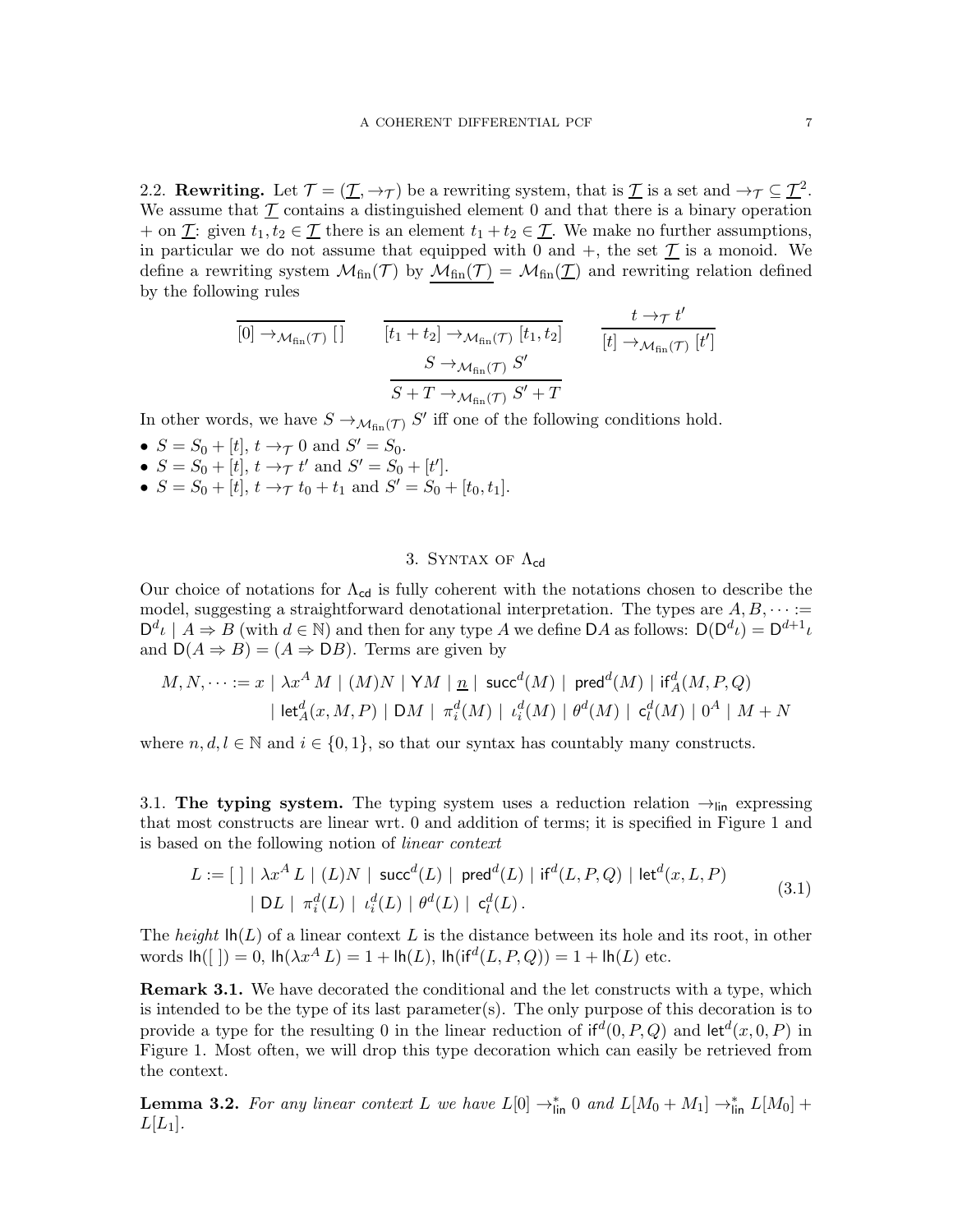<span id="page-6-1"></span>2.2. **Rewriting.** Let  $\mathcal{T} = (\underline{\mathcal{T}}, \to_{\mathcal{T}})$  be a rewriting system, that is  $\underline{\mathcal{T}}$  is a set and  $\to_{\mathcal{T}} \subseteq \underline{\mathcal{T}}^2$ . We assume that  $\mathcal T$  contains a distinguished element 0 and that there is a binary operation + on  $\underline{\mathcal{T}}$ : given  $t_1, t_2 \in \underline{\mathcal{T}}$  there is an element  $t_1 + t_2 \in \underline{\mathcal{T}}$ . We make no further assumptions, in particular we do not assume that equipped with 0 and  $+$ , the set  $\mathcal T$  is a monoid. We define a rewriting system  $\mathcal{M}_{fin}(\mathcal{T})$  by  $\mathcal{M}_{fin}(\mathcal{T}) = \mathcal{M}_{fin}(\mathcal{T})$  and rewriting relation defined by the following rules

$$
\frac{[0] \rightarrow_{\mathcal{M}_{fin}(\mathcal{T})} []}{[t_1 + t_2] \rightarrow_{\mathcal{M}_{fin}(\mathcal{T})} [t_1, t_2]} \qquad \frac{t \rightarrow_{\mathcal{T}} t'}{[t] \rightarrow_{\mathcal{M}_{fin}(\mathcal{T})} [t']}
$$

$$
\frac{S \rightarrow_{\mathcal{M}_{fin}(\mathcal{T})} S'}{S + T \rightarrow_{\mathcal{M}_{fin}(\mathcal{T})} S' + T}
$$

In other words, we have  $S \to_{\mathcal{M}_{fin}(\mathcal{T})} S'$  iff one of the following conditions hold.

- $S = S_0 + [t], t \to \tau 0 \text{ and } S' = S_0.$
- $S = S_0 + [t], t \to \tau t'$  and  $S' = S_0 + [t'].$
- $S = S_0 + [t], t \rightarrow \tau t_0 + t_1 \text{ and } S' = S_0 + [t_0, t_1].$

## 3. SYNTAX OF  $\Lambda_{cd}$

<span id="page-6-0"></span>Our choice of notations for  $\Lambda_{cd}$  is fully coherent with the notations chosen to describe the model, suggesting a straightforward denotational interpretation. The types are  $A, B, \cdots$  :=  $\mathsf{D}^d \iota \mid A \Rightarrow B$  (with  $d \in \mathbb{N}$ ) and then for any type A we define DA as follows:  $\mathsf{D}(\mathsf{D}^d \iota) = \mathsf{D}^{d+1} \iota$ and  $D(A \Rightarrow B) = (A \Rightarrow DB)$ . Terms are given by

$$
\begin{aligned} M,N,\cdots &:= x \mid \lambda x^A \, M \mid (M)N \mid \mathsf{Y}M \mid \underline{n} \mid \mathsf{succ}^d(M) \mid \mathsf{pred}^d(M) \mid \mathsf{if}^d_A(M,P,Q) \\ & \quad \mid \mathsf{let}^d_A(x,M,P) \mid \mathsf{D}M \mid \, \pi^d_i(M) \mid \, \iota^d_i(M) \mid \, \theta^d(M) \mid \, \mathsf{c}^d_l(M) \mid 0^A \mid M+N \end{aligned}
$$

where  $n, d, l \in \mathbb{N}$  and  $i \in \{0, 1\}$ , so that our syntax has countably many constructs.

<span id="page-6-2"></span>3.1. The typing system. The typing system uses a reduction relation  $\rightarrow$ <sub>lin</sub> expressing that most constructs are linear wrt. 0 and addition of terms; it is specified in Figure [1](#page-7-0) and is based on the following notion of linear context

$$
L := [ ] \mid \lambda x^{A} L \mid (L)N \mid \text{succ}^{d}(L) \mid \text{pred}^{d}(L) \mid \text{if}^{d}(L, P, Q) \mid \text{let}^{d}(x, L, P) | DL \mid \pi_{i}^{d}(L) \mid \iota_{i}^{d}(L) \mid \theta^{d}(L) \mid \mathbf{c}_{l}^{d}(L).
$$
\n(3.1)

The height  $\ln(L)$  of a linear context L is the distance between its hole and its root, in other words  $\text{lh}(\lceil \cdot \rceil) = 0$ ,  $\text{lh}(\lambda x^A L) = 1 + \text{lh}(L)$ ,  $\text{lh}(\text{if}^d(L, P, Q)) = 1 + \text{lh}(L)$  etc.

**Remark 3.1.** We have decorated the conditional and the let constructs with a type, which is intended to be the type of its last parameter(s). The only purpose of this decoration is to provide a type for the resulting 0 in the linear reduction of  $if<sup>d</sup>(0, P, Q)$  and  $let<sup>d</sup>(x, 0, P)$  in Figure [1.](#page-7-0) Most often, we will drop this type decoration which can easily be retrieved from the context.

**Lemma 3.2.** For any linear context L we have  $L[0] \rightarrow_{\text{lin}}^* 0$  and  $L[M_0 + M_1] \rightarrow_{\text{lin}}^* L[M_0] +$  $L[L_1]$ .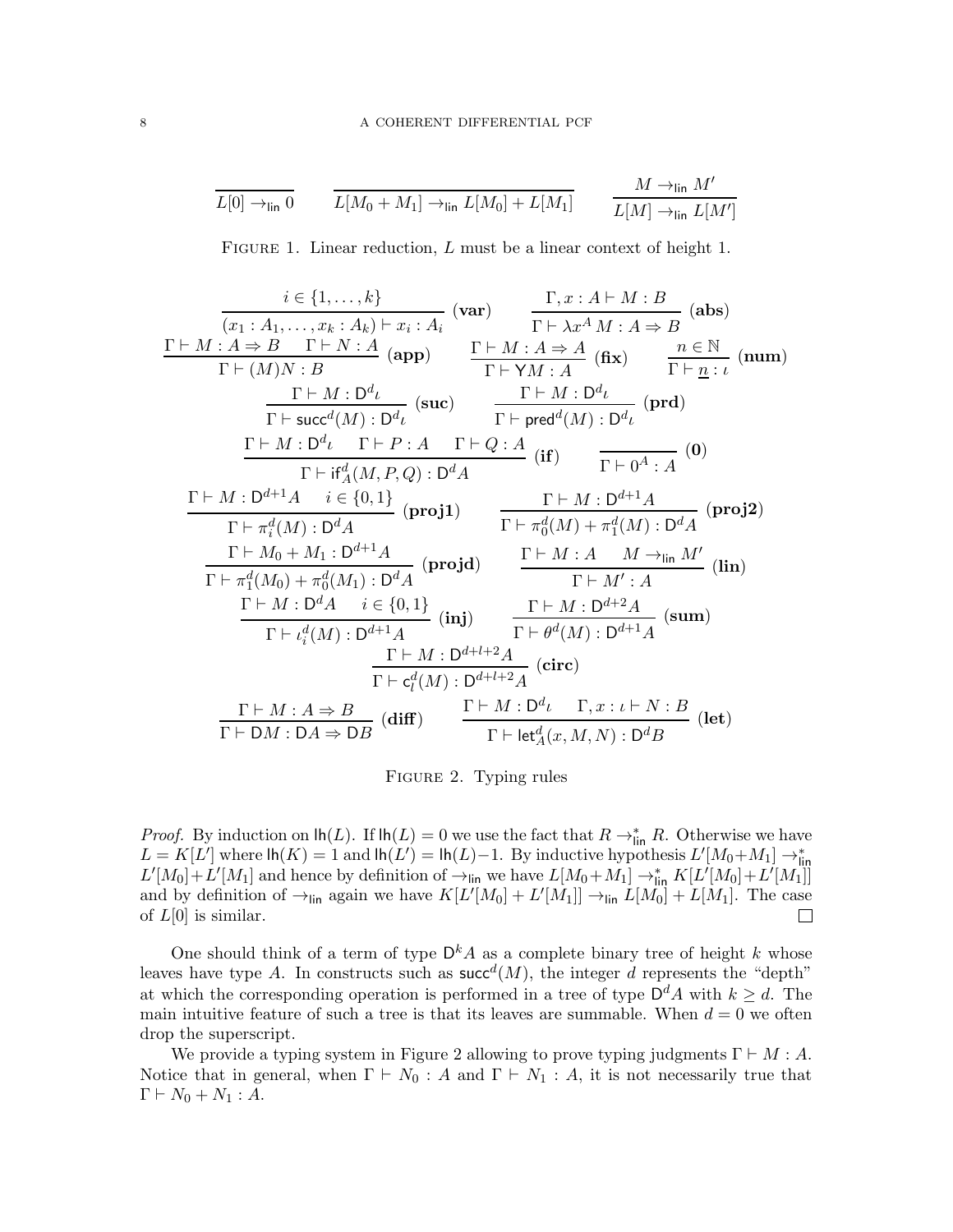<span id="page-7-0"></span>
$$
\overline{L[0] \to_{\text{lin}} 0} \qquad \overline{L[M_0 + M_1] \to_{\text{lin}} L[M_0] + L[M_1]} \qquad \frac{M \to_{\text{lin}} M'}{L[M] \to_{\text{lin}} L[M']}
$$

FIGURE 1. Linear reduction, L must be a linear context of height 1.

<span id="page-7-1"></span>
$$
\frac{i \in \{1, \ldots, k\}}{(x_1 : A_1, \ldots, x_k : A_k) \vdash x_i : A_i} \quad \text{(var)} \quad \frac{\Gamma, x : A \vdash M : B}{\Gamma \vdash \lambda x^A M : A \Rightarrow B} \quad \text{(abs)}
$$
\n
$$
\frac{\Gamma \vdash M : A \Rightarrow B \quad \Gamma \vdash N : A}{\Gamma \vdash (M)N : B} \quad \frac{\Gamma \vdash M : A \Rightarrow A}{\Gamma \vdash YM : A} \quad \text{(fix)} \quad \frac{n \in \mathbb{N}}{\Gamma \vdash \underline{n} : \iota} \quad \text{(num)}
$$
\n
$$
\frac{\Gamma \vdash M : D^d \iota}{\Gamma \vdash \text{succ}^d(M) : D^d \iota} \quad \text{(such)} \quad \frac{\Gamma \vdash M : D^d \iota}{\Gamma \vdash \text{pred}^d(M) : D^d \iota} \quad \text{(prd)}
$$
\n
$$
\frac{\Gamma \vdash M : D^d \iota \quad \Gamma \vdash P : A \quad \Gamma \vdash Q : A}{\Gamma \vdash \text{ref}_A^d(M, P, Q) : D^d A} \quad \text{(if)} \quad \frac{\Gamma \vdash M : D^{d+1} A}{\Gamma \vdash \rho A : A} \quad \text{(0)}
$$
\n
$$
\frac{\Gamma \vdash M : D^{d+1} A \quad i \in \{0, 1\}}{\Gamma \vdash \pi_a^d(M) : D^d A} \quad \text{(proj1)} \quad \frac{\Gamma \vdash M : D^{d+1} A}{\Gamma \vdash \pi_a^d(M) + \pi_a^d(M) : D^d A} \quad \text{(proj2)}
$$
\n
$$
\frac{\Gamma \vdash M : A \quad M \rightarrow \text{lin } M'}{\Gamma \vdash M : B} \quad \text{(lin)}
$$
\n
$$
\frac{\Gamma \vdash M : D^{d+1} A}{\Gamma \vdash \iota_{\iota}^d(M) : D^{d+1} A} \quad \text{(proj1)} \quad \frac{\Gamma \vdash M : D^{d+2} A}{\Gamma \vdash \theta^d(M) : D^{d+1} A} \quad \text{(sum)}
$$
\n
$$
\frac{\Gamma \vdash M : D^{d+2} A}{\Gamma \vdash \iota_{\iota}^d(M) : D^{d+1} A} \quad \text{(circ)}
$$
\n
$$
\frac{\Gamma \vdash M : D^{
$$

FIGURE 2. Typing rules

*Proof.* By induction on  $\text{lh}(L)$ . If  $\text{lh}(L) = 0$  we use the fact that  $R \to_{\text{lin}}^* R$ . Otherwise we have  $L = K[L']$  where  $\ln(K) = 1$  and  $\ln(L') = \ln(L) - 1$ . By inductive hypothesis  $L'[M_0 + M_1] \rightarrow_{\text{lin}}^*$  $L'[M_0]+L'[M_1]$  and hence by definition of  $\rightarrow$ <sub>lin</sub> we have  $L[M_0+M_1]\rightarrow_{\text{lin}}^* K[L'[M_0]+L'[M_1]]$ and by definition of  $\rightarrow$ <sub>lin</sub> again we have  $K[L'[M_0] + L[M_1]] \rightarrow$ <sub>lin</sub>  $L[M_0] + L[M_1]$ . The case of  $L[0]$  is similar.

One should think of a term of type  $\mathsf{D}^k A$  as a complete binary tree of height k whose leaves have type A. In constructs such as  $succ<sup>d</sup>(M)$ , the integer d represents the "depth" at which the corresponding operation is performed in a tree of type  $\mathsf{D}^d A$  with  $k \geq d$ . The main intuitive feature of such a tree is that its leaves are summable. When  $d = 0$  we often drop the superscript.

We provide a typing system in Figure [2](#page-7-1) allowing to prove typing judgments  $\Gamma \vdash M : A$ . Notice that in general, when  $\Gamma \vdash N_0 : A$  and  $\Gamma \vdash N_1 : A$ , it is not necessarily true that  $\Gamma \vdash N_0 + N_1 : A.$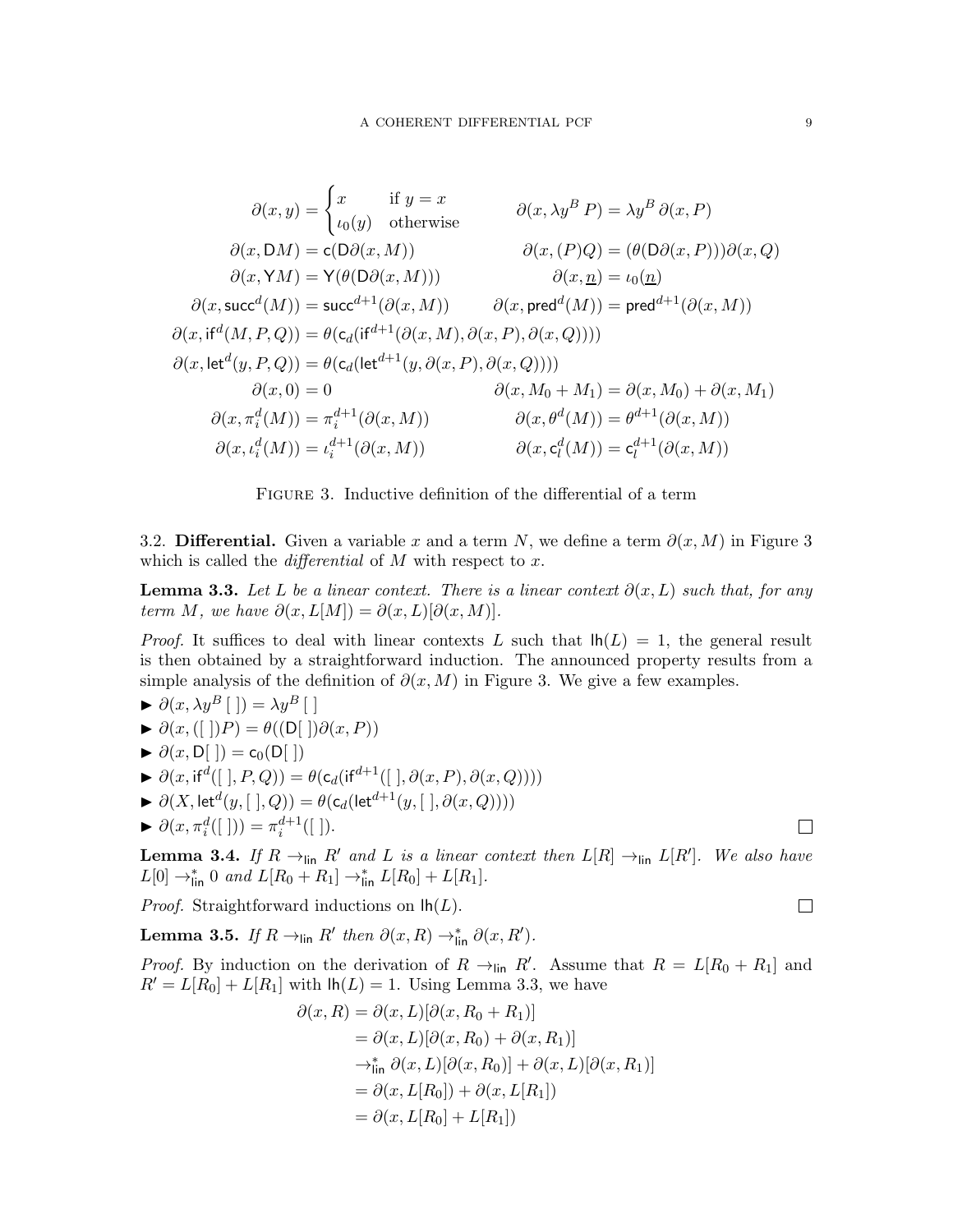<span id="page-8-1"></span>
$$
\partial(x,y) = \begin{cases}\nx & \text{if } y = x \\
\iota_0(y) & \text{otherwise}\n\end{cases} \qquad \partial(x,\lambda y^B P) = \lambda y^B \partial(x, P)
$$
\n
$$
\partial(x, \text{DM}) = \text{c}(\text{D}\partial(x, M)) \qquad \partial(x, (P)Q) = (\theta(\text{D}\partial(x, P)))\partial(x, Q)
$$
\n
$$
\partial(x, \text{YM}) = \text{Y}(\theta(\text{D}\partial(x, M))) \qquad \partial(x, \underline{n}) = \iota_0(\underline{n})
$$
\n
$$
\partial(x, \text{succ}^d(M)) = \text{succ}^{d+1}(\partial(x, M)) \qquad \partial(x, \text{pred}^d(M)) = \text{pred}^{d+1}(\partial(x, M))
$$
\n
$$
\partial(x, \text{if}^d(M, P, Q)) = \theta(\text{c}_d(\text{if}^{d+1}(\partial(x, M), \partial(x, P), \partial(x, Q))))
$$
\n
$$
\partial(x, \text{let}^d(y, P, Q)) = \theta(\text{c}_d(\text{let}^{d+1}(y, \partial(x, P), \partial(x, Q))))
$$
\n
$$
\partial(x, \mathbf{M}_0 + \mathbf{M}_1) = \partial(x, \mathbf{M}_0) + \partial(x, \mathbf{M}_1)
$$
\n
$$
\partial(x, \pi_i^d(M)) = \pi_i^{d+1}(\partial(x, M)) \qquad \partial(x, \theta^d(M)) = \theta^{d+1}(\partial(x, M))
$$
\n
$$
\partial(x, \iota_i^d(M)) = \iota_i^{d+1}(\partial(x, M)) \qquad \partial(x, \mathbf{c}_i^d(M)) = \mathbf{c}_i^{d+1}(\partial(x, M))
$$

Figure 3. Inductive definition of the differential of a term

<span id="page-8-0"></span>3.2. Differential. Given a variable x and a term N, we define a term  $\partial(x, M)$  in Figure [3](#page-8-1) which is called the *differential* of  $M$  with respect to  $x$ .

<span id="page-8-2"></span>**Lemma 3.3.** Let L be a linear context. There is a linear context  $\partial(x, L)$  such that, for any term M, we have  $\partial(x, L[M]) = \partial(x, L)[\partial(x, M)].$ 

*Proof.* It suffices to deal with linear contexts L such that  $lh(L) = 1$ , the general result is then obtained by a straightforward induction. The announced property results from a simple analysis of the definition of  $\partial(x, M)$  in Figure [3.](#page-8-1) We give a few examples.

- $\blacktriangleright \partial(x, \lambda y^B \mid \cdot) = \lambda y^B \mid \cdot$  $\blacktriangleright \partial(x, (||)P) = \theta((D||) \partial(x, P))$
- $\blacktriangleright \partial(x, D[\ ]) = c_0(D[\ ])$
- $\blacktriangleright \partial(x, \text{if}^d([], P, Q)) = \theta(c_d(\text{if}^{d+1}([], \partial(x, P), \partial(x, Q))))$
- $\blacktriangleright \ \partial(X,\mathsf{let}^d(y,[\;],Q)) = \theta(\mathsf{c}_d(\mathsf{let}^{d+1}(y,[\;],\partial(x,Q))))$
- $\blacktriangleright \partial(x, \pi_i^d([\;])) = \pi_i^{d+1}([\;]).$

<span id="page-8-3"></span>**Lemma 3.4.** If  $R \rightarrow_{\text{lin}} R'$  and L is a linear context then  $L[R] \rightarrow_{\text{lin}} L[R']$ . We also have  $L[0] \to_{\text{lin}}^* 0 \text{ and } L[R_0 + R_1] \to_{\text{lin}}^* L[R_0] + L[R_1].$ 

*Proof.* Straightforward inductions on  $lh(L)$ .

<span id="page-8-4"></span>**Lemma 3.5.** If  $R \rightarrow$ <sub>lin</sub>  $R'$  then  $\partial(x,R) \rightarrow_{\text{lin}}^* \partial(x,R')$ .

*Proof.* By induction on the derivation of  $R \to \text{lin } R'$ . Assume that  $R = L[R_0 + R_1]$  and  $R' = L[R_0] + L[R_1]$  with  $\text{lh}(L) = 1$ . Using Lemma [3.3,](#page-8-2) we have

$$
\partial(x, R) = \partial(x, L)[\partial(x, R_0 + R_1)]
$$
  
\n
$$
= \partial(x, L)[\partial(x, R_0) + \partial(x, R_1)]
$$
  
\n
$$
\rightarrow_{\text{lin}}^* \partial(x, L)[\partial(x, R_0)] + \partial(x, L)[\partial(x, R_1)]
$$
  
\n
$$
= \partial(x, L[R_0]) + \partial(x, L[R_1])
$$
  
\n
$$
= \partial(x, L[R_0] + L[R_1])
$$

 $\Box$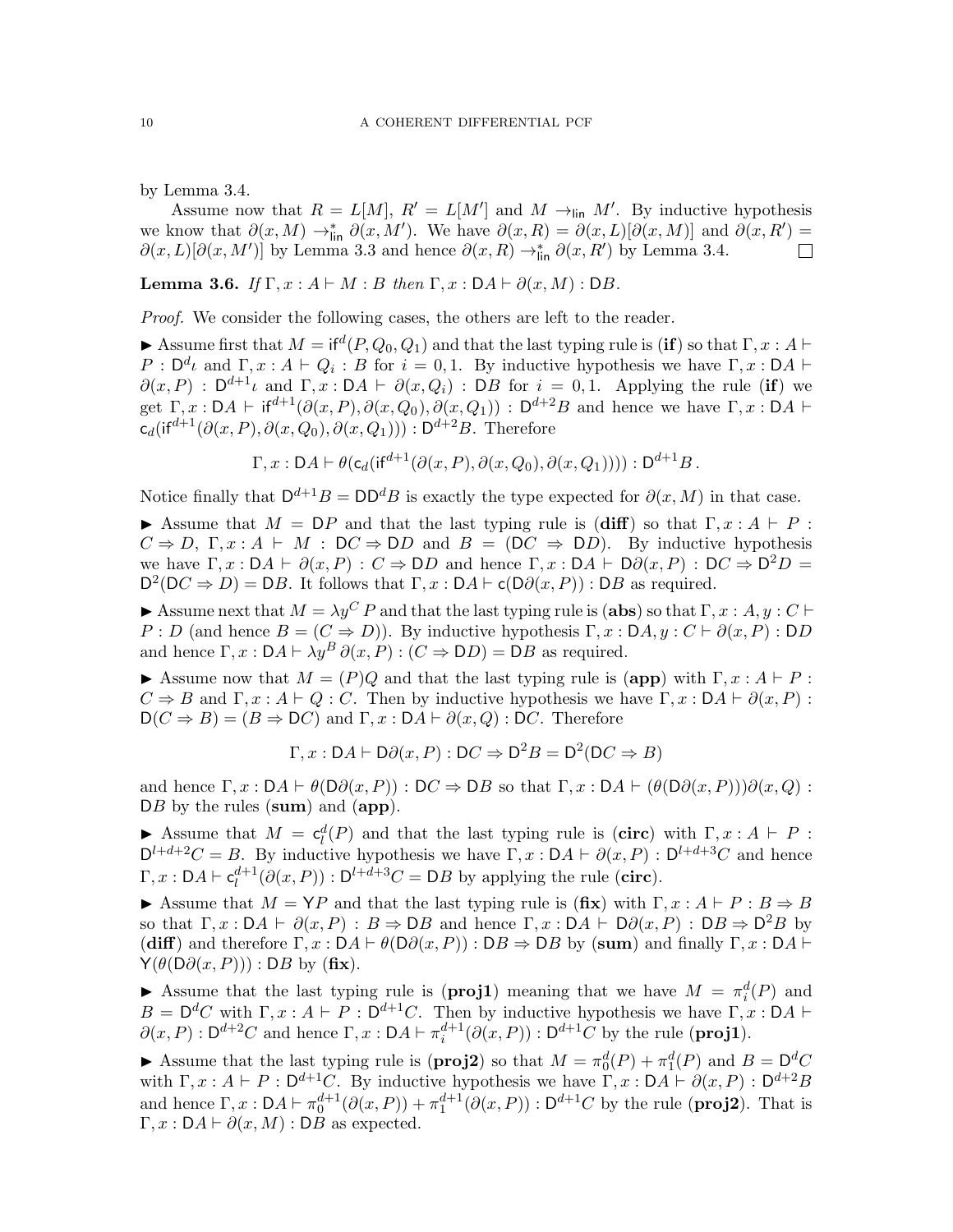by Lemma [3.4.](#page-8-3)

Assume now that  $R = L[M], R' = L[M']$  and  $M \to_{\text{lin}} M'$ . By inductive hypothesis we know that  $\partial(x,M) \to_{\text{lin}}^* \partial(x,M')$ . We have  $\partial(x,R) = \partial(x,L)[\partial(x,M)]$  and  $\partial(x,R') =$  $\partial(x,L)[\partial(x,M')]$  by Lemma [3.3](#page-8-2) and hence  $\partial(x,R) \to_{\text{lin}}^* \partial(x,R')$  by Lemma [3.4.](#page-8-3)  $\Box$ 

<span id="page-9-0"></span>**Lemma 3.6.** If  $\Gamma, x : A \vdash M : B$  then  $\Gamma, x : DA \vdash \partial(x, M) : DB$ .

Proof. We consider the following cases, the others are left to the reader.

Assume first that  $M = \text{if}^d(P, Q_0, Q_1)$  and that the last typing rule is (if) so that  $\Gamma, x : A \vdash$  $P : D^d \iota$  and  $\Gamma, x : A \vdash Q_i : B$  for  $i = 0, 1$ . By inductive hypothesis we have  $\Gamma, x : DA \vdash$  $\partial(x, P)$ :  $D^{d+1}\iota$  and  $\Gamma, x : DA \vdash \partial(x, Q_i)$ : DB for  $i = 0, 1$ . Applying the rule (if) we get  $\Gamma, x : DA \vdash \text{if}^{d+1}(\partial(x, P), \partial(x, Q_0), \partial(x, Q_1)) : D^{d+2}B$  and hence we have  $\Gamma, x : DA \vdash$  $c_d(\text{if}^{d+1}(\partial(x,P),\partial(x,Q_0),\partial(x,Q_1))) : D^{d+2}B.$  Therefore

$$
\Gamma, x: DA \vdash \theta(c_d(\mathsf{if}^{d+1}(\partial(x, P), \partial(x, Q_0), \partial(x, Q_1)))) : D^{d+1}B.
$$

Notice finally that  $D^{d+1}B = DD^dB$  is exactly the type expected for  $\partial(x, M)$  in that case.

Assume that  $M = \mathsf{D}P$  and that the last typing rule is (diff) so that  $\Gamma, x : A \vdash P$ :  $C \Rightarrow D, \Gamma, x : A \vdash M : DC \Rightarrow DD$  and  $B = (DC \Rightarrow DD)$ . By inductive hypothesis we have  $\Gamma, x : DA \vdash \partial(x, P) : C \Rightarrow DD$  and hence  $\Gamma, x : DA \vdash D\partial(x, P) : DC \Rightarrow D^2D =$  $D^2(DC \Rightarrow D) = DB$ . It follows that  $\Gamma, x : DA \vdash c(D\partial(x, P)) : DB$  as required.

Assume next that  $M = \lambda y^C P$  and that the last typing rule is (abs) so that  $\Gamma, x : A, y : C \vdash$ P : D (and hence  $B = (C \Rightarrow D)$ ). By inductive hypothesis  $\Gamma, x : DA, y : C \vdash \partial(x, P) : DD$ and hence  $\Gamma$ ,  $x : DA \vdash \lambda y^B \partial (x, P) : (C \Rightarrow DD) = DB$  as required.

Assume now that  $M = (P)Q$  and that the last typing rule is (app) with  $\Gamma, x : A \vdash P$ :  $C \Rightarrow B$  and  $\Gamma, x : A \vdash Q : C$ . Then by inductive hypothesis we have  $\Gamma, x : DA \vdash \partial(x, P)$ :  $D(C \Rightarrow B) = (B \Rightarrow DC)$  and  $\Gamma, x : DA \vdash \partial(x, Q) : DC$ . Therefore

$$
\Gamma, x: \mathsf{D}A \vdash \mathsf{D}\partial(x, P) : \mathsf{D}C \Rightarrow \mathsf{D}^2B = \mathsf{D}^2(\mathsf{D}C \Rightarrow B)
$$

and hence  $\Gamma, x : DA \vdash \theta(D\partial(x, P)) : DC \Rightarrow DB$  so that  $\Gamma, x : DA \vdash (\theta(D\partial(x, P)))\partial(x, Q)$ : DB by the rules (sum) and (app).

Assume that  $M = c_l^d(P)$  and that the last typing rule is (circ) with  $\Gamma, x : A \vdash P$ :  $D^{l+d+2}C = B$ . By inductive hypothesis we have  $\Gamma, x : DA \vdash \partial(x, P) : D^{l+d+3}C$  and hence  $\Gamma, x : \mathsf{D} A \vdash \mathsf{c}_l^{d+1}$  $l_l^{d+1}(\partial(x, P))$ :  $D^{l+d+3}C = DB$  by applying the rule (circ).

Assume that  $M = YP$  and that the last typing rule is  $(fix)$  with  $\Gamma, x : A \vdash P : B \Rightarrow B$ so that  $\Gamma, x : DA \vdash \partial(x, P) : B \Rightarrow DB$  and hence  $\Gamma, x : DA \vdash D\partial(x, P) : DB \Rightarrow D^2B$  by (diff) and therefore  $\Gamma, x : DA \vdash \theta(D\partial(x, P)) : DB \Rightarrow DB$  by (sum) and finally  $\Gamma, x : DA \vdash$  $\mathsf{Y}(\theta(\mathsf{D}\partial(x,P))) : \mathsf{D}B$  by  $(f\mathbf{f}\mathbf{x})$ .

Assume that the last typing rule is (**proj1**) meaning that we have  $M = \pi_i^d(P)$  and i  $B = \mathsf{D}^d C$  with  $\Gamma, x : A \vdash P : \mathsf{D}^{d+1} C$ . Then by inductive hypothesis we have  $\Gamma, x : \mathsf{D} A \vdash$  $\partial(x, P) : D^{d+2}C$  and hence  $\Gamma, x : DA \vdash \pi_i^{d+1}(\partial(x, P)) : D^{d+1}C$  by the rule (**proj1**).

Assume that the last typing rule is (**proj2**) so that  $M = \pi_0^d(P) + \pi_1^d(P)$  and  $B = D^dC$ with  $\Gamma, x : A \vdash P : D^{d+1}C$ . By inductive hypothesis we have  $\Gamma, x : DA \vdash \partial(x, P) : D^{d+2}B$ and hence  $\Gamma, x : DA \vdash \pi_0^{d+1}(\partial(x, P)) + \pi_1^{d+1}(\partial(x, P)) : D^{d+1}C$  by the rule (**proj2**). That is  $\Gamma, x : DA \vdash \partial(x, M) : DB$  as expected.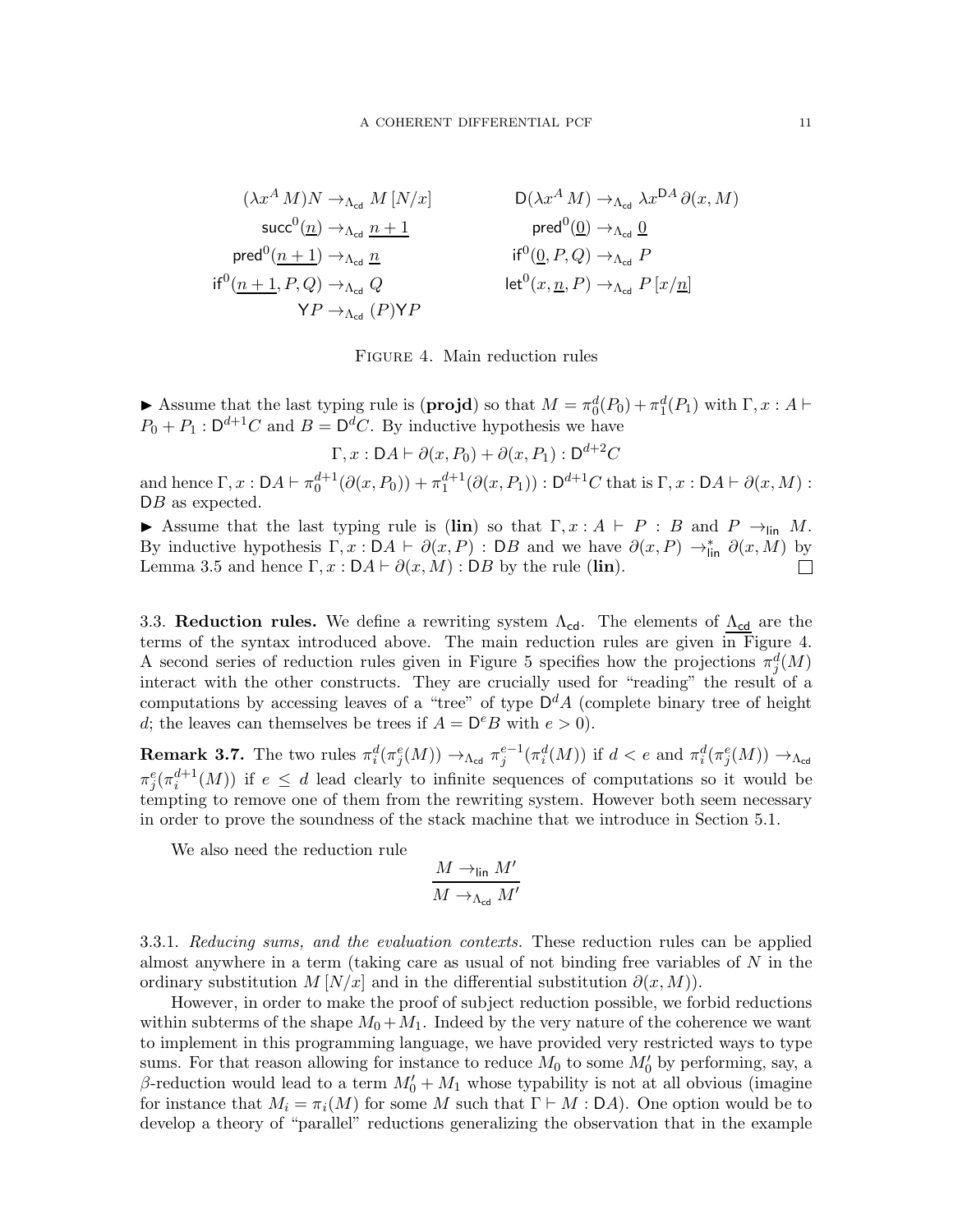<span id="page-10-1"></span>
$$
(\lambda x^{A} M)N \to_{\Lambda_{\text{cd}}} M [N/x] \qquad D(\lambda x^{A} M) \to_{\Lambda_{\text{cd}}} \lambda x^{DA} \partial(x, M)
$$
  
\n
$$
\text{succ}^{0}(\underline{n}) \to_{\Lambda_{\text{cd}}} \underline{n+1} \qquad \text{pred}^{0}(\underline{0}) \to_{\Lambda_{\text{cd}}} \underline{0}
$$
  
\n
$$
\text{if}^{0}(\underline{n+1}, P, Q) \to_{\Lambda_{\text{cd}}} Q \qquad \text{if}^{0}(\underline{0}, P, Q) \to_{\Lambda_{\text{cd}}} P
$$
  
\n
$$
\text{if}^{0}(\underline{n+1}, P, Q) \to_{\Lambda_{\text{cd}}} Q \qquad \text{let}^{0}(x, \underline{n}, P) \to_{\Lambda_{\text{cd}}} P [x/\underline{n}]
$$



Assume that the last typing rule is  $(\mathbf{projd})$  so that  $M = \pi_0^d(P_0) + \pi_1^d(P_1)$  with  $\Gamma, x : A \vdash$  $P_0 + P_1 : \mathsf{D}^{d+1}C$  and  $B = \mathsf{D}^dC$ . By inductive hypothesis we have

 $\Gamma, x : \mathsf{D} A \vdash \partial(x, P_0) + \partial(x, P_1) : \mathsf{D}^{d+2} C$ 

and hence  $\Gamma, x : DA \vdash \pi_0^{d+1}(\partial(x, P_0)) + \pi_1^{d+1}(\partial(x, P_1)) : D^{d+1}C$  that is  $\Gamma, x : DA \vdash \partial(x, M) :$  $DB$  as expected.

Assume that the last typing rule is (lin) so that  $\Gamma, x : A \vdash P : B$  and  $P \rightarrow_{\text{lin}} M$ . By inductive hypothesis  $\Gamma, x : DA \vdash \partial(x, P) : DB$  and we have  $\partial(x, P) \rightarrow_{\text{lin}}^* \partial(x, M)$  by Lemma [3.5](#page-8-4) and hence  $\Gamma, x : DA \vdash \partial(x, M) : DB$  by the rule (lin).

<span id="page-10-0"></span>3.3. Reduction rules. We define a rewriting system  $\Lambda_{cd}$ . The elements of  $\Lambda_{cd}$  are the terms of the syntax introduced above. The main reduction rules are given in Figure [4.](#page-10-1) A second series of reduction rules given in Figure [5](#page-11-0) specifies how the projections  $\pi_j^d(M)$ interact with the other constructs. They are crucially used for "reading" the result of a computations by accessing leaves of a "tree" of type  $\mathsf{D}^d A$  (complete binary tree of height d; the leaves can themselves be trees if  $A = D^e B$  with  $e > 0$ .

**Remark 3.7.** The two rules  $\pi_i^d(\pi_j^e(M)) \to_{\Lambda_{\text{cd}}} \pi_j^{e-1}(\pi_i^d(M))$  if  $d < e$  and  $\pi_i^d(\pi_j^e(M)) \to_{\Lambda_{\text{cd}}}$  $\pi_j^e(\pi_i^{d+1}(M))$  if  $e \leq d$  lead clearly to infinite sequences of computations so it would be tempting to remove one of them from the rewriting system. However both seem necessary in order to prove the soundness of the stack machine that we introduce in Section [5.1.](#page-45-0)

We also need the reduction rule

$$
\frac{M \to_{\text{lin}} M'}{M \to_{\Lambda_{\text{cd}}} M'}
$$

3.3.1. Reducing sums, and the evaluation contexts. These reduction rules can be applied almost anywhere in a term (taking care as usual of not binding free variables of  $N$  in the ordinary substitution  $M[N/x]$  and in the differential substitution  $\partial(x, M)$ .

However, in order to make the proof of subject reduction possible, we forbid reductions within subterms of the shape  $M_0 + M_1$ . Indeed by the very nature of the coherence we want to implement in this programming language, we have provided very restricted ways to type sums. For that reason allowing for instance to reduce  $M_0$  to some  $M'_0$  by performing, say, a  $\beta$ -reduction would lead to a term  $M'_0 + M_1$  whose typability is not at all obvious (imagine for instance that  $M_i = \pi_i(M)$  for some M such that  $\Gamma \vdash M : \Box A$ . One option would be to develop a theory of "parallel" reductions generalizing the observation that in the example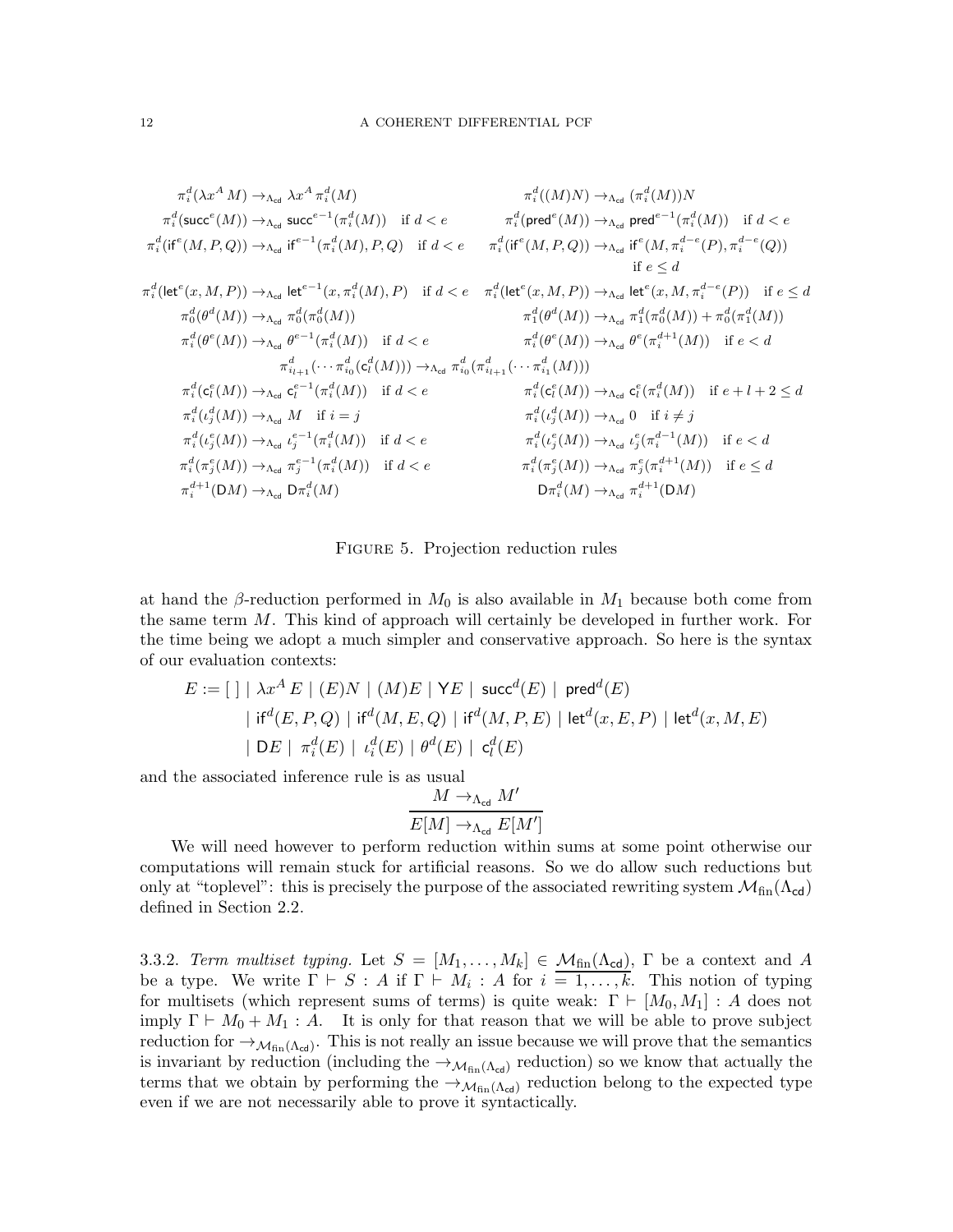<span id="page-11-0"></span>
$$
\begin{array}{llll}\pi_{i}^{d}(\lambda x^{A}M)\rightarrow_{\Lambda_{\text{cd}}}\lambda x^{A}\pi_{i}^{d}(M) & \pi_{i}^{d}((M)N)\rightarrow_{\Lambda_{\text{cd}}}\pi_{i}^{d}(M))N\\ \pi_{i}^{d}(\text{succ}^{e}(M))\rightarrow_{\Lambda_{\text{cd}}}\text{succ}^{e-1}(\pi_{i}^{d}(M))\quad \text{if}\ d < e & \pi_{i}^{d}(\text{pred}^{e}(M))\rightarrow_{\Lambda_{\text{cd}}}\text{pred}^{e-1}(\pi_{i}^{d}(M))\quad \text{if}\ d < e\\ \pi_{i}^{d}(\text{left}(M, P, Q))\rightarrow_{\Lambda_{\text{cd}}}\text{left}^{e-1}(\pi_{i}^{d}(M), P, Q)\quad \text{if}\ d < e & \pi_{i}^{d}(\text{if}^{e}(M, P, Q))\rightarrow_{\Lambda_{\text{cd}}}\text{if}^{e}(M, \pi_{i}^{d-e}(P), \pi_{i}^{d-e}(Q))\\ \text{if}\ e \leq d\\ \pi_{0}^{d}(\text{let}^{e}(x, M, P))\rightarrow_{\Lambda_{\text{cd}}}\text{let}^{e-1}(x, \pi_{i}^{d}(M), P)\quad \text{if}\ d < e & \pi_{i}^{d}(\text{let}^{e}(x, M, P))\rightarrow_{\Lambda_{\text{cd}}}\text{let}^{e}(x, M, \pi_{i}^{d-e}(P))\quad \text{if}\ e \leq d\\ \pi_{0}^{d}(\theta^{d}(M))\rightarrow_{\Lambda_{\text{cd}}}\pi_{0}^{d}(\pi_{0}^{d}(M)) & \pi_{i}^{d}(\theta^{d}(M))\rightarrow_{\Lambda_{\text{cd}}}\pi_{i}^{d}(\theta^{d}(M))\rightarrow_{\Lambda_{\text{cd}}}\theta^{e-1}(\pi_{i}^{d}(M))\\ \pi_{i}^{d}(\theta^{e}(M))\rightarrow_{\Lambda_{\text{cd}}}\theta^{e-1}(\pi_{i}^{d}(M)) & \text{if}\ d < e & \pi_{i}^{d}(\theta^{e}(M))\rightarrow_{\Lambda_{\text{cd}}}\theta^{e}(\pi_{i}^{d+1}(M))\quad \text{if}\ e < d\\ \pi_{i}^{d}(\theta^{e}(M))\rightarrow_{\Lambda_{\text{cd}}}\mathbf{c}_{i}^{e-1}(\pi_{i}^{d}(M)) & \text{if}\ d <
$$

FIGURE 5. Projection reduction rules

at hand the β-reduction performed in  $M_0$  is also available in  $M_1$  because both come from the same term M. This kind of approach will certainly be developed in further work. For the time being we adopt a much simpler and conservative approach. So here is the syntax of our evaluation contexts:

$$
E := [ ] \mid \lambda x^{A} E \mid (E)N \mid (M)E \mid \mathsf{Y}E \mid \mathsf{succ}^{d}(E) \mid \mathsf{pred}^{d}(E)
$$
  
 
$$
\mid \mathsf{if}^{d}(E, P, Q) \mid \mathsf{if}^{d}(M, E, Q) \mid \mathsf{if}^{d}(M, P, E) \mid \mathsf{let}^{d}(x, E, P) \mid \mathsf{let}^{d}(x, M, E)
$$
  
 
$$
\mid DE \mid \pi_{i}^{d}(E) \mid \iota_{i}^{d}(E) \mid \theta^{d}(E) \mid \mathsf{c}_{l}^{d}(E)
$$

and the associated inference rule is as usual

$$
\frac{M \to_{\Lambda_{\rm cd}} M'}{E[M] \to_{\Lambda_{\rm cd}} E[M']}
$$

We will need however to perform reduction within sums at some point otherwise our computations will remain stuck for artificial reasons. So we do allow such reductions but only at "toplevel": this is precisely the purpose of the associated rewriting system  $\mathcal{M}_{fin}(\Lambda_{cd})$ defined in Section [2.2.](#page-6-1)

3.3.2. Term multiset typing. Let  $S = [M_1, \ldots, M_k] \in \mathcal{M}_{fin}(\Lambda_{cd})$ ,  $\Gamma$  be a context and A be a type. We write  $\Gamma \vdash S : A$  if  $\Gamma \vdash M_i : A$  for  $i = 1, ..., k$ . This notion of typing for multisets (which represent sums of terms) is quite weak:  $\Gamma \vdash [M_0, M_1] : A$  does not imply  $\Gamma \vdash M_0 + M_1 : A$ . It is only for that reason that we will be able to prove subject reduction for  $\rightarrow$   $M_{fin}(\Lambda_{cd})$ . This is not really an issue because we will prove that the semantics is invariant by reduction (including the  $\rightarrow_{\mathcal{M}_{fin}(\Lambda_{cd})}$  reduction) so we know that actually the terms that we obtain by performing the  $\rightarrow_{\mathcal{M}_{fin}(\Lambda_{cd})}$  reduction belong to the expected type even if we are not necessarily able to prove it syntactically.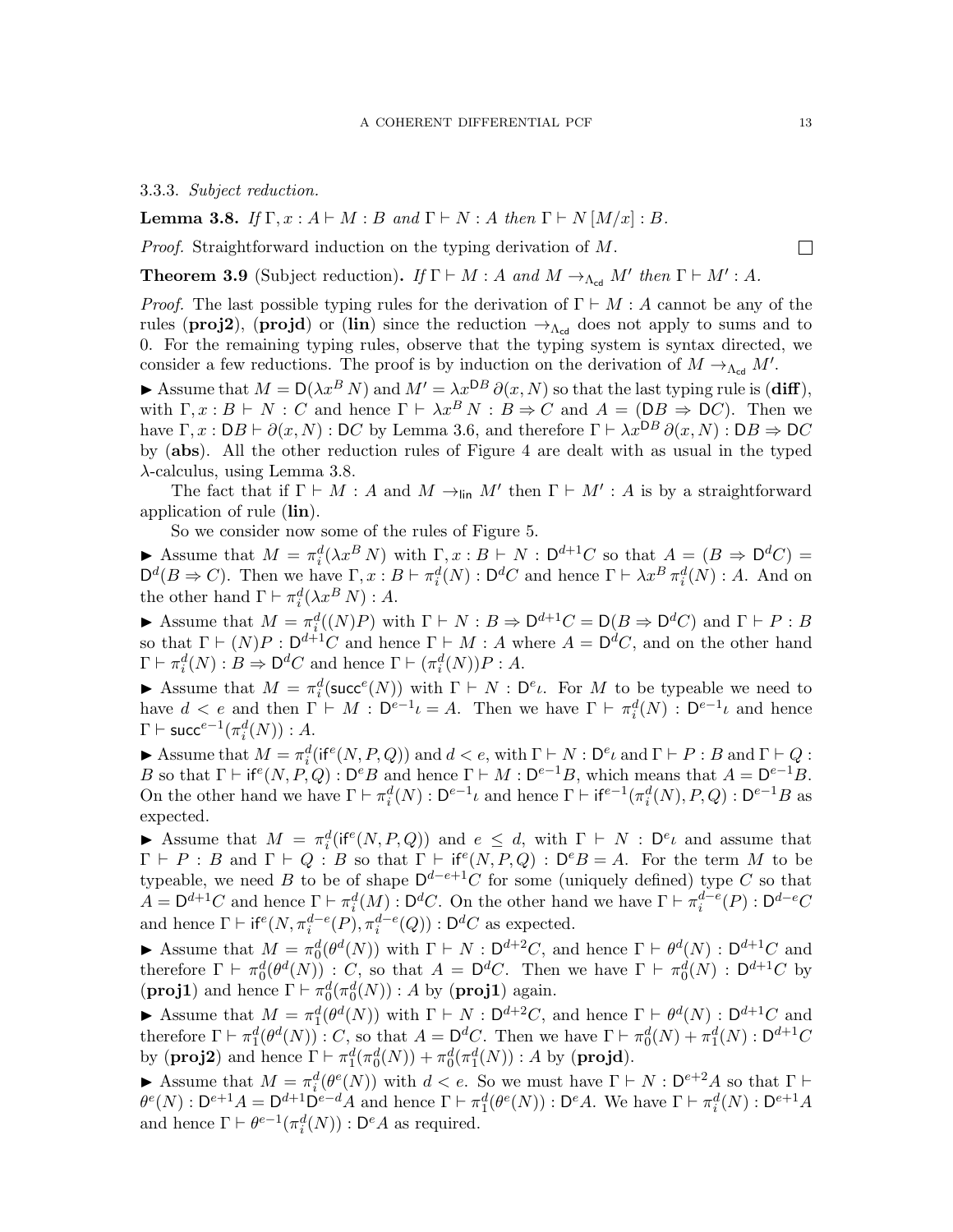### 3.3.3. Subject reduction.

<span id="page-12-0"></span>**Lemma 3.8.** If  $\Gamma, x : A \vdash M : B$  and  $\Gamma \vdash N : A$  then  $\Gamma \vdash N [M/x] : B$ .

Proof. Straightforward induction on the typing derivation of M.

<span id="page-12-1"></span>**Theorem 3.9** (Subject reduction). If  $\Gamma \vdash M : A$  and  $M \rightarrow_{\Lambda_{\text{cd}}} M'$  then  $\Gamma \vdash M' : A$ .

*Proof.* The last possible typing rules for the derivation of  $\Gamma \vdash M : A$  cannot be any of the rules (**proj2**), (**projd**) or (lin) since the reduction  $\rightarrow_{\Lambda_{\rm cd}}$  does not apply to sums and to 0. For the remaining typing rules, observe that the typing system is syntax directed, we consider a few reductions. The proof is by induction on the derivation of  $M \to_{\Lambda_{\text{cd}}} M'$ .

Assume that  $M = D(\lambda x^B N)$  and  $M' = \lambda x^{DB} \partial(x, N)$  so that the last typing rule is (diff), with  $\Gamma, x : B \vdash N : C$  and hence  $\Gamma \vdash \lambda x^B N : B \Rightarrow C$  and  $A = (DB \Rightarrow DC)$ . Then we have  $\Gamma, x : DB \vdash \partial(x, N) : DC$  by Lemma [3.6,](#page-9-0) and therefore  $\Gamma \vdash \lambda x^{DB} \partial(x, N) : DB \Rightarrow DC$ by (abs). All the other reduction rules of Figure [4](#page-10-1) are dealt with as usual in the typed λ-calculus, using Lemma [3.8.](#page-12-0)

The fact that if  $\Gamma \vdash M : A$  and  $M \rightarrow_{\text{lin}} M'$  then  $\Gamma \vdash M' : A$  is by a straightforward application of rule (lin).

So we consider now some of the rules of Figure [5.](#page-11-0)

**►** Assume that  $M = \pi_i^d(\lambda x^B N)$  with  $\Gamma, x : B \vdash N : D^{d+1}C$  so that  $A = (B \Rightarrow D^d C) =$  $\mathsf{D}^d(B \Rightarrow C)$ . Then we have  $\Gamma, x : B \vdash \pi_i^d(N) : \mathsf{D}^d C$  and hence  $\Gamma \vdash \lambda x^B \pi_i^d(N) : A$ . And on the other hand  $\Gamma \vdash \pi_i^d(\lambda x^B N) : A$ .

Assume that  $M = \pi_i^d((N)P)$  with  $\Gamma \vdash N : B \Rightarrow D^{d+1}C = D(B \Rightarrow D^dC)$  and  $\Gamma \vdash P : B$ so that  $\Gamma \vdash (N)P : D^{d+1}C$  and hence  $\Gamma \vdash M : A$  where  $A = D^dC$ , and on the other hand  $\Gamma \vdash \pi_i^d(N) : B \Rightarrow \mathsf{D}^d C$  and hence  $\Gamma \vdash (\pi_i^d(N))P : A$ .

Assume that  $M = \pi_i^d(\text{succ}^e(N))$  with  $\Gamma \vdash N : D^e\iota$ . For M to be typeable we need to have  $d < e$  and then  $\Gamma \vdash M : \mathsf{D}^{e-1}\iota = A$ . Then we have  $\Gamma \vdash \pi_i^d(N) : \mathsf{D}^{e-1}\iota$  and hence  $\Gamma \vdash \mathsf{succ}^{e-1}(\pi_i^d(N)) : A.$ 

Assume that  $M = \pi_i^d(\text{if}^e(N, P, Q))$  and  $d < e$ , with  $\Gamma \vdash N : \mathsf{D}^e \iota$  and  $\Gamma \vdash P : B$  and  $\Gamma \vdash Q$ : B so that  $\Gamma \vdash \text{if}^e(N, P, Q) : D^e B$  and hence  $\Gamma \vdash M : D^{e-1}B$ , which means that  $A = D^{e-1}B$ . On the other hand we have  $\Gamma \vdash \pi_i^d(N) : D^{e-1}\iota$  and hence  $\Gamma \vdash \mathrm{if}^{e-1}(\pi_i^d(N), P, Q) : D^{e-1}B$  as expected.

Assume that  $M = \pi_i^d(\text{if}^e(N, P, Q))$  and  $e \leq d$ , with  $\Gamma \vdash N : \mathsf{D}^e \iota$  and assume that  $\Gamma \vdash P : B$  and  $\Gamma \vdash Q : B$  so that  $\Gamma \vdash \text{if}^e(N, P, Q) : D^eB = A$ . For the term M to be typeable, we need B to be of shape  $\mathsf{D}^{d-e+1}C$  for some (uniquely defined) type C so that  $A = \mathsf{D}^{d+1}C$  and hence  $\Gamma \vdash \pi_i^d(M) : \mathsf{D}^dC$ . On the other hand we have  $\Gamma \vdash \pi_i^{d-e}(P) : \mathsf{D}^{d-e}C$ and hence  $\Gamma \vdash \mathsf{if}^e(N, \pi_i^{d-e}(P), \pi_i^{d-e}(Q)) : \mathsf{D}^d C$  as expected.

Assume that  $M = \pi_0^d(\theta^d(N))$  with  $\Gamma \vdash N : \mathsf{D}^{d+2}C$ , and hence  $\Gamma \vdash \theta^d(N) : \mathsf{D}^{d+1}C$  and therefore  $\Gamma \vdash \pi_0^d(\theta^d(N))$ : C, so that  $A = \mathsf{D}^dC$ . Then we have  $\Gamma \vdash \pi_0^d(N)$ :  $\mathsf{D}^{d+1}C$  by (**proj1**) and hence  $\Gamma \vdash \pi_0^d(\pi_0^d(N)) : A$  by (**proj1**) again.

Assume that  $M = \pi_1^d(\theta^d(N))$  with  $\Gamma \vdash N : \mathsf{D}^{d+2}C$ , and hence  $\Gamma \vdash \theta^d(N) : \mathsf{D}^{d+1}C$  and therefore  $\Gamma \vdash \pi_1^d(\theta^d(N)) : C$ , so that  $A = \mathsf{D}^d C$ . Then we have  $\Gamma \vdash \pi_0^d(N) + \pi_1^d(N) : \mathsf{D}^{d+1} C$ 1 by (**proj2**) and hence  $\Gamma \vdash \pi_1^d(\pi_0^d(N)) + \pi_0^d(\pi_1^d(N)) : A$  by (**projd**).

Assume that  $M = \pi_i^d(\theta^e(N))$  with  $d < e$ . So we must have  $\Gamma \vdash N : D^{e+2}A$  so that  $\Gamma \vdash$  $\theta^e(N): \mathsf{D}^{e+1}A = \mathsf{D}^{d+1}\mathsf{D}^{e-d}A$  and hence  $\Gamma \vdash \pi_1^d(\theta^e(N)): \mathsf{D}^eA$ . We have  $\Gamma \vdash \pi_i^d(N): \mathsf{D}^{e+1}A$ and hence  $\Gamma \vdash \theta^{e-1}(\pi_i^d(N)) : \mathsf{D}^e A$  as required.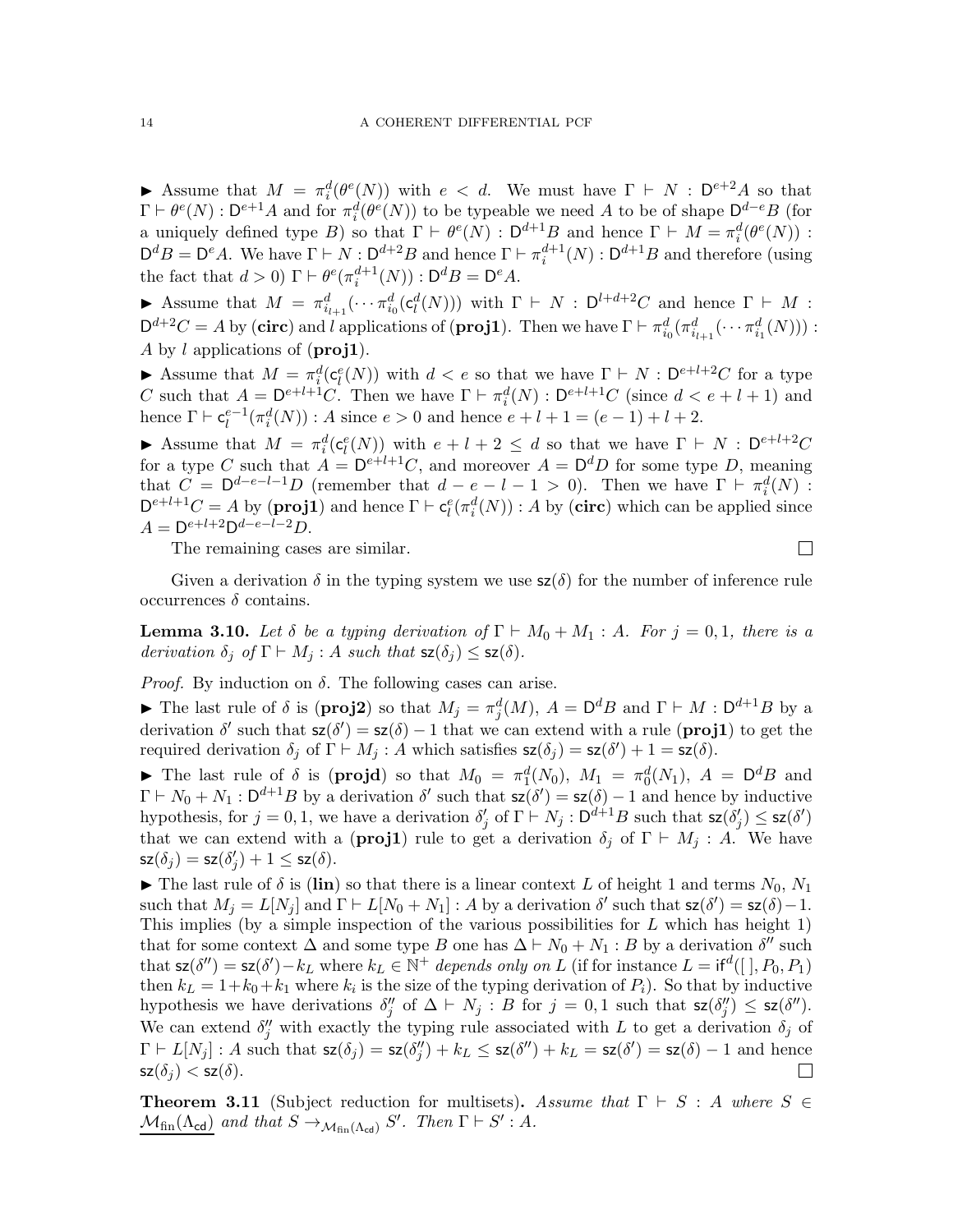Assume that  $M = \pi_i^d(\theta^e(N))$  with  $e < d$ . We must have  $\Gamma \vdash N : D^{e+2}A$  so that  $\Gamma \vdash \theta^e(N) : D^{e+1}A$  and for  $\pi_i^d(\theta^e(N))$  to be typeable we need A to be of shape  $D^{d-e}B$  (for a uniquely defined type B) so that  $\Gamma \vdash \theta^e(N) : D^{d+1}B$  and hence  $\Gamma \vdash M = \pi_i^d(\theta^e(N))$ :  $\mathsf{D}^d B = \mathsf{D}^e A$ . We have  $\Gamma \vdash N : \mathsf{D}^{d+2} B$  and hence  $\Gamma \vdash \pi_i^{d+1}(N) : \mathsf{D}^{d+1} B$  and therefore (using the fact that  $d > 0$ )  $\Gamma \vdash \theta^e(\pi_i^{d+1}(N)) : \mathsf{D}^d B = \mathsf{D}^e A$ .

Assume that  $M = \pi_{i_{l+1}}^d(\cdots \pi_{i_0}^d(\mathsf{c}_l^d(N)))$  with  $\Gamma \vdash N : \mathsf{D}^{l+d+2}C$  and hence  $\Gamma \vdash M$ :  $\mathsf{D}^{d+2}C = A$  by (circ) and l applications of (proj1). Then we have  $\Gamma \vdash \pi_{i_0}^d(\pi_{i_{l+1}}^d(\cdots \pi_{i_1}^d(N)))$ : A by l applications of  $(\text{proj1}).$ 

Assume that  $M = \pi_i^d(c_i^e(N))$  with  $d < e$  so that we have  $\Gamma \vdash N : D^{e+l+2}C$  for a type C such that  $A = D^{e+l+1}C$ . Then we have  $\Gamma \vdash \pi_i^d(N) : D^{e+l+1}C$  (since  $d < e+l+1$ ) and hence  $\Gamma \vdash \mathsf{c}_l^{e-1}(\pi_i^d(N)) : A$  since  $e > 0$  and hence  $e + l + 1 = (e - 1) + l + 2$ .

Assume that  $M = \pi_i^d(c_l^e(N))$  with  $e + l + 2 \leq d$  so that we have  $\Gamma \vdash N : D^{e+l+2}C$ for a type C such that  $A = D^{e+l+1}C$ , and moreover  $A = D^dD$  for some type D, meaning that  $C = D^{d-e-l-1}D$  (remember that  $d - e - l - 1 > 0$ ). Then we have  $\Gamma \vdash \pi_i^d(N)$ :  $D^{e+l+1}C = A$  by (**proj1**) and hence  $\Gamma \vdash c_l^e(\pi_i^d(N)) : A$  by (**circ**) which can be applied since  $A = D^{e+l+2}D^{d-e-l-2}D.$ 

The remaining cases are similar.

Given a derivation  $\delta$  in the typing system we use  $\mathsf{sz}(\delta)$  for the number of inference rule occurrences δ contains.

 $\Box$ 

<span id="page-13-0"></span>**Lemma 3.10.** Let  $\delta$  be a typing derivation of  $\Gamma \vdash M_0 + M_1 : A$ . For  $j = 0, 1$ , there is a derivation  $\delta_j$  of  $\Gamma \vdash M_j$ : A such that  $\mathsf{sz}(\delta_j) \leq \mathsf{sz}(\delta)$ .

*Proof.* By induction on  $\delta$ . The following cases can arise.

► The last rule of  $\delta$  is (**proj2**) so that  $M_j = \pi_j^d(M)$ ,  $A = D^dB$  and  $\Gamma \vdash M : D^{d+1}B$  by a derivation  $\delta'$  such that  $\mathsf{sz}(\delta') = \mathsf{sz}(\delta) - 1$  that we can extend with a rule (**proj1**) to get the required derivation  $\delta_j$  of  $\Gamma \vdash M_j$ : A which satisfies  $\mathsf{sz}(\delta_j) = \mathsf{sz}(\delta') + 1 = \mathsf{sz}(\delta)$ .

The last rule of  $\delta$  is (**projd**) so that  $M_0 = \pi_1^d(N_0)$ ,  $M_1 = \pi_0^d(N_1)$ ,  $A = D^dB$  and  $\Gamma \vdash N_0 + N_1 : \mathsf{D}^{d+1}B$  by a derivation  $\delta'$  such that  $\mathsf{sz}(\delta') = \mathsf{sz}(\delta) - 1$  and hence by inductive hypothesis, for  $j = 0, 1$ , we have a derivation  $\delta'_j$  of  $\Gamma \vdash N_j : \mathsf{D}^{d+1}B$  such that  $\mathsf{sz}(\delta'_j) \leq \mathsf{sz}(\delta')$ that we can extend with a (**proj1**) rule to get a derivation  $\delta_i$  of  $\Gamma \vdash M_i$ : A. We have  $\mathsf{sz}(\delta_j) = \mathsf{sz}(\delta'_j) + 1 \leq \mathsf{sz}(\delta).$ 

 $\blacktriangleright$  The last rule of  $\delta$  is (lin) so that there is a linear context L of height 1 and terms  $N_0, N_1$ such that  $M_j = L[N_j]$  and  $\Gamma \vdash L[N_0 + N_1] : A$  by a derivation  $\delta'$  such that  $\mathsf{sz}(\delta') = \mathsf{sz}(\delta) - 1$ . This implies (by a simple inspection of the various possibilities for  $L$  which has height 1) that for some context  $\Delta$  and some type B one has  $\Delta \vdash N_0 + N_1 : B$  by a derivation  $\delta''$  such that  $\mathsf{sz}(\delta'') = \mathsf{sz}(\delta') - k_L$  where  $k_L \in \mathbb{N}^+$  depends only on L (if for instance  $L = \mathsf{if}^d([\ ], P_0, P_1)$ ) then  $k_L = 1 + k_0 + k_1$  where  $k_i$  is the size of the typing derivation of  $P_i$ ). So that by inductive hypothesis we have derivations  $\delta''_j$  of  $\Delta \vdash N_j : B$  for  $j = 0, 1$  such that  $\mathsf{sz}(\delta''_j) \leq \mathsf{sz}(\delta'')$ . We can extend  $\delta_j''$  with exactly the typing rule associated with L to get a derivation  $\delta_j$  of  $\Gamma \vdash L[N_j] : A$  such that  $\mathsf{sz}(\delta_j) = \mathsf{sz}(\delta_j'') + k_L \leq \mathsf{sz}(\delta'') + k_L = \mathsf{sz}(\delta') = \mathsf{sz}(\delta) - 1$  and hence  $\mathsf{sz}(\delta_i) < \mathsf{sz}(\delta).$  $\Box$ 

**Theorem 3.11** (Subject reduction for multisets). Assume that  $\Gamma \vdash S : A$  where  $S \in$  $\mathcal{M}_{\textrm{fin}}(\Lambda_{\textrm{cd}})$  and that  $S \to_{\mathcal{M}_{\textrm{fin}}(\Lambda_{\textrm{cd}})} S'$ . Then  $\Gamma \vdash S' : A$ .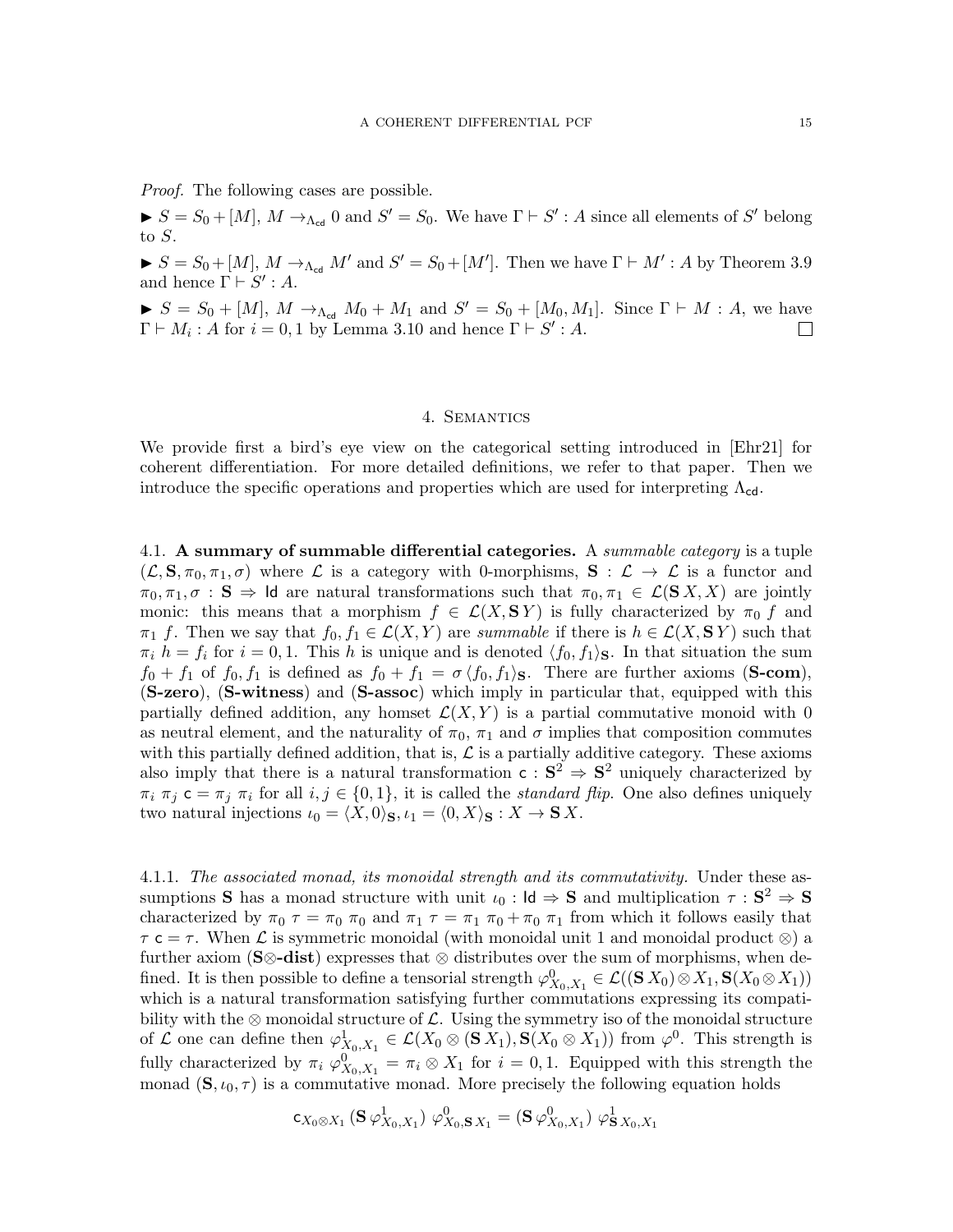Proof. The following cases are possible.

 $S = S_0 + [M], M \rightarrow_{\Lambda_{\text{cd}}} 0$  and  $S' = S_0$ . We have  $\Gamma \vdash S' : A$  since all elements of S' belong to S.

 $S = S_0 + [M], M \rightarrow_{\Lambda_{cd}} M'$  and  $S' = S_0 + [M']$ . Then we have  $\Gamma \vdash M' : A$  by Theorem [3.9](#page-12-1) and hence  $\Gamma \vdash S' : A$ .

 $S = S_0 + [M], M \rightarrow_{\Lambda_{\text{cd}}} M_0 + M_1$  and  $S' = S_0 + [M_0, M_1]$ . Since  $\Gamma \vdash M : A$ , we have  $\Gamma \vdash M_i : A$  for  $i = 0, 1$  by Lemma [3.10](#page-13-0) and hence  $\Gamma \vdash S' : A$ .

#### 4. Semantics

<span id="page-14-0"></span>We provide first a bird's eye view on the categorical setting introduced in [\[Ehr21\]](#page-71-1) for coherent differentiation. For more detailed definitions, we refer to that paper. Then we introduce the specific operations and properties which are used for interpreting  $\Lambda_{cd}$ .

<span id="page-14-1"></span>4.1. A summary of summable differential categories. A *summable category* is a tuple  $(\mathcal{L}, \mathbf{S}, \pi_0, \pi_1, \sigma)$  where  $\mathcal L$  is a category with 0-morphisms,  $\mathbf{S} : \mathcal{L} \to \mathcal{L}$  is a functor and  $\pi_0, \pi_1, \sigma : \mathbf{S} \Rightarrow \mathsf{Id}$  are natural transformations such that  $\pi_0, \pi_1 \in \mathcal{L}(\mathbf{S} X, X)$  are jointly monic: this means that a morphism  $f \in \mathcal{L}(X, \mathbf{S} Y)$  is fully characterized by  $\pi_0 f$  and  $\pi_1$  f. Then we say that  $f_0, f_1 \in \mathcal{L}(X, Y)$  are summable if there is  $h \in \mathcal{L}(X, S Y)$  such that  $\pi_i$   $h = f_i$  for  $i = 0, 1$ . This h is unique and is denoted  $\langle f_0, f_1 \rangle$ . In that situation the sum  $f_0 + f_1$  of  $f_0, f_1$  is defined as  $f_0 + f_1 = \sigma \langle f_0, f_1 \rangle$ . There are further axioms (S-com), (S-zero), (S-witness) and (S-assoc) which imply in particular that, equipped with this partially defined addition, any homset  $\mathcal{L}(X, Y)$  is a partial commutative monoid with 0 as neutral element, and the naturality of  $\pi_0$ ,  $\pi_1$  and  $\sigma$  implies that composition commutes with this partially defined addition, that is,  $\mathcal L$  is a partially additive category. These axioms also imply that there is a natural transformation  $c : S^2 \Rightarrow S^2$  uniquely characterized by  $\pi_i$   $\pi_j$  c =  $\pi_j$   $\pi_i$  for all  $i, j \in \{0, 1\}$ , it is called the *standard flip*. One also defines uniquely two natural injections  $\iota_0 = \langle X, 0 \rangle_S, \iota_1 = \langle 0, X \rangle_S : X \to S X$ .

<span id="page-14-2"></span>4.1.1. The associated monad, its monoidal strength and its commutativity. Under these assumptions **S** has a monad structure with unit  $\iota_0$  : **Id**  $\Rightarrow$  **S** and multiplication  $\tau : S^2 \Rightarrow S$ characterized by  $\pi_0 \tau = \pi_0 \pi_0$  and  $\pi_1 \tau = \pi_1 \pi_0 + \pi_0 \pi_1$  from which it follows easily that  $\tau \in \tau$ . When  $\mathcal L$  is symmetric monoidal (with monoidal unit 1 and monoidal product  $\otimes$ ) a further axiom (S⊗-dist) expresses that  $\otimes$  distributes over the sum of morphisms, when defined. It is then possible to define a tensorial strength  $\varphi_{X_0,X_1}^0 \in \mathcal{L}((S\,X_0) \otimes X_1, S(X_0 \otimes X_1))$ which is a natural transformation satisfying further commutations expressing its compatibility with the ⊗ monoidal structure of  $\mathcal{L}$ . Using the symmetry iso of the monoidal structure of L one can define then  $\varphi_{X_0,X_1}^1 \in \mathcal{L}(X_0 \otimes (\mathbf{S} X_1), \mathbf{S}(X_0 \otimes X_1))$  from  $\varphi^0$ . This strength is fully characterized by  $\pi_i \varphi_{X_0,X_1}^0 = \pi_i \otimes X_1$  for  $i = 0,1$ . Equipped with this strength the monad  $(\mathbf{S}, \iota_0, \tau)$  is a commutative monad. More precisely the following equation holds

$$
\mathsf{c}_{X_0 \otimes X_1} \left( \mathbf{S} \, \varphi^1_{X_0, X_1} \right) \, \varphi^0_{X_0, \mathbf{S} \, X_1} = \left( \mathbf{S} \, \varphi^0_{X_0, X_1} \right) \, \varphi^1_{\mathbf{S} \, X_0, X_1}
$$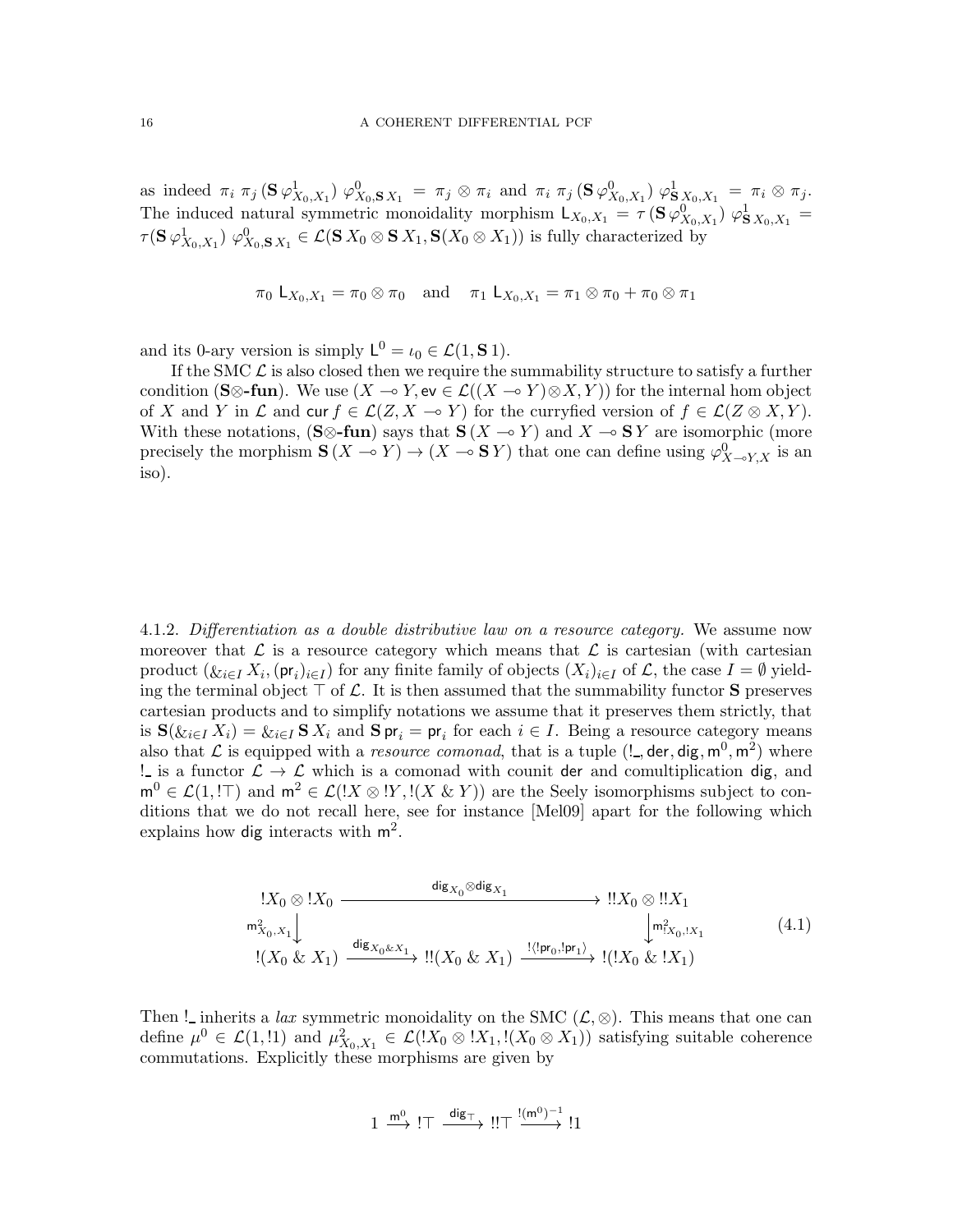as indeed  $\pi_i \pi_j (\mathbf{S} \varphi_{X_0,X_1}^1) \varphi_{X_0,\mathbf{S} X_1}^0 = \pi_j \otimes \pi_i$  and  $\pi_i \pi_j (\mathbf{S} \varphi_{X_0,X_1}^0) \varphi_{\mathbf{S} X_0,X_1}^1 = \pi_i \otimes \pi_j$ . The induced natural symmetric monoidality morphism  $L_{X_0,X_1} = \tau(S\,\varphi_{X_0,X_1}^0) \varphi_{S\,X_0,X_1}^1 =$  $\tau({\bf S}\,\varphi_{X_0,X_1}^1)\,\,\varphi_{X_0,{\bf S}\,X_1}^0\in {\mathcal L}({\bf S}\,X_0\otimes{\bf S}\,X_1,{\bf S}(X_0\otimes X_1))$  is fully characterized by

$$
\pi_0 \mathsf{L}_{X_0, X_1} = \pi_0 \otimes \pi_0 \text{ and } \pi_1 \mathsf{L}_{X_0, X_1} = \pi_1 \otimes \pi_0 + \pi_0 \otimes \pi_1
$$

and its 0-ary version is simply  $L^0 = \iota_0 \in \mathcal{L}(1, \mathbf{S} 1)$ .

If the SMC  $\mathcal L$  is also closed then we require the summability structure to satisfy a further condition (S⊗-fun). We use  $(X \multimap Y, \text{ev} \in \mathcal{L}((X \multimap Y) \otimes X, Y))$  for the internal hom object of X and Y in  $\mathcal L$  and cur  $f \in \mathcal L(Z, X \to Y)$  for the curryfied version of  $f \in \mathcal L(Z \otimes X, Y)$ . With these notations,  $(S \otimes$ -fun) says that  $S(X \to Y)$  and  $X \to S Y$  are isomorphic (more precisely the morphism  $S(X \to Y) \to (X \to S Y)$  that one can define using  $\varphi_{X \to Y, X}^0$  is an iso).

4.1.2. Differentiation as a double distributive law on a resource category. We assume now moreover that  $\mathcal L$  is a resource category which means that  $\mathcal L$  is cartesian (with cartesian product  $(\&i \in I X_i, (\mathsf{pr}_i)_{i \in I})$  for any finite family of objects  $(X_i)_{i \in I}$  of  $\mathcal{L}$ , the case  $I = \emptyset$  yielding the terminal object  $\top$  of  $\mathcal L$ . It is then assumed that the summability functor S preserves cartesian products and to simplify notations we assume that it preserves them strictly, that is  $\mathbf{S}(\&i \in I X_i) = \&i \in I \mathbf{S} X_i$  and  $\mathbf{S} \mathsf{pr}_i = \mathsf{pr}_i$  for each  $i \in I$ . Being a resource category means also that  $\mathcal L$  is equipped with a *resource comonad*, that is a tuple  $(l_-,$  der, dig,  $m^0, m^2)$  where ! is a functor  $\mathcal{L} \to \mathcal{L}$  which is a comonad with counit der and comultiplication dig, and  $m^0 \in \mathcal{L}(1, \mathbb{I})$  and  $m^2 \in \mathcal{L}(\mathbb{I} X \otimes \mathbb{I} Y, \mathbb{I} (X \& Y))$  are the Seely isomorphisms subject to conditions that we do not recall here, see for instance [\[Mel09\]](#page-71-8) apart for the following which explains how dig interacts with  $m^2$ .

$$
\begin{array}{ccc}\n!X_0 \otimes !X_0 & \xrightarrow{\text{dig}_{X_0} \otimes \text{dig}_{X_1}} & \cdots & \xrightarrow{\text{lig}_{X_0} \otimes \text{lig}_{X_1}} \\
\downarrow & \xrightarrow{\text{rig}_{X_0, X_1}} & \downarrow \text{rig}_{X_0, X_1} \\
!(X_0 \& X_1) & \xrightarrow{\text{dig}_{X_0 \& X_1}} & \cdots & \xrightarrow{\text{!}} \\
!(X_0 \& X_1) & \xrightarrow{\text{dig}_{X_0 \& X_1}} & \cdots & \xrightarrow{\text{!}} \\
\end{array}
$$
\n
$$
(4.1)
$$

Then ! inherits a lax symmetric monoidality on the SMC  $(\mathcal{L}, \otimes)$ . This means that one can define  $\mu^0 \in \mathcal{L}(1,11)$  and  $\mu^2_{X_0,X_1} \in \mathcal{L}(X_0 \otimes X_1, X_0 \otimes X_1)$  satisfying suitable coherence commutations. Explicitly these morphisms are given by

$$
1 \xrightarrow{m^0} I \top \xrightarrow{dig_{\top}} I! \top \xrightarrow{!(m^0)^{-1}} I1
$$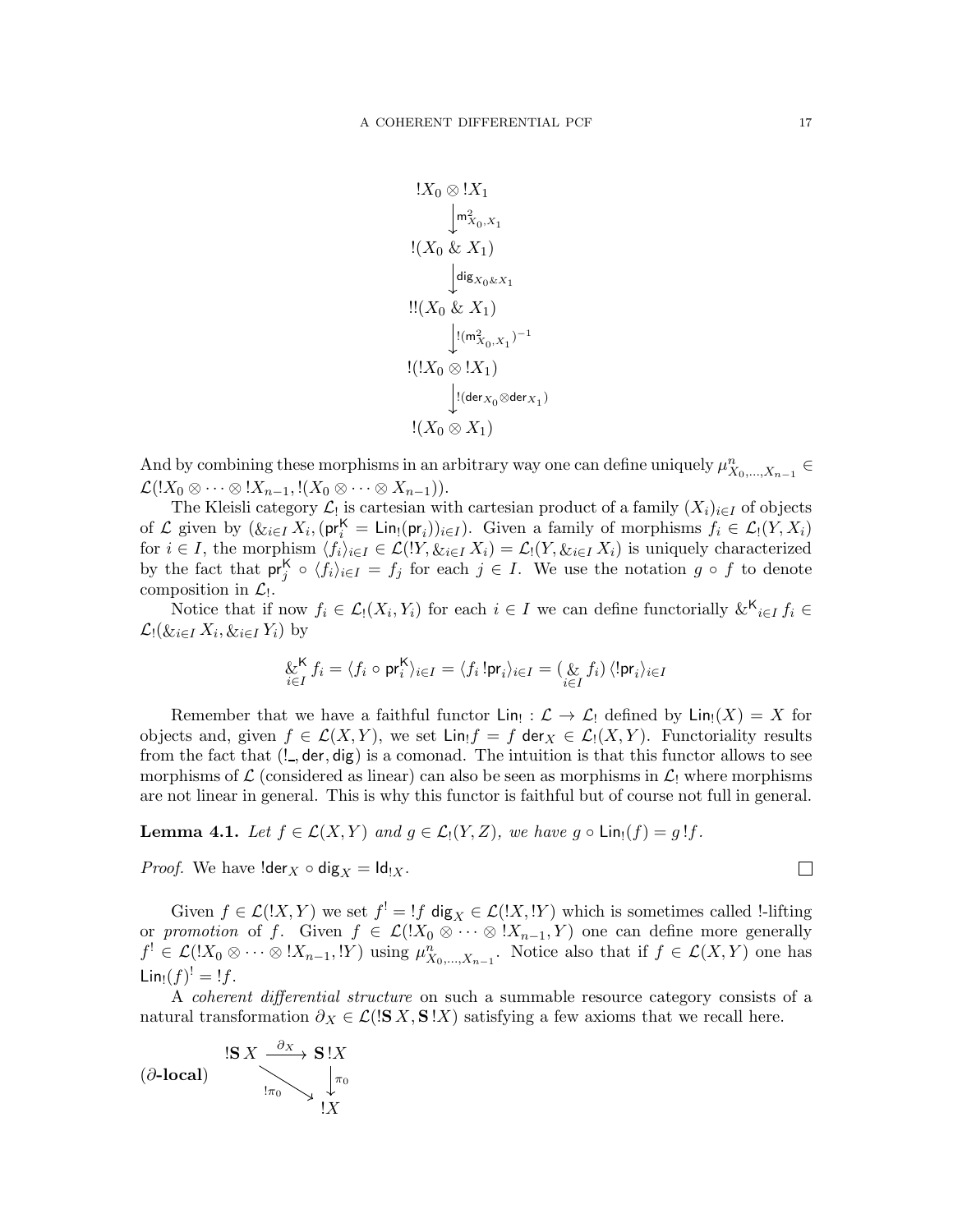$$
!X_0 \otimes !X_1
$$
  
\n
$$
!X_0 \otimes X_1
$$
  
\n
$$
! (X_0 \& X_1)
$$
  
\n
$$
!X_0 \& X_1
$$
  
\n
$$
!X_0 \& X_1
$$
  
\n
$$
!X_0 \otimes X_1
$$
  
\n
$$
!X_0 \otimes !X_1
$$
  
\n
$$
!X_0 \otimes X_1
$$
  
\n
$$
!X_0 \otimes X_1
$$

And by combining these morphisms in an arbitrary way one can define uniquely  $\mu_{X_0,\dots,X_{n-1}}^n \in$  $\mathcal{L}(!X_0 \otimes \cdots \otimes !X_{n-1}, !(X_0 \otimes \cdots \otimes X_{n-1})).$ 

The Kleisli category  $\mathcal{L}_!$  is cartesian with cartesian product of a family  $(X_i)_{i\in I}$  of objects of  $\mathcal L$  given by  $(\&_{i \in I} X_i, (\mathsf{pr}_i^{\mathsf{K}} = \mathsf{Lin}_{!}(\mathsf{pr}_i))_{i \in I})$ . Given a family of morphisms  $f_i \in \mathcal L_!(Y,X_i)$ for  $i \in I$ , the morphism  $\langle f_i \rangle_{i \in I} \in \mathcal{L}(Y, \&i \in I \times X_i) = \mathcal{L}(Y, \&i \in I \times X_i)$  is uniquely characterized by the fact that  $pr_j^{\mathsf{K}} \circ \langle f_i \rangle_{i \in I} = f_j$  for each  $j \in I$ . We use the notation  $g \circ f$  to denote composition in  $\mathcal{L}_!$ .

Notice that if now  $f_i \in \mathcal{L}_1(X_i, Y_i)$  for each  $i \in I$  we can define functorially  $\&^{\mathsf{K}}_{i \in I} f_i \in$  $\mathcal{L}$ ! $(\&i \in I X_i, \&i \in I Y_i)$  by

$$
\underset{i \in I}{\&} K f_i = \langle f_i \circ \text{pr}_i^{\mathsf{K}} \rangle_{i \in I} = \langle f_i! \text{pr}_i \rangle_{i \in I} = (\underset{i \in I}{\&} f_i) \langle ! \text{pr}_i \rangle_{i \in I}
$$

Remember that we have a faithful functor  $\text{Lin}_{!}: \mathcal{L} \to \mathcal{L}_{!}$  defined by  $\text{Lin}_{!}(X) = X$  for objects and, given  $f \in \mathcal{L}(X, Y)$ , we set  $\text{Lin}_1 f = f \text{ der}_X \in \mathcal{L}_1(X, Y)$ . Functoriality results from the fact that  $(l_-, \text{der}, \text{dig})$  is a comonad. The intuition is that this functor allows to see morphisms of  $\mathcal L$  (considered as linear) can also be seen as morphisms in  $\mathcal L_!$  where morphisms are not linear in general. This is why this functor is faithful but of course not full in general.

**Lemma 4.1.** Let  $f \in \mathcal{L}(X, Y)$  and  $g \in \mathcal{L}_1(Y, Z)$ , we have  $g \circ \text{Lin}_1(f) = g!f$ .

*Proof.* We have  $\text{lder}_X \circ \text{dig}_X = \text{Id}_{!X}$ .

Given  $f \in \mathcal{L}([X, Y])$  we set  $f' = \int f \, \text{dig}_X \in \mathcal{L}([X, Y])$  which is sometimes called l-lifting or promotion of f. Given  $f \in \mathcal{L}(X_0 \otimes \cdots \otimes X_{n-1}, Y)$  one can define more generally  $f' \in \mathcal{L}(X_0 \otimes \cdots \otimes X_{n-1}, Y)$  using  $\mu_{X_0,\ldots,X_{n-1}}^n$ . Notice also that if  $f \in \mathcal{L}(X, Y)$  one has  $\mathsf{Lin}_{!}(f)^!=!f.$ 

A coherent differential structure on such a summable resource category consists of a natural transformation  $\partial_X \in \mathcal{L}(\mathbf{S} | \mathbf{S} | X, \mathbf{S} | X)$  satisfying a few axioms that we recall here.

$$
(\partial\text{-local}) \quad \begin{array}{c} \mathbf{1}S X \xrightarrow{\partial X} \mathbf{S} \mathbf{1}X \\ \downarrow^{\pi_0} \searrow \downarrow^{\pi_0} \\ \mathbf{1}X \end{array}
$$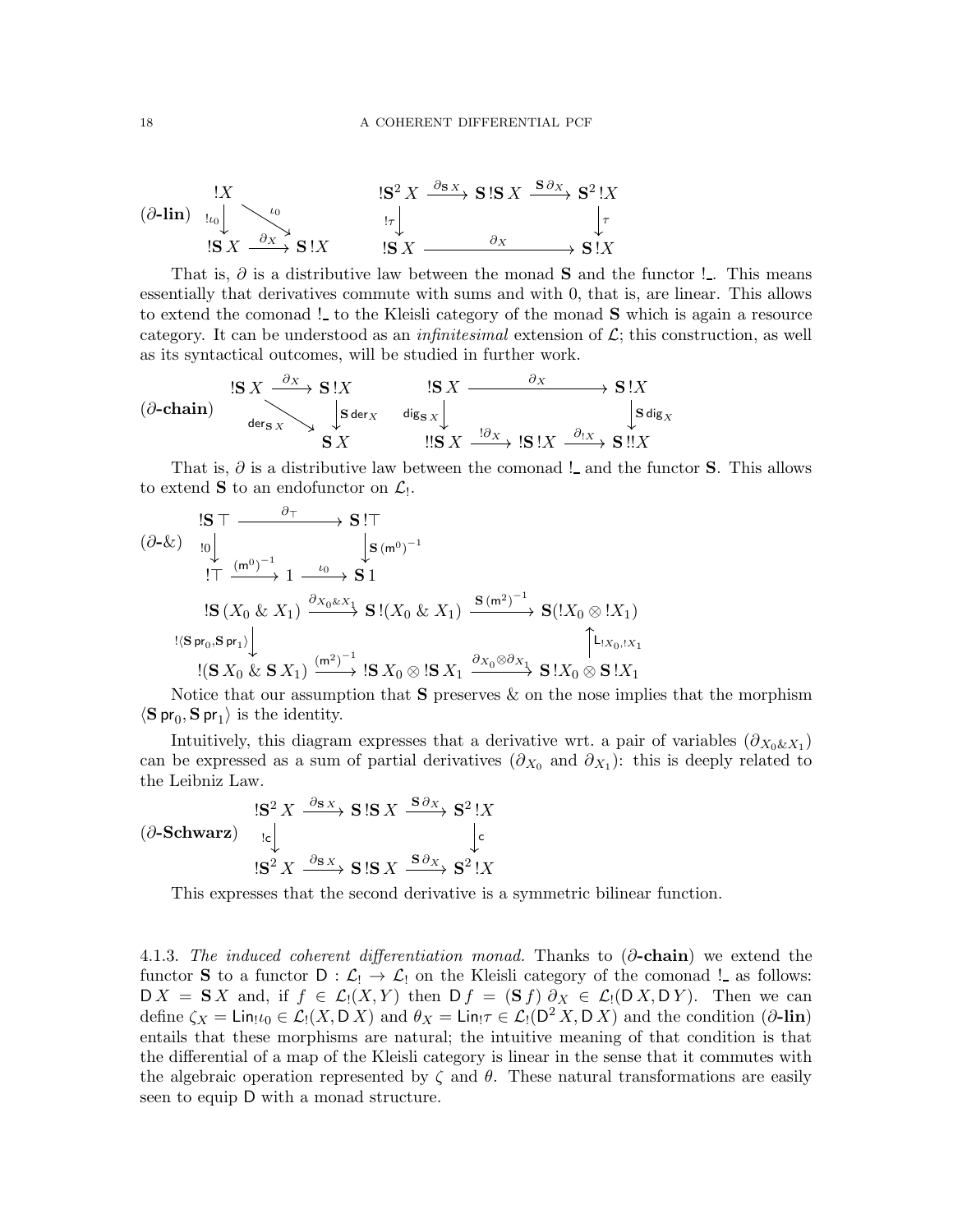$$
\begin{array}{ccc}\n\begin{array}{ccc}\n & & \mathbf{1}X & \\
\hline\n\end{array} & & \mathbf{1}S^2 X \xrightarrow{\partial_{\mathbf{S}X}} \mathbf{S} \mathbf{I} \mathbf{S} X \xrightarrow{\mathbf{S} \partial_X} \mathbf{S}^2 \mathbf{I} X \\
\downarrow^{\tau} & & \mathbf{1}S X & \mathbf{I}X \\
\hline\n\end{array}
$$
\n
$$
\begin{array}{ccc}\n\mathbf{1}S^2 X & \xrightarrow{\partial_{\mathbf{S}X}} \mathbf{S} \mathbf{I} \mathbf{S} X \xrightarrow{\mathbf{S} \partial_X} \mathbf{S}^2 \mathbf{I} X \\
\downarrow^{\tau} & & \mathbf{1}S X & \mathbf{I}X \\
\hline\n\end{array}
$$

That is,  $\partial$  is a distributive law between the monad S and the functor ! . This means essentially that derivatives commute with sums and with 0, that is, are linear. This allows to extend the comonad ! to the Kleisli category of the monad **S** which is again a resource category. It can be understood as an *infinitesimal* extension of  $\mathcal{L}$ ; this construction, as well as its syntactical outcomes, will be studied in further work.

$$
(\partial\text{-chain}) \xrightarrow{\text{S} X \xrightarrow{\partial_X} \text{S} \cdot \text{X}} \begin{array}{ccc} \text{!S } X & \text{!S } X & \xrightarrow{\partial_X} & \text{S} \cdot \text{X} \\ \text{!S } \text{;S } X & \text{ } & \text{!S } X & \xrightarrow{\text{!S } X} \end{array} \begin{array}{ccc} \text{!S } X & \xrightarrow{\text{!S } X} & \text{S} \cdot \text{X} \\ \text{!S } \text{;S } X & \text{ } & \text{!S } \cdot \text{X} & \xrightarrow{\text{!S } X} & \text{!S } \cdot \text{X} \\ \text{!S } X & \text{ } & \text{!S } X & \xrightarrow{\text{!S } X} & \text{!S } \cdot \text{X} & \text{!S } \cdot \text{!X} \end{array}
$$

That is,  $\partial$  is a distributive law between the comonad ! and the functor **S**. This allows to extend **S** to an endofunctor on  $\mathcal{L}_!$ .

$$
\begin{array}{ccc}\n\begin{array}{ccc}\n\text{S} \top & \xrightarrow{\partial_{\top}} & \mathbf{S} \top \\
\text{S} & \downarrow_{\mathbf{S}(\mathfrak{m}^{0})^{-1}} & \downarrow_{\mathbf{S}(\mathfrak{m}^{0})^{-1}} \\
\text{S} & \xrightarrow{\mathbf{S} \top} & \mathbf{S} \end{array} \\
\text{S} & \xrightarrow{\mathbf{S} \top} & \mathbf{S} \end{array} \\
\begin{array}{ccc}\n\text{S} & \xrightarrow{\mathbf{S} \setminus \mathbf{S}(\mathfrak{m}^{0})^{-1}} \\
\text{S} & \xrightarrow{\mathbf{S} \setminus \mathbf{S}(\mathfrak{m}^{0})^{-1}} & \mathbf{S} \end{array} \\
\text{S} & \xrightarrow{\mathbf{S} \setminus \mathbf{S}(\mathfrak{m}^{0})^{-1}} & \mathbf{S} \end{array} \\
\begin{array}{ccc}\n\text{S} & \xrightarrow{\mathbf{S} \setminus \mathbf{S}(\mathfrak{m}^{0})^{-1}} \\
\text{S} & \xrightarrow{\mathbf{S} \setminus \mathbf{S}(\mathfrak{m}^{0})^{-1}} \\
\text{S} & \xrightarrow{\mathbf{S} \setminus \mathbf{S}(\mathfrak{m}^{0})^{-1}} & \mathbf{S} \end{array} \\
\text{S} & \xrightarrow{\mathbf{S} \setminus \mathbf{S}(\mathfrak{m}^{0})^{-1}} & \xrightarrow{\mathbf{S} \setminus \mathbf{S} \setminus \mathbf{S}(\mathfrak{m}^{0})^{-1}} & \xrightarrow{\mathbf{S} \setminus \mathbf{S} \setminus \mathbf{S}(\mathfrak{m}^{0})^{-1}} & \xrightarrow{\mathbf{S} \setminus \mathbf{S} \setminus \mathbf{S}(\mathfrak{m}^{0})^{-1}} & \xrightarrow{\mathbf{S} \setminus \mathbf{S}(\mathfrak{m}^{0})^{-1}} & \xrightarrow{\mathbf{S} \setminus \mathbf{S}(\mathfrak{m}^{0})^{-1}} & \xrightarrow{\mathbf{S} \setminus \mathbf{S}(\mathfrak{m}^{0})^{-1}} & \xrightarrow{\mathbf{S} \setminus \mathbf{S}(\mathfrak{m}^{0})^{-1}} & \xrightarrow{\mathbf{S} \setminus \mathbf{S}(\mathfrak{m}^{0})^{-1}} &
$$

Notice that our assumption that  $S$  preserves  $\&$  on the nose implies that the morphism  $\langle S \, pr_0, S \, pr_1 \rangle$  is the identity.

Intuitively, this diagram expresses that a derivative wrt. a pair of variables  $(\partial_{X_0 \& X_1})$ can be expressed as a sum of partial derivatives  $(\partial_{X_0}$  and  $\partial_{X_1})$ : this is deeply related to the Leibniz Law.

$$
\begin{array}{ccc}\n & \text{IS}^2 X & \xrightarrow{\partial_{S} x} \mathbf{S} \text{!S} X & \xrightarrow{\mathbf{S} \partial_{X}} \mathbf{S}^2 \text{!} X \\
 & \downarrow_{\mathbf{c}} & \downarrow_{\mathbf{c}} & \downarrow_{\mathbf{c}} \\
 & \text{IS}^2 X & \xrightarrow{\partial_{S} x} \mathbf{S} \text{!S} X & \xrightarrow{\mathbf{S} \partial_{X}} \mathbf{S}^2 \text{!} X\n\end{array}
$$

This expresses that the second derivative is a symmetric bilinear function.

4.1.3. The induced coherent differentiation monad. Thanks to  $(\partial$ -chain) we extend the functor **S** to a functor  $D : L_1 \to L_2$  on the Kleisli category of the comonad ! as follows:  $DX = S X$  and, if  $f \in \mathcal{L}_1(X,Y)$  then  $D f = (S f) \partial_X \in \mathcal{L}_1(D X, DY)$ . Then we can define  $\zeta_X = \text{Lin}_! \iota_0 \in \mathcal{L}_!(X, \mathsf{D}\,X)$  and  $\theta_X = \text{Lin}_! \tau \in \mathcal{L}_!(\mathsf{D}^2 X, \mathsf{D}\,X)$  and the condition  $(\partial \text{-lin})$ entails that these morphisms are natural; the intuitive meaning of that condition is that the differential of a map of the Kleisli category is linear in the sense that it commutes with the algebraic operation represented by  $\zeta$  and  $\theta$ . These natural transformations are easily seen to equip D with a monad structure.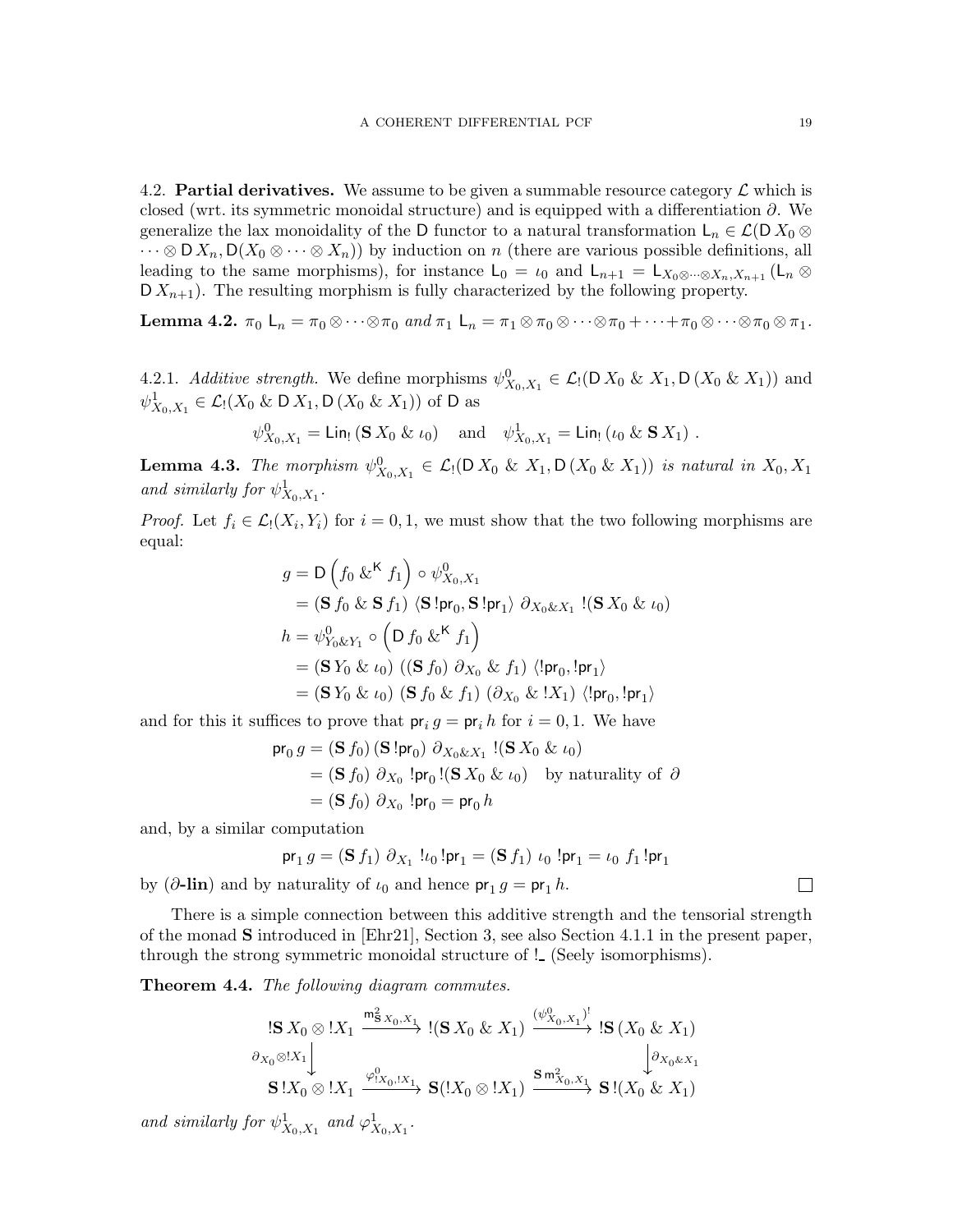<span id="page-18-0"></span>4.2. **Partial derivatives.** We assume to be given a summable resource category  $\mathcal{L}$  which is closed (wrt. its symmetric monoidal structure) and is equipped with a differentiation  $\partial$ . We generalize the lax monoidality of the D functor to a natural transformation  $L_n \in \mathcal{L}(\mathcal{D} X_0 \otimes$  $\cdots \otimes D X_n, D(X_0 \otimes \cdots \otimes X_n)$  by induction on n (there are various possible definitions, all leading to the same morphisms), for instance  $L_0 = \iota_0$  and  $L_{n+1} = L_{X_0 \otimes \cdots \otimes X_n, X_{n+1}}(L_n \otimes$  $\mathsf{D} X_{n+1}$ . The resulting morphism is fully characterized by the following property.

**Lemma 4.2.**  $\pi_0$   $\mathsf{L}_n = \pi_0 \otimes \cdots \otimes \pi_0$  and  $\pi_1$   $\mathsf{L}_n = \pi_1 \otimes \pi_0 \otimes \cdots \otimes \pi_0 + \cdots + \pi_0 \otimes \cdots \otimes \pi_0 \otimes \pi_1$ .

4.2.1. Additive strength. We define morphisms  $\psi_{X_0,X_1}^0 \in \mathcal{L}_1(D X_0 \& X_1, D (X_0 \& X_1))$  and  $\psi^1_{X_0, X_1} \in \mathcal{L}_!(X_0 \& \mathsf{D} X_1, \mathsf{D} (X_0 \& X_1))$  of D as

$$
\psi_{X_0, X_1}^0 = \text{Lin}_! (\mathbf{S} X_0 \& \iota_0) \text{ and } \psi_{X_0, X_1}^1 = \text{Lin}_! (\iota_0 \& \mathbf{S} X_1) .
$$

**Lemma 4.3.** The morphism  $\psi_{X_0, X_1}^0 \in \mathcal{L}_1(D X_0 \& X_1, D (X_0 \& X_1))$  is natural in  $X_0, X_1$ and similarly for  $\psi^1_{X_0,X_1}$ .

*Proof.* Let  $f_i \in \mathcal{L}_1(X_i, Y_i)$  for  $i = 0, 1$ , we must show that the two following morphisms are equal:

$$
g = D\left(f_0 \& K f_1\right) \circ \psi_{X_0, X_1}^0
$$
  
\n
$$
= (\mathbf{S} f_0 \& \mathbf{S} f_1) \langle \mathbf{S}! \mathsf{pr}_0, \mathbf{S}! \mathsf{pr}_1 \rangle \partial_{X_0 \& X_1} !(\mathbf{S} X_0 \& \iota_0)
$$
  
\n
$$
h = \psi_{Y_0 \& Y_1}^0 \circ \left(D f_0 \& K f_1\right)
$$
  
\n
$$
= (\mathbf{S} Y_0 \& \iota_0) \left((\mathbf{S} f_0) \partial_{X_0} \& f_1\right) \langle ! \mathsf{pr}_0, ! \mathsf{pr}_1 \rangle
$$
  
\n
$$
= (\mathbf{S} Y_0 \& \iota_0) \left(\mathbf{S} f_0 \& f_1\right) \left(\partial_{X_0} \& !X_1\right) \langle ! \mathsf{pr}_0, ! \mathsf{pr}_1 \rangle
$$

and for this it suffices to prove that  $pr_i g = pr_i h$  for  $i = 0, 1$ . We have

$$
\begin{aligned} \mathsf{pr}_0 \, g &= (\mathbf{S} \, f_0) \, (\mathbf{S} \, ! \mathsf{pr}_0) \, \, \partial_{X_0 \& X_1} \, !(\mathbf{S} \, X_0 \, \& \iota_0) \\ &= (\mathbf{S} \, f_0) \, \, \partial_{X_0} \, ! \mathsf{pr}_0 \, !(\mathbf{S} \, X_0 \, \& \iota_0) \quad \text{by naturality of } \, \partial \\ &= (\mathbf{S} \, f_0) \, \, \partial_{X_0} \, ! \mathsf{pr}_0 = \mathsf{pr}_0 \, h \end{aligned}
$$

and, by a similar computation

$$
\text{pr}_1 g = (\mathbf{S} f_1) \ \partial_{X_1} \ !\iota_0 \ ! \text{pr}_1 = (\mathbf{S} f_1) \ \iota_0 \ ! \text{pr}_1 = \iota_0 \ f_1 \ ! \text{pr}_1
$$

by ( $\partial$ -lin) and by naturality of  $\iota_0$  and hence  $pr_1 g = pr_1 h$ .

There is a simple connection between this additive strength and the tensorial strength of the monad S introduced in [\[Ehr21\]](#page-71-1), Section 3, see also Section [4.1.1](#page-14-2) in the present paper, through the strong symmetric monoidal structure of ! (Seely isomorphisms).

<span id="page-18-1"></span>Theorem 4.4. The following diagram commutes.

$$
\begin{array}{ccc}\n\left(\mathbf{S}\,X_{0}\otimes\right)X_{1} & \xrightarrow{\mathsf{m}_{\mathbf{S}\,X_{0},X_{1}}^{2}} & \left(\mathbf{S}\,X_{0}\,\&\,X_{1}\right) & \xrightarrow{\left(\psi_{X_{0},X_{1}}^{0}\right)^{!}} & \left(\mathbf{S}\,X_{0}\,\&\,X_{1}\right) \\
\downarrow \partial_{X_{0}}\otimes\left(X_{1}\right) & & \downarrow \partial_{X_{0}\&X_{1}} \\
\mathbf{S}\left(X_{0}\otimes\right)X_{1} & \xrightarrow{\varphi_{1X_{0},|X_{1}}^{0}} & \mathbf{S}\left(X_{0}\otimes\right)X_{1}\right) & \xrightarrow{\mathbf{S}\,\mathsf{m}_{X_{0},X_{1}}^{2}} & \mathbf{S}\left(X_{0}\,\&\,X_{1}\right)\n\end{array}
$$

and similarly for  $\psi^1_{X_0, X_1}$  and  $\varphi^1_{X_0, X_1}$ .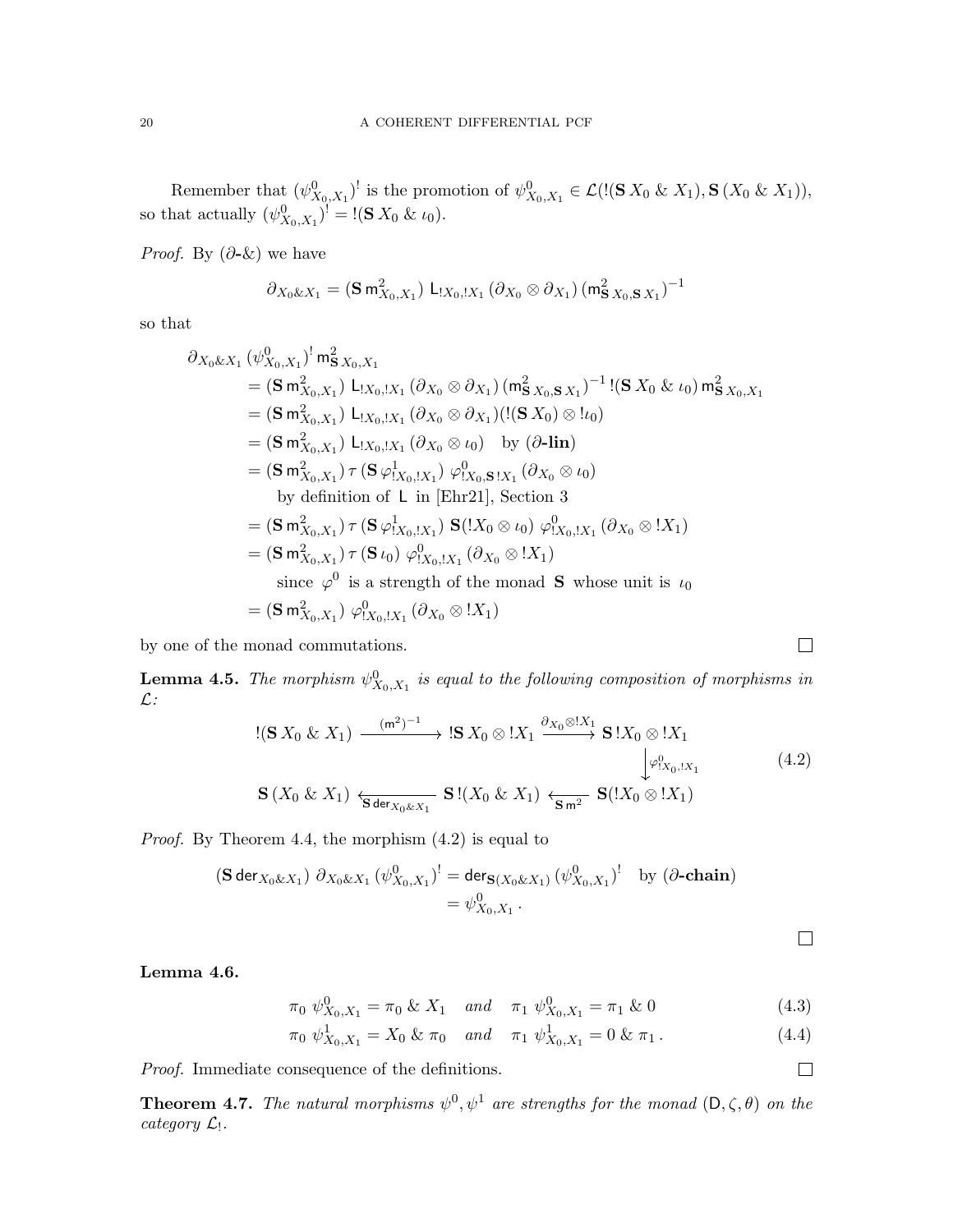Remember that  $(\psi^0_{X_0,X_1})^!$  is the promotion of  $\psi^0_{X_0,X_1} \in \mathcal{L}(|(\mathbf{S} X_0 \& X_1), \mathbf{S} (X_0 \& X_1)),$ so that actually  $(\psi^0_{X_0,X_1})^! = !(\mathbf{S} X_0 \& \iota_0).$ 

*Proof.* By  $(\partial - \&)$  we have

$$
\partial_{X_0 \& X_1} = (\mathbf{S} \, \mathsf{m}_{X_0, X_1}^2) \, \mathsf{L}_{X_0, X_1} \left( \partial_{X_0} \otimes \partial_{X_1} \right) \left( \mathsf{m}_{\mathbf{S} \, X_0, \mathbf{S} \, X_1}^2 \right)^{-1}
$$

so that

$$
\partial_{X_0 \& X_1} (\psi_{X_0, X_1}^0)^! m_{\mathbf{S} X_0, X_1}^2
$$
\n=  $(\mathbf{S} \, m_{X_0, X_1}^2) \, L_{[X_0, I X_1} (\partial_{X_0} \otimes \partial_{X_1}) (m_{\mathbf{S} X_0, \mathbf{S} X_1}^2)^{-1} \, !(\mathbf{S} \, X_0 \& \iota_0) \, m_{\mathbf{S} X_0, X_1}^2$ \n=  $(\mathbf{S} \, m_{X_0, X_1}^2) \, L_{[X_0, I X_1} (\partial_{X_0} \otimes \partial_{X_1}) (!(\mathbf{S} \, X_0) \otimes ! \iota_0)$ \n=  $(\mathbf{S} \, m_{X_0, X_1}^2) \, L_{[X_0, I X_1} (\partial_{X_0} \otimes \iota_0) \, \text{by} \, (\partial \text{-lin})$ \n=  $(\mathbf{S} \, m_{X_0, X_1}^2) \, \tau (\mathbf{S} \, \varphi_{1X_0, I X_1}^1) \, \varphi_{1X_0, \mathbf{S} \, 1X_1}^0 (\partial_{X_0} \otimes \iota_0)$ \nby definition of L in [Ehr21], Section 3\n=  $(\mathbf{S} \, m_{X_0, X_1}^2) \, \tau (\mathbf{S} \, \varphi_{1X_0, I X_1}^1) \, \mathbf{S} \, ! (X_0 \otimes \iota_0) \, \varphi_{1X_0, I X_1}^0 (\partial_{X_0} \otimes ! X_1)$ \n=  $(\mathbf{S} \, m_{X_0, X_1}^2) \, \tau (\mathbf{S} \, \iota_0) \, \varphi_{1X_0, I X_1}^0 (\partial_{X_0} \otimes ! X_1)$ \nsince  $\varphi^0$  is a strength of the monad S whose unit is  $\iota_0$ \n=  $(\mathbf{S} \, m_{X_0, X_1}^2) \, \varphi_{1X_0, I X_1}^0 (\partial_{X_0} \otimes ! X_1)$ 

by one of the monad commutations.

<span id="page-19-3"></span>**Lemma 4.5.** The morphism  $\psi_{X_0,X_1}^0$  is equal to the following composition of morphisms in  $\mathcal{L}$ :

<span id="page-19-0"></span>
$$
\begin{array}{ll}\n\text{!(S } X_0 \& X_1) \xrightarrow{\quad (\text{m}^2)^{-1}} \text{IS } X_0 \otimes \text{!} X_1 \xrightarrow{\partial_{X_0} \otimes \text{!} X_1} \text{S } \text{!} X_0 \otimes \text{!} X_1 \\
\downarrow^{\varphi^0_{X_0, \text{!} X_1}} & \downarrow^{\varphi^0_{X_0, \text{!} X_1}} \text{S } \text{!} (X_0 \& X_1) \xleftarrow{\quad \text{S}^{\quad \text{m}^2}} \text{S} (\text{!} X_0 \otimes \text{!} X_1)\n\end{array} \tag{4.2}
$$

Proof. By Theorem [4.4,](#page-18-1) the morphism [\(4.2\)](#page-19-0) is equal to

$$
(\mathbf{S} \operatorname{der}_{X_0 \& X_1}) \partial_{X_0 \& X_1} (\psi^0_{X_0, X_1})^! = \operatorname{der}_{\mathbf{S}(X_0 \& X_1)} (\psi^0_{X_0, X_1})^! \text{ by } (\partial \text{-chain})
$$
  
=  $\psi^0_{X_0, X_1}.$ 

Lemma 4.6.

$$
\pi_0 \ \psi_{X_0, X_1}^0 = \pi_0 \ \& \ X_1 \quad \text{and} \quad \pi_1 \ \psi_{X_0, X_1}^0 = \pi_1 \ \& \ 0 \tag{4.3}
$$

$$
\pi_0 \psi_{X_0, X_1}^1 = X_0 \& \pi_0 \quad and \quad \pi_1 \psi_{X_0, X_1}^1 = 0 \& \pi_1. \tag{4.4}
$$

Proof. Immediate consequence of the definitions.

**Theorem 4.7.** The natural morphisms  $\psi^0, \psi^1$  are strengths for the monad  $(D, \zeta, \theta)$  on the category  $\mathcal{L}_!$ .

 $\Box$ 

<span id="page-19-2"></span><span id="page-19-1"></span> $\Box$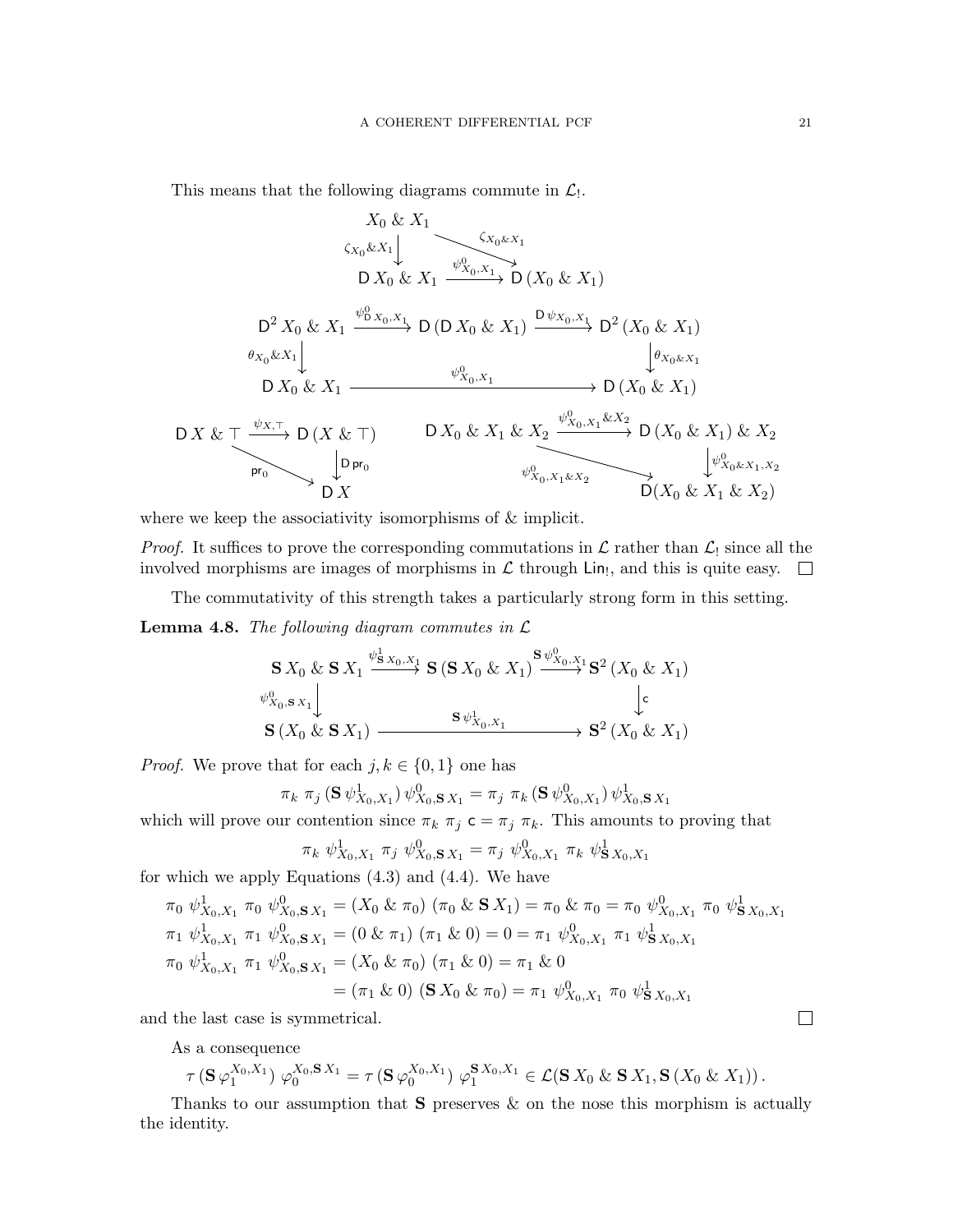This means that the following diagrams commute in  $\mathcal{L}_!$ .

$$
X_0 & X_1
$$
\n
$$
\zeta_{X_0} & X_1
$$
\n
$$
X_0 & X_1
$$
\n
$$
X_0 & X_1
$$
\n
$$
X_0 & X_1
$$
\n
$$
X_0 & X_1
$$
\n
$$
X_0 & X_1
$$
\n
$$
X_0 & X_1
$$
\n
$$
X_0 & X_1
$$
\n
$$
X_0 & X_1
$$
\n
$$
X_0 & X_1
$$
\n
$$
X_0 & X_1
$$
\n
$$
X_0 & X_1
$$
\n
$$
X_0 & X_1
$$
\n
$$
X_0 & X_1
$$
\n
$$
X_0 & X_1
$$
\n
$$
X_0 & X_1
$$
\n
$$
X_0 & X_1
$$
\n
$$
X_0 & X_1
$$
\n
$$
X_0 & X_1
$$
\n
$$
X_0 & X_1
$$
\n
$$
X_0 & X_1
$$
\n
$$
X_0 & X_1
$$
\n
$$
X_0 & X_1
$$
\n
$$
X_0 & X_1
$$
\n
$$
X_0 & X_1
$$
\n
$$
X_0 & X_1
$$
\n
$$
X_0 & X_1
$$
\n
$$
X_0 & X_1
$$
\n
$$
X_0 & X_1
$$
\n
$$
X_0 & X_1
$$
\n
$$
X_0 & X_1
$$
\n
$$
X_0 & X_1
$$
\n
$$
X_0 & X_1
$$
\n
$$
X_0 & X_1
$$
\n
$$
X_0 & X_1
$$
\n
$$
X_0 & X_1
$$
\n
$$
X_0 & X_1
$$
\n
$$
X_0 & X_1
$$
\n
$$
X_0 & X_1
$$
\n<

where we keep the associativity isomorphisms of  $\&$  implicit.

*Proof.* It suffices to prove the corresponding commutations in  $\mathcal L$  rather than  $\mathcal L_1$  since all the involved morphisms are images of morphisms in  $\mathcal L$  through  $\text{Lin}_{!}$ , and this is quite easy.

The commutativity of this strength takes a particularly strong form in this setting.

<span id="page-20-0"></span>**Lemma 4.8.** The following diagram commutes in  $\mathcal{L}$ 

$$
\begin{array}{ccc}\n\mathbf{S} \, X_0 \, \& \mathbf{S} \, X_1 \xrightarrow{\psi^1_{\mathbf{S} \, X_0, X_1}} \mathbf{S} \, (\mathbf{S} \, X_0 \, \& \, X_1) \xrightarrow{\mathbf{S} \, \psi^0_{X_0, X_1}} \mathbf{S}^2 \, (X_0 \, \& X_1) \\
\downarrow^0 \\
\mathbf{S} \, (X_0 \, \& \mathbf{S} \, X_1) \xrightarrow{\mathbf{S} \, \psi^1_{X_0, X_1}} \mathbf{S}^2 \, (X_0 \, \& X_1)\n\end{array}
$$

*Proof.* We prove that for each  $j, k \in \{0, 1\}$  one has

$$
\pi_k \pi_j \left( \mathbf{S} \, \psi_{X_0, X_1}^1 \right) \psi_{X_0, \mathbf{S} \, X_1}^0 = \pi_j \, \, \pi_k \left( \mathbf{S} \, \psi_{X_0, X_1}^0 \right) \psi_{X_0, \mathbf{S} \, X_1}^1
$$

which will prove our contention since  $\pi_k \pi_j \subset \pi_j \pi_k$ . This amounts to proving that

$$
\pi_k \psi^1_{X_0, X_1} \pi_j \psi^0_{X_0, \mathbf{S} X_1} = \pi_j \psi^0_{X_0, X_1} \pi_k \psi^1_{\mathbf{S} X_0, X_1}
$$

for which we apply Equations [\(4.3\)](#page-19-1) and [\(4.4\)](#page-19-2). We have

$$
\pi_0 \psi_{X_0, X_1}^1 \pi_0 \psi_{X_0, \mathbf{S} X_1}^0 = (X_0 \& \pi_0) (\pi_0 \& \mathbf{S} X_1) = \pi_0 \& \pi_0 = \pi_0 \psi_{X_0, X_1}^0 \pi_0 \psi_{\mathbf{S} X_0, X_1}^1
$$
  
\n
$$
\pi_1 \psi_{X_0, X_1}^1 \pi_1 \psi_{X_0, \mathbf{S} X_1}^0 = (0 \& \pi_1) (\pi_1 \& 0) = 0 = \pi_1 \psi_{X_0, X_1}^0 \pi_1 \psi_{\mathbf{S} X_0, X_1}^1
$$
  
\n
$$
\pi_0 \psi_{X_0, X_1}^1 \pi_1 \psi_{X_0, \mathbf{S} X_1}^0 = (X_0 \& \pi_0) (\pi_1 \& 0) = \pi_1 \& 0
$$
  
\n
$$
= (\pi_1 \& 0) (\mathbf{S} X_0 \& \pi_0) = \pi_1 \psi_{X_0, X_1}^0 \pi_0 \psi_{\mathbf{S} X_0, X_1}^1
$$

and the last case is symmetrical.

As a consequence

$$
\tau(\mathbf{S}\,\varphi_1^{X_0,X_1})\,\varphi_0^{X_0,\mathbf{S}\,X_1} = \tau(\mathbf{S}\,\varphi_0^{X_0,X_1})\,\varphi_1^{\mathbf{S}\,X_0,X_1} \in \mathcal{L}(\mathbf{S}\,X_0\,\&\,\mathbf{S}\,X_1,\mathbf{S}\,(X_0\,\&\,X_1))\,.
$$

Thanks to our assumption that  $S$  preserves  $\&$  on the nose this morphism is actually the identity.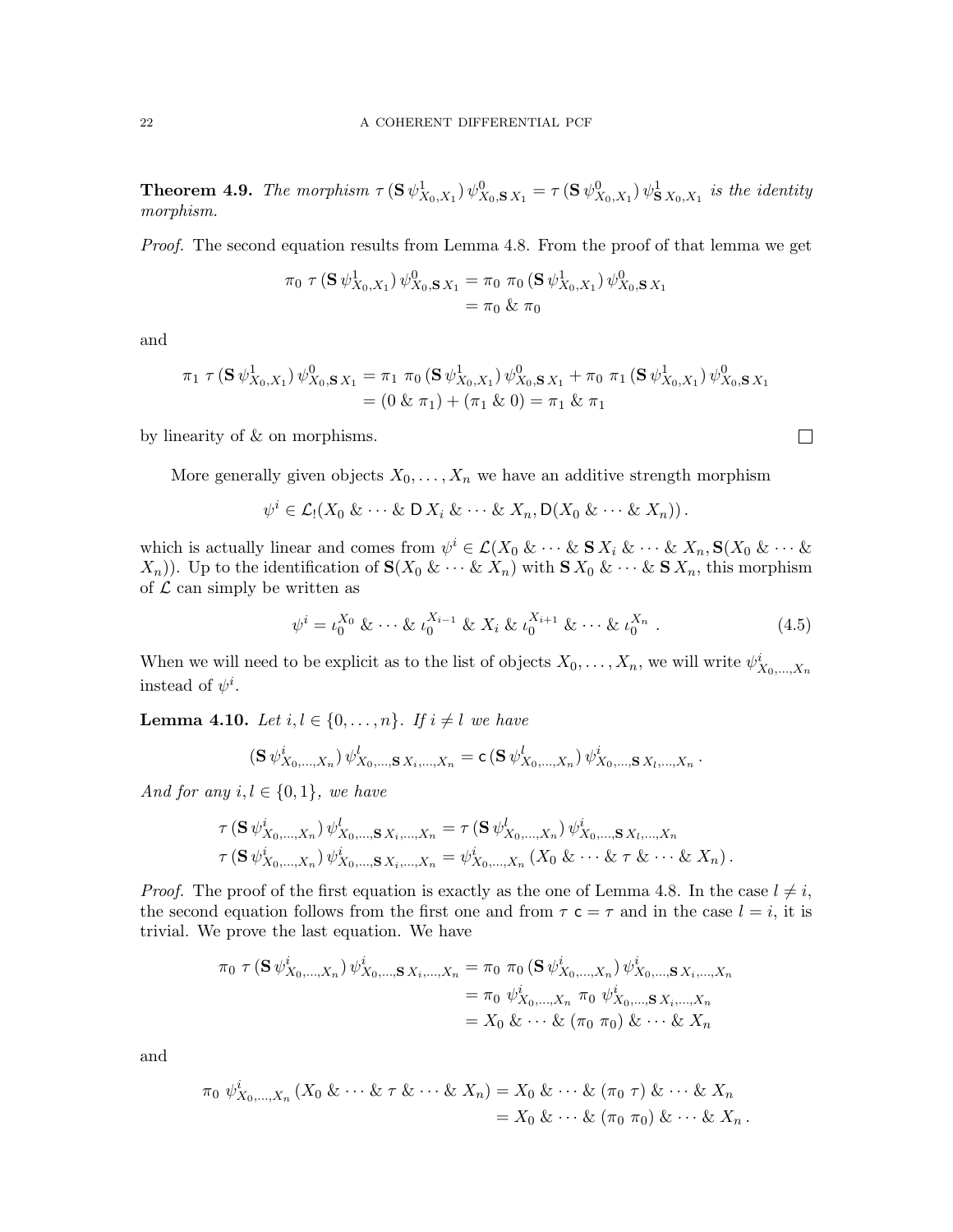<span id="page-21-1"></span>**Theorem 4.9.** The morphism  $\tau(S \psi_{X_0,X_1}^1) \psi_{X_0,\mathbf{S} X_1}^0 = \tau(S \psi_{X_0,X_1}^0) \psi_{\mathbf{S} X_0,X_1}^1$  is the identity morphism.

Proof. The second equation results from Lemma [4.8.](#page-20-0) From the proof of that lemma we get

$$
\pi_0 \tau (\mathbf{S} \psi_{X_0, X_1}^1) \psi_{X_0, \mathbf{S} X_1}^0 = \pi_0 \pi_0 (\mathbf{S} \psi_{X_0, X_1}^1) \psi_{X_0, \mathbf{S} X_1}^0
$$
  
=  $\pi_0 \& \pi_0$ 

and

$$
\pi_1 \tau (\mathbf{S} \psi_{X_0, X_1}^1) \psi_{X_0, \mathbf{S} X_1}^0 = \pi_1 \pi_0 (\mathbf{S} \psi_{X_0, X_1}^1) \psi_{X_0, \mathbf{S} X_1}^0 + \pi_0 \pi_1 (\mathbf{S} \psi_{X_0, X_1}^1) \psi_{X_0, \mathbf{S} X_1}^0
$$
  
= (0 &  $\pi_1$ ) + ( $\pi_1$  & 0) =  $\pi_1$  &  $\pi_1$ 

by linearity of & on morphisms.

More generally given objects  $X_0, \ldots, X_n$  we have an additive strength morphism

$$
\psi^i \in \mathcal{L}_!(X_0 \& \cdots \& \mathsf{D}\,X_i \& \cdots \& X_n, \mathsf{D}(X_0 \& \cdots \& X_n))\,.
$$

which is actually linear and comes from  $\psi^i \in \mathcal{L}(X_0 \& \cdots \& S X_i \& \cdots \& X_n, S(X_0 \& \cdots \& S_n)$  $(X_n)$ ). Up to the identification of  $\mathbf{S}(X_0 \& \cdots \& X_n)$  with  $\mathbf{S} X_0 \& \cdots \& \mathbf{S} X_n$ , this morphism of  $\mathcal L$  can simply be written as

<span id="page-21-2"></span>
$$
\psi^{i} = \iota_0^{X_0} \& \cdots \& \iota_0^{X_{i-1}} \& X_i \& \iota_0^{X_{i+1}} \& \cdots \& \iota_0^{X_n} . \tag{4.5}
$$

When we will need to be explicit as to the list of objects  $X_0, \ldots, X_n$ , we will write  $\psi^i_{X_0, \ldots, X_n}$ instead of  $\psi^i$ .

<span id="page-21-0"></span>**Lemma 4.10.** Let  $i, l \in \{0, \ldots, n\}$ . If  $i \neq l$  we have

$$
(\mathbf{S} \psi_{X_0,\dots,X_n}^i) \psi_{X_0,\dots,\mathbf{S} X_i,\dots,X_n}^l = \mathbf{c} (\mathbf{S} \psi_{X_0,\dots,X_n}^l) \psi_{X_0,\dots,\mathbf{S} X_l,\dots,X_n}^i.
$$

And for any  $i, l \in \{0, 1\}$ , we have

$$
\tau(\mathbf{S} \psi_{X_0,\dots,X_n}^i) \psi_{X_0,\dots,\mathbf{S} X_i,\dots,X_n}^l = \tau(\mathbf{S} \psi_{X_0,\dots,X_n}^l) \psi_{X_0,\dots,\mathbf{S} X_l,\dots,X_n}^i \tau(\mathbf{S} \psi_{X_0,\dots,X_n}^i) \psi_{X_0,\dots,\mathbf{S} X_i,\dots,X_n}^i = \psi_{X_0,\dots,X_n}^i (X_0 \& \dots \& \tau \& \dots \& X_n).
$$

*Proof.* The proof of the first equation is exactly as the one of Lemma [4.8.](#page-20-0) In the case  $l \neq i$ , the second equation follows from the first one and from  $\tau \, \mathsf{c} = \tau$  and in the case  $l = i$ , it is trivial. We prove the last equation. We have

$$
\pi_0 \tau (\mathbf{S} \psi_{X_0,\dots,X_n}^i) \psi_{X_0,\dots,\mathbf{S} X_i,\dots,X_n}^i = \pi_0 \pi_0 (\mathbf{S} \psi_{X_0,\dots,X_n}^i) \psi_{X_0,\dots,\mathbf{S} X_i,\dots,X_n}^i
$$
  
=  $\pi_0 \psi_{X_0,\dots,X_n}^i \pi_0 \psi_{X_0,\dots,\mathbf{S} X_i,\dots,X_n}^i$   
=  $X_0 \& \cdots \& (\pi_0 \pi_0) \& \cdots \& X_n$ 

and

$$
\pi_0 \psi_{X_0,\dots,X_n}^i (X_0 \& \dots \& \tau \& \dots \& X_n) = X_0 \& \dots \& (\pi_0 \tau) \& \dots \& X_n
$$
\n
$$
= X_0 \& \dots \& (\pi_0 \pi_0) \& \dots \& X_n.
$$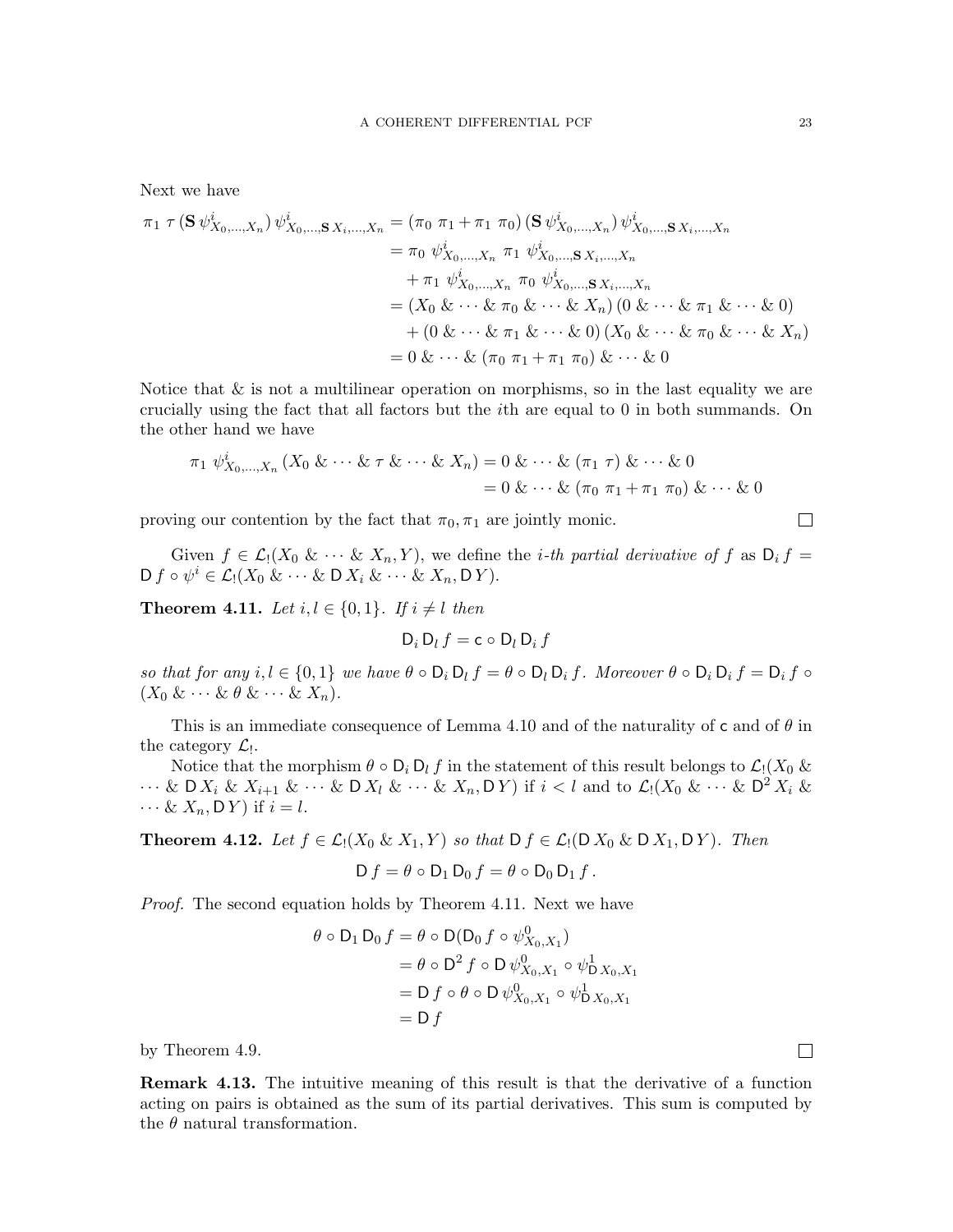Next we have  
\n
$$
\pi_1 \tau (\mathbf{S} \psi_{X_0,...,X_n}^i) \psi_{X_0,...,\mathbf{S} X_i,...,X_n}^i = (\pi_0 \pi_1 + \pi_1 \pi_0) (\mathbf{S} \psi_{X_0,...,X_n}^i) \psi_{X_0,...,\mathbf{S} X_i,...,X_n}^i
$$
\n
$$
= \pi_0 \psi_{X_0,...,X_n}^i \pi_1 \psi_{X_0,...,\mathbf{S} X_i,...,X_n}^i
$$
\n
$$
+ \pi_1 \psi_{X_0,...,X_n}^i \pi_0 \psi_{X_0,...,\mathbf{S} X_i,...,X_n}^i
$$
\n
$$
= (X_0 \& \cdots \& \pi_0 \& \cdots \& X_n) (0 \& \cdots \& \pi_1 \& \cdots \& 0)
$$
\n
$$
+ (0 \& \cdots \& \pi_1 \& \cdots \& 0) (X_0 \& \cdots \& \pi_0 \& \cdots \& X_n)
$$

 $= 0 \& \cdots \& (\pi_0 \pi_1 + \pi_1 \pi_0) \& \cdots \& 0$ 

Notice that  $\&$  is not a multilinear operation on morphisms, so in the last equality we are crucially using the fact that all factors but the ith are equal to 0 in both summands. On the other hand we have

$$
\pi_1 \psi_{X_0,...,X_n}^i (X_0 \& \cdots \& \tau \& \cdots \& X_n) = 0 \& \cdots \& (\pi_1 \tau) \& \cdots \& 0
$$
\n
$$
= 0 \& \cdots \& (\pi_0 \pi_1 + \pi_1 \pi_0) \& \cdots \& 0
$$

proving our contention by the fact that  $\pi_0, \pi_1$  are jointly monic.

Given  $f \in \mathcal{L}_1(X_0 \& \cdots \& X_n, Y)$ , we define the *i*-th partial derivative of f as  $D_i f =$  $D f \circ \psi^i \in \mathcal{L}_! (X_0 \& \cdots \& D X_i \& \cdots \& X_n, D Y).$ 

<span id="page-22-0"></span>**Theorem 4.11.** Let  $i, l \in \{0, 1\}$ . If  $i \neq l$  then

$$
D_i D_l f = c \circ D_l D_i f
$$

so that for any  $i, l \in \{0, 1\}$  we have  $\theta \circ D_i D_l f = \theta \circ D_l D_i f$ . Moreover  $\theta \circ D_i D_i f = D_i f \circ D_i f$  $(X_0 \& \cdots \& \theta \& \cdots \& X_n).$ 

This is an immediate consequence of Lemma [4.10](#page-21-0) and of the naturality of c and of  $\theta$  in the category  $\mathcal{L}_!$ .

Notice that the morphism  $\theta \circ D_i D_l f$  in the statement of this result belongs to  $\mathcal{L}_1(X_0 \&$  $\cdots$  & D  $X_i$  &  $X_{i+1}$  &  $\cdots$  & D  $X_l$  &  $\cdots$  &  $X_n$ , D Y ) if  $i < l$  and to  $\mathcal{L}_l(X_0 \& \cdots \& \mathsf{D}^2 X_i \& \cdots$  $\cdots \& X_n, \mathsf{D} Y$  if  $i = l$ .

**Theorem 4.12.** Let  $f \in \mathcal{L}_1(X_0 \& X_1, Y)$  so that  $D f \in \mathcal{L}_1(D X_0 \& D X_1, DY)$ . Then

$$
D f = \theta \circ D_1 D_0 f = \theta \circ D_0 D_1 f.
$$

Proof. The second equation holds by Theorem [4.11.](#page-22-0) Next we have

$$
\theta \circ D_1 D_0 f = \theta \circ D(D_0 f \circ \psi_{X_0, X_1}^0)
$$
  
=  $\theta \circ D^2 f \circ D \psi_{X_0, X_1}^0 \circ \psi_{D X_0, X_1}^1$   
=  $D f \circ \theta \circ D \psi_{X_0, X_1}^0 \circ \psi_{D X_0, X_1}^1$   
=  $D f$ 

by Theorem [4.9.](#page-21-1)

Remark 4.13. The intuitive meaning of this result is that the derivative of a function acting on pairs is obtained as the sum of its partial derivatives. This sum is computed by the  $\theta$  natural transformation.

 $\Box$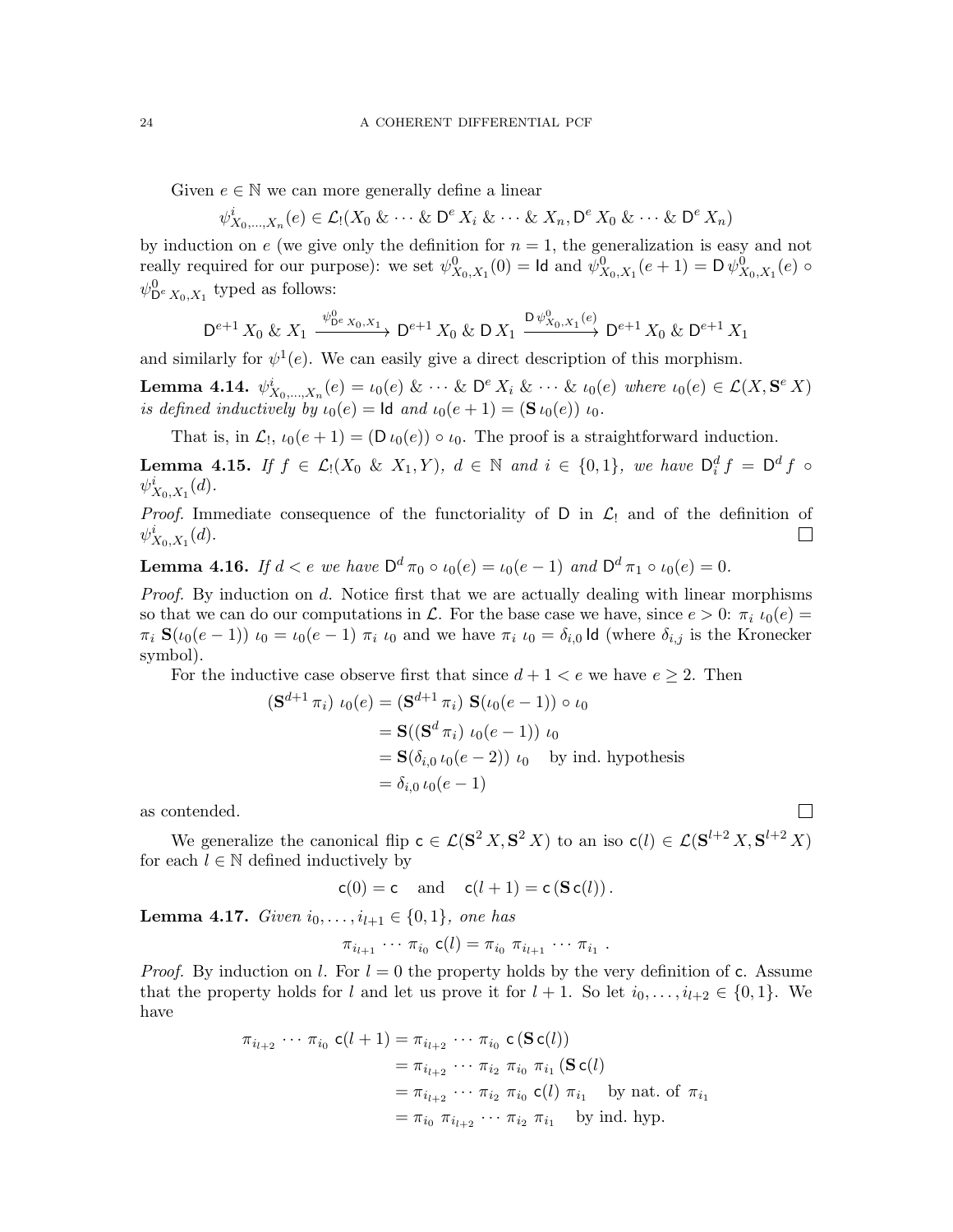Given  $e \in \mathbb{N}$  we can more generally define a linear

$$
\psi_{X_0,\ldots,X_n}^i(e) \in \mathcal{L}_1(X_0 \& \cdots \& \mathsf{D}^e X_i \& \cdots \& X_n, \mathsf{D}^e X_0 \& \cdots \& \mathsf{D}^e X_n)
$$

by induction on e (we give only the definition for  $n = 1$ , the generalization is easy and not really required for our purpose): we set  $\psi^0_{X_0,X_1}(0) = \text{Id}$  and  $\psi^0_{X_0,X_1}(e+1) = \text{D }\psi^0_{X_0,X_1}(e)$  $\psi^0_{\mathsf{D}^e X_0, X_1}$  typed as follows:

$$
\mathsf{D}^{e+1} \, X_0 \, \& \, X_1 \xrightarrow{\psi_{\mathsf{D}^e \, X_0, X_1}} \mathsf{D}^{e+1} \, X_0 \, \& \, \mathsf{D} \, X_1 \xrightarrow{\mathsf{D} \, \psi_{X_0, X_1}^0(e)} \mathsf{D}^{e+1} \, X_0 \, \& \, \mathsf{D}^{e+1} \, X_1
$$

and similarly for  $\psi^1(e)$ . We can easily give a direct description of this morphism.

**Lemma 4.14.**  $\psi_{X_0,...,X_n}^i(e) = \iota_0(e) \& \cdots \& \mathsf{D}^e X_i \& \cdots \& \iota_0(e)$  where  $\iota_0(e) \in \mathcal{L}(X, \mathbf{S}^e X)$ is defined inductively by  $\iota_0(e) = \text{Id}$  and  $\iota_0(e + 1) = (\mathbf{S} \iota_0(e)) \iota_0$ .

That is, in  $\mathcal{L}_1$ ,  $\iota_0(e+1) = (D \iota_0(e)) \circ \iota_0$ . The proof is a straightforward induction.

**Lemma 4.15.** If  $f \in \mathcal{L}_1(X_0 \& X_1, Y)$ ,  $d \in \mathbb{N}$  and  $i \in \{0, 1\}$ , we have  $\mathsf{D}_i^d f = \mathsf{D}^d f \circ \mathsf{D}_i^d f$  $\psi^i_{X_0, X_1}(d)$ .

*Proof.* Immediate consequence of the functoriality of D in  $\mathcal{L}_!$  and of the definition of  $\psi_{\mathbf{v}}^i$   $\mathbf{v}$  (*d*).  $\psi^i_{X_0, X_1}(d)$ .

**Lemma 4.16.** If  $d < e$  we have  $D^d \pi_0 \circ \iota_0(e) = \iota_0(e-1)$  and  $D^d \pi_1 \circ \iota_0(e) = 0$ .

*Proof.* By induction on d. Notice first that we are actually dealing with linear morphisms so that we can do our computations in L. For the base case we have, since  $e > 0$ :  $\pi_i \iota_0(e) =$  $\pi_i$  S( $\iota_0(e-1)$ )  $\iota_0 = \iota_0(e-1)$   $\pi_i$   $\iota_0$  and we have  $\pi_i$   $\iota_0 = \delta_{i,0}$  Id (where  $\delta_{i,j}$  is the Kronecker symbol).

For the inductive case observe first that since  $d + 1 < e$  we have  $e \geq 2$ . Then

$$
(\mathbf{S}^{d+1} \pi_i) \ \iota_0(e) = (\mathbf{S}^{d+1} \pi_i) \ \mathbf{S}(\iota_0(e-1)) \circ \iota_0
$$
  
=  $\mathbf{S}((\mathbf{S}^d \pi_i) \ \iota_0(e-1)) \ \iota_0$   
=  $\mathbf{S}(\delta_{i,0} \ \iota_0(e-2)) \ \iota_0$  by ind. hypothesis  
=  $\delta_{i,0} \ \iota_0(e-1)$ 

as contended.

We generalize the canonical flip  $c \in \mathcal{L}(\mathbf{S}^2 X, \mathbf{S}^2 X)$  to an iso  $c(l) \in \mathcal{L}(\mathbf{S}^{l+2} X, \mathbf{S}^{l+2} X)$ for each  $l \in \mathbb{N}$  defined inductively by

$$
c(0) = c \quad \text{and} \quad c(l+1) = c(Sc(l)).
$$

Lemma 4.17. Given  $i_0, \ldots, i_{l+1} \in \{0, 1\}$ , one has

$$
\pi_{i_{l+1}} \cdots \pi_{i_0} \mathsf{c}(l) = \pi_{i_0} \pi_{i_{l+1}} \cdots \pi_{i_1}
$$

.

*Proof.* By induction on l. For  $l = 0$  the property holds by the very definition of c. Assume that the property holds for l and let us prove it for  $l + 1$ . So let  $i_0, \ldots, i_{l+2} \in \{0, 1\}$ . We have

$$
\pi_{i_{l+2}} \cdots \pi_{i_0} \mathbf{c}(l+1) = \pi_{i_{l+2}} \cdots \pi_{i_0} \mathbf{c}(\mathbf{S} \mathbf{c}(l))
$$
  
\n
$$
= \pi_{i_{l+2}} \cdots \pi_{i_2} \pi_{i_0} \pi_{i_1} (\mathbf{S} \mathbf{c}(l))
$$
  
\n
$$
= \pi_{i_{l+2}} \cdots \pi_{i_2} \pi_{i_0} \mathbf{c}(l) \pi_{i_1} \text{ by nat. of } \pi_{i_1}
$$
  
\n
$$
= \pi_{i_0} \pi_{i_{l+2}} \cdots \pi_{i_2} \pi_{i_1} \text{ by ind. hyp.}
$$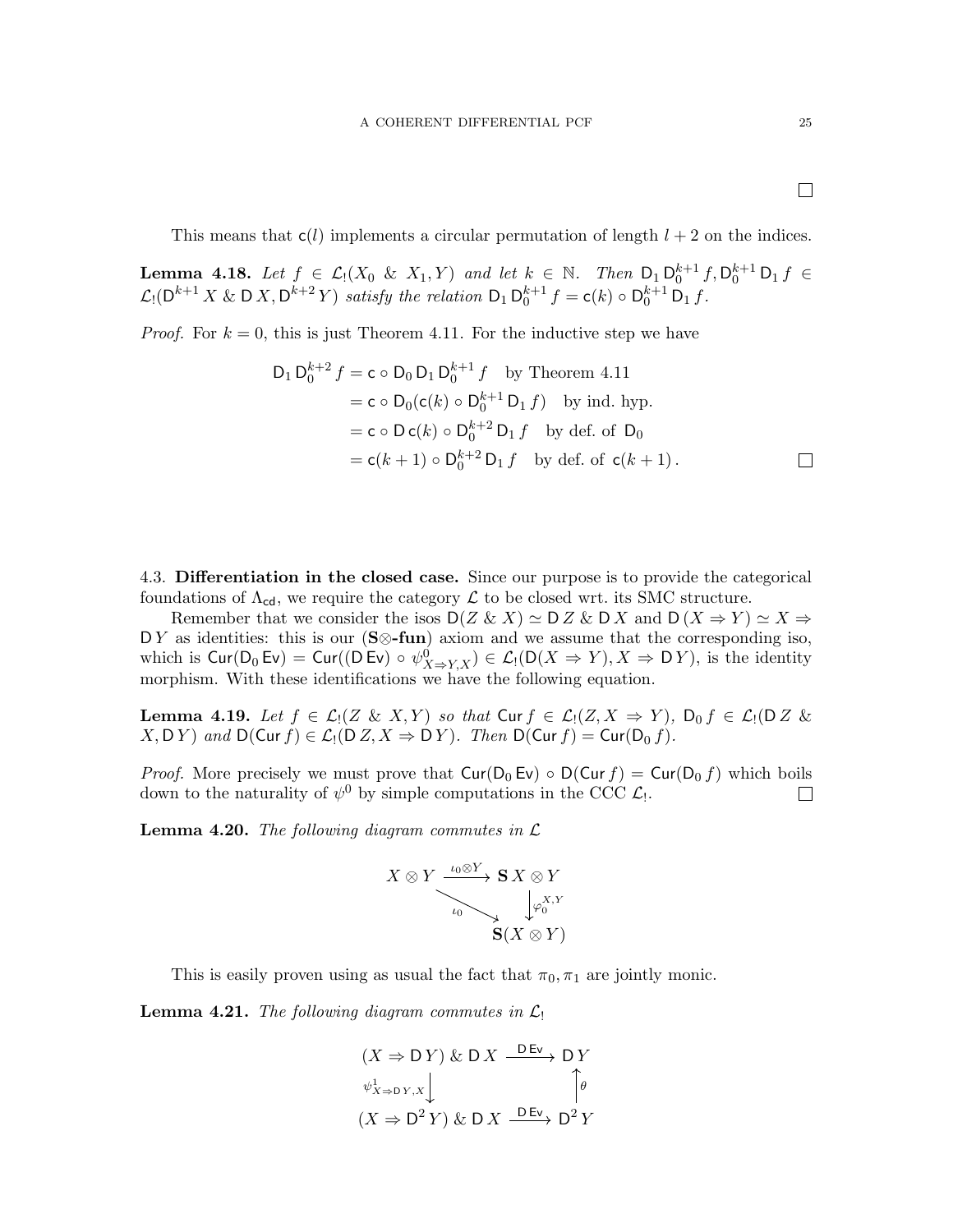$\Box$ 

This means that  $c(l)$  implements a circular permutation of length  $l + 2$  on the indices.

<span id="page-24-2"></span>**Lemma 4.18.** Let  $f \in \mathcal{L}_1(X_0 \& X_1, Y)$  and let  $k \in \mathbb{N}$ . Then  $D_1 D_0^{k+1} f, D_0^{k+1} D_1 f \in$  $\mathcal{L}_!(\mathsf{D}^{k+1} X \& \mathsf{D} X, \mathsf{D}^{k+2} Y)$  satisfy the relation  $\mathsf{D}_1 \mathsf{D}_0^{k+1} f = \mathsf{c}(k) \circ \mathsf{D}_0^{k+1} \mathsf{D}_1 f$ .

*Proof.* For  $k = 0$ , this is just Theorem [4.11.](#page-22-0) For the inductive step we have

$$
D_1 D_0^{k+2} f = c \circ D_0 D_1 D_0^{k+1} f \text{ by Theorem 4.11}
$$
  
=  $c \circ D_0(c(k) \circ D_0^{k+1} D_1 f)$  by ind. hyp.  
=  $c \circ D c(k) \circ D_0^{k+2} D_1 f$  by def. of  $D_0$   
=  $c(k+1) \circ D_0^{k+2} D_1 f$  by def. of  $c(k+1)$ .

<span id="page-24-0"></span>4.3. Differentiation in the closed case. Since our purpose is to provide the categorical foundations of  $\Lambda_{cd}$ , we require the category  $\mathcal L$  to be closed wrt. its SMC structure.

Remember that we consider the isos  $D(Z \& X) \simeq D Z \& D X$  and  $D(X \Rightarrow Y) \simeq X \Rightarrow$ DY as identities: this is our  $(S \otimes \text{-}\text{fun})$  axiom and we assume that the corresponding iso, which is  $\text{Cur}(D_0 \text{Ev}) = \text{Cur}((D \text{Ev}) \circ \psi_{X \to Y,X}^0) \in \mathcal{L}(\text{D}(X \Rightarrow Y), X \Rightarrow \text{D} Y)$ , is the identity morphism. With these identifications we have the following equation.

<span id="page-24-3"></span>**Lemma 4.19.** Let  $f \in \mathcal{L}[(Z \& X, Y)]$  so that  $\text{Cur } f \in \mathcal{L}[(Z, X \Rightarrow Y)]$ ,  $D_0 f \in \mathcal{L}[(D Z \& Y)]$  $X, \mathsf{D}\, Y$  and  $\mathsf{D}(\mathsf{Cur}\, f) \in \mathcal{L}_1(\mathsf{D}\, Z, X \Rightarrow \mathsf{D}\, Y)$ . Then  $\mathsf{D}(\mathsf{Cur}\, f) = \mathsf{Cur}(\mathsf{D}_0\, f)$ .

*Proof.* More precisely we must prove that  $\text{Cur}(D_0 Ev) \circ D(\text{Cur } f) = \text{Cur}(D_0 f)$  which boils down to the naturality of  $\psi^0$  by simple computations in the CCC  $\mathcal{L}_1$ . down to the naturality of  $\psi^0$  by simple computations in the CCC  $\mathcal{L}_!$ .

<span id="page-24-1"></span>**Lemma 4.20.** The following diagram commutes in  $\mathcal{L}$ 

$$
X \otimes Y \xrightarrow{\iota_0 \otimes Y} \mathbf{S} X \otimes Y
$$
  
\n
$$
\downarrow_{\varphi_0} \varphi_0^{X,Y}
$$
  
\n
$$
\mathbf{S}(X \otimes Y)
$$

This is easily proven using as usual the fact that  $\pi_0, \pi_1$  are jointly monic.

**Lemma 4.21.** The following diagram commutes in  $\mathcal{L}_1$ 

$$
(X \Rightarrow DY) \& D X \xrightarrow{DEv} DY
$$
  

$$
\psi_{X \Rightarrow DY, x}^1 \qquad \qquad \uparrow \theta
$$
  

$$
(X \Rightarrow D^2 Y) \& D X \xrightarrow{DEv} D^2 Y
$$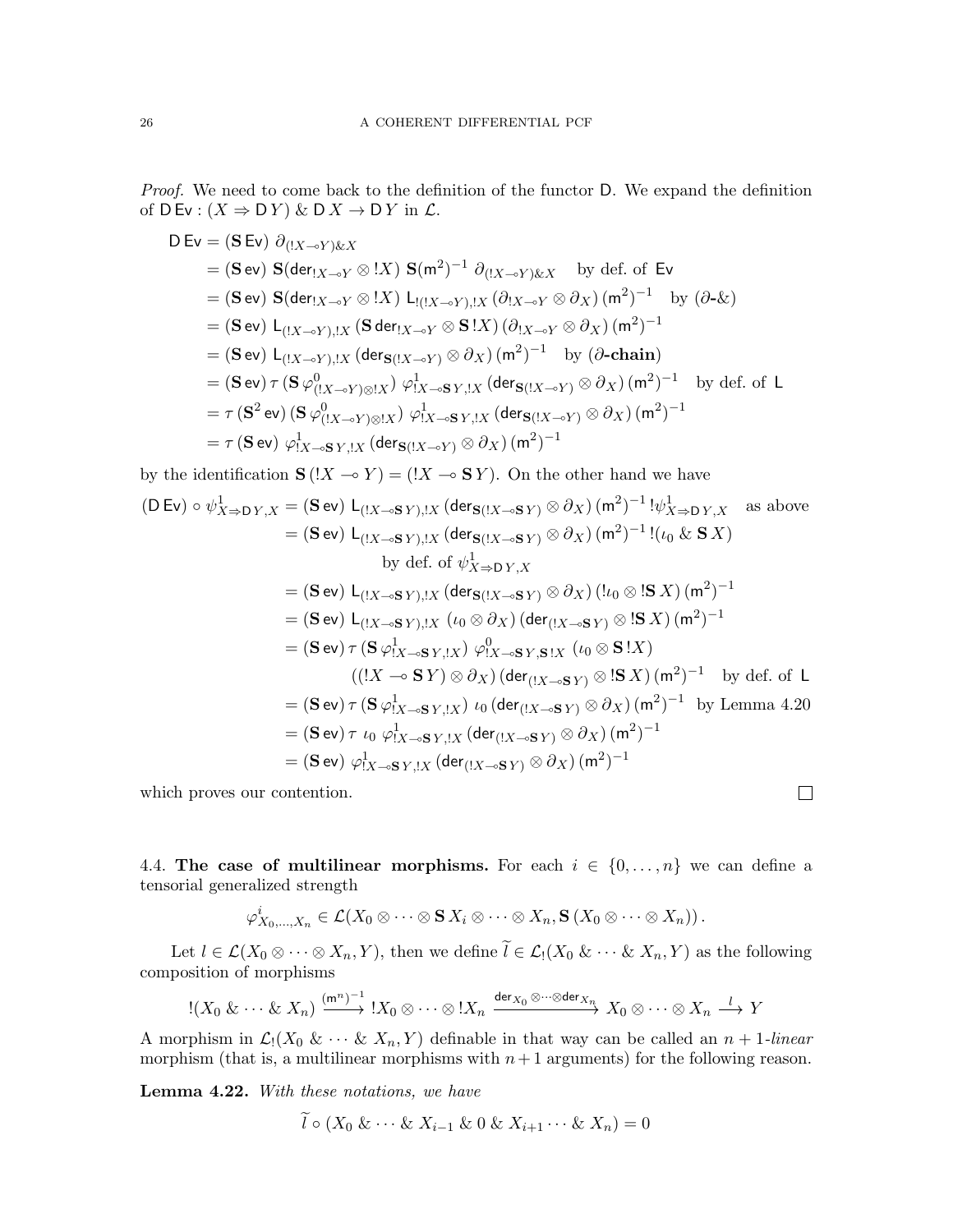Proof. We need to come back to the definition of the functor D. We expand the definition of  $D Ev : (X \Rightarrow DY) \& D X \rightarrow D Y$  in  $\mathcal{L}$ .

$$
D Ev = (S Ev) \partial_{(1X \to Y) \& X}
$$
  
\n
$$
= (S ev) S(\text{der}_{1X \to Y} \otimes !X) S(m^{2})^{-1} \partial_{(1X \to Y) \& X} \text{ by def. of Ev}
$$
  
\n
$$
= (S ev) S(\text{der}_{1X \to Y} \otimes !X) L_{1((1X \to Y)),1X} (\partial_{1X \to Y} \otimes \partial_{X}) (m^{2})^{-1} \text{ by } (\partial \text{-} \& X)
$$
  
\n
$$
= (S ev) L_{(1X \to Y),1X} (S \text{ der}_{1X \to Y} \otimes S!X) (\partial_{1X \to Y} \otimes \partial_{X}) (m^{2})^{-1}
$$
  
\n
$$
= (S ev) L_{(1X \to Y),1X} (\text{der}_{S((1X \to Y)} \otimes \partial_{X}) (m^{2})^{-1} \text{ by } (\partial \text{-chain})
$$
  
\n
$$
= (S ev) \tau (S \varphi_{(1X \to Y) \otimes 1X}^{0}) \varphi_{1X \to SY,1X}^{1} (\text{der}_{S((1X \to Y)} \otimes \partial_{X}) (m^{2})^{-1} \text{ by def. of } L
$$
  
\n
$$
= \tau (S^{2} ev) (S \varphi_{(1X \to Y) \otimes 1X}^{0}) \varphi_{1X \to SY,1X}^{1} (\text{der}_{S((1X \to Y)} \otimes \partial_{X}) (m^{2})^{-1}
$$
  
\n
$$
= \tau (S ev) \varphi_{1X \to SY,1X}^{1} (\text{der}_{S((1X \to Y)} \otimes \partial_{X}) (m^{2})^{-1}
$$

by the identification  $\mathbf{S}$  ( $!X \rightarrow Y$ ) = ( $!X \rightarrow \mathbf{S} Y$ ). On the other hand we have

$$
(D Ev) \circ \psi_{X\Rightarrow DY,X}^{1} = (\mathbf{S} ev) L_{(IX\multimap \mathbf{S}'Y),!X} (\text{der}_{\mathbf{S}(!X\multimap \mathbf{S}'Y)} \otimes \partial_{X}) (m^{2})^{-1} ! \psi_{X\Rightarrow DY,X}^{1} \text{ as above}
$$
  
\n
$$
= (\mathbf{S} ev) L_{(IX\multimap \mathbf{S}'Y),!X} (\text{der}_{\mathbf{S}(!X\multimap \mathbf{S}'Y)} \otimes \partial_{X}) (m^{2})^{-1} ! (\iota_{0} & \mathbf{S}'X)
$$
  
\nby def. of  $\psi_{X\Rightarrow DY,X}^{1}$   
\n
$$
= (\mathbf{S} ev) L_{(IX\multimap \mathbf{S}'Y),!X} (\text{der}_{\mathbf{S}(!X\multimap \mathbf{S}'Y)} \otimes \partial_{X}) (l\iota_{0} \otimes \mathbf{S}'X) (m^{2})^{-1}
$$
  
\n
$$
= (\mathbf{S} ev) L_{(IX\multimap \mathbf{S}'Y),!X} (\iota_{0} \otimes \partial_{X}) (\text{der}_{([X\multimap \mathbf{S}'Y)} \otimes \mathbf{S}'X) (m^{2})^{-1}
$$
  
\n
$$
= (\mathbf{S} ev) \tau (\mathbf{S} \varphi_{IX\multimap \mathbf{S}'Y,!X}^{1}) \varphi_{IX\multimap \mathbf{S}'Y,!X}^{0} (\iota_{0} \otimes \mathbf{S}'X)
$$
  
\n
$$
((!X \multimap \mathbf{S}'Y) \otimes \partial_{X}) (\text{der}_{([X\multimap \mathbf{S}'Y)} \otimes \mathbf{S}'X) (m^{2})^{-1} \text{ by def. of } L
$$
  
\n
$$
= (\mathbf{S} ev) \tau (\mathbf{S} \varphi_{IX\multimap \mathbf{S}'Y,!X}^{1}) \iota_{0} (\text{der}_{([X\multimap \mathbf{S}'Y)} \otimes \partial_{X}) (m^{2})^{-1} \text{ by Lemma 4.20}
$$
  
\n
$$
= (\mathbf{S} ev) \tau \iota_{0} \varphi_{IX\multimap \mathbf{S}'Y,!X}^{1} (\text{der}_{([X\multimap \mathbf{S}'Y)} \otimes \partial_{X}) (m^{2})
$$

which proves our contention.

<span id="page-25-0"></span>4.4. The case of multilinear morphisms. For each  $i \in \{0, \ldots, n\}$  we can define a tensorial generalized strength

 $\overline{\phantom{a}}$ 

$$
\varphi_{X_0,\ldots,X_n}^i\in \mathcal{L}(X_0\otimes\cdots\otimes \mathbf{S} X_i\otimes\cdots\otimes X_n,\mathbf{S}(X_0\otimes\cdots\otimes X_n)).
$$

Let  $l \in \mathcal{L}(X_0 \otimes \cdots \otimes X_n, Y)$ , then we define  $\tilde{l} \in \mathcal{L}_1(X_0 \& \cdots \& X_n, Y)$  as the following composition of morphisms

$$
\mathop{!} (X_0 \& \cdots \& X_n) \xrightarrow{(m^n)^{-1}} X_0 \otimes \cdots \otimes \mathop{!} X_n \xrightarrow{\text{der}_{X_0} \otimes \cdots \otimes \text{der}_{X_n}} X_0 \otimes \cdots \otimes X_n \xrightarrow{l} Y
$$

A morphism in  $\mathcal{L}_1(X_0 \&\cdots \& X_n, Y)$  definable in that way can be called an  $n+1$ -linear morphism (that is, a multilinear morphisms with  $n+1$  arguments) for the following reason.

Lemma 4.22. With these notations, we have

 $\widetilde{l} \circ (X_0 \& \cdots \& X_{i-1} \& 0 \& X_{i+1} \cdots \& X_n) = 0$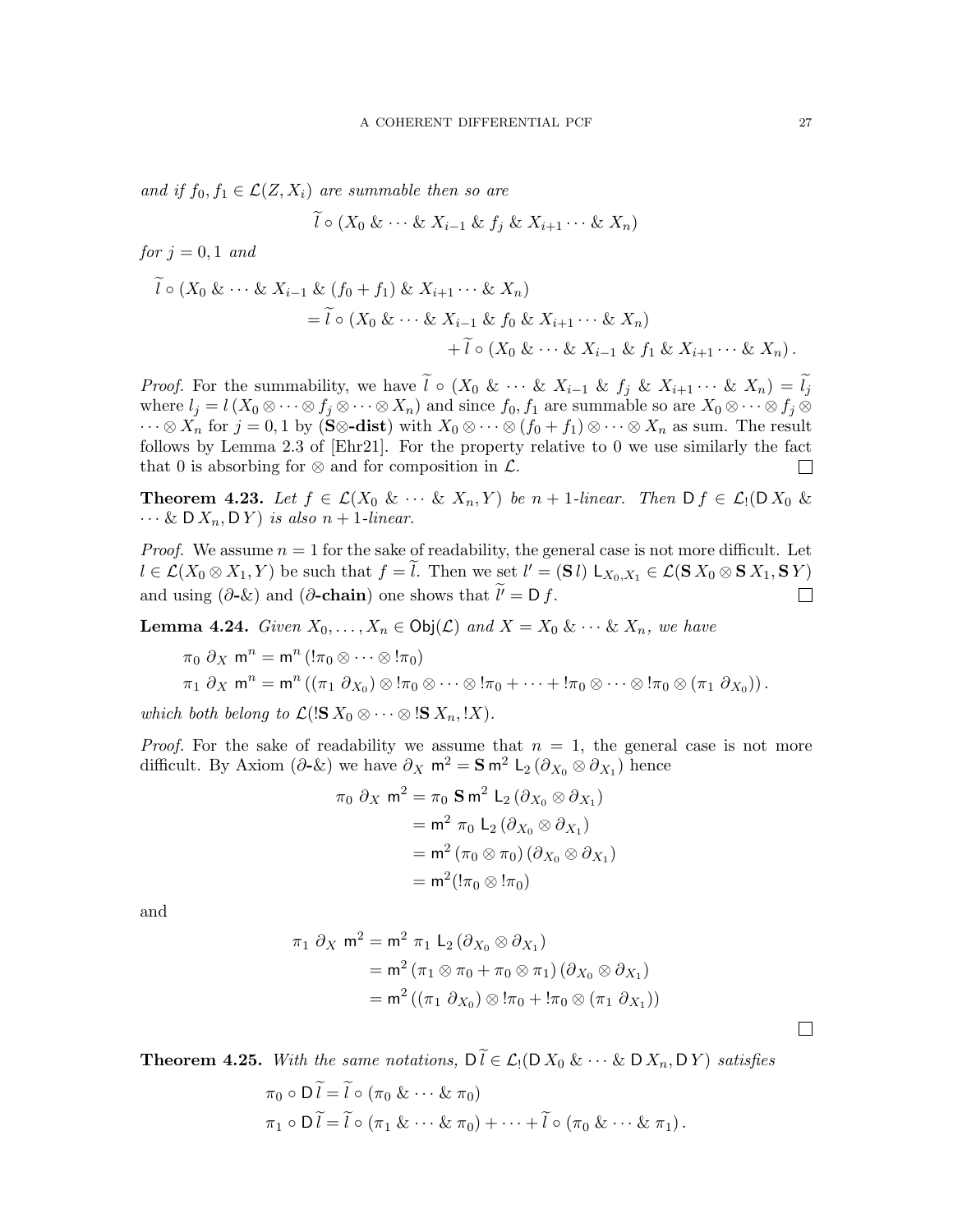and if  $f_0, f_1 \in \mathcal{L}(Z, X_i)$  are summable then so are

$$
\widetilde{l}\circ(X_0\&\cdots\& X_{i-1}\&f_j\&X_{i+1}\cdots\&X_n)
$$

for  $j = 0, 1$  and

$$
\tilde{l} \circ (X_0 \& \cdots \& X_{i-1} \& (f_0 + f_1) \& X_{i+1} \cdots \& X_n)
$$
  
=  $\tilde{l} \circ (X_0 \& \cdots \& X_{i-1} \& f_0 \& X_{i+1} \cdots \& X_n)$   
+  $\tilde{l} \circ (X_0 \& \cdots \& X_{i-1} \& f_1 \& X_{i+1} \cdots \& X_n).$ 

*Proof.* For the summability, we have  $l \circ (X_0 \& \cdots \& X_{i-1} \& f_j \& X_{i+1} \cdots \& X_n) = l_j$ where  $l_j = l(X_0 \otimes \cdots \otimes f_j \otimes \cdots \otimes X_n)$  and since  $f_0, f_1$  are summable so are  $X_0 \otimes \cdots \otimes f_j \otimes f_j$  $\cdots \otimes X_n$  for  $j = 0, 1$  by (S⊗-dist) with  $X_0 \otimes \cdots \otimes (f_0 + f_1) \otimes \cdots \otimes X_n$  as sum. The result follows by Lemma 2.3 of [\[Ehr21\]](#page-71-1). For the property relative to 0 we use similarly the fact that 0 is absorbing for  $\otimes$  and for composition in  $\mathcal{L}$ .  $\Box$ 

**Theorem 4.23.** Let  $f \in \mathcal{L}(X_0 \& \cdots \& X_n, Y)$  be  $n+1$ -linear. Then  $D f \in \mathcal{L}_1(D X_0 \& \cdots \& X_n, Y)$  $\cdots \& D X_n, D Y$  is also  $n + 1$ -linear.

*Proof.* We assume  $n = 1$  for the sake of readability, the general case is not more difficult. Let  $l \in \mathcal{L}(X_0 \otimes X_1, Y)$  be such that  $f = l$ . Then we set  $l' = (\mathbf{S} l) \mathsf{L}_{X_0, X_1} \in \mathcal{L}(\mathbf{S} X_0 \otimes \mathbf{S} X_1, \mathbf{S} Y)$ and using  $(\partial - \&)$  and  $(\partial - \text{chain})$  one shows that  $\tilde{l'} = D f$ .  $\Box$ 

<span id="page-26-0"></span>**Lemma 4.24.** Given  $X_0, \ldots, X_n \in \text{Obj}(\mathcal{L})$  and  $X = X_0 \& \cdots \& X_n$ , we have

$$
\pi_0 \partial_X \mathbf{m}^n = \mathbf{m}^n \left( \begin{matrix} 1 \pi_0 \otimes \cdots \otimes 1 \pi_0 \end{matrix} \right) \pi_1 \partial_X \mathbf{m}^n = \mathbf{m}^n \left( \left( \pi_1 \partial_{X_0} \right) \otimes 1 \pi_0 \otimes \cdots \otimes 1 \pi_0 + \cdots + 1 \pi_0 \otimes \cdots \otimes 1 \pi_0 \otimes (\pi_1 \partial_{X_0}) \right).
$$

which both belong to  $\mathcal{L}$ (! $\mathbf{S} X_0 \otimes \cdots \otimes \mathbf{S} X_n$ , !X).

*Proof.* For the sake of readability we assume that  $n = 1$ , the general case is not more difficult. By Axiom  $(\partial - \&)$  we have  $\partial_X m^2 = \mathbf{S} m^2 L_2 (\partial_{X_0} \otimes \partial_{X_1})$  hence

$$
\pi_0 \partial_X \mathbf{m}^2 = \pi_0 \mathbf{S} \mathbf{m}^2 \mathbf{L}_2 (\partial_{X_0} \otimes \partial_{X_1})
$$
  
=  $\mathbf{m}^2 \pi_0 \mathbf{L}_2 (\partial_{X_0} \otimes \partial_{X_1})$   
=  $\mathbf{m}^2 (\pi_0 \otimes \pi_0) (\partial_{X_0} \otimes \partial_{X_1})$   
=  $\mathbf{m}^2 (!\pi_0 \otimes !\pi_0)$ 

and

$$
\pi_1 \partial_X \mathbf{m}^2 = \mathbf{m}^2 \pi_1 L_2 (\partial_{X_0} \otimes \partial_{X_1})
$$
  
=  $\mathbf{m}^2 (\pi_1 \otimes \pi_0 + \pi_0 \otimes \pi_1) (\partial_{X_0} \otimes \partial_{X_1})$   
=  $\mathbf{m}^2 ((\pi_1 \partial_{X_0}) \otimes \pi_0 + \pi_0 \otimes (\pi_1 \partial_{X_1}))$ 

<span id="page-26-1"></span>**Theorem 4.25.** With the same notations,  $D\tilde{l} \in \mathcal{L}_1(D X_0 \& \cdots \& D X_n, DY)$  satisfies

$$
\pi_0 \circ \widetilde{DI} = \widetilde{l} \circ (\pi_0 \& \cdots \& \pi_0)
$$
  
\n
$$
\pi_1 \circ \widetilde{DI} = \widetilde{l} \circ (\pi_1 \& \cdots \& \pi_0) + \cdots + \widetilde{l} \circ (\pi_0 \& \cdots \& \pi_1).
$$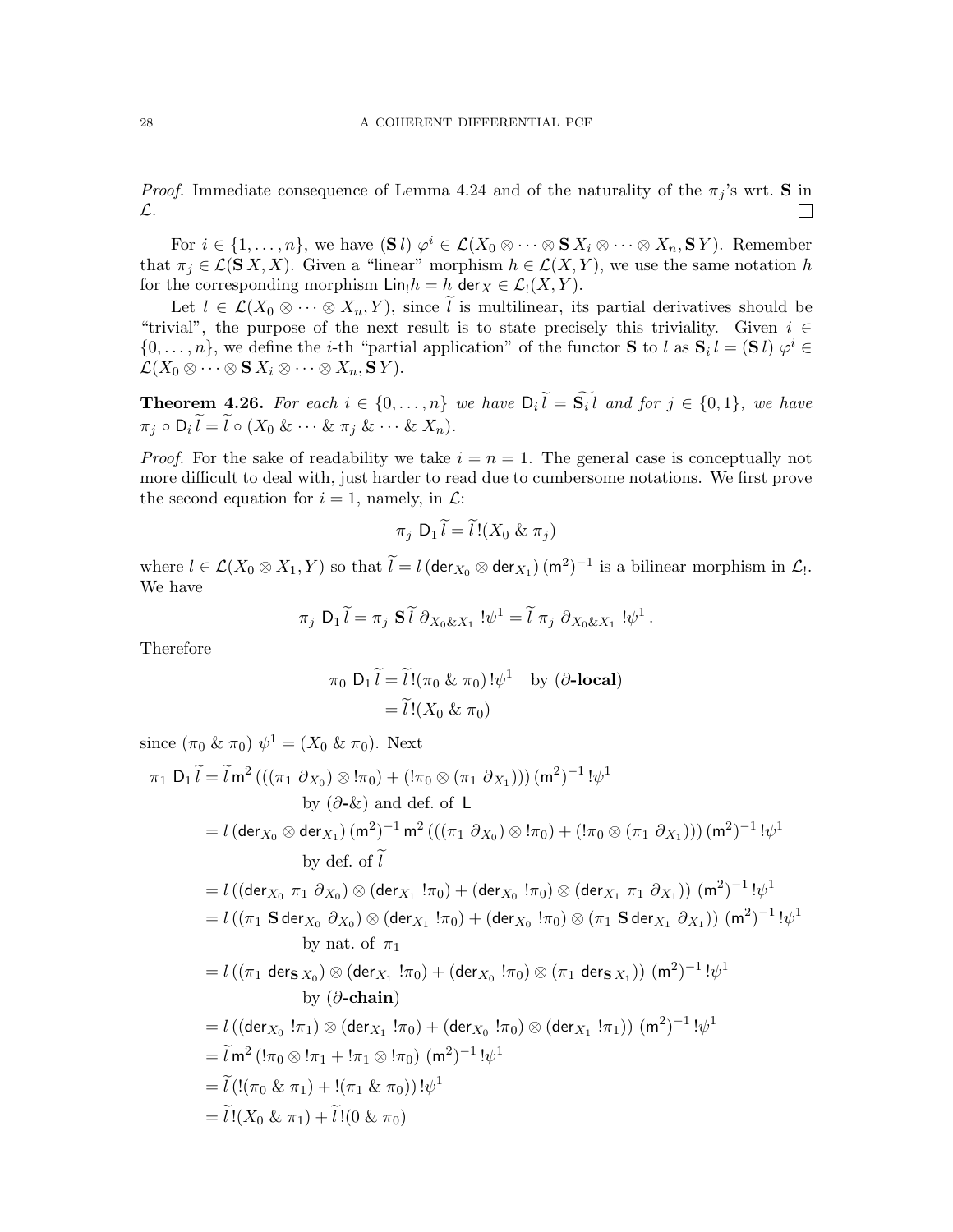*Proof.* Immediate consequence of Lemma [4.24](#page-26-0) and of the naturality of the  $\pi_j$ 's wrt. S in L.  $\Box$ 

For  $i \in \{1, \ldots, n\}$ , we have  $(\mathbf{S} l)$   $\varphi^i \in \mathcal{L}(X_0 \otimes \cdots \otimes \mathbf{S} X_i \otimes \cdots \otimes X_n, \mathbf{S} Y)$ . Remember that  $\pi_j \in \mathcal{L}(\mathbf{S} X, X)$ . Given a "linear" morphism  $h \in \mathcal{L}(X, Y)$ , we use the same notation h for the corresponding morphism  $\text{Lin}_!h = h$  der  $X \in \mathcal{L}_!(X, Y)$ .

Let  $l \in \mathcal{L}(X_0 \otimes \cdots \otimes X_n, Y)$ , since  $\tilde{l}$  is multilinear, its partial derivatives should be "trivial", the purpose of the next result is to state precisely this triviality. Given  $i \in$  $\{0,\ldots,n\}$ , we define the *i*-th "partial application" of the functor **S** to l as  $\mathbf{S}_i l = (\mathbf{S} l) \varphi^i \in \mathbb{R}$  $\mathcal{L}(X_0\otimes\cdots\otimes \mathbf{S} X_i\otimes\cdots\otimes X_n,\mathbf{S} Y).$ 

**Theorem 4.26.** For each  $i \in \{0, ..., n\}$  we have  $D_i l = S_i l$  and for  $j \in \{0, 1\}$ , we have  $\pi_j \circ \mathsf{D}_i l = l \circ (X_0 \& \cdots \& \pi_j \& \cdots \& X_n).$ 

*Proof.* For the sake of readability we take  $i = n = 1$ . The general case is conceptually not more difficult to deal with, just harder to read due to cumbersome notations. We first prove the second equation for  $i = 1$ , namely, in  $\mathcal{L}$ :

$$
\pi_j D_1 \widetilde{l} = \widetilde{l}!(X_0 \& \pi_j)
$$

where  $l \in \mathcal{L}(X_0 \otimes X_1, Y)$  so that  $l = l$  (der  $X_0 \otimes$  der  $X_1$ )  $(\mathsf{m}^2)^{-1}$  is a bilinear morphism in  $\mathcal{L}_l$ . We have

$$
\pi_j D_1 \widetilde{l} = \pi_j S \widetilde{l} \partial_{X_0 \& X_1} !\psi^1 = \widetilde{l} \pi_j \partial_{X_0 \& X_1} !\psi^1.
$$

Therefore

$$
\pi_0 \, \mathsf{D}_1 \, \widetilde{l} = \widetilde{l} \, !(\pi_0 \, \& \, \pi_0) \, !\psi^1 \quad \text{by } (\partial\text{-local})
$$
\n
$$
= \widetilde{l} \, !(X_0 \, & \pi_0)
$$

since  $(\pi_0 \& \pi_0) \psi^1 = (X_0 \& \pi_0)$ . Next

$$
\pi_1 D_1 \widetilde{l} = \widetilde{l} m^2 \left( \left( (\pi_1 \partial_{X_0}) \otimes |\pi_0 \right) + \left( |\pi_0 \otimes (\pi_1 \partial_{X_1}) \right) \right) (m^2)^{-1} \left[ \psi^1 \right]
$$
\nby  $(\partial \text{-} \& )$  and  $\text{def. of } L$   
\n
$$
= l \left( \text{der}_{X_0} \otimes \text{der}_{X_1} \right) (m^2)^{-1} m^2 \left( \left( (\pi_1 \partial_{X_0}) \otimes |\pi_0 \right) + \left( |\pi_0 \otimes (\pi_1 \partial_{X_1}) \right) \right) (m^2)^{-1} \left[ \psi^1 \right]
$$
\nby  $\text{def. of } \widetilde{l}$   
\n
$$
= l \left( \left( \text{der}_{X_0} \pi_1 \partial_{X_0} \right) \otimes \left( \text{der}_{X_1} |\pi_0 \right) + \left( \text{der}_{X_0} |\pi_0 \right) \otimes \left( \text{der}_{X_1} \pi_1 \partial_{X_1} \right) \right) (m^2)^{-1} \left[ \psi^1 \right]
$$
\n
$$
= l \left( (\pi_1 \text{S} \text{der}_{X_0} \partial_{X_0}) \otimes \left( \text{der}_{X_1} |\pi_0 \right) + \left( \text{der}_{X_0} |\pi_0 \right) \otimes (\pi_1 \text{S} \text{der}_{X_1} \partial_{X_1}) \right) (m^2)^{-1} \left[ \psi^1 \right]
$$
\nby  $\text{nat. of } \pi_1$   
\n
$$
= l \left( (\pi_1 \text{der}_{S X_0}) \otimes \left( \text{der}_{X_1} |\pi_0 \right) + \left( \text{der}_{X_0} |\pi_0 \right) \otimes (\pi_1 \text{der}_{S X_1}) \right) (m^2)^{-1} \left[ \psi^1 \right]
$$
\n
$$
= l \left( \left( \text{der}_{X_0} |\pi_1 \right) \otimes \left( \text{der}_{X_1} |\pi_0 \right) + \left( \text{der}_{X_0} |\pi_0 \right) \otimes \left( \text{der}_{X_1} |\pi_1 \right
$$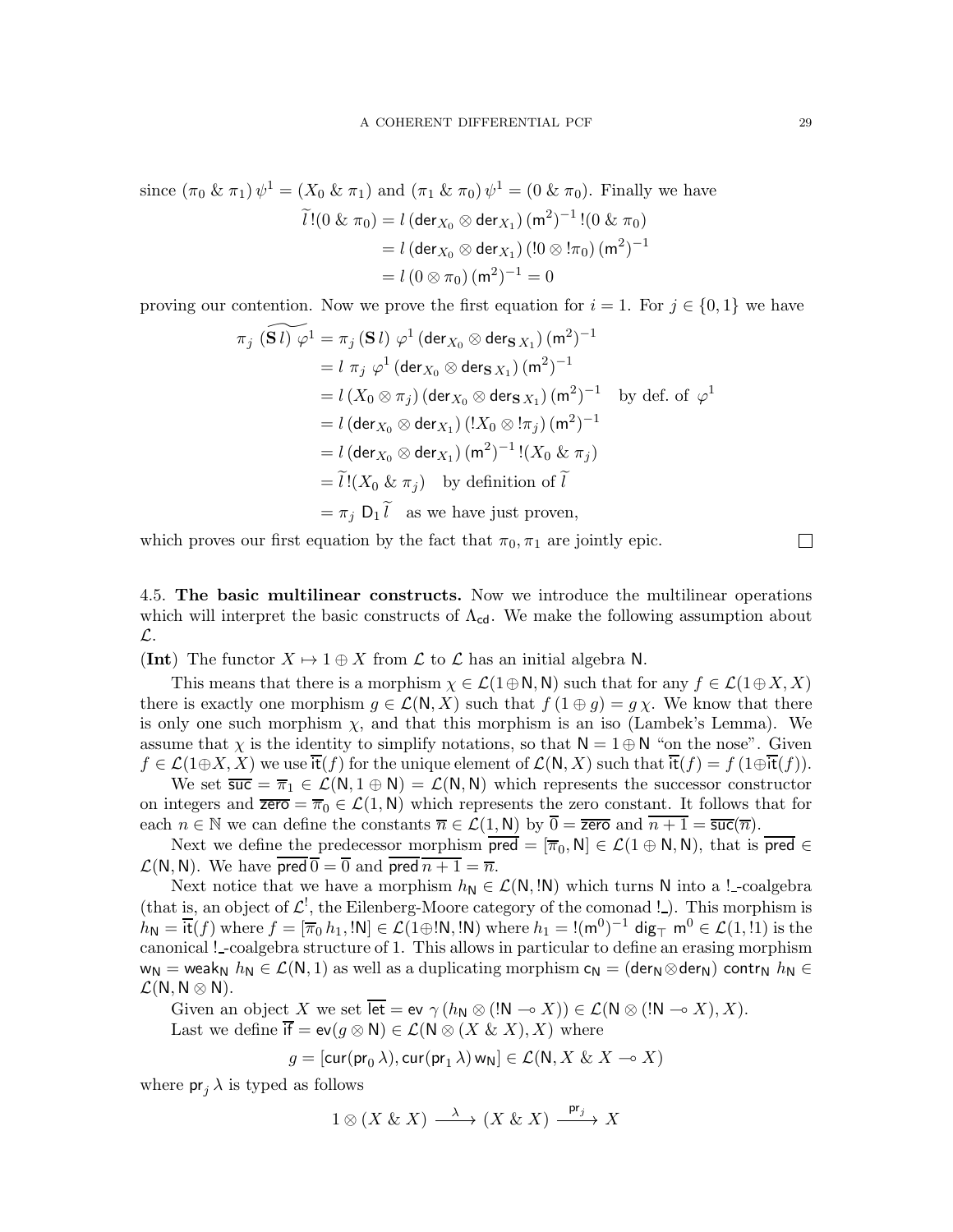since  $(\pi_0 \& \pi_1) \psi^1 = (X_0 \& \pi_1)$  and  $(\pi_1 \& \pi_0) \psi^1 = (0 \& \pi_0)$ . Finally we have

$$
\widetilde{l}!(0 \& \pi_0) = l \left(\text{der}_{X_0} \otimes \text{der}_{X_1}\right) (m^2)^{-1}!(0 \& \pi_0)
$$

$$
= l \left(\text{der}_{X_0} \otimes \text{der}_{X_1}\right) (!0 \otimes !\pi_0) (m^2)^{-1}
$$

$$
= l \left(0 \otimes \pi_0\right) (m^2)^{-1} = 0
$$

proving our contention. Now we prove the first equation for  $i = 1$ . For  $j \in \{0, 1\}$  we have

$$
\pi_j \widetilde{S}(i) \varphi^1 = \pi_j \widetilde{S}(i) \varphi^1 (\text{der}_{X_0} \otimes \text{der}_{S(X_1)} (m^2)^{-1}
$$
  
\n
$$
= l \pi_j \varphi^1 (\text{der}_{X_0} \otimes \text{der}_{S(X_1)} (m^2)^{-1}
$$
  
\n
$$
= l (X_0 \otimes \pi_j) (\text{der}_{X_0} \otimes \text{der}_{S(X_1)} (m^2)^{-1} \text{ by def. of } \varphi^1
$$
  
\n
$$
= l (\text{der}_{X_0} \otimes \text{der}_{X_1}) (!X_0 \otimes !\pi_j) (m^2)^{-1}
$$
  
\n
$$
= l (\text{der}_{X_0} \otimes \text{der}_{X_1}) (m^2)^{-1} ! (X_0 \& \pi_j)
$$
  
\n
$$
= \widetilde{l} ! (X_0 \& \pi_j) \text{ by definition of } \widetilde{l}
$$
  
\n
$$
= \pi_j D_1 \widetilde{l} \text{ as we have just proven,}
$$

which proves our first equation by the fact that  $\pi_0, \pi_1$  are jointly epic.

<span id="page-28-0"></span>4.5. The basic multilinear constructs. Now we introduce the multilinear operations which will interpret the basic constructs of  $\Lambda_{cd}$ . We make the following assumption about L.

**(Int)** The functor  $X \mapsto 1 \oplus X$  from  $\mathcal L$  to  $\mathcal L$  has an initial algebra N.

This means that there is a morphism  $\chi \in \mathcal{L}(1 \oplus \mathsf{N}, \mathsf{N})$  such that for any  $f \in \mathcal{L}(1 \oplus X, X)$ there is exactly one morphism  $g \in \mathcal{L}(N, X)$  such that  $f(1 \oplus g) = g \chi$ . We know that there is only one such morphism  $\chi$ , and that this morphism is an iso (Lambek's Lemma). We assume that  $\chi$  is the identity to simplify notations, so that  $\mathsf{N} = 1 \oplus \mathsf{N}$  "on the nose". Given  $f \in \mathcal{L}(1 \oplus X, X)$  we use it $(f)$  for the unique element of  $\mathcal{L}(N, X)$  such that it $(f) = f(1 \oplus it(f)).$ 

We set  $\overline{\mathsf{suc}} = \overline{\pi}_1 \in \mathcal{L}(\mathsf{N}, \mathsf{1} \oplus \mathsf{N}) = \mathcal{L}(\mathsf{N}, \mathsf{N})$  which represents the successor constructor on integers and  $\overline{zero} = \overline{\pi}_0 \in \mathcal{L}(1, \mathbb{N})$  which represents the zero constant. It follows that for each  $n \in \mathbb{N}$  we can define the constants  $\overline{n} \in \mathcal{L}(1, \mathsf{N})$  by  $\overline{0} = \overline{\mathsf{zero}}$  and  $\overline{n+1} = \overline{\mathsf{succ}}(\overline{n})$ .

Next we define the predecessor morphism  $\overline{\text{pred}} = [\overline{\pi}_0, N] \in \mathcal{L}(1 \oplus N, N)$ , that is  $\overline{\text{pred}} \in$  $\mathcal{L}(N, N)$ . We have  $\overline{\text{pred}} \overline{0} = \overline{0}$  and  $\overline{\text{pred}} \overline{n+1} = \overline{n}$ .

Next notice that we have a morphism  $h_N \in \mathcal{L}(N, \mathbb{N})$  which turns N into a !-coalgebra (that is, an object of  $\mathcal{L}^!$ , the Eilenberg-Moore category of the comonad !.). This morphism is  $h_{\mathsf{N}} = \overline{\mathsf{it}}(f)$  where  $f = [\overline{\pi}_0 h_1, \mathsf{!N}] \in \mathcal{L}(1 \oplus \mathsf{!N}, \mathsf{!N})$  where  $h_1 = \mathsf{!}(\mathsf{m}^0)^{-1}$  dig<sub> $\top$ </sub>  $\mathsf{m}^0 \in \mathcal{L}(1, \mathsf{!}1)$  is the canonical ! -coalgebra structure of 1. This allows in particular to define an erasing morphism  $w_N =$  weak<sub>N</sub>  $h_N \in \mathcal{L}(N, 1)$  as well as a duplicating morphism  $c_N =$  (der<sub>N</sub>⊗der<sub>N</sub>) contr<sub>N</sub>  $h_N \in$  $\mathcal{L}(N, N \otimes N)$ .

Given an object X we set  $\overline{\text{let}} = \text{ev } \gamma (h_N \otimes (N \to X)) \in \mathcal{L}(N \otimes (N \to X), X)$ . Last we define  $\overline{if} = ev(g \otimes N) \in \mathcal{L}(N \otimes (X \& X), X)$  where

$$
g = [{\rm cur}({\rm pr}_0\,\lambda),{\rm cur}({\rm pr}_1\,\lambda)\,{\rm w}_{{\rm N}}] \in \mathcal{L}({\rm N},X\ \&\ X \multimap X)
$$

where  $pr_i \lambda$  is typed as follows

$$
1\otimes (X\ \&\ X)\stackrel{\lambda}{\longrightarrow} (X\ \&\ X)\stackrel{\mathsf{pr}_j}{\longrightarrow} X
$$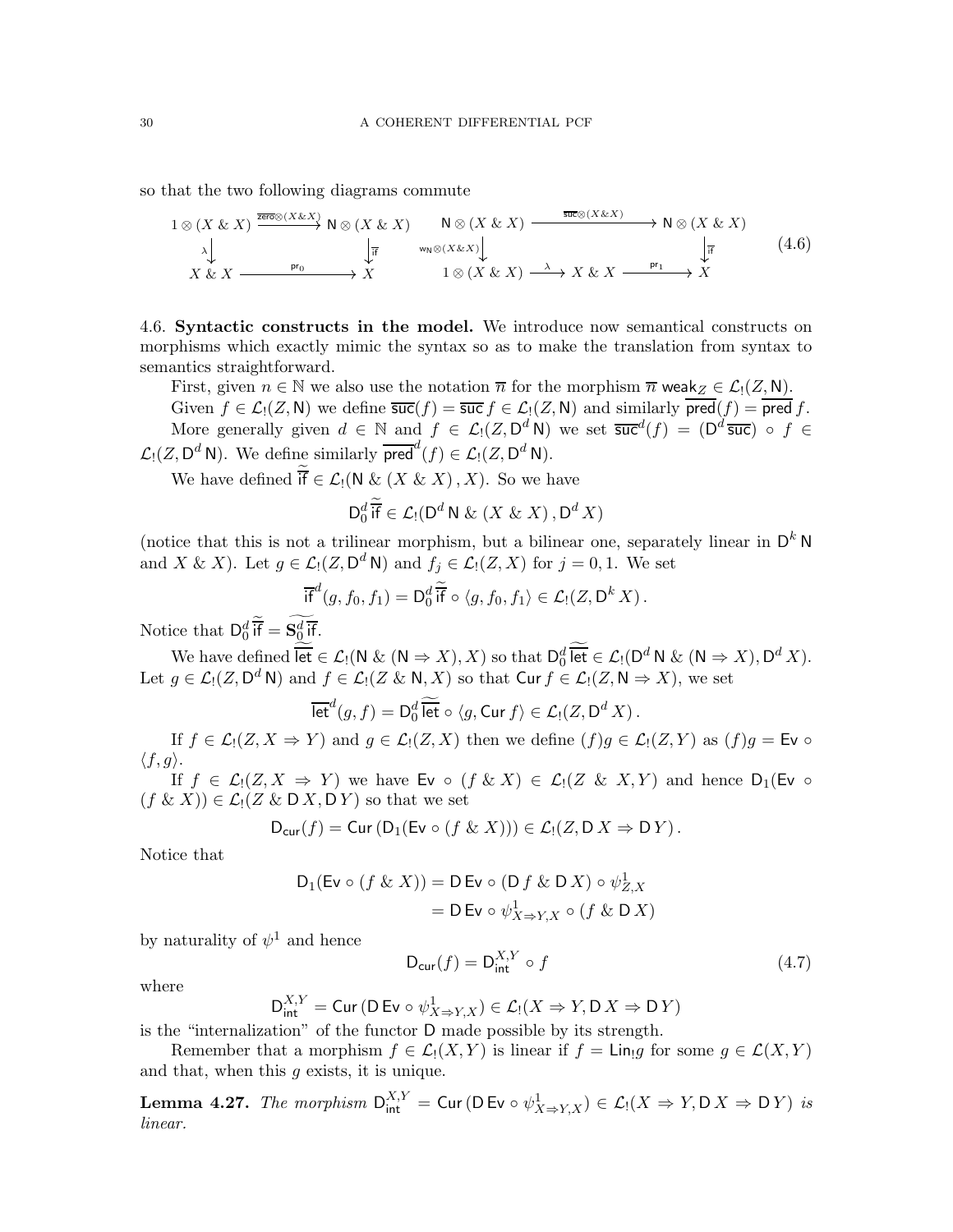so that the two following diagrams commute

$$
1 \otimes (X \& X) \xrightarrow{\overline{\text{zero}} \otimes (X \& X)} \mathsf{N} \otimes (X \& X) \xrightarrow{\mathsf{N} \otimes (X \& X) \xrightarrow{\overline{\text{succ}} \otimes (X \& X)} \mathsf{N} \otimes (X \& X)
$$
  
\n
$$
\downarrow_{\overline{\text{F}}} \xrightarrow{\text{w}_{\mathsf{N}} \otimes (X \& X) \xrightarrow{\text{w}_{\mathsf{N}} \otimes (X \& X)} \downarrow_{\overline{\text{F}}} \xrightarrow{\text{w}_{\mathsf{N}} \otimes (X \& X) \xrightarrow{\text{w}_{\mathsf{N}} \otimes (X \& X)} \mathsf{N} \otimes (X \& X) \xrightarrow{\text{w}_{\mathsf{N}} \otimes (X \& X) \xrightarrow{\text{w}_{\mathsf{N}} \otimes (X \& X)} \mathsf{N} \xrightarrow{\text{w}_{\mathsf{N}} \otimes (X \& X) \xrightarrow{\text{w}_{\mathsf{N}} \otimes (X \& X) \xrightarrow{\text{w}_{\mathsf{N}} \otimes (X \& X)} \mathsf{N} \xrightarrow{\text{w}_{\mathsf{N}} \otimes (X \& X) \xrightarrow{\text{w}_{\mathsf{N}} \otimes (X \& X) \xrightarrow{\text{w}_{\mathsf{N}} \otimes (X \& X) \xrightarrow{\text{w}_{\mathsf{N}} \otimes (X \& X) \xrightarrow{\text{w}_{\mathsf{N}} \otimes (X \& X) \xrightarrow{\text{w}_{\mathsf{N}} \otimes (X \& X) \xrightarrow{\text{w}_{\mathsf{N}} \otimes (X \& X) \xrightarrow{\text{w}_{\mathsf{N}} \otimes (X \& X) \xrightarrow{\text{w}_{\mathsf{N}} \otimes (X \& X) \xrightarrow{\text{w}_{\mathsf{N}} \otimes (X \& X) \xrightarrow{\text{w}_{\mathsf{N}} \otimes (X \& X) \xrightarrow{\text{w}_{\mathsf{N}} \otimes (X \& X) \xrightarrow{\text{w}_{\mathsf{N}} \otimes (X \& X) \xrightarrow{\text{w}_{\mathsf{N}} \otimes (X \& X) \xrightarrow{\text{w}_{\mathsf{N}} \otimes (X \& X) \xrightarrow{\text{w}_{\mathsf{N}} \otimes (X \& X) \xrightarrow{\text{w}_{\mathsf{N}} \otimes (X \& X) \x
$$

<span id="page-29-0"></span>4.6. Syntactic constructs in the model. We introduce now semantical constructs on morphisms which exactly mimic the syntax so as to make the translation from syntax to semantics straightforward.

First, given  $n \in \mathbb{N}$  we also use the notation  $\overline{n}$  for the morphism  $\overline{n}$  weak  $Z \in \mathcal{L}(Z, \mathbb{N})$ .

Given  $f \in \mathcal{L}_1(Z, \mathsf{N})$  we define  $\overline{\mathsf{suc}}(f) = \overline{\mathsf{suc}} f \in \mathcal{L}_1(Z, \mathsf{N})$  and similarly  $\overline{\mathsf{pred}}(f) = \overline{\mathsf{pred}} f$ . More generally given  $d \in \mathbb{N}$  and  $f \in \mathcal{L}_1(Z, D^d N)$  we set  $\overline{\mathsf{suc}}^d(f) = (D^d \overline{\mathsf{suc}}) \circ f \in$  $\mathcal{L}_!(Z, \mathsf{D}^d \mathsf{N})$ . We define similarly  $\overline{\mathsf{pred}}^d(f) \in \mathcal{L}_!(Z, \mathsf{D}^d \mathsf{N})$ .

We have defined if  $\in \mathcal{L}_!(\mathsf{N} \& (X \& X), X)$ . So we have

$$
\mathsf{D}_{0}^{d} \overline{\mathsf{if}} \in \mathcal{L}_{!}(\mathsf{D}^{d} \,\mathsf{N} \,\&\, (X \,\&\, X) \,, \mathsf{D}^{d} \,X)
$$

(notice that this is not a trilinear morphism, but a bilinear one, separately linear in  $D^k N$ and X & X). Let  $g \in \mathcal{L}_1(Z, \mathsf{D}^d \mathsf{N})$  and  $f_j \in \mathcal{L}_1(Z, X)$  for  $j = 0, 1$ . We set

$$
\overline{\text{if}}^d(g, f_0, f_1) = \mathsf{D}_0^d \widetilde{\overline{\text{if}}} \circ \langle g, f_0, f_1 \rangle \in \mathcal{L}_!(Z, \mathsf{D}^k X) \, .
$$

Notice that  $D_0^d$  if  $= S_0^d$  if.

We have defined  $\overline{\text{let}} \in \mathcal{L}_! (\mathsf{N} \& (\mathsf{N} \Rightarrow X), X)$  so that  $\mathsf{D}_0^d \overline{\text{let}} \in \mathcal{L}_! (\mathsf{D}^d \mathsf{N} \& (\mathsf{N} \Rightarrow X), \mathsf{D}^d X)$ . Let  $g \in \mathcal{L}_1(Z, \mathsf{D}^d \mathsf{N})$  and  $f \in \mathcal{L}_1(Z \& \mathsf{N}, X)$  so that  $\mathsf{Curf} \in \mathcal{L}_1(Z, \mathsf{N} \Rightarrow X)$ , we set

$$
\overline{\text{let}}^d(g, f) = \mathsf{D}_0^d \, \widetilde{\overline{\text{let}}} \circ \langle g, \text{Cur } f \rangle \in \mathcal{L}_!(Z, \mathsf{D}^d X).
$$

If  $f \in \mathcal{L}_1(Z, X \Rightarrow Y)$  and  $g \in \mathcal{L}_1(Z, X)$  then we define  $(f)g \in \mathcal{L}_1(Z, Y)$  as  $(f)g = \mathsf{Ev} \circ \mathsf{ev}$  $\langle f, g \rangle$ .

If  $f \in \mathcal{L}_1(Z, X \Rightarrow Y)$  we have  $E_v \circ (f \& X) \in \mathcal{L}_1(Z \& X, Y)$  and hence  $D_1(E_v \circ$  $(f \& X) \in \mathcal{L}_1(Z \& D X, D Y)$  so that we set

$$
D_{\mathsf{cur}}(f) = \mathsf{Cur}(\mathsf{D}_1(\mathsf{Ev} \circ (f \& X))) \in \mathcal{L}_1(Z, \mathsf{D} X \Rightarrow \mathsf{D} Y).
$$

Notice that

$$
D_1(\text{Ev} \circ (f \& X)) = D \text{ Ev} \circ (D f \& D X) \circ \psi_{Z,X}^1
$$
  
= 
$$
D \text{ Ev} \circ \psi_{X \Rightarrow Y,X}^1 \circ (f \& D X)
$$

by naturality of  $\psi^1$  and hence

$$
D_{\text{cur}}(f) = D_{\text{int}}^{X,Y} \circ f \tag{4.7}
$$

where

$$
\mathsf{D}_{\mathsf{int}}^{X,Y} = \mathsf{Cur}\,(\mathsf{D}\,\mathsf{Ev}\circ \psi^1_{X\Rightarrow Y,X}) \in \mathcal{L}_!(X\Rightarrow Y,\mathsf{D}\,X\Rightarrow \mathsf{D}\,Y)
$$

is the "internalization" of the functor D made possible by its strength.

Remember that a morphism  $f \in \mathcal{L}_1(X, Y)$  is linear if  $f = \text{Lin}_1g$  for some  $g \in \mathcal{L}(X, Y)$ and that, when this  $q$  exists, it is unique.

**Lemma 4.27.** The morphism  $D_{\text{int}}^{X,Y} = \text{Cur}(\textsf{D}\,\textsf{Ev}\circ \psi_{X\Rightarrow Y,X}^1) \in \mathcal{L}_!(X \Rightarrow Y, \textsf{D}\,X \Rightarrow \textsf{D}\,Y)$  is linear.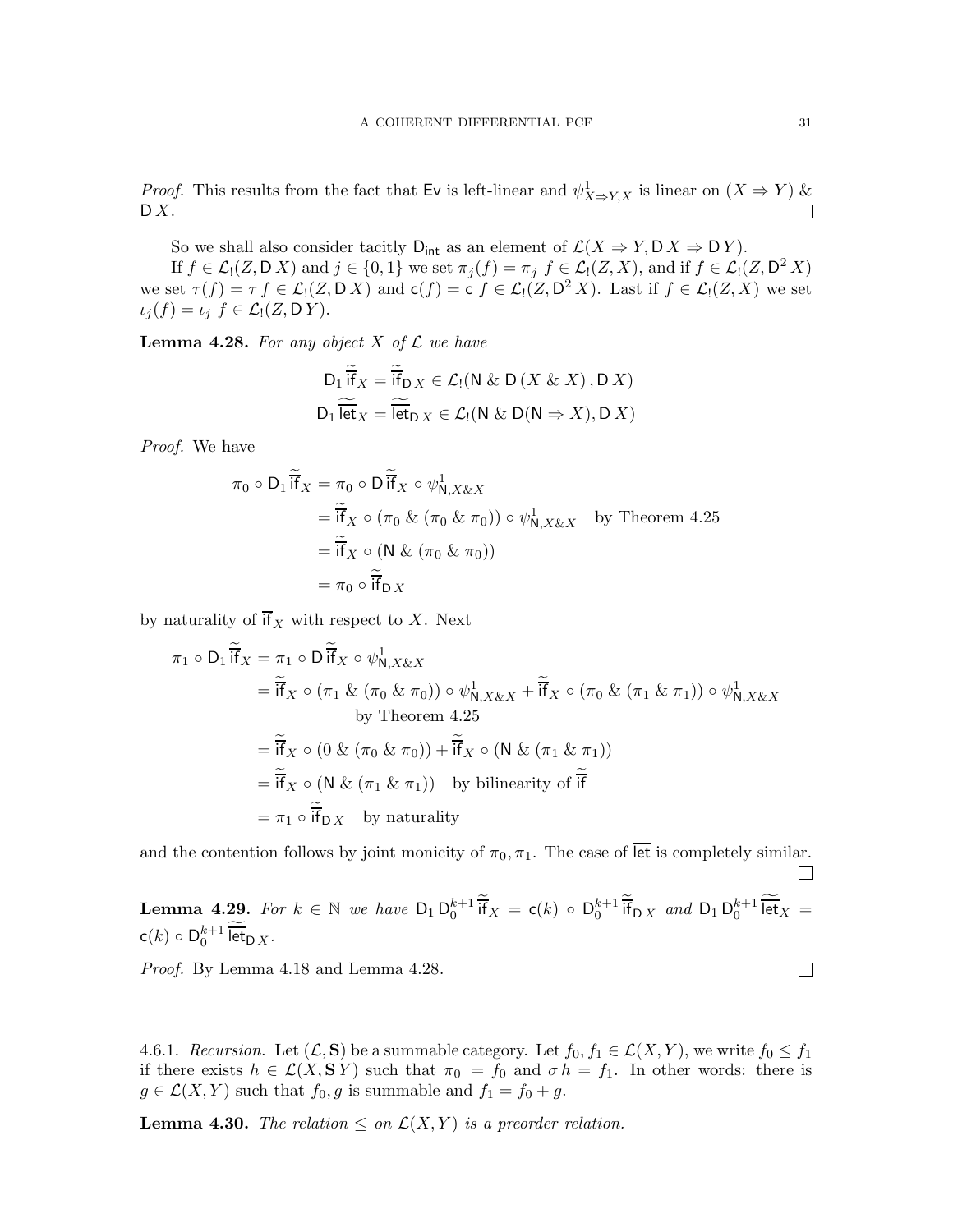*Proof.* This results from the fact that Ev is left-linear and  $\psi^1_{X \to Y, X}$  is linear on  $(X \to Y)$  &  $\mathsf{D} X$ .

So we shall also consider tacitly  $D_{int}$  as an element of  $\mathcal{L}(X \Rightarrow Y, D X \Rightarrow D Y)$ .

If  $f \in \mathcal{L}_1(Z, \mathsf{D}\,X)$  and  $j \in \{0,1\}$  we set  $\pi_j(f) = \pi_j$   $f \in \mathcal{L}_1(Z, X)$ , and if  $f \in \mathcal{L}_1(Z, \mathsf{D}^2\,X)$ we set  $\tau(f) = \tau f \in \mathcal{L}_1(Z, D\ X)$  and  $c(f) = c f \in \mathcal{L}_1(Z, D^2 X)$ . Last if  $f \in \mathcal{L}_1(Z, X)$  we set  $\iota_i(f) = \iota_j f \in \mathcal{L}_i(Z, DY).$ 

<span id="page-30-0"></span>**Lemma 4.28.** For any object X of  $\mathcal L$  we have

$$
D_1 \widetilde{\overline{ff}}_X = \widetilde{\overline{if}}_{D X} \in \mathcal{L}_1(N \& D(X \& X), D X)
$$
  

$$
D_1 \widetilde{\overline{let}}_X = \widetilde{\overline{let}}_{D X} \in \mathcal{L}_1(N \& D(N \Rightarrow X), D X)
$$

Proof. We have

$$
\pi_0 \circ D_1 \widetilde{\mathsf{if}}_X = \pi_0 \circ D \widetilde{\mathsf{if}}_X \circ \psi_{N,X\& X}^1
$$
  
=  $\widetilde{\mathsf{if}}_X \circ (\pi_0 \& (\pi_0 \& \pi_0)) \circ \psi_{N,X\& X}^1$  by Theorem 4.25  
=  $\widetilde{\mathsf{if}}_X \circ (N \& (\pi_0 \& \pi_0))$   
=  $\pi_0 \circ \widetilde{\mathsf{if}}_{D X}$ 

by naturality of  $\overline{if}_X$  with respect to X. Next

$$
\pi_1 \circ D_1 \overline{\mathbf{i}}_X = \pi_1 \circ D \overline{\mathbf{i}}_X \circ \psi_{N,X\& X}^1
$$
  
\n
$$
= \overline{\mathbf{i}}_X \circ (\pi_1 \& (\pi_0 \& \pi_0)) \circ \psi_{N,X\& X}^1 + \overline{\mathbf{i}}_X \circ (\pi_0 \& (\pi_1 \& \pi_1)) \circ \psi_{N,X\& X}^1
$$
  
\nby Theorem 4.25  
\n
$$
= \overline{\mathbf{i}}_X \circ (0 \& (\pi_0 \& \pi_0)) + \overline{\mathbf{i}}_X \circ (N \& (\pi_1 \& \pi_1))
$$
  
\n
$$
= \overline{\mathbf{i}}_X \circ (N \& (\pi_1 \& \pi_1))
$$
by bilinearity of  $\overline{\mathbf{i}}_X$   
\n
$$
= \pi_1 \circ \overline{\mathbf{i}}_D X
$$
 by naturality

and the contention follows by joint monicity of  $\pi_0, \pi_1$ . The case of let is completely similar.

**Lemma 4.29.** For  $k \in \mathbb{N}$  we have  $D_1 D_0^{k+1}$   $\overline{if}_X = c(k) \circ D_0^{k+1}$   $\overline{if}_{D,X}$  and  $D_1 D_0^{k+1}$   $\overline{let}_X =$  $c(k) \circ D_0^{k+1} \overline{\text{let}}_{D X}.$ 

Proof. By Lemma [4.18](#page-24-2) and Lemma [4.28.](#page-30-0)

4.6.1. Recursion. Let  $(\mathcal{L}, \mathbf{S})$  be a summable category. Let  $f_0, f_1 \in \mathcal{L}(X, Y)$ , we write  $f_0 \leq f_1$ if there exists  $h \in \mathcal{L}(X, \mathbf{S} Y)$  such that  $\pi_0 = f_0$  and  $\sigma h = f_1$ . In other words: there is  $g \in \mathcal{L}(X, Y)$  such that  $f_0, g$  is summable and  $f_1 = f_0 + g$ .

**Lemma 4.30.** The relation  $\leq$  on  $\mathcal{L}(X, Y)$  is a preorder relation.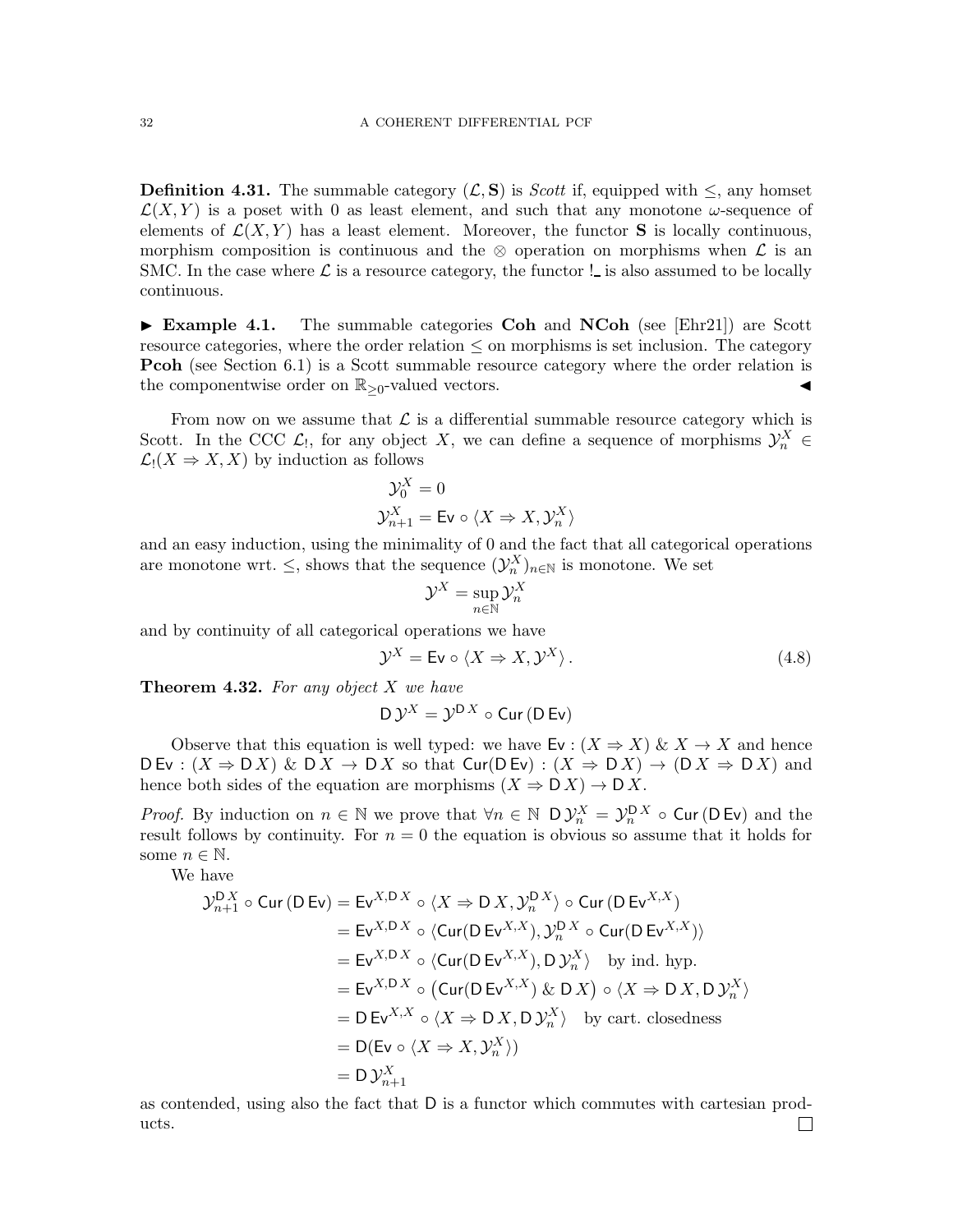**Definition 4.31.** The summable category  $(\mathcal{L}, \mathbf{S})$  is *Scott* if, equipped with  $\leq$ , any homset  $\mathcal{L}(X, Y)$  is a poset with 0 as least element, and such that any monotone  $\omega$ -sequence of elements of  $\mathcal{L}(X, Y)$  has a least element. Moreover, the functor **S** is locally continuous, morphism composition is continuous and the ⊗ operation on morphisms when  $\mathcal L$  is an SMC. In the case where  $\mathcal L$  is a resource category, the functor ! is also assumed to be locally continuous.

 $\triangleright$  Example 4.1. The summable categories Coh and NCoh (see [\[Ehr21\]](#page-71-1)) are Scott resource categories, where the order relation ≤ on morphisms is set inclusion. The category **Pcoh** (see Section [6.1\)](#page-64-1) is a Scott summable resource category where the order relation is the componentwise order on  $\mathbb{R}_{\geq 0}$ -valued vectors.

From now on we assume that  $\mathcal L$  is a differential summable resource category which is Scott. In the CCC  $\mathcal{L}_1$ , for any object X, we can define a sequence of morphisms  $\mathcal{Y}_n^X$   $\in$  $\mathcal{L}_1(X \Rightarrow X, X)$  by induction as follows

$$
\mathcal{Y}_{0}^{X} = 0
$$
  

$$
\mathcal{Y}_{n+1}^{X} = \text{Ev} \circ \langle X \Rightarrow X, \mathcal{Y}_{n}^{X} \rangle
$$

and an easy induction, using the minimality of 0 and the fact that all categorical operations are monotone wrt.  $\leq$ , shows that the sequence  $(\mathcal{Y}_n^X)_{n\in\mathbb{N}}$  is monotone. We set

$$
\mathcal{Y}^X = \sup_{n \in \mathbb{N}} \mathcal{Y}^X_n
$$

and by continuity of all categorical operations we have

$$
\mathcal{Y}^X = \mathsf{Ev} \circ \langle X \Rightarrow X, \mathcal{Y}^X \rangle. \tag{4.8}
$$

**Theorem 4.32.** For any object  $X$  we have

$$
D \mathcal{Y}^X = \mathcal{Y}^{D X} \circ \text{Cur} \, (D \, \text{Ev})
$$

Observe that this equation is well typed: we have Ev :  $(X \Rightarrow X) \& X \rightarrow X$  and hence  $D Ev : (X \Rightarrow D X) \& D X \rightarrow D X$  so that  $Cur(D Ev) : (X \Rightarrow D X) \rightarrow (D X \Rightarrow D X)$  and hence both sides of the equation are morphisms  $(X \Rightarrow D X) \rightarrow D X$ .

*Proof.* By induction on  $n \in \mathbb{N}$  we prove that  $\forall n \in \mathbb{N}$  D  $\mathcal{Y}_n^X = \mathcal{Y}_n^{DX} \circ$  Cur(D Ev) and the result follows by continuity. For  $n = 0$  the equation is obvious so assume that it holds for some  $n \in \mathbb{N}$ .

We have

$$
\mathcal{Y}_{n+1}^{DX} \circ \text{Cur}(\text{D Ev}) = \text{Ev}^{X,DX} \circ \langle X \Rightarrow \text{D} X, \mathcal{Y}_{n}^{DX} \rangle \circ \text{Cur}(\text{D Ev}^{X,X})
$$
\n
$$
= \text{Ev}^{X,DX} \circ \langle \text{Cur}(\text{D Ev}^{X,X}), \mathcal{Y}_{n}^{DX} \circ \text{Cur}(\text{D Ev}^{X,X}) \rangle
$$
\n
$$
= \text{Ev}^{X,DX} \circ \langle \text{Cur}(\text{D Ev}^{X,X}), \text{D} \mathcal{Y}_{n}^{X} \rangle \text{ by ind. hyp.}
$$
\n
$$
= \text{Ev}^{X,DX} \circ (\text{Cur}(\text{D Ev}^{X,X}) \& \text{D} X) \circ \langle X \Rightarrow \text{D} X, \text{D} \mathcal{Y}_{n}^{X} \rangle
$$
\n
$$
= \text{D Ev}^{X,X} \circ \langle X \Rightarrow \text{D} X, \text{D} \mathcal{Y}_{n}^{X} \rangle \text{ by cart. closedness}
$$
\n
$$
= \text{D(Ev} \circ \langle X \Rightarrow X, \mathcal{Y}_{n}^{X} \rangle)
$$
\n
$$
= \text{D} \mathcal{Y}_{n+1}^{X}
$$

as contended, using also the fact that D is a functor which commutes with cartesian products. $\Box$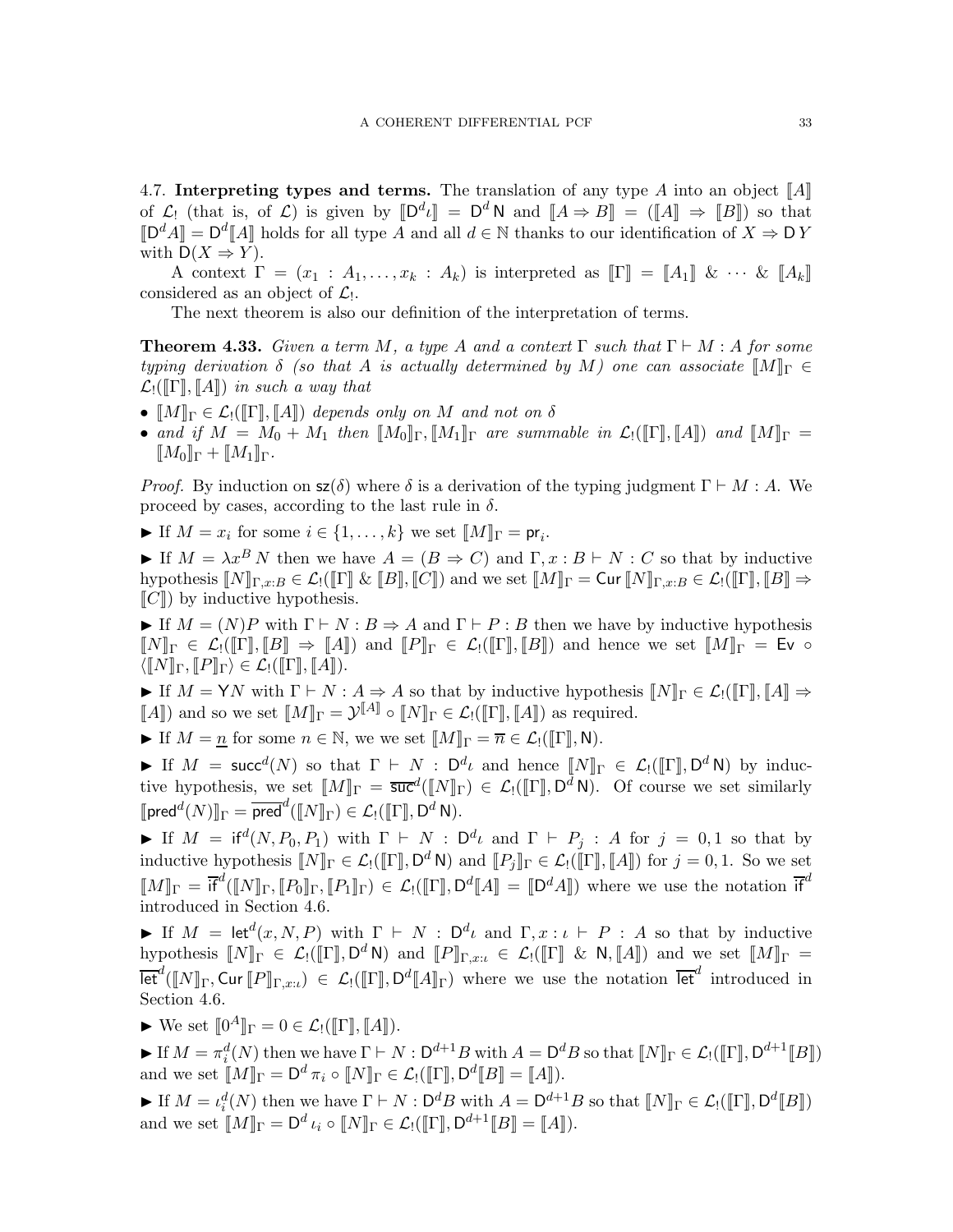<span id="page-32-0"></span>4.7. Interpreting types and terms. The translation of any type A into an object  $\llbracket A \rrbracket$ of  $\mathcal{L}_!$  (that is, of  $\mathcal{L}$ ) is given by  $[\mathbb{D}^d \iota] = \mathbb{D}^d \mathbb{N}$  and  $[\![A \Rightarrow B]\!] = ([\![A]\!] \Rightarrow [\![B]\!]$ ) so that  $\llbracket \mathsf{D}^d A \rrbracket = \mathsf{D}^d \llbracket A \rrbracket$  holds for all type A and all  $d \in \mathbb{N}$  thanks to our identification of  $X \Rightarrow \mathsf{D} Y$ with  $D(X \Rightarrow Y)$ .

A context  $\Gamma = (x_1 : A_1, \ldots, x_k : A_k)$  is interpreted as  $[\![\Gamma]\!] = [\![A_1]\!] \& \cdots \& [\![A_k]\!]$ considered as an object of  $\mathcal{L}_!$ .

The next theorem is also our definition of the interpretation of terms.

<span id="page-32-1"></span>**Theorem 4.33.** Given a term M, a type A and a context  $\Gamma$  such that  $\Gamma \vdash M : A$  for some typing derivation  $\delta$  (so that A is actually determined by M) one can associate  $\llbracket M \rrbracket_{\Gamma} \in$  $\mathcal{L}_!([\![\Gamma]\!], [\![A]\!])$  in such a way that

- $[M]_{\Gamma} \in \mathcal{L}_1([\Gamma], [A])$  depends only on M and not on  $\delta$
- and if  $M = M_0 + M_1$  then  $[M_0]_{\Gamma}$ ,  $[M_1]_{\Gamma}$  are summable in  $\mathcal{L}_!([\Gamma], [A])$  and  $[M]_{\Gamma} =$  $M_0\rrbracket_{\Gamma} + M_1\rrbracket_{\Gamma}.$

*Proof.* By induction on  $\mathsf{sz}(\delta)$  where  $\delta$  is a derivation of the typing judgment  $\Gamma \vdash M : A$ . We proceed by cases, according to the last rule in  $\delta$ .

If  $M = x_i$  for some  $i \in \{1, ..., k\}$  we set  $\llbracket M \rrbracket_{\Gamma} = \mathsf{pr}_i$ .

If  $M = \lambda x^B N$  then we have  $A = (B \Rightarrow C)$  and  $\Gamma, x : B \vdash N : C$  so that by inductive hypothesis  $\llbracket N \rrbracket_{\Gamma,x:B} \in \mathcal{L}_!([\rrbracket \mathbb{R} \mathbb{R} \mathbb{R} \mathbb{R} \mathbb{R} \mathbb{R} \mathbb{R} \mathbb{R} \mathbb{R} \mathbb{R} \mathbb{R} \mathbb{R} \mathbb{R} \mathbb{R} \mathbb{R} \mathbb{R} \mathbb{R} \mathbb{R} \Rightarrow$  $\llbracket C \rrbracket$ ) by inductive hypothesis.

If  $M = (N)P$  with  $\Gamma \vdash N : B \Rightarrow A$  and  $\Gamma \vdash P : B$  then we have by inductive hypothesis  $\llbracket N \rrbracket_{\Gamma} \in \mathcal{L}_!([\![\Gamma]\!], [\![B]\!] \Rightarrow \llbracket A \rrbracket)$  and  $\llbracket P \rrbracket_{\Gamma} \in \mathcal{L}_!([\![\Gamma]\!], [\![B]\!])$  and hence we set  $\llbracket M \rrbracket_{\Gamma} = \mathsf{Ev} \circ$  $\langle \llbracket N \rrbracket_\Gamma, \llbracket P \rrbracket_\Gamma \rangle \in \mathcal{L}_!([\![\Gamma]\!], \llbracket A \rrbracket).$ 

 $\blacktriangleright$  If  $M = \mathsf{Y}N$  with  $\Gamma \vdash N : A \Rightarrow A$  so that by inductive hypothesis  $\llbracket N \rrbracket_{\Gamma} \in \mathcal{L}(\llbracket \Gamma \rrbracket, \llbracket A \rrbracket \Rightarrow \mathcal{L}$ [A]) and so we set  $[M]_{\Gamma} = \mathcal{Y}^{[A]} \circ [N]_{\Gamma} \in \mathcal{L}_!([[\Gamma], [A]])$  as required.

If  $M = n$  for some  $n \in \mathbb{N}$ , we we set  $\llbracket M \rrbracket_{\Gamma} = \overline{n} \in \mathcal{L}_1(\llbracket \Gamma \rrbracket, \mathsf{N}).$ 

► If  $M = \mathsf{succ}^d(N)$  so that  $\Gamma \vdash N : D^d\iota$  and hence  $\llbracket N \rrbracket_{\Gamma} \in \mathcal{L}_!(\llbracket \Gamma \rrbracket, D^d\mathsf{N})$  by inductive hypothesis, we set  $[M]_{\Gamma} = \overline{\mathsf{succ}}^d([N]_{\Gamma}) \in \mathcal{L}_!([\![\Gamma]\!], \mathsf{D}^d \mathsf{N})$ . Of course we set similarly  $[\![\mathsf{pred}^d(N)]\!]_\Gamma = \overline{\mathsf{pred}}^d([\![N]\!]_\Gamma) \in \mathcal{L}_!(\![\![\Gamma]\!], \mathsf{D}^d \,\mathsf{N}).$ 

**►** If  $M = \text{if}^d(N, P_0, P_1)$  with  $\Gamma \vdash N$ ;  $D^d\iota$  and  $\Gamma \vdash P_j$ : A for  $j = 0, 1$  so that by inductive hypothesis  $\llbracket N \rrbracket_{\Gamma} \in \mathcal{L}_! (\llbracket \Gamma \rrbracket, \mathsf{D}^d \mathsf{N})$  and  $\llbracket P_j \rrbracket_{\Gamma} \in \mathcal{L}_! (\llbracket \Gamma \rrbracket, \llbracket A \rrbracket)$  for  $j = 0, 1$ . So we set  $\llbracket M \rrbracket_{\Gamma} = \overline{\mathfrak{if}}^d(\llbracket N \rrbracket_{\Gamma}, \llbracket P_0 \rrbracket_{\Gamma}, \llbracket P_1 \rrbracket_{\Gamma}) \in \mathcal{L}_!(\llbracket \Gamma \rrbracket, \mathsf{D}^d \llbracket A \rrbracket = \llbracket \mathsf{D}^d A \rrbracket)$  where we use the notation  $\overline{\mathfrak{if}}^d$ introduced in Section [4.6.](#page-29-0)

► If  $M = \text{let}^d(x, N, P)$  with  $\Gamma \vdash N$ :  $D^d\iota$  and  $\Gamma, x : \iota \vdash P : A$  so that by inductive hypothesis  $[N]_{\Gamma} \in \mathcal{L}_!([\Gamma], \mathsf{D}^d \mathsf{N})$  and  $[P]_{\Gamma,x:\iota} \in \mathcal{L}_!([\Gamma] \& \mathsf{N}, [A])$  and we set  $[M]_{\Gamma} =$  $\overline{\text{let}}^d(\llbracket N \rrbracket_{\Gamma},\text{Cur}\llbracket P \rrbracket_{\Gamma,x:\iota}) \in \mathcal{L}_!(\llbracket \Gamma \rrbracket,\text{D}^d \llbracket A \rrbracket_{\Gamma})$  where we use the notation  $\overline{\text{let}}^d$  introduced in Section [4.6.](#page-29-0)

 $\blacktriangleright$  We set  $[\![0^A]\!]_\Gamma = 0 \in \mathcal{L}_!([\![\Gamma]\!], [\![A]\!]).$ 

► If  $M = \pi_i^d(N)$  then we have  $\Gamma \vdash N : \mathsf{D}^{d+1}B$  with  $A = \mathsf{D}^dB$  so that  $\llbracket N \rrbracket_{\Gamma} \in \mathcal{L}_! (\llbracket \Gamma \rrbracket, \mathsf{D}^{d+1} \llbracket B \rrbracket)$ and we set  $\llbracket M \rrbracket_{\Gamma} = \mathsf{D}^d \pi_i \circ \llbracket N \rrbracket_{\Gamma} \in \mathcal{L}_! (\llbracket \Gamma \rrbracket, \mathsf{D}^d \llbracket B \rrbracket = \llbracket A \rrbracket).$ 

If  $M = \iota_i^d(N)$  then we have  $\Gamma \vdash N : \mathsf{D}^d B$  with  $A = \mathsf{D}^{d+1} B$  so that  $\llbracket N \rrbracket_{\Gamma} \in \mathcal{L}_! (\llbracket \Gamma \rrbracket, \mathsf{D}^d \llbracket B \rrbracket)$ and we set  $\llbracket M \rrbracket_{\Gamma} = \mathsf{D}^d \iota_i \circ \llbracket N \rrbracket_{\Gamma} \in \mathcal{L}_! (\llbracket \Gamma \rrbracket, \mathsf{D}^{d+1} \llbracket B \rrbracket = \llbracket A \rrbracket).$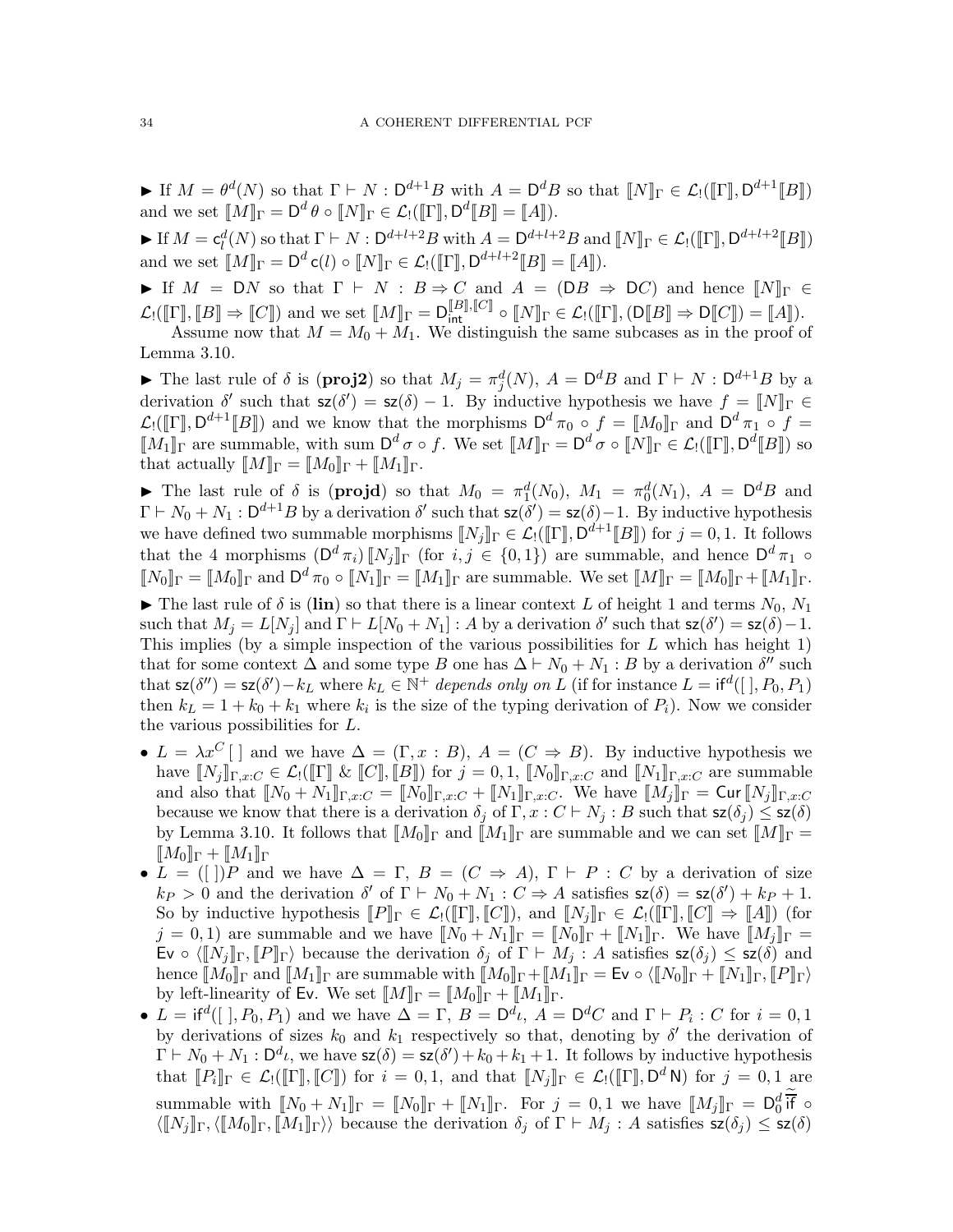If  $M = \theta^d(N)$  so that  $\Gamma \vdash N : \mathsf{D}^{d+1}B$  with  $A = \mathsf{D}^dB$  so that  $\llbracket N \rrbracket_{\Gamma} \in \mathcal{L}_! (\llbracket \Gamma \rrbracket, \mathsf{D}^{d+1} \llbracket B \rrbracket)$ and we set  $[M]_{\Gamma} = \mathsf{D}^d \theta \circ [N]_{\Gamma} \in \mathcal{L}_!([[\Gamma]], \mathsf{D}^d[[B]] = [[A]]).$ 

If  $M = c_l^d(N)$  so that  $\Gamma \vdash N : D^{d+l+2}B$  with  $A = D^{d+l+2}B$  and  $\llbracket N \rrbracket_{\Gamma} \in \mathcal{L}_1(\llbracket \Gamma \rrbracket, D^{d+l+2} \llbracket B \rrbracket)$ and we set  $[M]_{\Gamma} = \mathsf{D}^d \mathsf{c}(l) \circ [N]_{\Gamma} \in \mathcal{L}_!([\Gamma], \mathsf{D}^{d+l+2} [B] = [A]).$ 

If  $M = DN$  so that  $\Gamma \vdash N : B \Rightarrow C$  and  $A = (DB \Rightarrow DC)$  and hence  $||N||_{\Gamma} \in$  $\mathcal{L}_!([\![\Gamma]\!], [\![B]\!] \Rightarrow [\![C]\!])$  and we set  $[\![M]\!]_{\Gamma} = \mathsf{D}_{\mathsf{int}}^{[\![B]\!],[\![C]\!]}\circ [\![N]\!]_{\Gamma} \in \mathcal{L}_!([\![\Gamma]\!], (\mathsf{D}[\![B]\!] \Rightarrow \mathsf{D}[\![C]\!]) = [\![A]\!]).$ Assume now that  $M = M_0 + M_1$ . We distinguish the same subcases as in the proof of

Lemma [3.10.](#page-13-0)

► The last rule of  $\delta$  is (**proj2**) so that  $M_j = \pi_j^d(N)$ ,  $A = D^dB$  and  $\Gamma \vdash N : D^{d+1}B$  by a derivation  $\delta'$  such that  $\mathsf{sz}(\delta') = \mathsf{sz}(\delta) - 1$ . By inductive hypothesis we have  $f = \llbracket N \rrbracket_{\Gamma} \in$  $\mathcal{L}_!([\![\Gamma]\!], \mathsf{D}^{d+1}[\![B]\!])$  and we know that the morphisms  $\mathsf{D}^d \pi_0 \circ f = [\![M_0]\!]$  and  $\mathsf{D}^d \pi_1 \circ f =$  $[M_1]_\Gamma$  are summable, with sum  $D^d \sigma \circ f$ . We set  $[M]_\Gamma = D^d \sigma \circ [N]_\Gamma \in \mathcal{L}_!([[\Gamma]], D^d[[B]])$  so that actually  $[M]_{\Gamma} = [M_0]_{\Gamma} + [M_1]_{\Gamma}$ .

The last rule of  $\delta$  is (**projd**) so that  $M_0 = \pi_1^d(N_0)$ ,  $M_1 = \pi_0^d(N_1)$ ,  $A = D^dB$  and  $\Gamma \vdash N_0 + N_1 : \mathsf{D}^{d+1}B$  by a derivation  $\delta'$  such that  $\mathsf{sz}(\delta') = \mathsf{sz}(\delta) - 1$ . By inductive hypothesis we have defined two summable morphisms  $\llbracket N_j \rrbracket_{\Gamma} \in \mathcal{L}_! (\llbracket \Gamma \rrbracket, \mathsf{D}^{d+1} \llbracket B \rrbracket)$  for  $j = 0, 1$ . It follows that the 4 morphisms  $(D^d \pi_i) [N_j]_{\Gamma}$  (for  $i, j \in \{0, 1\}$ ) are summable, and hence  $D^d \pi_1 \circ$  $\llbracket N_0 \rrbracket_{\Gamma} = \llbracket M_0 \rrbracket_{\Gamma}$  and  $\mathsf{D}^d \pi_0 \circ \llbracket N_1 \rrbracket_{\Gamma} = \llbracket M_1 \rrbracket_{\Gamma}$  are summable. We set  $\llbracket M \rrbracket_{\Gamma} = \llbracket M_0 \rrbracket_{\Gamma} + \llbracket M_1 \rrbracket_{\Gamma}$ .

 $\blacktriangleright$  The last rule of  $\delta$  is (lin) so that there is a linear context L of height 1 and terms  $N_0, N_1$ such that  $M_j = L[N_j]$  and  $\Gamma \vdash L[N_0 + N_1] : A$  by a derivation  $\delta'$  such that  $sz(\delta') = sz(\delta) - 1$ . This implies (by a simple inspection of the various possibilities for  $L$  which has height 1) that for some context  $\Delta$  and some type B one has  $\Delta \vdash N_0 + N_1 : B$  by a derivation  $\delta''$  such that  $\mathsf{sz}(\delta'') = \mathsf{sz}(\delta') - k_L$  where  $k_L \in \mathbb{N}^+$  depends only on L (if for instance  $L = \mathsf{if}^d([\ ], P_0, P_1)$ ) then  $k_L = 1 + k_0 + k_1$  where  $k_i$  is the size of the typing derivation of  $P_i$ ). Now we consider the various possibilities for L.

- $L = \lambda x^C$  | and we have  $\Delta = (\Gamma, x : B)$ ,  $A = (C \Rightarrow B)$ . By inductive hypothesis we have  $[N_i]_{\Gamma,x:C} \in \mathcal{L}_1([\![\Gamma]\!]\&\![C]\!], [\![B]\!])$  for  $j=0,1$ ,  $[N_0]_{\Gamma,x:C}$  and  $[N_1]_{\Gamma,x:C}$  are summable and also that  $\llbracket N_0 + N_1 \rrbracket_{\Gamma,x:C} = \llbracket N_0 \rrbracket_{\Gamma,x:C} + \llbracket N_1 \rrbracket_{\Gamma,x:C}$ . We have  $\llbracket M_j \rrbracket_{\Gamma} = \text{Cur} \llbracket N_j \rrbracket_{\Gamma,x:C}$ because we know that there is a derivation  $\delta_j$  of  $\Gamma, x : C \vdash N_j : B$  such that  $\mathsf{sz}(\delta_j) \leq \mathsf{sz}(\delta)$ by Lemma [3.10.](#page-13-0) It follows that  $\llbracket M_0 \rrbracket_{\Gamma}$  and  $\llbracket M_1 \rrbracket_{\Gamma}$  are summable and we can set  $\llbracket M \rrbracket_{\Gamma} =$  $[\![M_0]\!]_\Gamma + [\![M_1]\!]_\Gamma$
- $L = ([])P$  and we have  $\Delta = \Gamma$ ,  $B = (C \Rightarrow A)$ ,  $\Gamma \vdash P : C$  by a derivation of size  $k_P > 0$  and the derivation  $\delta'$  of  $\Gamma \vdash N_0 + N_1 : C \Rightarrow A$  satisfies  $\mathsf{sz}(\delta) = \mathsf{sz}(\delta') + k_P + 1$ . So by inductive hypothesis  $\llbracket P \rrbracket_{\Gamma} \in \mathcal{L}_!([\![\Gamma]\!], [\![C]\!])$ , and  $\llbracket N_i \rrbracket_{\Gamma} \in \mathcal{L}_!([\![\Gamma]\!], [\![C]\!]) \Rightarrow \llbracket A \rrbracket$  (for  $j = 0, 1$ ) are summable and we have  $\llbracket N_0 + N_1 \rrbracket_{\Gamma} = \llbracket N_0 \rrbracket_{\Gamma} + \llbracket N_1 \rrbracket_{\Gamma}$ . We have  $\llbracket M_j \rrbracket_{\Gamma} =$ Ev  $\circ \langle [N_j]_{\Gamma}, [P]_{\Gamma} \rangle$  because the derivation  $\delta_j$  of  $\Gamma \vdash M_j : A$  satisfies  $\mathsf{sz}(\delta_j) \leq \mathsf{sz}(\delta)$  and hence  $[M_0]_\Gamma$  and  $[M_1]_\Gamma$  are summable with  $[M_0]_\Gamma + [M_1]_\Gamma = \mathsf{Ev} \circ \langle [N_0]_\Gamma + [N_1]_\Gamma, [P]_\Gamma \rangle$ by left-linearity of Ev. We set  $\llbracket M \rrbracket_{\Gamma} = \llbracket M_0 \rrbracket_{\Gamma} + \llbracket M_1 \rrbracket_{\Gamma}.$
- $L = \text{if}^d([\ ], P_0, P_1)$  and we have  $\Delta = \Gamma$ ,  $B = \mathsf{D}^d \iota$ ,  $A = \mathsf{D}^d C$  and  $\Gamma \vdash P_i : C$  for  $i = 0, 1$ by derivations of sizes  $k_0$  and  $k_1$  respectively so that, denoting by  $\delta'$  the derivation of  $\Gamma \vdash N_0 + N_1 : \mathsf{D}^d \iota$ , we have  $\mathsf{sz}(\delta) = \mathsf{sz}(\delta') + k_0 + k_1 + 1$ . It follows by inductive hypothesis that  $[[P_i]]_{\Gamma} \in \mathcal{L}_!([\![\Gamma]\!], [\![C]\!])$  for  $i = 0, 1$ , and that  $[[N_j]]_{\Gamma} \in \mathcal{L}_!([\![\Gamma]\!], \mathsf{D}^d \mathsf{N})$  for  $j = 0, 1$  are summable with  $\llbracket N_0 + N_1 \rrbracket_{\Gamma} = \llbracket N_0 \rrbracket_{\Gamma} + \llbracket N_1 \rrbracket_{\Gamma}$ . For  $j = 0, 1$  we have  $\llbracket M_j \rrbracket_{\Gamma} = \mathsf{D}_0^d \overline{\mathsf{if}}$  $\langle \llbracket N_j \rrbracket_\Gamma, \langle \llbracket M_0 \rrbracket_\Gamma, \llbracket M_1 \rrbracket_\Gamma \rangle \rangle$  because the derivation  $\delta_j$  of  $\Gamma \vdash M_j : A$  satisfies  $\mathsf{sz}(\delta_j) \leq \mathsf{sz}(\delta)$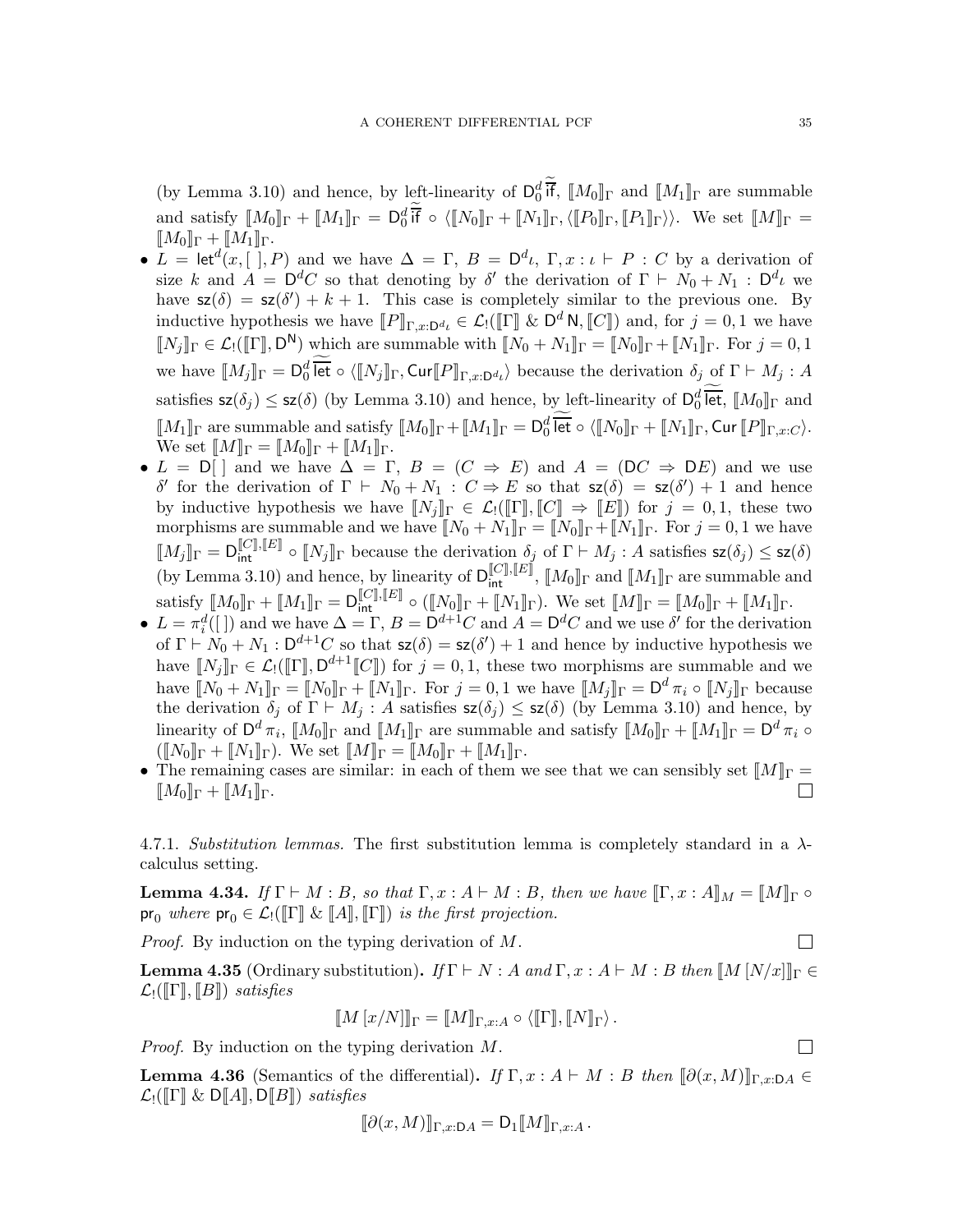(by Lemma [3.10\)](#page-13-0) and hence, by left-linearity of  $\mathsf{D}_0^d$  if,  $\llbracket M_0 \rrbracket_{\Gamma}$  and  $\llbracket M_1 \rrbracket_{\Gamma}$  are summable and satisfy  $[M_0]_\Gamma + [M_1]_\Gamma = \mathsf{D}_0^d \overline{\mathsf{if}} \circ \langle [N_0]_\Gamma + [N_1]_\Gamma, \langle [P_0]_\Gamma, [P_1]_\Gamma \rangle \rangle$ . We set  $[M]_\Gamma =$  $[M_0]_{\Gamma} + [M_1]_{\Gamma}$ .

- $L = \text{let}^d(x, [ ,], P)$  and we have  $\Delta = \Gamma$ ,  $B = D^d\iota$ ,  $\Gamma, x : \iota \vdash P : C$  by a derivation of size k and  $A = D^dC$  so that denoting by  $\delta'$  the derivation of  $\Gamma \vdash N_0 + N_1 : D^d\iota$  we have  $\mathsf{sz}(\delta) = \mathsf{sz}(\delta') + k + 1$ . This case is completely similar to the previous one. By inductive hypothesis we have  $[ P ]_{\Gamma,x:D^d} \in \mathcal{L}_!([ \Gamma ] \& D^d \mathsf{N},[ \![ C ] \!] )$  and, for  $j=0,1$  we have  $\llbracket N_j \rrbracket_\Gamma \in \mathcal{L}_!([\![\Gamma]\!], \mathsf{D}^{\mathsf{N}})$  which are summable with  $\llbracket N_0 + N_1 \rrbracket_\Gamma = \llbracket N_0 \rrbracket_\Gamma + \llbracket N_1 \rrbracket_\Gamma$ . For  $j = 0, 1$ we have  $[M_j]_{\Gamma} = \mathsf{D}_0^d$  let  $\circ \langle [N_j]_{\Gamma}, \mathsf{Cur}[P]_{\Gamma,x:\mathsf{D}^d} \rangle$  because the derivation  $\delta_j$  of  $\Gamma \vdash M_j : A$ satisfies  $\mathsf{sz}(\delta_j) \leq \mathsf{sz}(\delta)$  (by Lemma [3.10\)](#page-13-0) and hence, by left-linearity of  $\mathsf{D}_0^d$  let,  $\llbracket M_0 \rrbracket_{\Gamma}$  and  $\llbracket M_1 \rrbracket_{\Gamma}$  are summable and satisfy  $\llbracket M_0 \rrbracket_{\Gamma} + \llbracket M_1 \rrbracket_{\Gamma} = \mathsf{D}_0^d$  let  $\circ \langle \llbracket N_0 \rrbracket_{\Gamma} + \llbracket N_1 \rrbracket_{\Gamma}, \mathsf{Cur} \llbracket P \rrbracket_{\Gamma,x:C} \rangle.$ We set  $[M]_{\Gamma} = [M_0]_{\Gamma} + [M_1]_{\Gamma}$ .
- $L = D[$  and we have  $\overline{\Delta} = \Gamma$ ,  $B = (C \Rightarrow E)$  and  $A = (DC \Rightarrow DE)$  and we use δ' for the derivation of Γ ⊢  $N_0 + N_1$ :  $C \Rightarrow E$  so that  $\mathsf{sz}(\delta) = \mathsf{sz}(\delta') + 1$  and hence by inductive hypothesis we have  $[N_j]_\Gamma \in \mathcal{L}_1([\Gamma], [C]) \Rightarrow [E])$  for  $j = 0, 1$ , these two morphisms are summable and we have  $N_0 + N_1$ <sub>I</sub><sub>Γ</sub> =  $N_0$ <sub>I</sub><sub>Γ</sub> +  $N_1$ <sub>I</sub><sub>Γ</sub>. For  $j = 0, 1$  we have  $\llbracket M_j \rrbracket_{\Gamma} = \mathsf{D}_{\mathsf{int}}^{\llbracket C \rrbracket, \llbracket E \rrbracket} \circ \llbracket N_j \rrbracket_{\Gamma}$  because the derivation  $\delta_j$  of  $\Gamma \vdash M_j : A$  satisfies  $\mathsf{sz}(\delta_j) \leq \mathsf{sz}(\delta)$ (by Lemma [3.10\)](#page-13-0) and hence, by linearity of  $D_{int}^{[C], [E]}$ ,  $[M_0]_{\Gamma}$  and  $[M_1]_{\Gamma}$  are summable and  $\text{satisfy } [M_0]_\Gamma + [\![M_1]\!]_\Gamma = \mathsf{D}^{[\![C]\!], [\![E]\!]}\circ ([\![N_0]\!]_\Gamma + [\![N_1]\!]_\Gamma). \text{ We set } [\![M]\!]_\Gamma = [\![M_0]\!]_\Gamma + [\![M_1]\!]_\Gamma.$
- $L = \pi_i^d([\ ])$  and we have  $\Delta = \Gamma$ ,  $B = \mathsf{D}^{d+1}C$  and  $A = \mathsf{D}^dC$  and we use  $\delta'$  for the derivation of  $\Gamma \vdash N_0 + N_1 : D^{d+1}C$  so that  $\mathsf{sz}(\delta) = \mathsf{sz}(\delta') + 1$  and hence by inductive hypothesis we have  $\llbracket N_j \rrbracket_{\Gamma} \in \mathcal{L}_! (\llbracket \Gamma \rrbracket, \mathsf{D}^{d+1} \llbracket C \rrbracket)$  for  $j = 0, 1$ , these two morphisms are summable and we have  $\llbracket N_0 + N_1 \rrbracket_{\Gamma} = \llbracket N_0 \rrbracket_{\Gamma} + \llbracket N_1 \rrbracket_{\Gamma}$ . For  $j = 0, 1$  we have  $\llbracket M_j \rrbracket_{\Gamma} = \mathsf{D}^d \pi_i \circ \llbracket N_j \rrbracket_{\Gamma}$  because the derivation  $\delta_j$  of  $\Gamma \vdash M_j$ : A satisfies  $\mathsf{sz}(\delta_j) \leq \mathsf{sz}(\delta)$  (by Lemma [3.10\)](#page-13-0) and hence, by linearity of  $\mathsf{D}^d \pi_i$ ,  $[M_0]_\Gamma$  and  $[M_1]_\Gamma$  are summable and satisfy  $[M_0]_\Gamma + [M_1]_\Gamma = \mathsf{D}^d \pi_i$  $(\llbracket N_0 \rrbracket_{\Gamma} + \llbracket N_1 \rrbracket_{\Gamma})$ . We set  $\llbracket M \rrbracket_{\Gamma} = \llbracket M_0 \rrbracket_{\Gamma} + \llbracket M_1 \rrbracket_{\Gamma}$ .
- The remaining cases are similar: in each of them we see that we can sensibly set  $[M]\Gamma = \llbracket M_0 \rrbracket_{\Gamma} + \llbracket M_1 \rrbracket_{\Gamma}.$  $M_0\rrbracket_{\Gamma} + M_1\rrbracket_{\Gamma}.$

4.7.1. Substitution lemmas. The first substitution lemma is completely standard in a  $\lambda$ calculus setting.

**Lemma 4.34.** If  $\Gamma \vdash M : B$ , so that  $\Gamma, x : A \vdash M : B$ , then we have  $[\Gamma, x : A]_M = [M]_{\Gamma} \circ$  $\mathsf{pr}_0$  where  $\mathsf{pr}_0 \in \mathcal{L}_!([\![\Gamma]\!]\&\![A]\!], [\![\Gamma]\!])$  is the first projection.

Proof. By induction on the typing derivation of M.

**Lemma 4.35** (Ordinary substitution). If  $\Gamma \vdash N : A$  and  $\Gamma, x : A \vdash M : B$  then  $\llbracket M \rbrack N/x \rrbracket_{\Gamma} \in$  $\mathcal{L}_!([\![\Gamma]\!], [\![B]\!])$  satisfies

$$
\llbracket M\left[x/N\right]\rrbracket_{\Gamma} = \llbracket M\rrbracket_{\Gamma,x:A} \circ \langle \llbracket \Gamma \rrbracket, \llbracket N\rrbracket_{\Gamma} \rangle.
$$

Proof. By induction on the typing derivation M.

**Lemma 4.36** (Semantics of the differential). If  $\Gamma, x : A \vdash M : B$  then  $[\![\partial(x, M)]\!]_{\Gamma, x : D A} \in$  $\mathcal{L}_!([\![\Gamma]\!]\&\mathsf{D}[\![A]\!],\mathsf{D}[\![B]\!])$  satisfies

$$
[\![\partial(x,M)]\!]_{\Gamma,x:DA} = \mathsf{D}_1[\![M]\!]_{\Gamma,x:A}.
$$

 $\Box$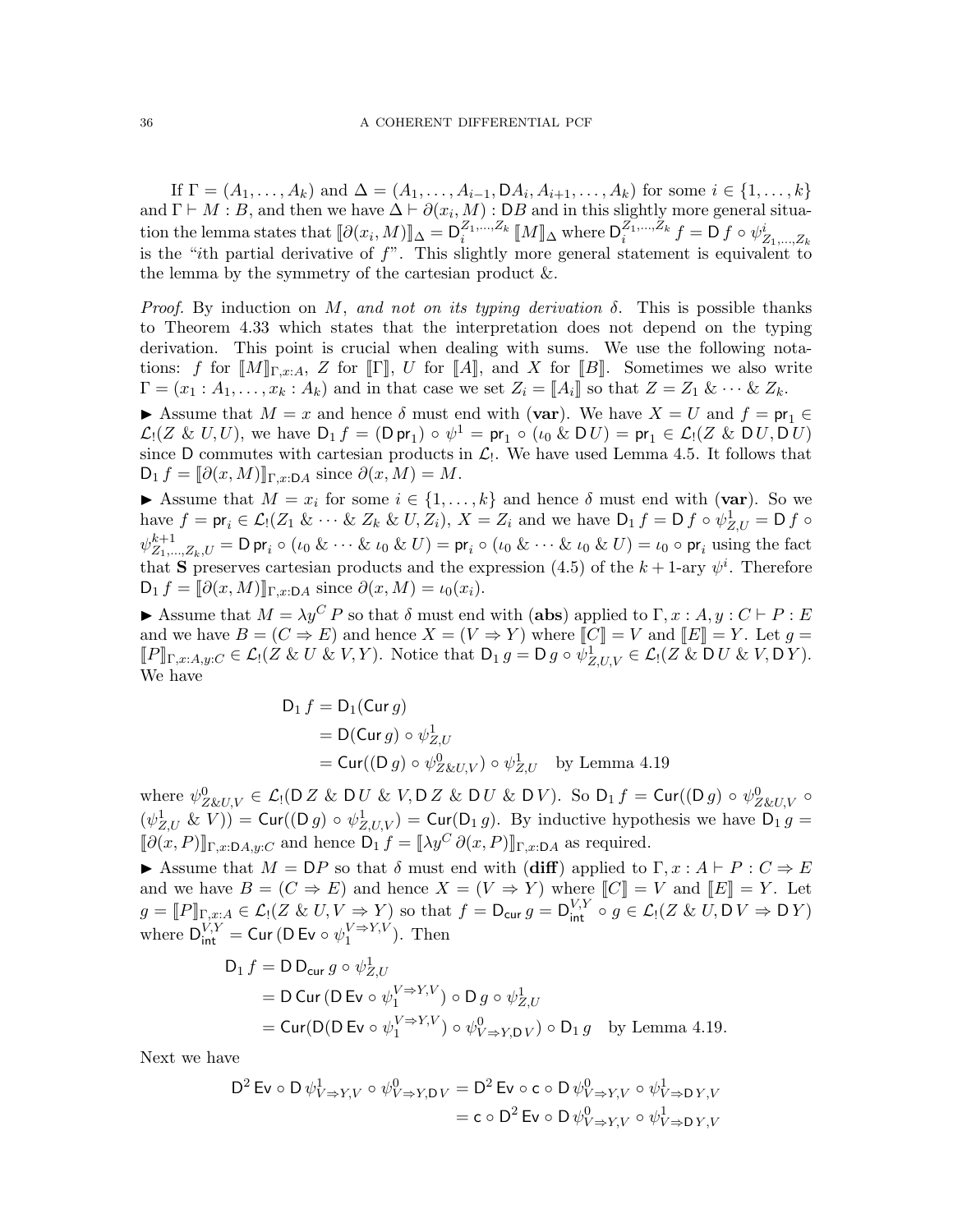If  $\Gamma = (A_1, ..., A_k)$  and  $\Delta = (A_1, ..., A_{i-1}, \mathsf{D}A_i, A_{i+1}, ..., A_k)$  for some  $i \in \{1, ..., k\}$ and  $\Gamma \vdash M : B$ , and then we have  $\Delta \vdash \partial(x_i, M) : DB$  and in this slightly more general situation the lemma states that  $[\![\partial(x_i, M)]\!]_\Delta = \mathsf{D}_i^{Z_1, \ldots, Z_k} [\![M]\!]_\Delta$  where  $\mathsf{D}_i^{Z_1, \ldots, Z_k} f = \mathsf{D} f \circ \psi^i_{Z_1, \ldots, Z_k}$ is the "ith partial derivative of  $f$ ". This slightly more general statement is equivalent to the lemma by the symmetry of the cartesian product  $\&$ .

*Proof.* By induction on M, and not on its typing derivation  $\delta$ . This is possible thanks to Theorem [4.33](#page-32-1) which states that the interpretation does not depend on the typing derivation. This point is crucial when dealing with sums. We use the following notations: f for  $[M]_{\Gamma,x:A}$ , Z for  $\Gamma$ , U for  $\llbracket A \rrbracket$ , and X for  $\llbracket B \rrbracket$ . Sometimes we also write  $\Gamma = (x_1 : A_1, \ldots, x_k : A_k)$  and in that case we set  $Z_i = [A_i]$  so that  $Z = Z_1 \& \cdots \& Z_k$ .

Assume that  $M = x$  and hence  $\delta$  must end with (var). We have  $X = U$  and  $f = pr_1 \in$  $\mathcal{L}_1(Z \& U, U)$ , we have  $D_1 f = (D \text{ pr}_1) \circ \psi^1 = \text{ pr}_1 \circ (\iota_0 \& D U) = \text{ pr}_1 \in \mathcal{L}_1(Z \& D U, D U)$ since D commutes with cartesian products in  $\mathcal{L}_1$ . We have used Lemma [4.5.](#page-19-3) It follows that  $D_1 f = \llbracket \partial(x, M) \rrbracket_{\Gamma, x : \mathsf{D} A}$  since  $\partial(x, M) = M$ .

Assume that  $M = x_i$  for some  $i \in \{1, ..., k\}$  and hence  $\delta$  must end with (var). So we have  $f = \text{pr}_i \in \mathcal{L}_1(Z_1 \& \cdots \& Z_k \& U, Z_i), X = Z_i$  and we have  $D_1 f = D f \circ \psi_{Z,U}^1 = D f \circ \psi_{Z,U}^1$  $\psi^{k+1}_{Z_1,\dots,Z_k,U} = \mathsf{D} \mathsf{pr}_i \circ (\iota_0 \& \dots \& \iota_0 \& U) = \mathsf{pr}_i \circ (\iota_0 \& \dots \& \iota_0 \& U) = \iota_0 \circ \mathsf{pr}_i$  using the fact that S preserves cartesian products and the expression [\(4.5\)](#page-21-2) of the  $k+1$ -ary  $\psi^i$ . Therefore  $D_1 f = \llbracket \partial(x, M) \rrbracket_{\Gamma, x : \mathsf{D} A}$  since  $\partial(x, M) = \iota_0(x_i)$ .

Assume that  $M = \lambda y^C P$  so that  $\delta$  must end with (abs) applied to  $\Gamma, x : A, y : C \vdash P : E$ and we have  $B = (C \Rightarrow E)$  and hence  $X = (V \Rightarrow Y)$  where  $[[C]] = V$  and  $[[E]] = Y$ . Let  $g =$  $[P]_{\Gamma,x:A,y:C} \in \mathcal{L}_1(Z \& U \& V, Y)$ . Notice that  $D_1 g = D g \circ \psi^1_{Z,U,V} \in \mathcal{L}_1(Z \& D U \& V, DY)$ . We have

$$
D_1 f = D_1(\text{Cur } g)
$$
  
= D(Cur  $g$ )  $\circ \psi_{Z,U}^1$   
= Cur $((D g) \circ \psi_{Z\&U,V}^0) \circ \psi_{Z,U}^1$  by Lemma 4.19

where  $\psi^0_{Z\&U,V}\in \mathcal{L}_!(\mathsf{D} Z\&\mathsf{D} U\&V,\mathsf{D} Z\&\mathsf{D} U\&\mathsf{D} V)$ . So  $\mathsf{D}_1f=\mathsf{Cur}((\mathsf{D} g)\circ\psi^0_{Z\&U,V}\circ$  $(\psi_{Z,U}^1 \& V)) = \text{Cur}((D g) \circ \psi_{Z,U,V}^1) = \text{Cur}(D_1 g)$ . By inductive hypothesis we have  $D_1 g =$  $\llbracket \partial(x, P) \rrbracket_{\Gamma,x:DA,y:C}$  and hence  $D_1 f = \llbracket \lambda y^C \partial(x, P) \rrbracket_{\Gamma,x:DA}$  as required.

Assume that  $M = \mathsf{D}P$  so that  $\delta$  must end with (diff) applied to  $\Gamma, x : A \vdash P : C \Rightarrow E$ and we have  $B = (C \Rightarrow E)$  and hence  $X = (V \Rightarrow Y)$  where  $||C|| = V$  and  $||E|| = Y$ . Let  $g = \llbracket P \rrbracket_{\Gamma, x : A} \in \mathcal{L}_1(Z \& U, V \Rightarrow Y)$  so that  $f = D_{\text{cur}} g = D_{\text{int}}^{V, Y} \circ g \in \mathcal{L}_1(Z \& U, D V \Rightarrow D Y)$ where  $D_{int}^{V,Y} =$  Cur (D Ev  $\circ \psi_1^{V \Rightarrow Y,V}$ ). Then

$$
D_1 f = D D_{cur} g \circ \psi_{Z,U}^1
$$
  
= D Cur (D Ev o  $\psi_1^{V \Rightarrow Y,V}$ ) o D g o  $\psi_{Z,U}^1$   
= Cur(D(D Ev o  $\psi_1^{V \Rightarrow Y,V}$ ) o  $\psi_{V \Rightarrow Y,DV}^0$ ) o D<sub>1</sub> g by Lemma 4.19.

Next we have

$$
D^{2} \operatorname{Ev} \circ D \psi_{V \to Y, V}^{1} \circ \psi_{V \to Y, DV}^{0} = D^{2} \operatorname{Ev} \circ c \circ D \psi_{V \to Y, V}^{0} \circ \psi_{V \to DY, V}^{1}
$$

$$
= c \circ D^{2} \operatorname{Ev} \circ D \psi_{V \to Y, V}^{0} \circ \psi_{V \to DY, V}^{1}
$$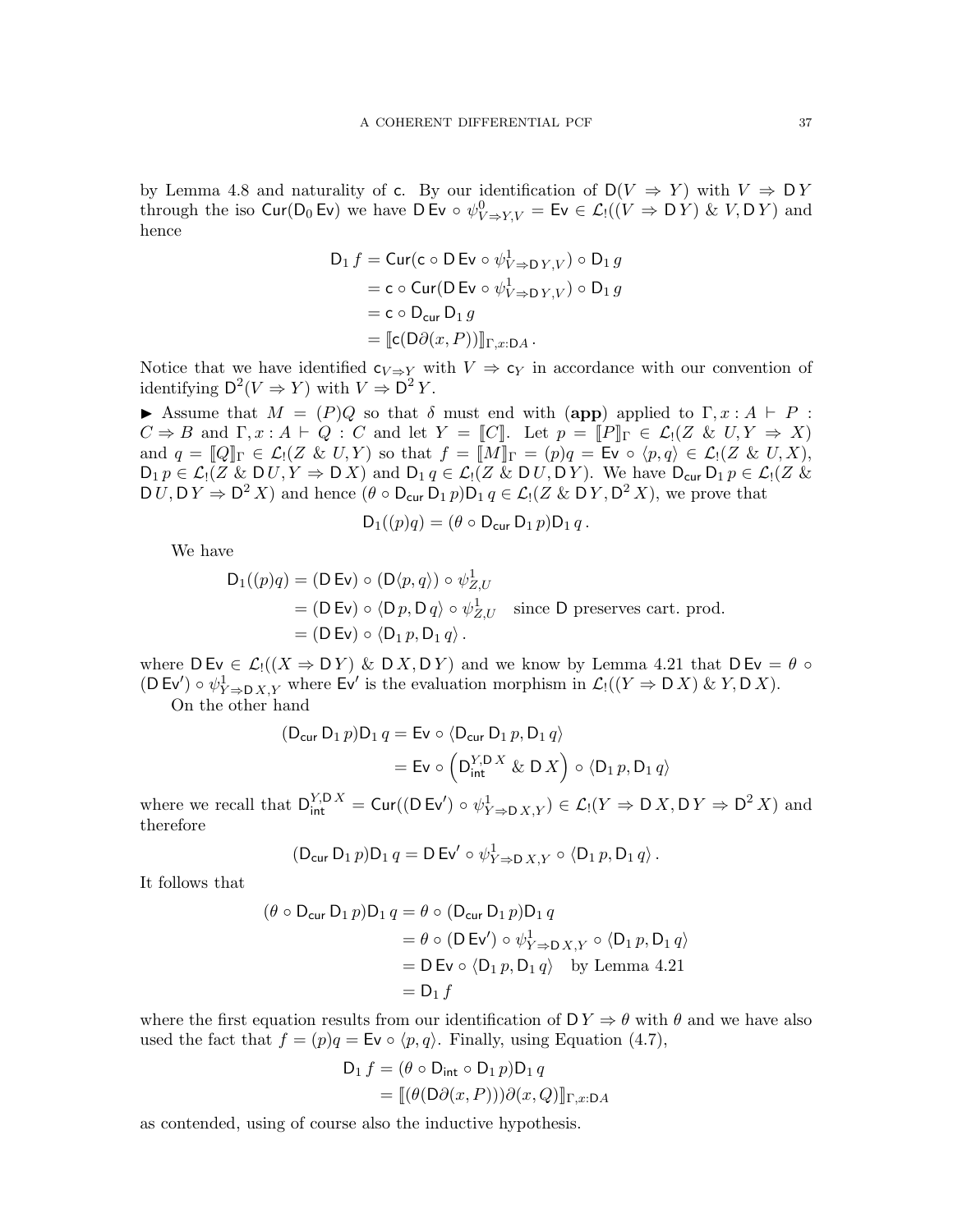by Lemma [4.8](#page-20-0) and naturality of c. By our identification of  $D(V \Rightarrow Y)$  with  $V \Rightarrow DY$ through the iso  $\text{Cur}(\text{D}_0 \text{Ev})$  we have  $\text{D Ev} \circ \psi^0_{V \to Y, V} = \text{Ev} \in \mathcal{L}_!((V \Rightarrow \text{D} Y) \& V, \text{D} Y)$  and hence

$$
D_1 f = \text{Cur}(c \circ D \text{ Ev} \circ \psi_{V \Rightarrow D Y, V}^1) \circ D_1 g
$$
  
= c \circ \text{Cur}(D \text{ Ev} \circ \psi\_{V \Rightarrow D Y, V}^1) \circ D\_1 g  
= c \circ D\_{\text{cur}} D\_1 g  
= [c(D\partial(x, P))]\_{\Gamma, x:DA}.

Notice that we have identified  $c_{V \Rightarrow Y}$  with  $V \Rightarrow c_Y$  in accordance with our convention of identifying  $\mathsf{D}^2(V \Rightarrow Y)$  with  $V \Rightarrow \mathsf{D}^2 Y$ .

Assume that  $M = (P)Q$  so that  $\delta$  must end with (app) applied to  $\Gamma, x : A \vdash P$ :  $C \Rightarrow B$  and  $\Gamma, x : A \vdash Q : C$  and let  $Y = [[C]]$ . Let  $p = [[P]]_{\Gamma} \in \mathcal{L}_1(Z \& U, Y \Rightarrow X)$ and  $q = [Q]_{\Gamma} \in \mathcal{L}_1(Z \& U, Y)$  so that  $f = [M]_{\Gamma} = (p)q = \mathsf{Ev} \circ \langle p, q \rangle \in \mathcal{L}_1(Z \& U, X),$  $D_1 p \in \mathcal{L}_1(Z \& D U, Y \Rightarrow D X)$  and  $D_1 q \in \mathcal{L}_1(Z \& D U, D Y)$ . We have  $D_{\text{cur}} D_1 p \in \mathcal{L}_1(Z \& D Y)$  $D U, D Y \Rightarrow D^2 X$  and hence  $(\theta \circ D_{\text{cur}} D_1 p) D_1 q \in \mathcal{L}_1(Z \& D Y, D^2 X)$ , we prove that

$$
D_1((p)q) = (\theta \circ D_{\text{cur}} D_1 p)D_1 q.
$$

We have

$$
D_1((p)q) = (D Ev) \circ (D\langle p, q \rangle) \circ \psi_{Z,U}^1
$$
  
= (D Ev) \circ \langle D p, D q \rangle \circ \psi\_{Z,U}^1 \text{ since } D \text{ preserves cart. prod.}  
= (D Ev) \circ \langle D\_1 p, D\_1 q \rangle.

where  $D Ev \in \mathcal{L}_1((X \Rightarrow DY) \& D X, DY)$  and we know by Lemma [4.21](#page-24-0) that  $D Ev = \theta \circ D Y$  $(D Ev') \circ \psi^1_{Y \to D X, Y}$  where Ev' is the evaluation morphism in  $\mathcal{L}_!((Y \Rightarrow D X) \& Y, D X)$ .

On the other hand

$$
(D_{\text{cur}} D_1 p)D_1 q = \text{Ev} \circ \langle D_{\text{cur}} D_1 p, D_1 q \rangle
$$
  
= Ev \circ \left( D\_{\text{int}}^{Y,D X} \& D X \right) \circ \langle D\_1 p, D\_1 q \rangle

where we recall that  $D_{\text{int}}^{Y,D\ X} = \text{Cur}((D Ev') \circ \psi_{Y\Rightarrow D\ X,Y}^1) \in \mathcal{L}_!(Y \Rightarrow D\ X, D\ Y \Rightarrow D^2\ X)$  and therefore

$$
(\mathsf{D}_{\mathsf{cur}}\,\mathsf{D}_1\,p)\mathsf{D}_1\,q=\mathsf{D}\,\mathsf{Ev}'\circ\psi^1_{Y\Rightarrow\mathsf{D}\,X,Y}\circ\langle\mathsf{D}_1\,p,\mathsf{D}_1\,q\rangle\,.
$$

It follows that

$$
(\theta \circ D_{\text{cur}} D_1 p)D_1 q = \theta \circ (D_{\text{cur}} D_1 p)D_1 q
$$
  
=  $\theta \circ (D \text{ Ev}') \circ \psi_{Y \Rightarrow D X, Y}^1 \circ \langle D_1 p, D_1 q \rangle$   
=  $D \text{ Ev} \circ \langle D_1 p, D_1 q \rangle$  by Lemma 4.21  
=  $D_1 f$ 

where the first equation results from our identification of  $D Y \Rightarrow \theta$  with  $\theta$  and we have also used the fact that  $f = (p)q = \text{Ev} \circ \langle p, q \rangle$ . Finally, using Equation [\(4.7\)](#page-29-0),

$$
D_1 f = (\theta \circ D_{\text{int}} \circ D_1 p) D_1 q
$$
  
= 
$$
[(\theta(D\partial(x, P)))\partial(x, Q)]_{\Gamma,x:DA}
$$

as contended, using of course also the inductive hypothesis.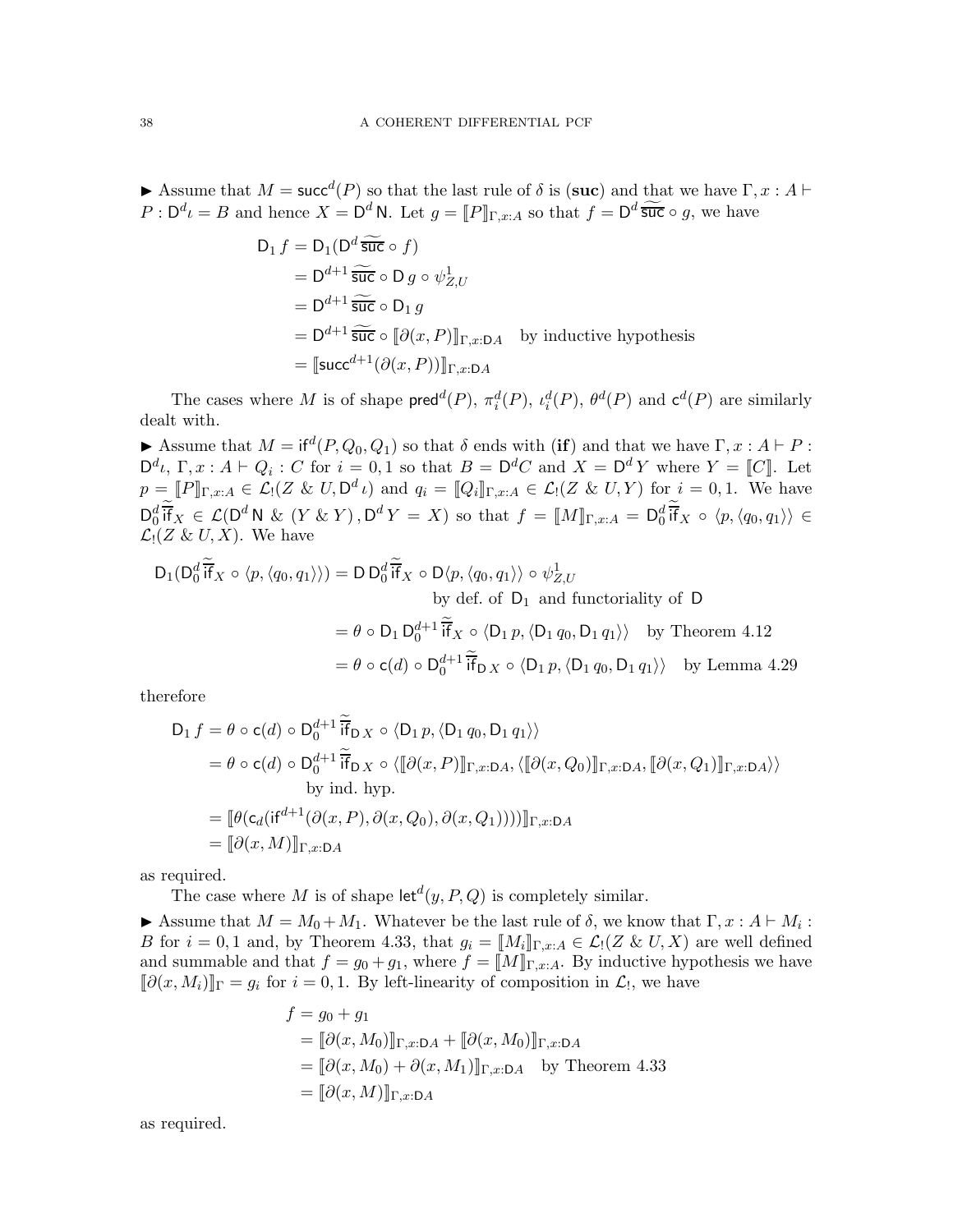Assume that  $M = \mathsf{succ}^d(P)$  so that the last rule of  $\delta$  is (suc) and that we have  $\Gamma, x : A \vdash$  $P: \mathsf{D}^d \iota = B$  and hence  $X = \mathsf{D}^d \mathsf{N}$ . Let  $g = [P]_{\Gamma,x:A}$  so that  $f = \mathsf{D}^d \widetilde{\mathsf{suc}} \circ g$ , we have

$$
D_1 f = D_1(D^d \widetilde{\mathfrak{suc}} \circ f)
$$
  
=  $D^{d+1} \widetilde{\mathfrak{suc}} \circ D g \circ \psi_{Z,U}^1$   
=  $D^{d+1} \widetilde{\mathfrak{suc}} \circ D_1 g$   
=  $D^{d+1} \widetilde{\mathfrak{suc}} \circ [\partial(x, P)]_{\Gamma,x:DA}$  by inductive hypothesis  
=  $[\text{succ}^{d+1}(\partial(x, P))]_{\Gamma,x:DA}$ 

The cases where M is of shape  $\mathsf{pred}^d(P)$ ,  $\pi_i^d(P)$ ,  $\ell_i^d(P)$ ,  $\theta^d(P)$  and  $\mathsf{c}^d(P)$  are similarly dealt with.

Assume that  $M = \text{if}^d(P, Q_0, Q_1)$  so that  $\delta$  ends with (if) and that we have  $\Gamma, x : A \vdash P$ :  $\mathsf{D}^d\iota$ ,  $\Gamma, x : A \vdash Q_i : C$  for  $i = 0, 1$  so that  $B = \mathsf{D}^d C$  and  $X = \mathsf{D}^d Y$  where  $Y = [[C]]$ . Let  $p = \llbracket P \rrbracket_{\Gamma,x:A} \in \mathcal{L}_!(\mathbb{Z} \& U, \mathsf{D}^d \iota)$  and  $q_i = \llbracket Q_i \rrbracket_{\Gamma,x:A} \in \mathcal{L}_!(\mathbb{Z} \& U, Y)$  for  $i = 0, 1$ . We have  $\mathsf{D}_0^d \overline{\mathsf{if}}_X \in \mathcal{L}(\mathsf{D}^d \mathsf{N} \& (Y \& Y), \mathsf{D}^d Y = X)$  so that  $f = [\![M]\!]_{\Gamma,x:A} = \mathsf{D}_0^d \overline{\mathsf{if}}_X \circ \langle p, \langle q_0, q_1 \rangle \rangle \in$  $\mathcal{L}_!(Z \& U, X)$ . We have

$$
D_1(D_0^d \overline{if}_X \circ \langle p, \langle q_0, q_1 \rangle \rangle) = D D_0^d \overline{if}_X \circ D \langle p, \langle q_0, q_1 \rangle \rangle \circ \psi_{Z,U}^1
$$
  
by def. of  $D_1$  and functoriality of  $D$   

$$
= \theta \circ D_1 D_0^{d+1} \overline{if}_X \circ \langle D_1 p, \langle D_1 q_0, D_1 q_1 \rangle \rangle \text{ by Theorem 4.12}
$$

$$
= \theta \circ \mathsf{c}(d) \circ D_0^{d+1} \overline{if}_{D X} \circ \langle D_1 p, \langle D_1 q_0, D_1 q_1 \rangle \rangle \text{ by Lemma 4.29}
$$

therefore

$$
D_1 f = \theta \circ c(d) \circ D_0^{d+1} \overline{if}_{D X} \circ \langle D_1 p, \langle D_1 q_0, D_1 q_1 \rangle \rangle
$$
  
\n
$$
= \theta \circ c(d) \circ D_0^{d+1} \overline{if}_{D X} \circ \langle [\partial(x, P)]_{\Gamma, x:DA}, \langle [\partial(x, Q_0)]_{\Gamma, x:DA}, [\partial(x, Q_1)]_{\Gamma, x:DA} \rangle \rangle
$$
  
\nby ind. hyp.  
\n
$$
= [\theta(c_d(\text{if}^{d+1}(\partial(x, P), \partial(x, Q_0), \partial(x, Q_1))))]]_{\Gamma, x:DA}
$$
  
\n
$$
= [\partial(x, M)]_{\Gamma, x:DA}
$$

as required.

The case where M is of shape  $\text{let}^d(y, P, Q)$  is completely similar.

Assume that  $M = M_0 + M_1$ . Whatever be the last rule of  $\delta$ , we know that  $\Gamma, x : A \vdash M_i$ : B for  $i = 0, 1$  and, by Theorem [4.33,](#page-32-0) that  $g_i = [M_i]_{\Gamma,x:A} \in \mathcal{L}_i(Z \& U, X)$  are well defined and summable and that  $f = g_0 + g_1$ , where  $f = [M]_{\Gamma,x:A}$ . By inductive hypothesis we have  $[∂(x, M<sub>i</sub>)]<sub>Γ</sub> = g<sub>i</sub> for i = 0, 1. By left-linearity of composition in L<sub>1</sub>, we have$ 

$$
f = g_0 + g_1
$$
  
=  $[\![\partial(x, M_0)]\!]_{\Gamma,x:DA} + [\![\partial(x, M_0)]\!]_{\Gamma,x:DA}$   
=  $[\![\partial(x, M_0) + \partial(x, M_1)]\!]_{\Gamma,x:DA}$  by Theorem 4.33  
=  $[\![\partial(x, M)]\!]_{\Gamma,x:DA}$ 

as required.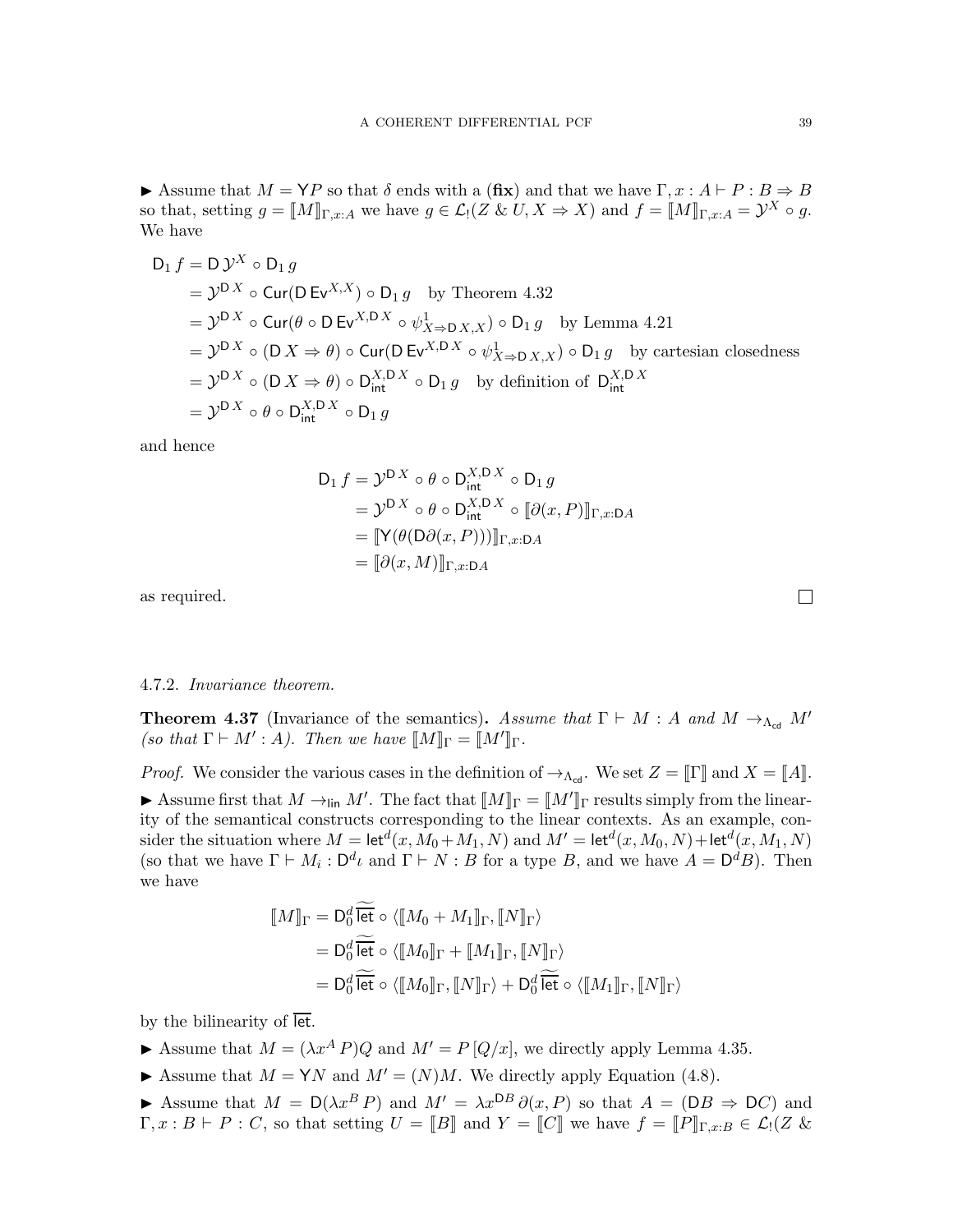Assume that  $M = \mathsf{Y}P$  so that  $\delta$  ends with a (fix) and that we have  $\Gamma, x : A \vdash P : B \Rightarrow B$ so that, setting  $g = [M]_{\Gamma,x:A}$  we have  $g \in \mathcal{L}_1(Z \& U, X \Rightarrow X)$  and  $f = [M]_{\Gamma,x:A} = \mathcal{Y}^X \circ g$ . We have

$$
D_1 f = D \mathcal{Y}^X \circ D_1 g
$$
  
=  $\mathcal{Y}^{DX} \circ Cur(D E v^{X,X}) \circ D_1 g$  by Theorem 4.32  
=  $\mathcal{Y}^{DX} \circ Cur(\theta \circ DE v^{X,D X} \circ \psi_{X \Rightarrow DX, X}^1) \circ D_1 g$  by Lemma 4.21  
=  $\mathcal{Y}^{DX} \circ (DX \Rightarrow \theta) \circ Cur(D E v^{X,D X} \circ \psi_{X \Rightarrow DX, X}^1) \circ D_1 g$  by cartesian closedness  
=  $\mathcal{Y}^{DX} \circ (DX \Rightarrow \theta) \circ D_{int}^{X,DX} \circ D_1 g$  by definition of  $D_{int}^{X,DX}$   
=  $\mathcal{Y}^{DX} \circ \theta \circ D_{int}^{X,DX} \circ D_1 g$ 

and hence

$$
D_1 f = \mathcal{Y}^{DX} \circ \theta \circ D_{int}^{X,DX} \circ D_1 g
$$
  
=  $\mathcal{Y}^{DX} \circ \theta \circ D_{int}^{X,DX} \circ [\partial(x, P)]_{\Gamma,x:DA}$   
=  $[\![\mathbf{Y}(\theta(D\partial(x, P)))]\!]_{\Gamma,x:DA}$   
=  $[\![\partial(x, M)]\!]_{\Gamma,x:DA}$ 

as required.

# 4.7.2. Invariance theorem.

<span id="page-38-0"></span>**Theorem 4.37** (Invariance of the semantics). Assume that  $\Gamma \vdash M : A$  and  $M \rightarrow_{\Lambda_{\text{cd}}} M'$ (so that  $\Gamma \vdash M' : A$ ). Then we have  $\llbracket M \rrbracket_{\Gamma} = \llbracket M' \rrbracket_{\Gamma}$ .

*Proof.* We consider the various cases in the definition of  $\rightarrow_{\Lambda_{cd}}$ . We set  $Z = \llbracket \Gamma \rrbracket$  and  $X = \llbracket A \rrbracket$ . Assume first that  $M \to_{\text{lin}} M'$ . The fact that  $[M]_{\Gamma} = [M']_{\Gamma}$  results simply from the linearity of the semantical constructs corresponding to the linear contexts. As an example, consider the situation where  $M = \text{let}^d(x, M_0 + M_1, N)$  and  $M' = \text{let}^d(x, M_0, N) + \text{let}^d(x, M_1, N)$ (so that we have  $\Gamma \vdash M_i : \mathsf{D}^d \iota$  and  $\Gamma \vdash N : B$  for a type B, and we have  $A = \mathsf{D}^d B$ ). Then we have

$$
\begin{aligned} [\![M]\!]_\Gamma &= D_0^d \,\widetilde{\overline{\text{let}}}\circ \langle [\![M_0+M_1]\!]_\Gamma, [\![N]\!]_\Gamma\rangle \\ &= D_0^d \,\widetilde{\overline{\text{let}}}\circ \langle [\![M_0]\!]_\Gamma + [\![M_1]\!]_\Gamma, [\![N]\!]_\Gamma\rangle \\ &= D_0^d \,\widetilde{\overline{\text{let}}}\circ \langle [\![M_0]\!]_\Gamma, [\![N]\!]_\Gamma\rangle + D_0^d \,\widetilde{\overline{\text{let}}}\circ \langle [\![M_1]\!]_\Gamma, [\![N]\!]_\Gamma\rangle \end{aligned}
$$

by the bilinearity of let.

- Assume that  $M = (\lambda x^A P)Q$  and  $M' = P[Q/x]$ , we directly apply Lemma [4.35.](#page-34-0)
- Assume that  $M = YN$  and  $M' = (N)M$ . We directly apply Equation [\(4.8\)](#page-31-1).

Assume that  $M = D(\lambda x^B P)$  and  $M' = \lambda x^{DB} \partial(x, P)$  so that  $A = (DB \Rightarrow DC)$  and  $\Gamma, x : B \vdash P : C$ , so that setting  $U = [B]$  and  $Y = [C]$  we have  $f = [P]_{\Gamma,x:B} \in \mathcal{L}$   $(Z \&$ 

 $\Box$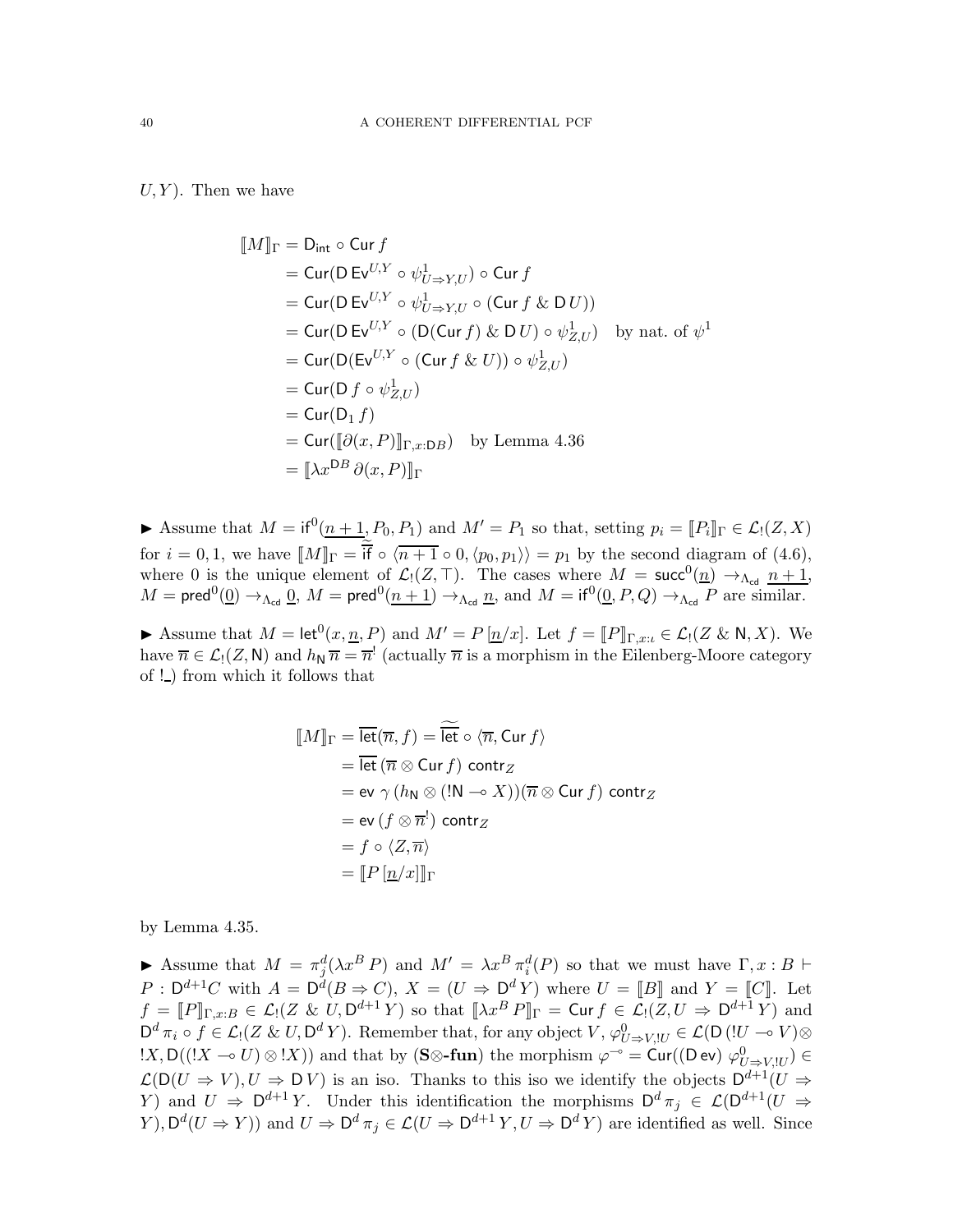$U, Y$ ). Then we have

$$
\llbracket M \rrbracket_{\Gamma} = \mathsf{D}_{\mathsf{int}} \circ \mathsf{Cur} f
$$
\n=  $\mathsf{Cur}(\mathsf{D} \mathsf{Ev}^{U,Y} \circ \psi_{U \Rightarrow Y,U}^1) \circ \mathsf{Cur} f$   
\n=  $\mathsf{Cur}(\mathsf{D} \mathsf{Ev}^{U,Y} \circ \psi_{U \Rightarrow Y,U}^1 \circ (\mathsf{Cur} f \& \mathsf{D} U))$   
\n=  $\mathsf{Cur}(\mathsf{D} \mathsf{Ev}^{U,Y} \circ (\mathsf{D}(\mathsf{Cur} f) \& \mathsf{D} U) \circ \psi_{Z,U}^1)$  by nat. of  $\psi^1$   
\n=  $\mathsf{Cur}(\mathsf{D}(\mathsf{Ev}^{U,Y} \circ (\mathsf{Cur} f \& U)) \circ \psi_{Z,U}^1)$   
\n=  $\mathsf{Cur}(\mathsf{D} f \circ \psi_{Z,U}^1)$   
\n=  $\mathsf{Cur}(\mathsf{D} f \circ \psi_{Z,U}^1)$   
\n=  $\mathsf{Cur}(\mathsf{D}(x, P) \rrbracket_{\Gamma,x:DB})$  by Lemma 4.36  
\n=  $\llbracket \lambda x^{DB} \partial(x, P) \rrbracket_{\Gamma}$ 

Assume that  $M = \text{if}^0(\underline{n+1}, P_0, P_1)$  and  $M' = P_1$  so that, setting  $p_i = [P_i]_{\Gamma} \in \mathcal{L}_1(Z, X)$ for  $i = 0, 1$ , we have  $[M]_{\Gamma} =$  if  $\circ \langle n+1 \circ 0, \langle p_0, p_1 \rangle \rangle = p_1$  by the second diagram of [\(4.6\)](#page-29-1), where 0 is the unique element of  $\mathcal{L}_1(Z, \top)$ . The cases where  $M = \text{succ}^0(\underline{n}) \rightarrow_{\Lambda_{\text{cd}}} \underline{n+1}$ ,  $M=\mathsf{pred}^0(\underline{0})\to_{\Lambda_{\mathsf{cd}}} \underline{0},\ M=\mathsf{pred}^0(\underline{n+1})\to_{\Lambda_{\mathsf{cd}}} \underline{n},\ \text{and}\ M=\mathsf{if}^0(\underline{0},P,Q)\to_{\Lambda_{\mathsf{cd}}} P$  are similar.

Assume that  $M = \text{let}^{0}(x, \underline{n}, P)$  and  $M' = P[\underline{n}/x]$ . Let  $f = [P]_{\Gamma,x:\iota} \in \mathcal{L}(\mathcal{Z} \& \mathsf{N}, X)$ . We have  $\overline{n} \in \mathcal{L}_1(Z, \mathsf{N})$  and  $h_{\mathsf{N}} \overline{n} = \overline{n}^!$  (actually  $\overline{n}$  is a morphism in the Eilenberg-Moore category of  $!$  ) from which it follows that

$$
\llbracket M \rrbracket_{\Gamma} = \overline{\text{let}}(\overline{n}, f) = \overline{\text{let}} \circ \langle \overline{n}, \text{Cur } f \rangle
$$
  
\n
$$
= \overline{\text{let}}(\overline{n} \otimes \text{Cur } f) \text{ contr}_Z
$$
  
\n
$$
= \text{ev } \gamma (h_{N} \otimes (\text{!N} \multimap X))(\overline{n} \otimes \text{Cur } f) \text{ contr}_Z
$$
  
\n
$$
= \text{ev }(f \otimes \overline{n}^!) \text{ contr}_Z
$$
  
\n
$$
= f \circ \langle Z, \overline{n} \rangle
$$
  
\n
$$
= \llbracket P [\underline{n}/x] \rrbracket_{\Gamma}
$$

by Lemma [4.35.](#page-34-0)

Assume that  $M = \pi_j^d(\lambda x^B P)$  and  $M' = \lambda x^B \pi_i^d(P)$  so that we must have  $\Gamma, x : B \vdash$  $P: \mathsf{D}^{d+1}C$  with  $A = \mathsf{D}^d(B \Rightarrow C)$ ,  $X = (U \Rightarrow \mathsf{D}^d Y)$  where  $U = [B]$  and  $Y = [C]$ . Let  $f = [P]_{\Gamma,x:B} \in \mathcal{L}_1(Z \& U, \mathsf{D}^{d+1} Y)$  so that  $[\![\lambda x^B P]\!]_{\Gamma} = \mathsf{Curf} \in \mathcal{L}_1(Z, U \Rightarrow \mathsf{D}^{d+1} Y)$  and  $\mathsf{D}^d \pi_i \circ f \in \mathcal{L}_! (Z \& U, \mathsf{D}^d Y)$ . Remember that, for any object  $V, \varphi^0_{U \Rightarrow V, !U} \in \mathcal{L}(\mathsf{D} (!U \multimap V) \otimes$  $(X, D((X \multimap U) \otimes X))$  and that by  $(S \otimes \text{-fun})$  the morphism  $\varphi^{-\circ} = \text{Cur}((D \text{ ev}) \varphi^0_{U \Rightarrow V, U}) \in$  $\mathcal{L}(\mathsf{D}(U \Rightarrow V), U \Rightarrow \mathsf{D} V)$  is an iso. Thanks to this iso we identify the objects  $\mathsf{D}^{d+1}(U \Rightarrow$ Y) and  $U \Rightarrow D^{d+1}Y$ . Under this identification the morphisms  $D^d \pi_j \in \mathcal{L}(D^{d+1}(U \Rightarrow$  $(Y)$ ,  $\mathsf{D}^d(U \Rightarrow Y)$  and  $U \Rightarrow \mathsf{D}^d \pi_j \in \mathcal{L}(U \Rightarrow \mathsf{D}^{d+1} Y, U \Rightarrow \mathsf{D}^d Y)$  are identified as well. Since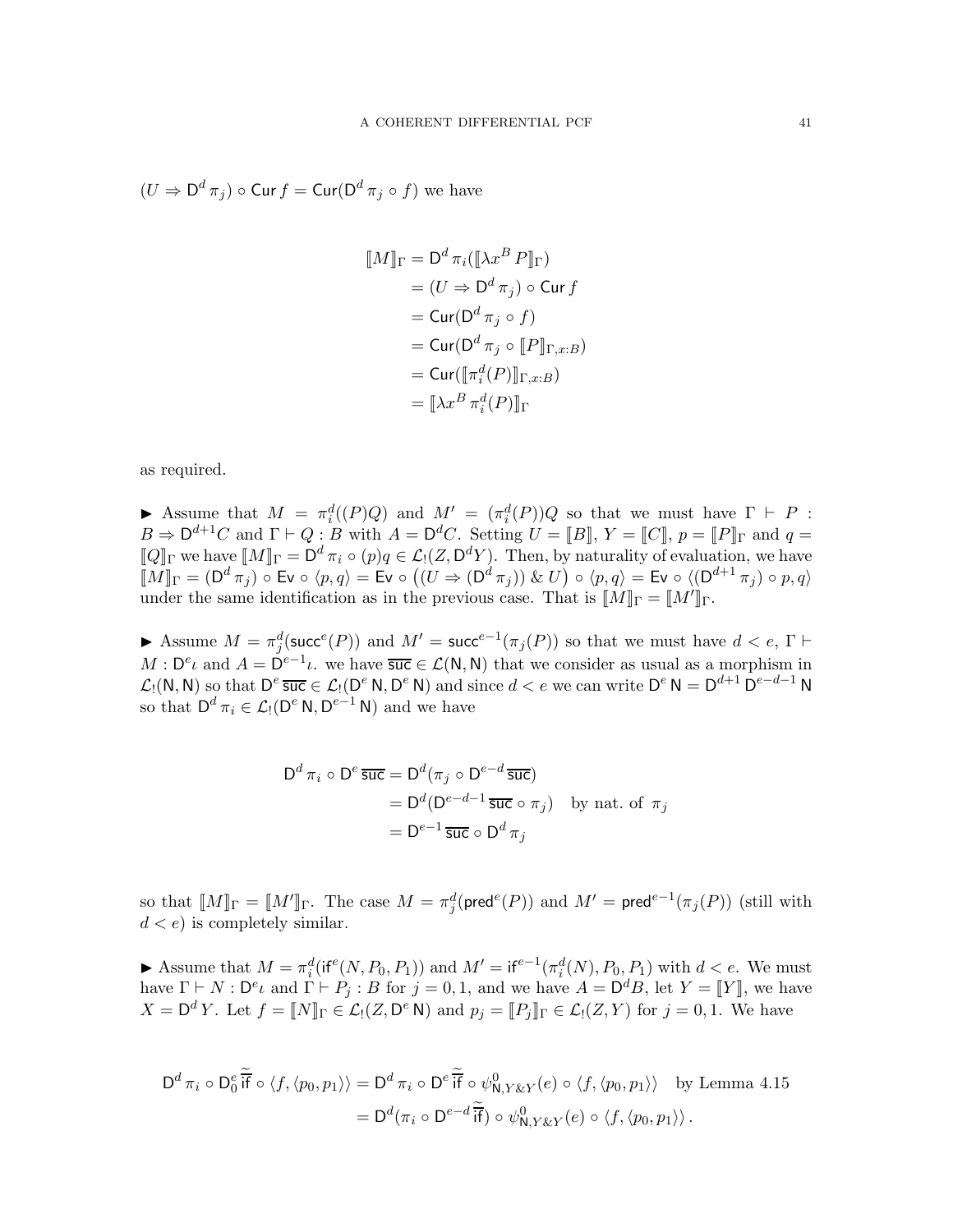$(U \Rightarrow D^d \pi_j) \circ \text{Cur } f = \text{Cur}(D^d \pi_j \circ f)$  we have

$$
\llbracket M \rrbracket_{\Gamma} = \mathsf{D}^d \, \pi_i (\llbracket \lambda x^B \, P \rrbracket_{\Gamma})
$$
\n
$$
= (U \Rightarrow \mathsf{D}^d \, \pi_j) \circ \mathsf{Curf}
$$
\n
$$
= \mathsf{Cur}(\mathsf{D}^d \, \pi_j \circ f)
$$
\n
$$
= \mathsf{Cur}(\mathsf{D}^d \, \pi_j \circ \llbracket P \rrbracket_{\Gamma,x:B})
$$
\n
$$
= \mathsf{Cur}(\llbracket \pi_i^d(P) \rrbracket_{\Gamma,x:B})
$$
\n
$$
= \llbracket \lambda x^B \, \pi_i^d(P) \rrbracket_{\Gamma}
$$

as required.

Assume that  $M = \pi_i^d(P)Q$  and  $M' = (\pi_i^d(P))Q$  so that we must have  $\Gamma \vdash P$ :  $B \Rightarrow D^{d+1}C$  and  $\Gamma \vdash Q : B$  with  $A = D^dC$ . Setting  $U = [B], Y = [C], p = [P]$  and  $q =$  $\llbracket Q \rrbracket_{\Gamma}$  we have  $\llbracket M \rrbracket_{\Gamma} = \mathsf{D}^d \, \pi_i \circ (p) q \in \mathcal{L}_!(\mathbb{Z}, \mathsf{D}^d Y)$ . Then, by naturality of evaluation, we have  $\llbracket M \rrbracket_{\Gamma} = (\mathsf{D}^d \, \pi_j) \, \circ \, \mathsf{Ev} \, \circ \, \langle p, q \rangle = \mathsf{Ev} \, \circ \, \big( (U \Rightarrow (\mathsf{D}^d \, \pi_j)) \; \& \; U \big) \circ \langle p, q \rangle = \mathsf{Ev} \, \circ \, \langle (\mathsf{D}^{d+1} \, \pi_j) \circ p, q \rangle$ under the same identification as in the previous case. That is  $\llbracket M \rrbracket_{\Gamma} = \llbracket M' \rrbracket_{\Gamma}$ .

Assume  $M = \pi_j^d(\text{succ}^e(P))$  and  $M' = \text{succ}^{e-1}(\pi_j(P))$  so that we must have  $d < e$ ,  $\Gamma \vdash$  $M: \mathsf{D}^e \iota$  and  $A = \mathsf{D}^{e-1} \iota$ , we have  $\overline{\mathsf{succ}} \in \mathcal{L}(\mathsf{N}, \mathsf{N})$  that we consider as usual as a morphism in  $\mathcal{L}_1(N, N)$  so that  $D^e \overline{\text{succ}} \in \mathcal{L}_1(D^e N, D^e N)$  and since  $d < e$  we can write  $D^e N = D^{d+1} D^{e-d-1} N$ so that  $D^d \pi_i \in \mathcal{L}_! (D^e \mathsf{N}, D^{e-1} \mathsf{N})$  and we have

$$
D^{d} \pi_{i} \circ D^{e} \overline{\mathsf{suc}} = D^{d}(\pi_{j} \circ D^{e-d} \overline{\mathsf{suc}})
$$
  
= 
$$
D^{d} (D^{e-d-1} \overline{\mathsf{suc}} \circ \pi_{j}) \text{ by nat. of } \pi_{j}
$$
  
= 
$$
D^{e-1} \overline{\mathsf{suc}} \circ D^{d} \pi_{j}
$$

so that  $[M]_{\Gamma} = [M']_{\Gamma}$ . The case  $M = \pi_j^d(\text{pred}^e(P))$  and  $M' = \text{pred}^{e-1}(\pi_j(P))$  (still with  $d < e$ ) is completely similar.

Assume that  $M = \pi_i^d(\text{if}^e(N, P_0, P_1))$  and  $M' = \text{if}^{e-1}(\pi_i^d(N), P_0, P_1)$  with  $d < e$ . We must have  $\Gamma \vdash N : \mathsf{D}^e \iota$  and  $\Gamma \vdash P_j : B$  for  $j = 0, 1$ , and we have  $A = \mathsf{D}^d B$ , let  $Y = \llbracket Y \rrbracket$ , we have  $X = \mathsf{D}^d Y$ . Let  $f = [N]_{\Gamma} \in \mathcal{L}_1(Z, \mathsf{D}^e \mathsf{N})$  and  $p_j = [P_j]_{\Gamma} \in \mathcal{L}_1(Z, Y)$  for  $j = 0, 1$ . We have

$$
D^{d} \pi_{i} \circ D_{0}^{e} \widetilde{\mathsf{if}} \circ \langle f, \langle p_{0}, p_{1} \rangle \rangle = D^{d} \pi_{i} \circ D^{e} \widetilde{\mathsf{if}} \circ \psi_{\mathsf{N}, Y \& Y}^{0}(e) \circ \langle f, \langle p_{0}, p_{1} \rangle \rangle \text{ by Lemma 4.15}
$$

$$
= D^{d}(\pi_{i} \circ D^{e-d} \widetilde{\mathsf{if}}) \circ \psi_{\mathsf{N}, Y \& Y}^{0}(e) \circ \langle f, \langle p_{0}, p_{1} \rangle \rangle.
$$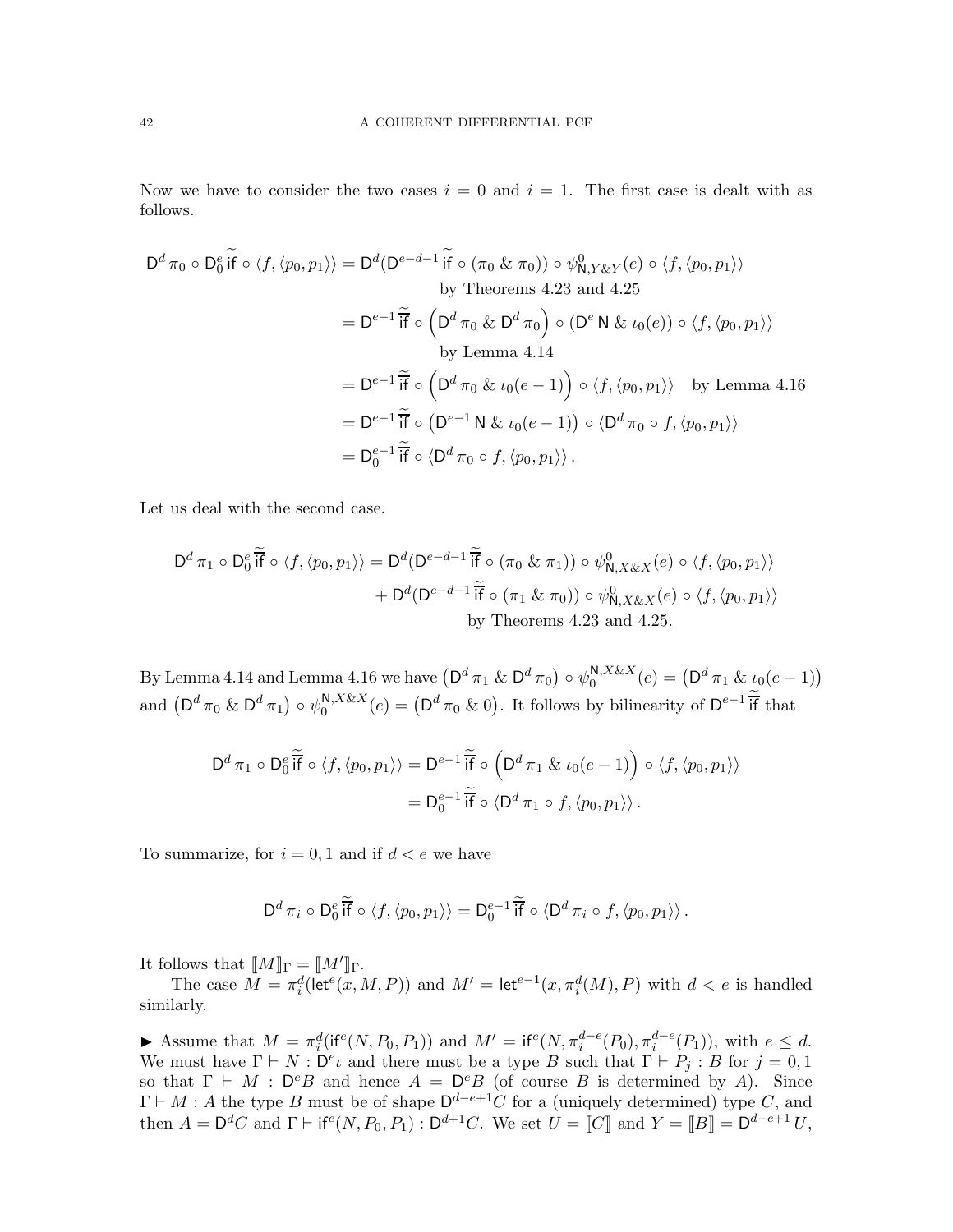Now we have to consider the two cases  $i = 0$  and  $i = 1$ . The first case is dealt with as follows.

$$
D^{d} \pi_{0} \circ D_{0}^{e} \widetilde{\mathsf{if}} \circ \langle f, \langle p_{0}, p_{1} \rangle \rangle = D^{d} (D^{e-d-1} \widetilde{\mathsf{if}} \circ (\pi_{0} \& \pi_{0})) \circ \psi_{\mathsf{N}, Y \& Y}(e) \circ \langle f, \langle p_{0}, p_{1} \rangle \rangle
$$
  
by Theorems 4.23 and 4.25  

$$
= D^{e-1} \widetilde{\mathsf{if}} \circ (D^{d} \pi_{0} \& D^{d} \pi_{0}) \circ (D^{e} \mathsf{N} \& \iota_{0}(e)) \circ \langle f, \langle p_{0}, p_{1} \rangle \rangle
$$
  
by Lemma 4.14  

$$
= D^{e-1} \widetilde{\mathsf{if}} \circ (D^{d} \pi_{0} \& \iota_{0}(e-1)) \circ \langle f, \langle p_{0}, p_{1} \rangle \rangle \text{ by Lemma 4.16}
$$
  

$$
= D^{e-1} \widetilde{\mathsf{if}} \circ (D^{e-1} \mathsf{N} \& \iota_{0}(e-1)) \circ \langle D^{d} \pi_{0} \circ f, \langle p_{0}, p_{1} \rangle \rangle
$$
  

$$
= D_{0}^{e-1} \widetilde{\mathsf{if}} \circ \langle D^{d} \pi_{0} \circ f, \langle p_{0}, p_{1} \rangle \rangle.
$$

Let us deal with the second case.

$$
D^{d} \pi_1 \circ D_0^e \overline{\widetilde{H}} \circ \langle f, \langle p_0, p_1 \rangle \rangle = D^{d} (D^{e-d-1} \overline{\widetilde{H}} \circ (\pi_0 \& \pi_1)) \circ \psi_{N, X \& X}^0(e) \circ \langle f, \langle p_0, p_1 \rangle \rangle
$$
  
+ 
$$
D^{d} (D^{e-d-1} \overline{\widetilde{H}} \circ (\pi_1 \& \pi_0)) \circ \psi_{N, X \& X}^0(e) \circ \langle f, \langle p_0, p_1 \rangle \rangle
$$
  
by Theorems 4.23 and 4.25.

By Lemma [4.14](#page-23-1) and Lemma [4.16](#page-23-2) we have  $\left(D^d \, \pi_1 \; \& \; D^d \, \pi_0\right) \circ \psi_0^{\mathsf{N},X \& X}$  $_{0}^{\mathsf{N}, X \& X}(e) = (\mathsf{D}^d \,\pi_1 \& \iota_0(e-1))$ and  $(D^d \pi_0 \& D^d \pi_1) \circ \psi_0^{\mathsf{N}, X \& X}$  $\int_0^{N,X\&X}(e) = (\mathsf{D}^d \pi_0 \& 0).$  It follows by bilinearity of  $\mathsf{D}^{e-1}$  if that

$$
D^{d} \pi_1 \circ D_0^e \widetilde{\overline{H}} \circ \langle f, \langle p_0, p_1 \rangle \rangle = D^{e-1} \widetilde{\overline{H}} \circ \left( D^{d} \pi_1 \& \iota_0(e-1) \right) \circ \langle f, \langle p_0, p_1 \rangle \rangle
$$
  
=  $D_0^{e-1} \widetilde{\overline{H}} \circ \langle D^{d} \pi_1 \circ f, \langle p_0, p_1 \rangle \rangle$ .

To summarize, for  $i = 0, 1$  and if  $d < e$  we have

$$
\mathsf{D}^d \,\pi_i \,\circ\, \mathsf{D}_0^e\,\overline{\mathsf{i}\mathsf{f}} \,\circ\, \langle f, \langle p_0, p_1 \rangle \rangle = \mathsf{D}_0^{e-1}\,\overline{\mathsf{i}\mathsf{f}} \,\circ\, \langle \mathsf{D}^d \,\pi_i \circ f, \langle p_0, p_1 \rangle \rangle\,.
$$

It follows that  $\llbracket M \rrbracket_{\Gamma} = \llbracket M' \rrbracket_{\Gamma}.$ 

The case  $M = \pi_i^d(\text{let}^e(x, M, P))$  and  $M' = \text{let}^{e-1}(x, \pi_i^d(M), P)$  with  $d < e$  is handled similarly.

Assume that  $M = \pi_i^d(\text{if}^e(N, P_0, P_1))$  and  $M' = \text{if}^e(N, \pi_i^{d-e}(P_0), \pi_i^{d-e}(P_1)),$  with  $e \leq d$ . We must have  $\Gamma \vdash N : \mathsf{D}^e \iota$  and there must be a type B such that  $\Gamma \vdash P_j : B$  for  $j = 0, 1$ so that  $\Gamma \vdash M : D^eB$  and hence  $A = D^eB$  (of course B is determined by A). Since  $\Gamma \vdash M : A$  the type B must be of shape  $\mathsf{D}^{d-e+1}C$  for a (uniquely determined) type C, and then  $A = \mathsf{D}^d C$  and  $\Gamma \vdash \mathsf{if}^e(N, P_0, P_1) : \mathsf{D}^{d+1} C$ . We set  $U = [C]$  and  $Y = [B] = \mathsf{D}^{d-e+1} U$ ,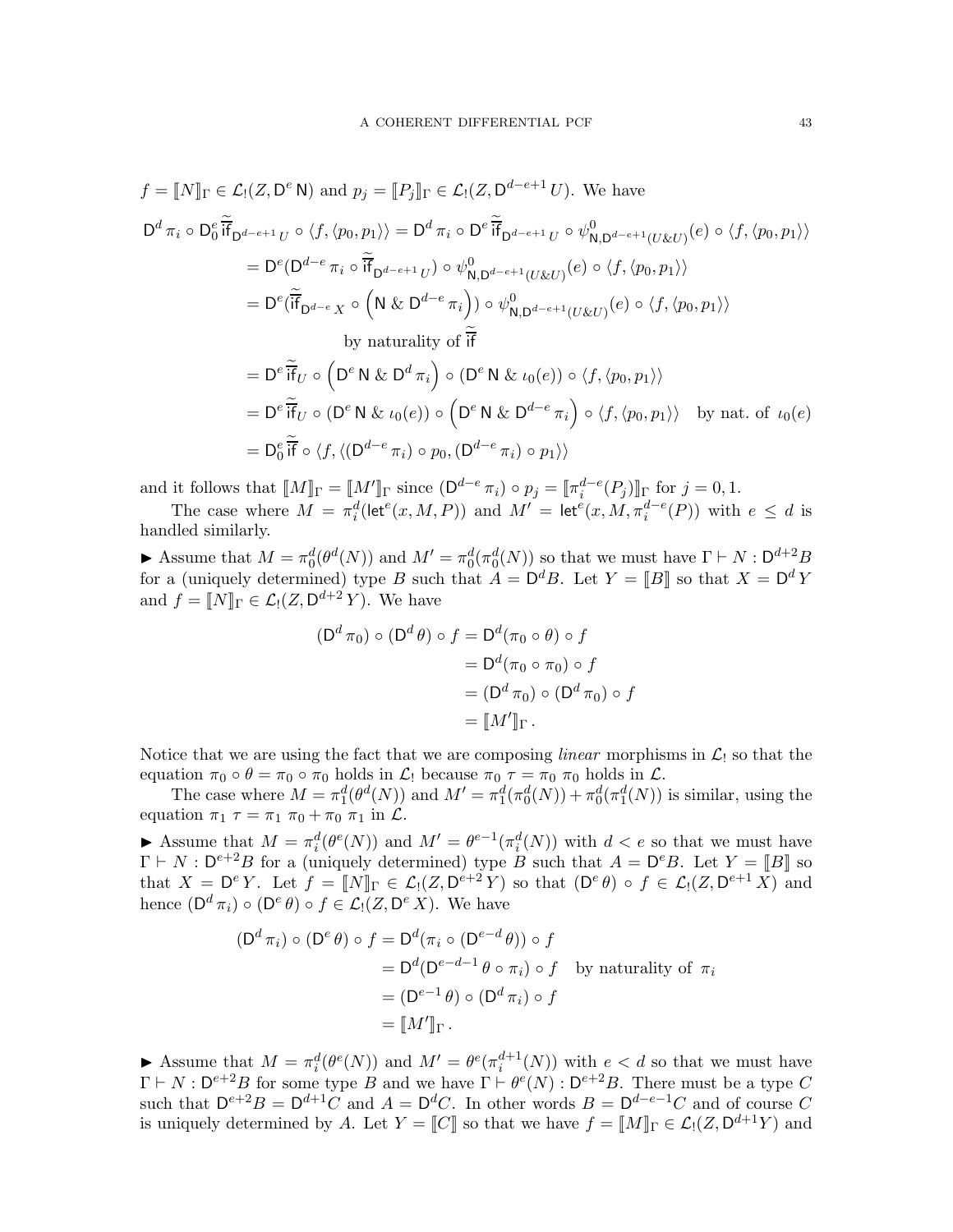$$
f = [N]_{\Gamma} \in \mathcal{L}_{!}(Z, D^{e} N) \text{ and } p_{j} = [P_{j}]_{\Gamma} \in \mathcal{L}_{!}(Z, D^{d-e+1} U). \text{ We have}
$$
  
\n
$$
D^{d} \pi_{i} \circ D_{0}^{e} \widetilde{if}_{D^{d-e+1} U} \circ \langle f, \langle p_{0}, p_{1} \rangle \rangle = D^{d} \pi_{i} \circ D^{e} \widetilde{if}_{D^{d-e+1} U} \circ \psi_{N, D^{d-e+1}(U \& U)}^{0}(e) \circ \langle f, \langle p_{0}, p_{1} \rangle \rangle
$$
  
\n
$$
= D^{e} (D^{d-e} \pi_{i} \circ \widetilde{if}_{D^{d-e+1} U}) \circ \psi_{N, D^{d-e+1}(U \& U)}^{0}(e) \circ \langle f, \langle p_{0}, p_{1} \rangle \rangle
$$
  
\n
$$
= D^{e} (\widetilde{if}_{D^{d-e}} X \circ \left( N \& D^{d-e} \pi_{i} \right) \circ \psi_{N, D^{d-e+1}(U \& U)}^{0}(e) \circ \langle f, \langle p_{0}, p_{1} \rangle \rangle
$$
  
\nby naturally of  $\widetilde{if}$   
\n
$$
= D^{e} \widetilde{if}_{U} \circ \left( D^{e} N \& D^{d} \pi_{i} \right) \circ (D^{e} N \& \iota_{0}(e)) \circ \langle f, \langle p_{0}, p_{1} \rangle \rangle
$$
  
\n
$$
= D^{e} \widetilde{if}_{U} \circ (D^{e} N \& \iota_{0}(e)) \circ \left( D^{e} N \& D^{d-e} \pi_{i} \right) \circ \langle f, \langle p_{0}, p_{1} \rangle \rangle \text{ by nat. of } \iota_{0}(e)
$$
  
\n
$$
= D_{0}^{e} \widetilde{if} \circ \langle f, \langle (D^{d-e} \pi_{i}) \circ p_{0}, (D^{d-e} \pi_{i}) \circ p_{1} \rangle \rangle
$$

and it follows that  $[M]_{\Gamma} = M'_{\Gamma}$  since  $(D^{d-e} \pi_i) \circ p_j = [\pi_i^{d-e}(P_j)]_{\Gamma}$  for  $j = 0, 1$ .

The case where  $M = \pi_i^d(\text{let}^e(x, M, P))$  and  $M' = \text{let}^e(x, M, \pi_i^{d-e}(P))$  with  $e \leq d$  is handled similarly.

Assume that  $M = \pi_0^d(\theta^d(N))$  and  $M' = \pi_0^d(\pi_0^d(N))$  so that we must have  $\Gamma \vdash N : \mathsf{D}^{d+2}B$ for a (uniquely determined) type B such that  $A = \mathsf{D}^d B$ . Let  $Y = [B]$  so that  $X = \mathsf{D}^d Y$ and  $f = [N]_{\Gamma} \in \mathcal{L}_! (Z, \mathsf{D}^{d+2} Y)$ . We have

$$
\begin{aligned} (\mathsf{D}^d \,\pi_0) \circ (\mathsf{D}^d \,\theta) \circ f &= \mathsf{D}^d(\pi_0 \circ \theta) \circ f \\ &= \mathsf{D}^d(\pi_0 \circ \pi_0) \circ f \\ &= (\mathsf{D}^d \,\pi_0) \circ (\mathsf{D}^d \,\pi_0) \circ f \\ &= [\![M']\!]_\Gamma \,. \end{aligned}
$$

Notice that we are using the fact that we are composing *linear* morphisms in  $\mathcal{L}_1$  so that the equation  $\pi_0 \circ \theta = \pi_0 \circ \pi_0$  holds in  $\mathcal{L}_1$  because  $\pi_0 \tau = \pi_0 \pi_0$  holds in  $\mathcal{L}_1$ .

The case where  $M = \pi_1^d(\theta^d(N))$  and  $M' = \pi_1^d(\pi_0^d(N)) + \pi_0^d(\pi_1^d(N))$  is similar, using the equation  $\pi_1 \tau = \pi_1 \pi_0 + \pi_0 \pi_1$  in  $\mathcal{L}$ .

Assume that  $M = \pi_i^d(\theta^e(N))$  and  $M' = \theta^{e-1}(\pi_i^d(N))$  with  $d < e$  so that we must have  $\Gamma \vdash N : \mathsf{D}^{e+2}B$  for a (uniquely determined) type B such that  $A = \mathsf{D}^eB$ . Let  $Y = \llbracket B \rrbracket$  so that  $X = \mathsf{D}^e Y$ . Let  $f = [N]_{\Gamma} \in \mathcal{L}_1(Z, \mathsf{D}^{e+2} Y)$  so that  $(\mathsf{D}^e \theta) \circ f \in \mathcal{L}_1(Z, \mathsf{D}^{e+1} X)$  and hence  $(D^d \pi_i) \circ (D^e \theta) \circ f \in \mathcal{L}_!(Z, D^e X)$ . We have

$$
(Dd \pii) \circ (De \theta) \circ f = Dd(\pii \circ (De-d \theta)) \circ f
$$
  
= D<sup>d</sup>(D<sup>e-d-1</sup> \theta \circ \pi<sub>i</sub>) \circ f by naturality of  $\pii$   
= (D<sup>e-1</sup> \theta) \circ (D<sup>d</sup> \pi<sub>i</sub>) \circ f  
= [M']<sub>\Gamma</sub>.

Assume that  $M = \pi_i^d(\theta^e(N))$  and  $M' = \theta^e(\pi_i^{d+1}(N))$  with  $e < d$  so that we must have  $\Gamma \vdash N : \mathsf{D}^{e+2}B$  for some type B and we have  $\Gamma \vdash \theta^e(N) : \mathsf{D}^{e+2}B$ . There must be a type C such that  $D^{e+2}B = D^{d+1}C$  and  $A = D^dC$ . In other words  $B = D^{d-e-1}C$  and of course C is uniquely determined by A. Let  $Y = [[C]]$  so that we have  $f = [[M]]_{\Gamma} \in \mathcal{L}_1(Z, \mathsf{D}^{d+1}Y)$  and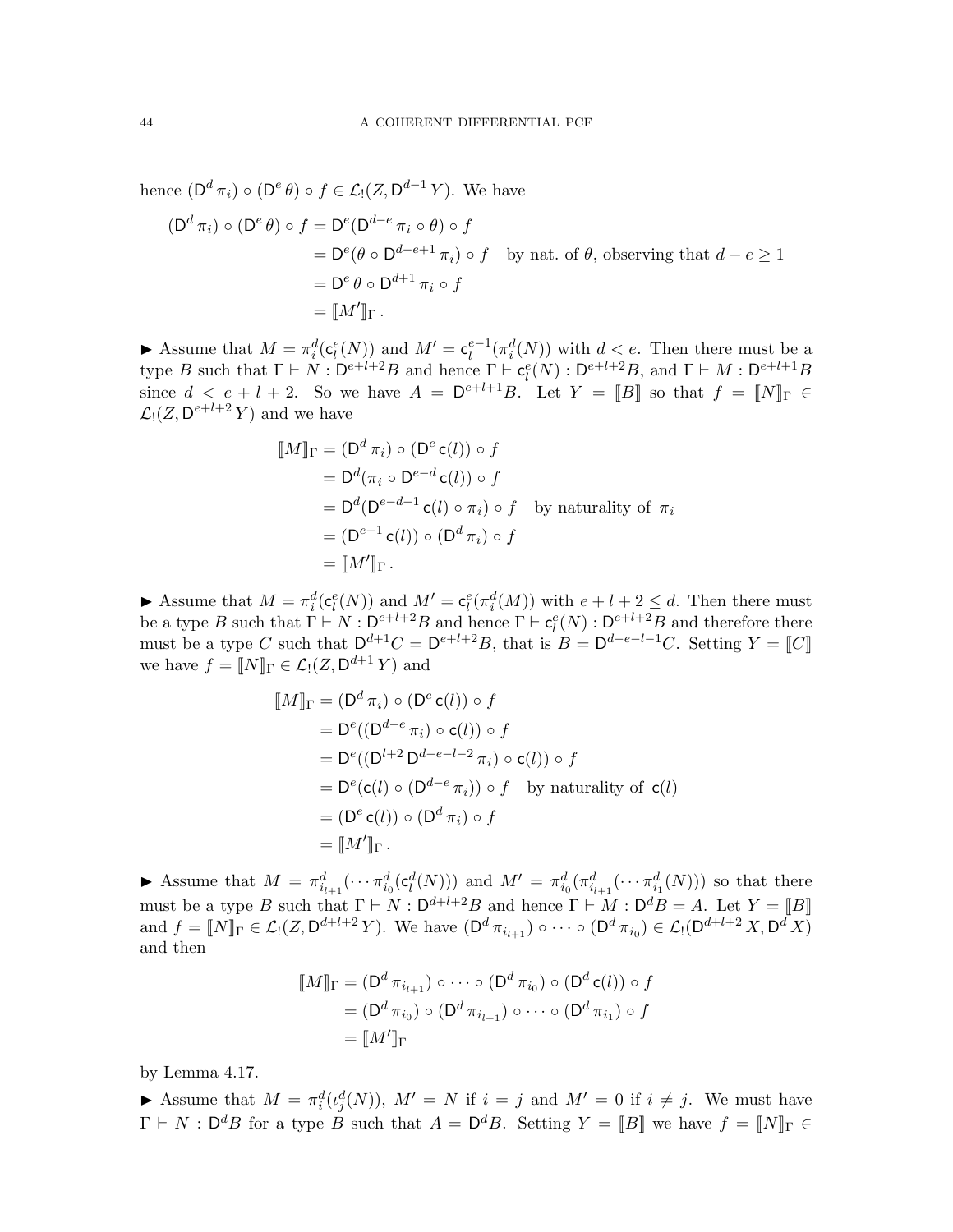hence  $(D^d \pi_i) \circ (D^e \theta) \circ f \in \mathcal{L}_!(Z, D^{d-1} Y)$ . We have

$$
\begin{aligned} \left(\mathsf{D}^d \,\pi_i\right) \circ \left(\mathsf{D}^e \,\theta\right) \circ f &= \mathsf{D}^e(\mathsf{D}^{d-e} \,\pi_i \circ \theta) \circ f \\ &= \mathsf{D}^e(\theta \circ \mathsf{D}^{d-e+1} \,\pi_i) \circ f \quad \text{by nat. of } \theta \text{, observing that } d-e \ge 1 \\ &= \mathsf{D}^e \,\theta \circ \mathsf{D}^{d+1} \,\pi_i \circ f \\ &= [\![M']\!]_\Gamma \,. \end{aligned}
$$

Assume that  $M = \pi_i^d(\mathsf{c}_i^e(N))$  and  $M' = \mathsf{c}_i^{e-1}(\pi_i^d(N))$  with  $d < e$ . Then there must be a type B such that  $\Gamma \vdash N : D^{e+l+2}B$  and hence  $\Gamma \vdash c_l^e(N) : D^{e+l+2}B$ , and  $\Gamma \vdash M : D^{e+l+1}B$ since  $d \leq e + l + 2$ . So we have  $A = \mathsf{D}^{e+l+1}B$ . Let  $Y = [B]$  so that  $f = [N]_{\Gamma} \in$  $\mathcal{L}_!(Z, \mathsf{D}^{e+l+2}Y)$  and we have

$$
[\![M]\!]_{\Gamma} = (D^d \pi_i) \circ (D^e c(l)) \circ f
$$
  
=  $D^d(\pi_i \circ D^{e-d} c(l)) \circ f$   
=  $D^d(D^{e-d-1} c(l) \circ \pi_i) \circ f$  by naturality of  $\pi_i$   
=  $(D^{e-1} c(l)) \circ (D^d \pi_i) \circ f$   
=  $[\![M']\!]_{\Gamma}$ .

Assume that  $M = \pi_i^d(c_l^e(N))$  and  $M' = c_l^e(\pi_i^d(M))$  with  $e + l + 2 \le d$ . Then there must be a type B such that  $\Gamma \vdash N : D^{e+l+2}B$  and hence  $\Gamma \vdash c_l^e(N) : D^{e+l+2}B$  and therefore there must be a type C such that  $D^{d+1}C = D^{e+l+2}B$ , that is  $B = D^{d-e-l-1}C$ . Setting  $Y = \llbracket C \rrbracket$ we have  $f = [N]_{\Gamma} \in \mathcal{L}_!(Z, \mathsf{D}^{d+1} Y)$  and

$$
[\![M]\!]_{\Gamma} = (D^d \pi_i) \circ (D^e \mathsf{c}(l)) \circ f
$$
  
\n
$$
= D^e((D^{d-e} \pi_i) \circ \mathsf{c}(l)) \circ f
$$
  
\n
$$
= D^e((D^{l+2} D^{d-e-l-2} \pi_i) \circ \mathsf{c}(l)) \circ f
$$
  
\n
$$
= D^e(\mathsf{c}(l) \circ (D^{d-e} \pi_i)) \circ f \text{ by naturality of } \mathsf{c}(l)
$$
  
\n
$$
= (D^e \mathsf{c}(l)) \circ (D^d \pi_i) \circ f
$$
  
\n
$$
= [\![M']\!]_{\Gamma}.
$$

Assume that  $M = \pi_{i_{l+1}}^d(\cdots \pi_{i_0}^d(\mathsf{c}_l^d(N)))$  and  $M' = \pi_{i_0}^d(\pi_{i_{l+1}}^d(\cdots \pi_{i_1}^d(N)))$  so that there must be a type B such that  $\Gamma \vdash N : \mathsf{D}^{d+l+2}B$  and hence  $\Gamma \vdash M : \mathsf{D}^d B = A$ . Let  $Y = \llbracket B \rrbracket$ and  $f = [N]_{\Gamma} \in \mathcal{L}_1(Z, \mathsf{D}^{d+l+2} Y)$ . We have  $(\mathsf{D}^d \pi_{i_{l+1}}) \circ \cdots \circ (\mathsf{D}^d \pi_{i_0}) \in \mathcal{L}_1(\mathsf{D}^{d+l+2} X, \mathsf{D}^d X)$ and then

$$
\llbracket M \rrbracket_{\Gamma} = (\mathsf{D}^d \, \pi_{i_{l+1}}) \circ \cdots \circ (\mathsf{D}^d \, \pi_{i_0}) \circ (\mathsf{D}^d \, \mathsf{c}(l)) \circ f
$$
\n
$$
= (\mathsf{D}^d \, \pi_{i_0}) \circ (\mathsf{D}^d \, \pi_{i_{l+1}}) \circ \cdots \circ (\mathsf{D}^d \, \pi_{i_1}) \circ f
$$
\n
$$
= \llbracket M' \rrbracket_{\Gamma}
$$

by Lemma [4.17.](#page-23-3)

Assume that  $M = \pi_i^d(\iota_j^d(N)), M' = N$  if  $i = j$  and  $M' = 0$  if  $i \neq j$ . We must have  $\Gamma \vdash N : \mathsf{D}^d B$  for a type B such that  $A = \mathsf{D}^d B$ . Setting  $Y = [B]$  we have  $f = [N]_{\Gamma} \in$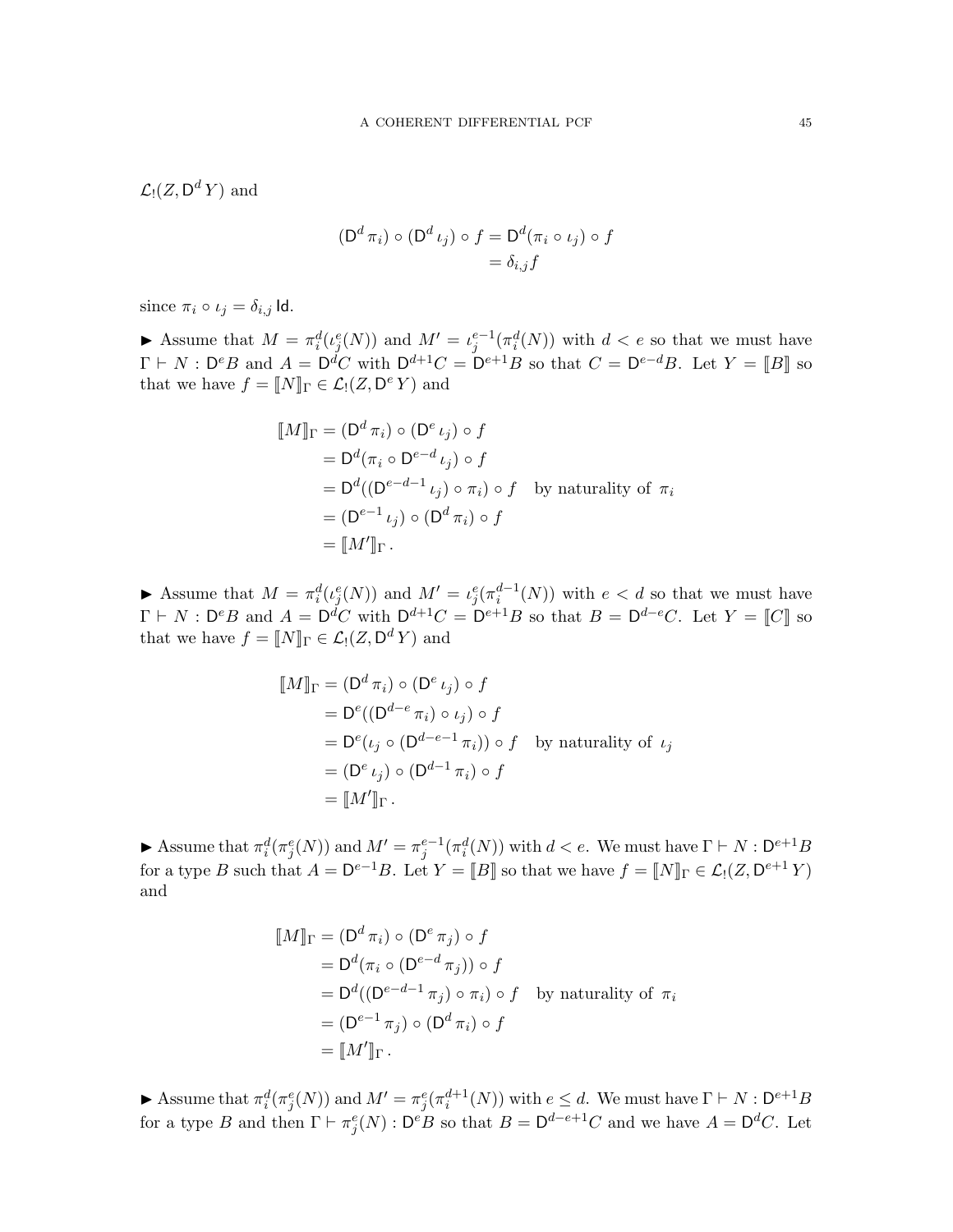$\mathcal{L}_!(Z,\mathsf{D}^d\,Y)$  and

$$
(\mathsf{D}^d \pi_i) \circ (\mathsf{D}^d \iota_j) \circ f = \mathsf{D}^d (\pi_i \circ \iota_j) \circ f
$$

$$
= \delta_{i,j} f
$$

since  $\pi_i \circ \iota_j = \delta_{i,j}$  Id.

Assume that  $M = \pi_i^d(\iota_j^e(N))$  and  $M' = \iota_j^{e-1}(\pi_i^d(N))$  with  $d < e$  so that we must have  $\Gamma \vdash N : \mathsf{D}^e B$  and  $A = \mathsf{D}^d C$  with  $\mathsf{D}^{d+1} C = \mathsf{D}^{e+1} B$  so that  $C = \mathsf{D}^{e-d} B$ . Let  $Y = \llbracket B \rrbracket$  so that we have  $f = [N]_{\Gamma} \in \mathcal{L}_!(Z, \mathsf{D}^e Y)$  and

$$
[M]_{\Gamma} = (D^d \pi_i) \circ (D^e \iota_j) \circ f
$$
  
=  $D^d(\pi_i \circ D^{e-d} \iota_j) \circ f$   
=  $D^d((D^{e-d-1} \iota_j) \circ \pi_i) \circ f$  by naturality of  $\pi_i$   
=  $(D^{e-1} \iota_j) \circ (D^d \pi_i) \circ f$   
=  $[M']_{\Gamma}$ .

Assume that  $M = \pi_i^d(\iota_j^e(N))$  and  $M' = \iota_j^e(\pi_i^{d-1}(N))$  with  $e < d$  so that we must have  $\Gamma \vdash N : \mathsf{D}^e B$  and  $A = \mathsf{D}^d C$  with  $\mathsf{D}^{d+1} C = \mathsf{D}^{e+1} B$  so that  $B = \mathsf{D}^{d-e} C$ . Let  $Y = \llbracket C \rrbracket$  so that we have  $f = [N]_{\Gamma} \in \mathcal{L}_! (Z, \mathsf{D}^d Y)$  and

$$
[\![M]\!]_{\Gamma} = (D^d \pi_i) \circ (D^e \iota_j) \circ f
$$
  
=  $D^e((D^{d-e} \pi_i) \circ \iota_j) \circ f$   
=  $D^e(\iota_j \circ (D^{d-e-1} \pi_i)) \circ f$  by naturality of  $\iota_j$   
=  $(D^e \iota_j) \circ (D^{d-1} \pi_i) \circ f$   
=  $[\![M']\!]_{\Gamma}$ .

Assume that  $\pi_i^d(\pi_j^e(N))$  and  $M' = \pi_j^{e-1}(\pi_i^d(N))$  with  $d < e$ . We must have  $\Gamma \vdash N : \mathsf{D}^{e+1}B$ for a type B such that  $A = \mathsf{D}^{e-1}B$ . Let  $Y = [B]$  so that we have  $f = [N]_{\Gamma} \in \mathcal{L}_1(Z, \mathsf{D}^{e+1}Y)$ and

$$
\llbracket M \rrbracket_{\Gamma} = (\mathsf{D}^d \pi_i) \circ (\mathsf{D}^e \pi_j) \circ f
$$
  
=  $\mathsf{D}^d (\pi_i \circ (\mathsf{D}^{e-d} \pi_j)) \circ f$   
=  $\mathsf{D}^d ((\mathsf{D}^{e-d-1} \pi_j) \circ \pi_i) \circ f$  by naturality of  $\pi_i$   
=  $(\mathsf{D}^{e-1} \pi_j) \circ (\mathsf{D}^d \pi_i) \circ f$   
=  $\llbracket M' \rrbracket_{\Gamma}$ .

Assume that  $\pi_i^d(\pi_j^e(N))$  and  $M' = \pi_j^e(\pi_i^{d+1}(N))$  with  $e \leq d$ . We must have  $\Gamma \vdash N : \mathsf{D}^{e+1}B$ for a type B and then  $\Gamma \vdash \pi_j^e(N) : \mathsf{D}^e B$  so that  $B = \mathsf{D}^{d-e+1}C$  and we have  $A = \mathsf{D}^d C$ . Let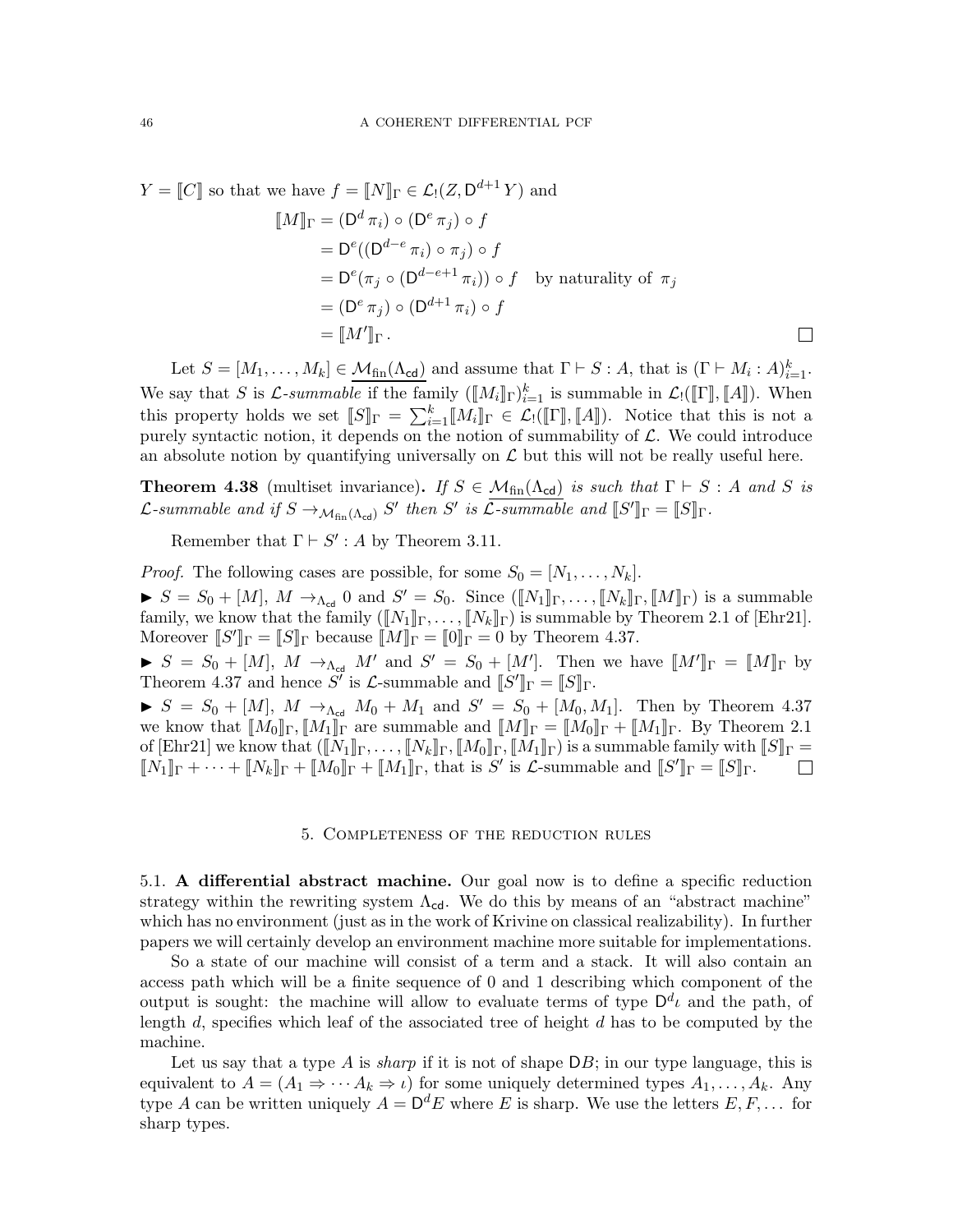$$
Y = [[C]] \text{ so that we have } f = [[N]]_{\Gamma} \in \mathcal{L}_{!}(Z, \mathsf{D}^{d+1} Y) \text{ and}
$$

$$
[[M]]_{\Gamma} = (\mathsf{D}^{d} \pi_{i}) \circ (\mathsf{D}^{e} \pi_{j}) \circ f
$$

$$
= \mathsf{D}^{e}((\mathsf{D}^{d-e} \pi_{i}) \circ \pi_{j}) \circ f
$$

$$
= \mathsf{D}^{e}(\pi_{j} \circ (\mathsf{D}^{d-e+1} \pi_{i})) \circ f \text{ by naturality of } \pi_{j}
$$

$$
= (\mathsf{D}^{e} \pi_{j}) \circ (\mathsf{D}^{d+1} \pi_{i}) \circ f
$$

$$
= [[M']]_{\Gamma} .
$$

Let  $S = [M_1, \ldots, M_k] \in \mathcal{M}_{fin}(\Lambda_{cd})$  and assume that  $\Gamma \vdash S : A$ , that is  $(\Gamma \vdash M_i : A)_{i=1}^k$ . We say that S is  $\mathcal{L}$ -summable if the family  $(\llbracket M_i \rrbracket_{\Gamma})_{i=1}^k$  is summable in  $\mathcal{L}_!([\![\Gamma]\!], [\![A]\!])$ . When this property holds we set  $\llbracket S \rrbracket_{\Gamma} = \sum_{i=1}^{k} \llbracket M_i \rrbracket_{\Gamma} \in \mathcal{L} \cdot (\llbracket \Gamma \rrbracket, \llbracket A \rrbracket)$ . Notice that this is not a purely syntactic notion, it depends on the notion of summability of  $\mathcal{L}$ . We could introduce an absolute notion by quantifying universally on  $\mathcal L$  but this will not be really useful here.

**Theorem 4.38** (multiset invariance). If  $S \in \mathcal{M}_{fin}(\Lambda_{cd})$  is such that  $\Gamma \vdash S : A$  and S is L-summable and if  $S \to_{\mathcal{M}_{fin}(\Lambda_{cd})} S'$  then S' is L-summable and  $[[S']_\Gamma = [[S]]_{\Gamma}$ .

Remember that  $\Gamma \vdash S' : A$  by Theorem [3.11.](#page-13-0)

*Proof.* The following cases are possible, for some  $S_0 = [N_1, \ldots, N_k]$ .  $S = S_0 + [M], M \rightarrow_{\Lambda_{\text{cd}}} 0 \text{ and } S' = S_0.$  Since  $([N_1]_{\Gamma}, \ldots, [N_k]_{\Gamma}, [M]_{\Gamma})$  is a summable family, we know that the family  $(\llbracket N_1 \rrbracket_\Gamma, \ldots, \llbracket N_k \rrbracket_\Gamma)$  is summable by Theorem 2.1 of [\[Ehr21\]](#page-71-0). Moreover  $\llbracket S' \rrbracket_{\Gamma} = \llbracket S \rrbracket_{\Gamma}$  because  $\llbracket M \rrbracket_{\Gamma} = \llbracket 0 \rrbracket_{\Gamma} = 0$  by Theorem [4.37.](#page-38-0)

 $S = S_0 + [M], M \rightarrow_{\Lambda_{cd}} M'$  and  $S' = S_0 + [M']$ . Then we have  $[M']_{\Gamma} = [M]_{\Gamma}$  by Theorem [4.37](#page-38-0) and hence S' is  $\mathcal{L}$ -summable and  $[[S']]_T = [[S]]_T$ .

 $S = S_0 + [M], M \rightarrow_{\Lambda_{\rm cd}} M_0 + M_1$  and  $S' = S_0 + [M_0, M_1].$  Then by Theorem [4.37](#page-38-0) we know that  $[M_0]_\Gamma, [M_1]_\Gamma$  are summable and  $[M]_\Gamma = [M_0]_\Gamma + [M_1]_\Gamma$ . By Theorem 2.1 of [\[Ehr21\]](#page-71-0) we know that  $([N_1]_\Gamma,\ldots,[N_k]_\Gamma,[M_0]_\Gamma,[M_1]_\Gamma)$  is a summable family with  $[[S]_\Gamma]=$  $\llbracket N_1 \rrbracket_{\Gamma} + \cdots + \llbracket N_k \rrbracket_{\Gamma} + \llbracket M_0 \rrbracket_{\Gamma} + \llbracket M_1 \rrbracket_{\Gamma}$ , that is S' is  $\mathcal{L}$ -summable and  $\llbracket S' \rrbracket_{\Gamma} = \llbracket S \rrbracket_{\Gamma}$ .  $\overline{\phantom{a}}$ 

### 5. Completeness of the reduction rules

5.1. A differential abstract machine. Our goal now is to define a specific reduction strategy within the rewriting system  $\Lambda_{cd}$ . We do this by means of an "abstract machine" which has no environment (just as in the work of Krivine on classical realizability). In further papers we will certainly develop an environment machine more suitable for implementations.

So a state of our machine will consist of a term and a stack. It will also contain an access path which will be a finite sequence of 0 and 1 describing which component of the output is sought: the machine will allow to evaluate terms of type  $\mathsf{D}^d\iota$  and the path, of length d, specifies which leaf of the associated tree of height d has to be computed by the machine.

Let us say that a type A is *sharp* if it is not of shape  $DB$ ; in our type language, this is equivalent to  $A = (A_1 \Rightarrow \cdots A_k \Rightarrow \iota)$  for some uniquely determined types  $A_1, \ldots, A_k$ . Any type A can be written uniquely  $A = \mathsf{D}^d E$  where E is sharp. We use the letters  $E, F, \ldots$  for sharp types.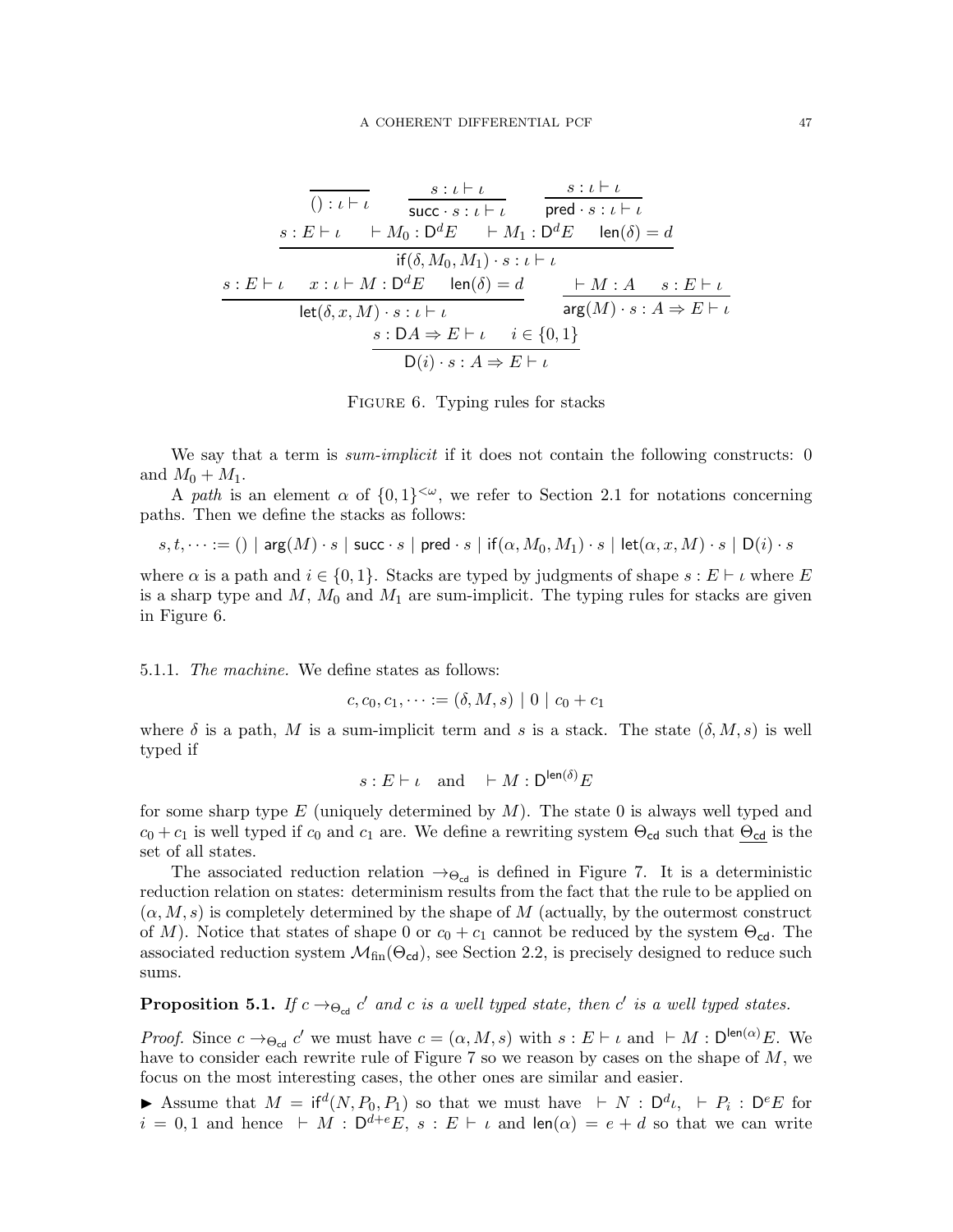<span id="page-46-0"></span>
$$
\frac{s: \iota \vdash \iota}{\text{()} : \iota \vdash \iota} \qquad \frac{s: \iota \vdash \iota}{\text{succ} \cdot s: \iota \vdash \iota} \qquad \frac{s: \iota \vdash \iota}{\text{pred} \cdot s: \iota \vdash \iota}
$$
\n
$$
\frac{s: E \vdash \iota \qquad \vdash M_0: D^d E \qquad \vdash M_1: D^d E \qquad \text{len}(\delta) = d}{\text{if}(\delta, M_0, M_1) \cdot s: \iota \vdash \iota}
$$
\n
$$
\frac{s: E \vdash \iota \qquad x: \iota \vdash M: D^d E \qquad \text{len}(\delta) = d}{\text{let}(\delta, x, M) \cdot s: \iota \vdash \iota} \qquad \frac{\vdash M: A \qquad s: E \vdash \iota}{\text{arg}(M) \cdot s: A \Rightarrow E \vdash \iota}
$$
\n
$$
\frac{s: DA \Rightarrow E \vdash \iota \qquad \text{arg}(M) \cdot s: A \Rightarrow E \vdash \iota}{D(i) \cdot s: A \Rightarrow E \vdash \iota}
$$

FIGURE 6. Typing rules for stacks

We say that a term is *sum-implicit* if it does not contain the following constructs: 0 and  $M_0 + M_1$ .

A path is an element  $\alpha$  of  $\{0,1\}^{<\omega}$ , we refer to Section [2.1](#page-5-0) for notations concerning paths. Then we define the stacks as follows:

 $s, t, \dots := ()$  | arg $(M) \cdot s$  | succ $\cdot s$  | pred  $\cdot s$  | if $(\alpha, M_0, M_1) \cdot s$  | let $(\alpha, x, M) \cdot s$  | D $(i) \cdot s$ 

where  $\alpha$  is a path and  $i \in \{0,1\}$ . Stacks are typed by judgments of shape  $s : E \vdash \iota$  where E is a sharp type and  $M$ ,  $M_0$  and  $M_1$  are sum-implicit. The typing rules for stacks are given in Figure [6.](#page-46-0)

5.1.1. The machine. We define states as follows:

 $c, c_0, c_1, \dots := (\delta, M, s) | 0 | c_0 + c_1$ 

where  $\delta$  is a path, M is a sum-implicit term and s is a stack. The state  $(\delta, M, s)$  is well typed if

$$
s: E \vdash \iota \quad \text{and} \quad \vdash M: \mathsf{D}^{\mathsf{len}(\delta)}E
$$

for some sharp type  $E$  (uniquely determined by  $M$ ). The state 0 is always well typed and  $c_0 + c_1$  is well typed if  $c_0$  and  $c_1$  are. We define a rewriting system  $\Theta_{cd}$  such that  $\Theta_{cd}$  is the set of all states.

The associated reduction relation  $\rightarrow$ Θ<sub>cd</sub> is defined in Figure [7.](#page-47-0) It is a deterministic reduction relation on states: determinism results from the fact that the rule to be applied on  $(\alpha, M, s)$  is completely determined by the shape of M (actually, by the outermost construct of M). Notice that states of shape 0 or  $c_0 + c_1$  cannot be reduced by the system  $\Theta_{cd}$ . The associated reduction system  $\mathcal{M}_{fin}(\Theta_{cd})$ , see Section [2.2,](#page-6-0) is precisely designed to reduce such sums.

<span id="page-46-1"></span>**Proposition 5.1.** If  $c \rightarrow_{\Theta_{\text{cd}}} c'$  and c is a well typed state, then  $c'$  is a well typed states.

*Proof.* Since  $c \to_{\Theta_{\text{cd}}} c'$  we must have  $c = (\alpha, M, s)$  with  $s : E \vdash \iota$  and  $\vdash M : D^{\text{len}(\alpha)}E$ . We have to consider each rewrite rule of Figure [7](#page-47-0) so we reason by cases on the shape of M, we focus on the most interesting cases, the other ones are similar and easier.

► Assume that  $M = \text{if}^d(N, P_0, P_1)$  so that we must have  $\vdash N : \mathsf{D}^d \iota, \vdash P_i : \mathsf{D}^e E$  for  $i = 0, 1$  and hence  $\vdash M : \mathsf{D}^{d+e}E$ ,  $s : E \vdash \iota$  and  $\mathsf{len}(\alpha) = e + d$  so that we can write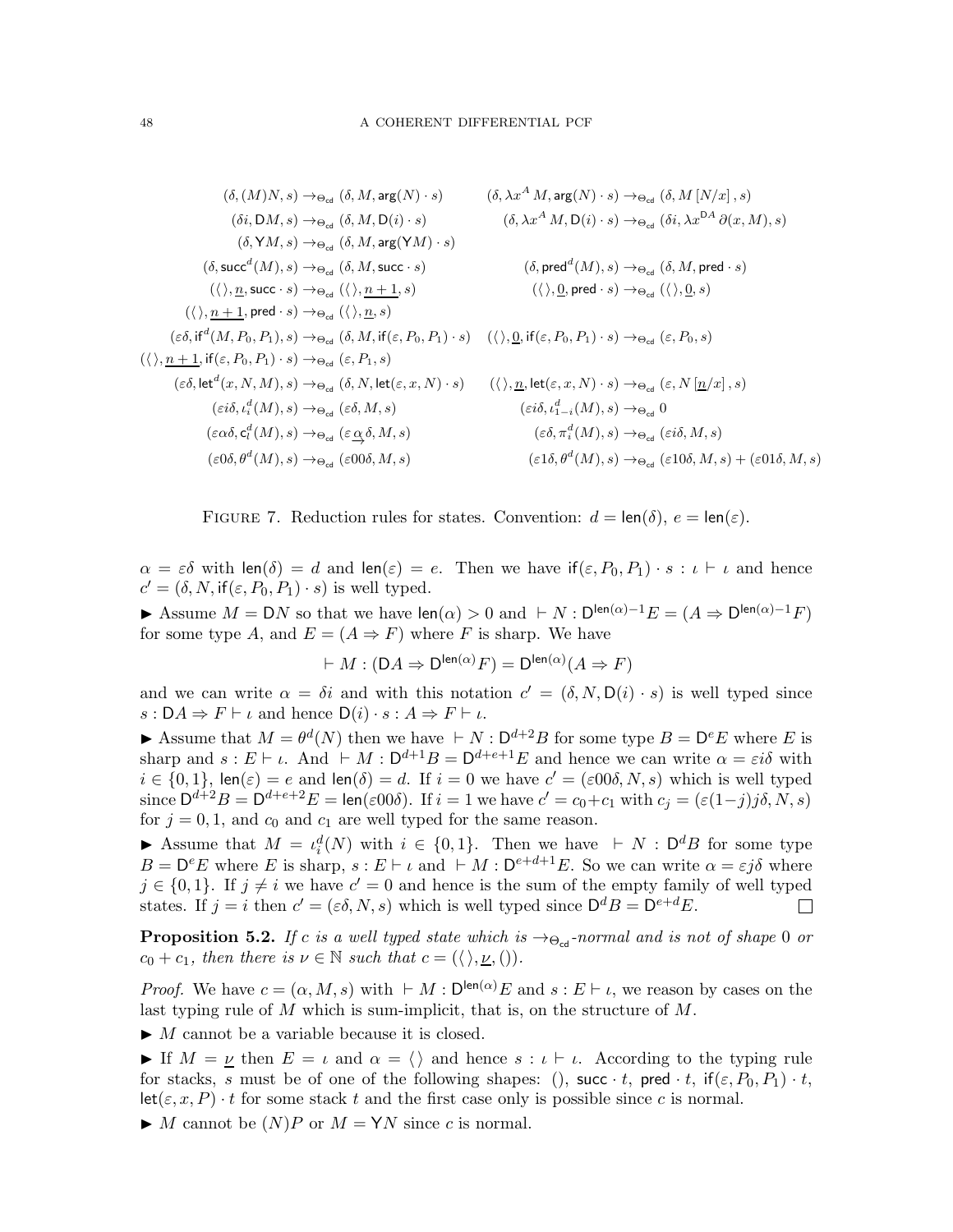<span id="page-47-0"></span>
$$
(\delta, (M)N, s) \rightarrow_{\Theta_{\text{cd}}} (\delta, M, \arg(N) \cdot s) \qquad (\delta, \lambda x^{A} M, \arg(N) \cdot s) \rightarrow_{\Theta_{\text{cd}}} (\delta, M [N/x], s)
$$
\n
$$
(\delta i, DM, s) \rightarrow_{\Theta_{\text{cd}}} (\delta, M, D(i) \cdot s) \qquad (\delta, \lambda x^{A} M, D(i) \cdot s) \rightarrow_{\Theta_{\text{cd}}} (\delta i, \lambda x^{DA} \partial(x, M), s)
$$
\n
$$
(\delta, YM, s) \rightarrow_{\Theta_{\text{cd}}} (\delta, M, \arg(YM) \cdot s)
$$
\n
$$
(\delta, succ^{d}(M), s) \rightarrow_{\Theta_{\text{cd}}} (\delta, M, \arg(YM) \cdot s) \qquad (\delta, pred^{d}(M), s) \rightarrow_{\Theta_{\text{cd}}} (\delta i, \lambda x^{DA} \partial(x, M), s)
$$
\n
$$
(\langle \rangle, \underline{n}, \text{succ} \cdot s) \rightarrow_{\Theta_{\text{cd}}} (\langle \rangle, \underline{n}, s) \qquad (\langle \rangle, \underline{0}, \text{pred} \cdot s) \rightarrow_{\Theta_{\text{cd}}} (\langle \rangle, \underline{0}, s)
$$
\n
$$
(\langle \rangle, \underline{n+1}, \text{pred} \cdot s) \rightarrow_{\Theta_{\text{cd}}} (\delta, M, \text{if}(\varepsilon, P_0, P_1) \cdot s) \qquad (\langle \rangle, \underline{0}, \text{if}(\varepsilon, P_0, P_1) \cdot s) \rightarrow_{\Theta_{\text{cd}}} (\varepsilon, P_0, s)
$$
\n
$$
(\langle \rangle, \underline{n+1}, \text{if}(\varepsilon, P_0, P_1) \cdot s) \rightarrow_{\Theta_{\text{cd}}} (\varepsilon, P_1, s)
$$
\n
$$
(\varepsilon \delta, \text{let}^{d}(x, N, M), s) \rightarrow_{\Theta_{\text{cd}}} (\delta, N, \text{let}(\varepsilon, x, N) \cdot s) \qquad (\langle \rangle, \underline{n}, \text{let}(\varepsilon, x, N) \cdot s) \rightarrow_{\Theta_{\text{cd}}} (\varepsilon, N [\underline{n}/x], s)
$$
\n
$$
(\varepsilon \delta \delta, \varepsilon_{i}^{d}(M), s) \rightarrow_{\Theta_{\text{cd}}} (\varepsilon \delta, M, s) \qquad (\vare
$$

FIGURE 7. Reduction rules for states. Convention:  $d = \text{len}(\delta)$ ,  $e = \text{len}(\varepsilon)$ .

 $\alpha = \varepsilon \delta$  with len( $\delta$ ) = d and len( $\varepsilon$ ) = e. Then we have if( $\varepsilon, P_0, P_1$ ) · s :  $\iota \vdash \iota$  and hence  $c' = (\delta, N, \text{if}(\varepsilon, P_0, P_1) \cdot s)$  is well typed.

Assume  $M = DN$  so that we have  $len(\alpha) > 0$  and  $\vdash N : D^{len(\alpha)-1}E = (A \Rightarrow D^{len(\alpha)-1}F)$ for some type A, and  $E = (A \Rightarrow F)$  where F is sharp. We have

$$
\vdash M : (\mathsf{D} A \Rightarrow \mathsf{D}^{\mathsf{len}(\alpha)} F) = \mathsf{D}^{\mathsf{len}(\alpha)} (A \Rightarrow F)
$$

and we can write  $\alpha = \delta i$  and with this notation  $c' = (\delta, N, D(i) \cdot s)$  is well typed since  $s: DA \Rightarrow F \vdash \iota$  and hence  $D(i) \cdot s: A \Rightarrow F \vdash \iota$ .

Assume that  $M = \theta^d(N)$  then we have  $\vdash N : \mathsf{D}^{d+2}B$  for some type  $B = \mathsf{D}^e E$  where E is sharp and  $s : E \vdash \iota$ . And  $\vdash M : D^{d+1}B = D^{d+e+1}E$  and hence we can write  $\alpha = \varepsilon i\delta$  with  $i \in \{0,1\}$ , len $(\varepsilon) = e$  and len $(\delta) = d$ . If  $i = 0$  we have  $c' = (\varepsilon 00\delta, N, s)$  which is well typed since  $\mathsf{D}^{d+2}B = \mathsf{D}^{d+e+2}E = \textsf{len}(\varepsilon 00\delta)$ . If  $i = 1$  we have  $c' = c_0 + c_1$  with  $c_j = (\varepsilon (1-j)j\delta, N, s)$ for  $j = 0, 1$ , and  $c_0$  and  $c_1$  are well typed for the same reason.

► Assume that  $M = \iota_i^d(N)$  with  $i \in \{0,1\}$ . Then we have  $\vdash N : \mathsf{D}^d B$  for some type  $B = D^e E$  where E is sharp,  $s : E \vdash \iota$  and  $\vdash M : D^{e+d+1} E$ . So we can write  $\alpha = \varepsilon j \delta$  where  $j \in \{0,1\}$ . If  $j \neq i$  we have  $c' = 0$  and hence is the sum of the empty family of well typed states. If  $j = i$  then  $c' = (\varepsilon \delta, N, s)$  which is well typed since  $\mathsf{D}^d B = \mathsf{D}^{e+d} E$ .  $\Box$ 

**Proposition 5.2.** If c is a well typed state which is  $\rightarrow \Theta_{cd}$ -normal and is not of shape 0 or  $c_0 + c_1$ , then there is  $\nu \in \mathbb{N}$  such that  $c = (\langle \rangle, \underline{\nu}, \langle \rangle).$ 

*Proof.* We have  $c = (\alpha, M, s)$  with  $\vdash M : D^{\text{len}(\alpha)}E$  and  $s : E \vdash \iota$ , we reason by cases on the last typing rule of  $M$  which is sum-implicit, that is, on the structure of  $M$ .

 $\blacktriangleright M$  cannot be a variable because it is closed.

► If  $M = \underline{\nu}$  then  $E = \iota$  and  $\alpha = \langle \rangle$  and hence  $s : \iota \vdash \iota$ . According to the typing rule for stacks, s must be of one of the following shapes: (), succ  $\cdot t$ , pred  $\cdot t$ , if $(\varepsilon, P_0, P_1) \cdot t$ ,  $let(\varepsilon, x, P) \cdot t$  for some stack t and the first case only is possible since c is normal.

 $\blacktriangleright M$  cannot be  $(N)P$  or  $M = \text{YN}$  since c is normal.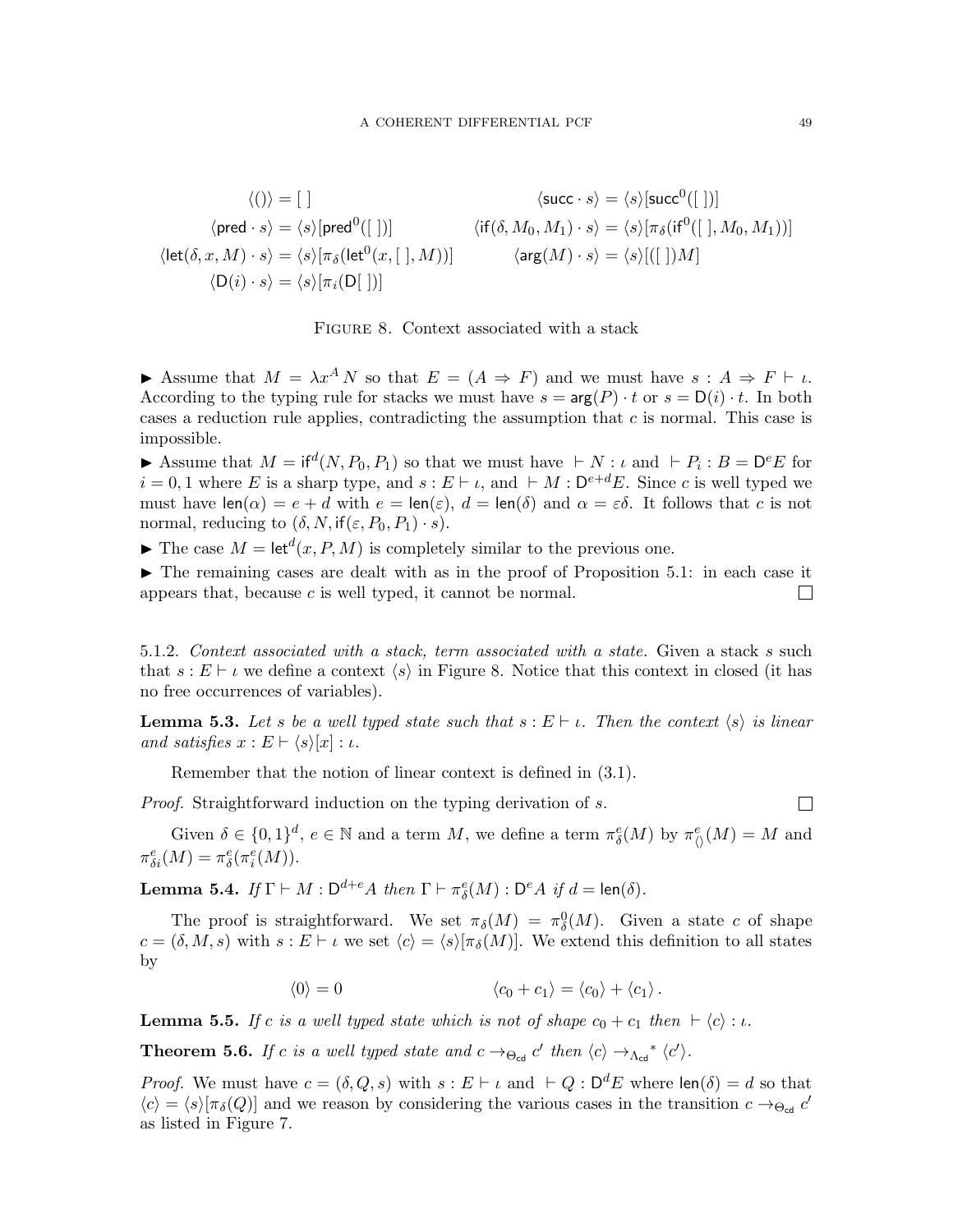<span id="page-48-0"></span>
$$
\langle ()\rangle = [\ ] \qquad \langle \mathsf{succ}\cdot s\rangle = \langle s\rangle[\mathsf{succ}^0([\ ])]
$$
\n
$$
\langle \mathsf{pred}\cdot s\rangle = \langle s\rangle[\mathsf{pred}^0([\ ])] \qquad \langle \mathsf{if}(\delta, M_0, M_1) \cdot s\rangle = \langle s\rangle[\pi_\delta(\mathsf{if}^0([\ ],M_0, M_1))]
$$
\n
$$
\langle \mathsf{let}(\delta, x, M) \cdot s\rangle = \langle s\rangle[\pi_\delta(\mathsf{let}^0(x, [\ ],M))] \qquad \langle \mathsf{arg}(M) \cdot s\rangle = \langle s\rangle[([\ ])M]
$$
\n
$$
\langle D(i) \cdot s\rangle = \langle s\rangle[\pi_i(D[\ ])]
$$



Assume that  $M = \lambda x^A N$  so that  $E = (A \Rightarrow F)$  and we must have  $s : A \Rightarrow F \vdash \iota$ . According to the typing rule for stacks we must have  $s = \arg(P) \cdot t$  or  $s = D(i) \cdot t$ . In both cases a reduction rule applies, contradicting the assumption that  $c$  is normal. This case is impossible.

Assume that  $M = \text{if}^d(N, P_0, P_1)$  so that we must have  $\vdash N : \iota$  and  $\vdash P_i : B = \mathsf{D}^e E$  for  $i = 0, 1$  where E is a sharp type, and  $s : E \vdash \iota$ , and  $\vdash M : D^{e+d}E$ . Since c is well typed we must have  $\text{len}(\alpha) = e + d$  with  $e = \text{len}(\varepsilon), d = \text{len}(\delta)$  and  $\alpha = \varepsilon \delta$ . It follows that c is not normal, reducing to  $(\delta, N, \text{if}(\varepsilon, P_0, P_1) \cdot s)$ .

 $\blacktriangleright$  The case  $M = \text{let}^d(x, P, M)$  is completely similar to the previous one.

 $\blacktriangleright$  The remaining cases are dealt with as in the proof of Proposition [5.1:](#page-46-1) in each case it appears that, because  $c$  is well typed, it cannot be normal.  $\Box$ 

5.1.2. Context associated with a stack, term associated with a state. Given a stack s such that  $s : E \vdash \iota$  we define a context  $\langle s \rangle$  in Figure [8.](#page-48-0) Notice that this context in closed (it has no free occurrences of variables).

**Lemma 5.3.** Let s be a well typed state such that  $s : E \vdash \iota$ . Then the context  $\langle s \rangle$  is linear and satisfies  $x : E \vdash \langle s \rangle[x] : \iota$ .

Remember that the notion of linear context is defined in [\(3.1\)](#page-6-1).

Proof. Straightforward induction on the typing derivation of s.

 $\Box$ 

Given  $\delta \in \{0,1\}^d$ ,  $e \in \mathbb{N}$  and a term M, we define a term  $\pi_\delta^e(M)$  by  $\pi_\mathcal{O}^e(M) = M$  and  $\pi_{\delta i}^e(M) = \pi_{\delta}^e(\pi_i^e(M)).$ 

**Lemma 5.4.** If  $\Gamma \vdash M : \mathsf{D}^{d+e}A$  then  $\Gamma \vdash \pi_{\delta}^{e}(M) : \mathsf{D}^{e}A$  if  $d = \mathsf{len}(\delta)$ .

The proof is straightforward. We set  $\pi_{\delta}(M) = \pi_{\delta}^0(M)$ . Given a state c of shape  $c = (\delta, M, s)$  with  $s : E \vdash \iota$  we set  $\langle c \rangle = \langle s \rangle[\pi_{\delta}(M)]$ . We extend this definition to all states by

$$
\langle 0 \rangle = 0 \qquad \qquad \langle c_0 + c_1 \rangle = \langle c_0 \rangle + \langle c_1 \rangle.
$$

**Lemma 5.5.** If c is a well typed state which is not of shape  $c_0 + c_1$  then  $\vdash \langle c \rangle : \iota$ .

<span id="page-48-1"></span>**Theorem 5.6.** If c is a well typed state and  $c \rightarrow_{\Theta_{\text{cd}}} c'$  then  $\langle c \rangle \rightarrow_{\Lambda_{\text{cd}}}^* \langle c' \rangle$ .

*Proof.* We must have  $c = (\delta, Q, s)$  with  $s : E \vdash \iota$  and  $\vdash Q : D^d E$  where  $\text{len}(\delta) = d$  so that  $\langle c \rangle = \langle s \rangle[\pi_{\delta}(Q)]$  and we reason by considering the various cases in the transition  $c \to_{\Theta_{\rm cd}} c'$ as listed in Figure [7.](#page-47-0)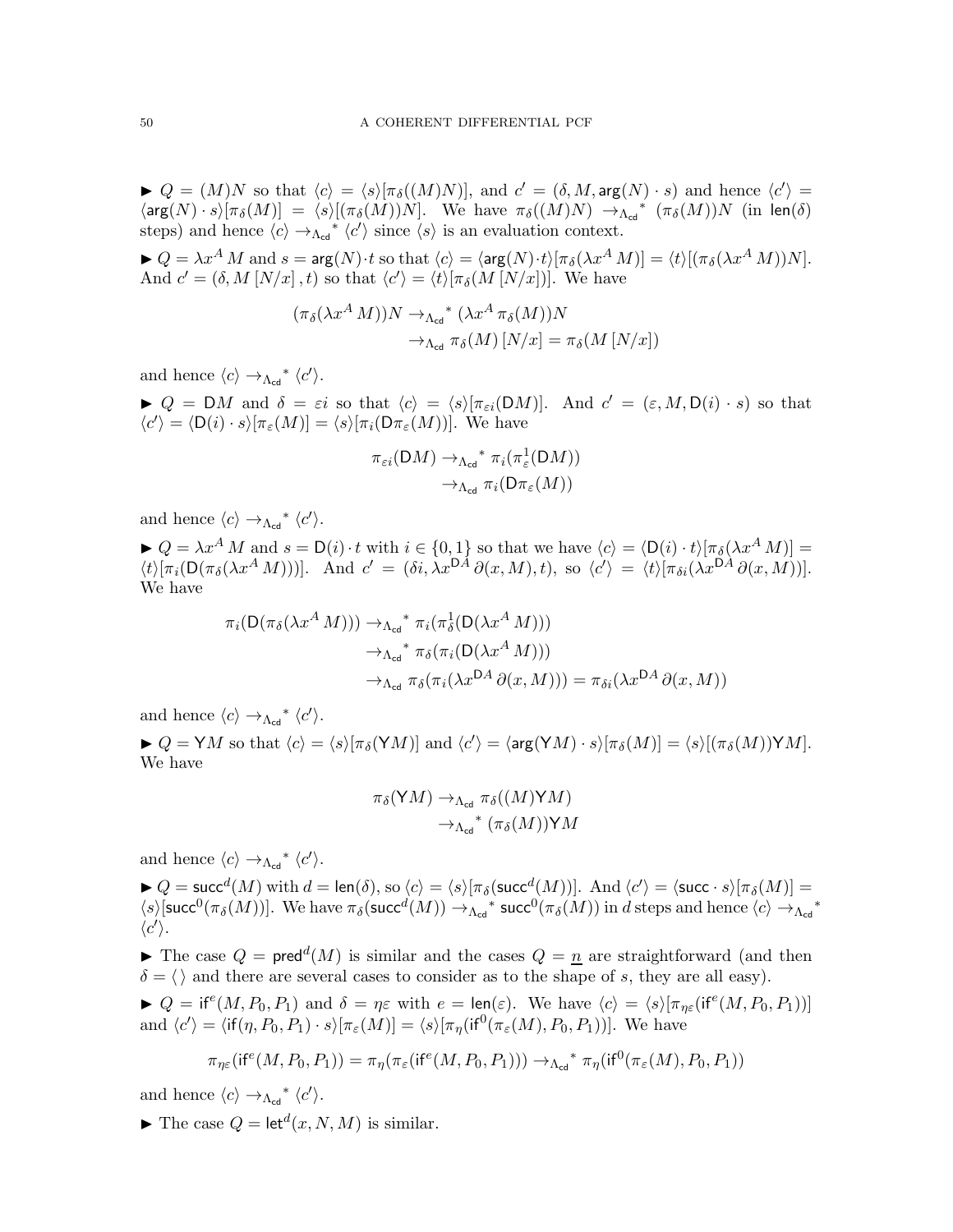$Q = (M)N$  so that  $\langle c \rangle = \langle s \rangle[\pi_{\delta}((M)N)]$ , and  $c' = (\delta, M, \arg(N) \cdot s)$  and hence  $\langle c' \rangle =$  $\langle \arg(N) \cdot s \rangle [\pi_{\delta}(M)] = \langle s \rangle [(\pi_{\delta}(M))N]$ . We have  $\pi_{\delta}((M)N) \to_{\Lambda_{\text{cd}}}^* (\pi_{\delta}(M))N$  (in len(δ) steps) and hence  $\langle c \rangle \rightarrow_{\Lambda_{\text{cd}}}^* \langle c' \rangle$  since  $\langle s \rangle$  is an evaluation context.

 $\blacktriangleright Q = \lambda x^A M$  and  $s = \arg(N) \cdot t$  so that  $\langle c \rangle = \langle \arg(N) \cdot t \rangle [\pi_\delta(\lambda x^A M)] = \langle t \rangle [(\pi_\delta(\lambda x^A M))N]$ . And  $c' = (\delta, M [N/x], t)$  so that  $\langle c' \rangle = \langle t \rangle [\pi_{\delta}(M [N/x])]$ . We have

$$
(\pi_{\delta}(\lambda x^{A} M))N \to_{\Lambda_{\text{cd}}}^{\Lambda_{\text{cd}}} (\lambda x^{A} \pi_{\delta}(M))N
$$
  

$$
\to_{\Lambda_{\text{cd}}} \pi_{\delta}(M) [N/x] = \pi_{\delta}(M [N/x])
$$

and hence  $\langle c \rangle \rightarrow_{\Lambda_{\text{cd}}}^* \langle c' \rangle$ .

 $Q = DM$  and  $\delta = \varepsilon i$  so that  $\langle c \rangle = \langle s \rangle [\pi_{\varepsilon i}(DM)].$  And  $c' = (\varepsilon, M, D(i) \cdot s)$  so that  $\langle c' \rangle = \langle D(i) \cdot s \rangle [\pi_{\varepsilon}(M)] = \langle s \rangle [\pi_i(D\pi_{\varepsilon}(M))].$  We have

$$
\pi_{\varepsilon i}(DM) \to_{\Lambda_{\text{cd}}}^* \pi_i(\pi_{\varepsilon}^1(DM))
$$

$$
\to_{\Lambda_{\text{cd}}} \pi_i(D\pi_{\varepsilon}(M))
$$

and hence  $\langle c \rangle \rightarrow_{\Lambda_{\text{cd}}}^* \langle c' \rangle$ .

 $\blacktriangleright Q = \lambda x^A M$  and  $s = D(i) \cdot t$  with  $i \in \{0,1\}$  so that we have  $\langle c \rangle = \langle D(i) \cdot t \rangle [\pi_\delta(\lambda x^A M)] =$  $\langle t \rangle [\pi_i(\mathsf{D}(\pi_\delta(\lambda x^A M)))]$ . And  $c' = (\delta i, \lambda x^{\mathsf{D}A} \partial(x, M), t)$ , so  $\langle c' \rangle = \langle t \rangle [\pi_{\delta i}(\lambda x^{\mathsf{D}A} \partial(x, M))]$ . We have

$$
\pi_i(\mathsf{D}(\pi_\delta(\lambda x^A M))) \to_{\Lambda_{\text{cd}}}^* \pi_i(\pi_\delta^1(\mathsf{D}(\lambda x^A M)))
$$
  

$$
\to_{\Lambda_{\text{cd}}}^* \pi_\delta(\pi_i(\mathsf{D}(\lambda x^A M)))
$$
  

$$
\to_{\Lambda_{\text{cd}}} \pi_\delta(\pi_i(\lambda x^{\mathsf{D}A} \partial(x, M))) = \pi_{\delta i}(\lambda x^{\mathsf{D}A} \partial(x, M))
$$

and hence  $\langle c \rangle \rightarrow_{\Lambda_{\text{cd}}}^* \langle c' \rangle$ .

 $\blacktriangleright Q = \mathsf{Y}M$  so that  $\langle c \rangle = \langle s \rangle[\pi_\delta(\mathsf{Y}M)]$  and  $\langle c' \rangle = \langle \arg(\mathsf{Y}M) \cdot s \rangle[\pi_\delta(M)] = \langle s \rangle[(\pi_\delta(M)) \mathsf{Y}M]$ . We have

$$
\pi_{\delta}(YM) \to_{\Lambda_{\text{cd}}} \pi_{\delta}((M)YM)
$$

$$
\to_{\Lambda_{\text{cd}}}^* (\pi_{\delta}(M))YM
$$

and hence  $\langle c \rangle \rightarrow_{\Lambda_{\text{cd}}}^* \langle c' \rangle$ .

 $\blacktriangleright Q = \mathsf{succ}^d(M)$  with  $d = \mathsf{len}(\delta)$ , so  $\langle c \rangle = \langle s \rangle [\pi_\delta(\mathsf{succ}^d(M))]$ . And  $\langle c' \rangle = \langle \mathsf{succ} \cdot s \rangle [\pi_\delta(M)] =$  $\langle s \rangle$ [succ<sup>0</sup>( $\pi_{\delta}(M)$ )]. We have  $\pi_{\delta}(\text{succ}^d(M)) \to_{\Lambda_{\text{cd}}}^*$  succ<sup>0</sup>( $\pi_{\delta}(M)$ ) in d steps and hence  $\langle c \rangle \to_{\Lambda_{\text{cd}}}^*$  $\langle c' \rangle$ .

The case  $Q = \text{pred}^d(M)$  is similar and the cases  $Q = \underline{n}$  are straightforward (and then  $\delta = \langle \rangle$  and there are several cases to consider as to the shape of s, they are all easy).

 $Q = \text{if}^e(M, P_0, P_1)$  and  $\delta = \eta \varepsilon$  with  $e = \text{len}(\varepsilon)$ . We have  $\langle c \rangle = \langle s \rangle [\pi_{\eta \varepsilon}(\text{if}^e(M, P_0, P_1))]$ and  $\langle c' \rangle = \langle \text{if}(\eta, P_0, P_1) \cdot s \rangle [\pi_{\varepsilon}(M)] = \langle s \rangle [\pi_{\eta}(\text{if}^0(\pi_{\varepsilon}(M), P_0, P_1))]$ . We have

$$
\pi_{\eta \varepsilon}(\text{if}^e(M, P_0, P_1)) = \pi_{\eta}(\pi_{\varepsilon}(\text{if}^e(M, P_0, P_1))) \to_{\Lambda_{\text{cd}}}^* \pi_{\eta}(\text{if}^0(\pi_{\varepsilon}(M), P_0, P_1))
$$

and hence  $\langle c \rangle \rightarrow_{\Lambda_{\text{cd}}}^* \langle c' \rangle$ .

 $\blacktriangleright$  The case  $Q = \text{let}^d(x, N, M)$  is similar.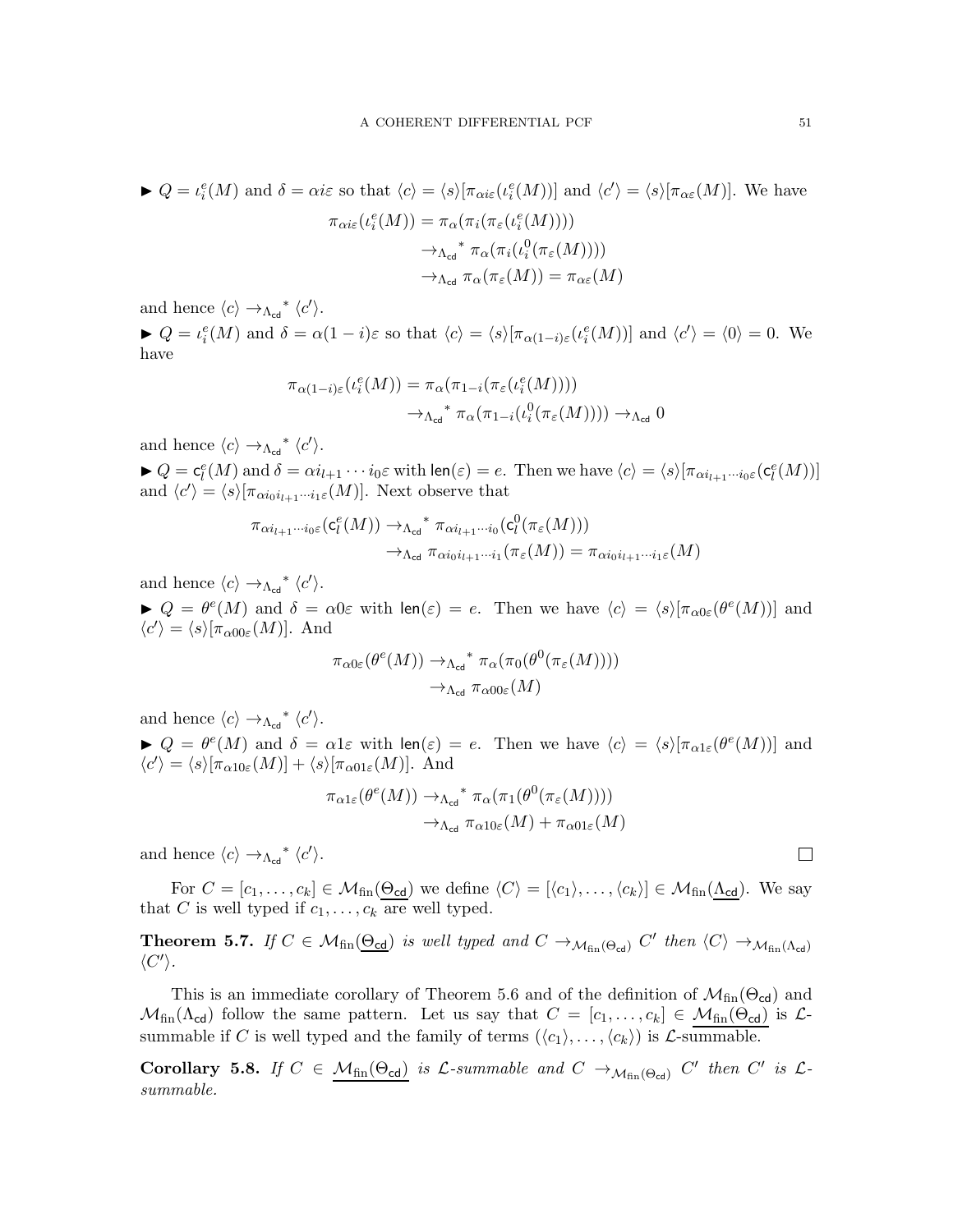$$
\blacktriangleright Q = \iota_i^e(M) \text{ and } \delta = \alpha i \varepsilon \text{ so that } \langle c \rangle = \langle s \rangle [\pi_{\alpha i \varepsilon}(\iota_i^e(M))] \text{ and } \langle c' \rangle = \langle s \rangle [\pi_{\alpha \varepsilon}(M)]. \text{ We have}
$$

$$
\pi_{\alpha i \varepsilon}(\iota_i^e(M)) = \pi_{\alpha}(\pi_i(\pi_{\varepsilon}(\iota_i^e(M))))
$$

$$
\to_{\Lambda_{\text{cd}}}^* \pi_{\alpha}(\pi_i(\iota_i^0(\pi_{\varepsilon}(M))))
$$

$$
\to_{\Lambda_{\text{cd}}} \pi_{\alpha}(\pi_{\varepsilon}(M)) = \pi_{\alpha \varepsilon}(M)
$$

and hence  $\langle c \rangle \rightarrow_{\Lambda_{\text{cd}}}^* \langle c' \rangle$ .

 $Q = \iota_i^e(M)$  and  $\delta = \alpha(1-i)\varepsilon$  so that  $\langle c \rangle = \langle s \rangle[\pi_{\alpha(1-i)\varepsilon}(\iota_i^e(M))]$  and  $\langle c' \rangle = \langle 0 \rangle = 0$ . We have

$$
\pi_{\alpha(1-i)\varepsilon}(\iota_i^e(M)) = \pi_{\alpha}(\pi_{1-i}(\pi_{\varepsilon}(\iota_i^e(M))))
$$

$$
\to_{\Lambda_{\text{cd}}}^* \pi_{\alpha}(\pi_{1-i}(\iota_i^0(\pi_{\varepsilon}(M)))) \to_{\Lambda_{\text{cd}}} 0
$$

and hence  $\langle c \rangle \rightarrow_{\Lambda_{\text{cd}}}^* \langle c' \rangle$ .

 $\blacktriangleright Q = \mathsf{c}_l^e(M)$  and  $\delta = \alpha i_{l+1} \cdots i_0 \varepsilon$  with  $\mathsf{len}(\varepsilon) = e$ . Then we have  $\langle c \rangle = \langle s \rangle [\pi_{\alpha i_{l+1} \cdots i_0 \varepsilon}(\mathsf{c}_l^e(M))]$ and  $\langle c' \rangle = \langle s \rangle[\pi_{\alpha i_0 i_{l+1} \cdots i_1 \varepsilon}(M)]$ . Next observe that

$$
\pi_{\alpha i_{l+1}\cdots i_0\varepsilon}(\mathsf{c}_l^e(M)) \to_{\Lambda_{\text{cd}}}^* \pi_{\alpha i_{l+1}\cdots i_0}(\mathsf{c}_l^0(\pi_{\varepsilon}(M)))
$$

$$
\to_{\Lambda_{\text{cd}}} \pi_{\alpha i_0 i_{l+1}\cdots i_1}(\pi_{\varepsilon}(M)) = \pi_{\alpha i_0 i_{l+1}\cdots i_1\varepsilon}(M)
$$

and hence  $\langle c \rangle \rightarrow_{\Lambda_{\text{cd}}}^* \langle c' \rangle$ .

 $Q = \theta^e(M)$  and  $\delta = \alpha 0 \varepsilon$  with  $\text{len}(\varepsilon) = e$ . Then we have  $\langle c \rangle = \langle s \rangle [\pi_{\alpha 0 \varepsilon}(\theta^e(M))]$  and  $\langle c' \rangle = \langle s \rangle [\pi_{\alpha 00 \varepsilon}(M)].$  And

$$
\pi_{\alpha 0 \varepsilon}(\theta^e(M)) \to_{\Lambda_{\text{cd}}} \pi_{\alpha}(\pi_0(\theta^0(\pi_{\varepsilon}(M))))
$$

$$
\to_{\Lambda_{\text{cd}}} \pi_{\alpha 0 0 \varepsilon}(M)
$$

and hence  $\langle c \rangle \rightarrow_{\Lambda_{\text{cd}}}^* \langle c' \rangle$ .

 $Q = \theta^e(M)$  and  $\delta = \alpha l \varepsilon$  with  $\text{len}(\varepsilon) = e$ . Then we have  $\langle c \rangle = \langle s \rangle [\pi_{\alpha l \varepsilon}(\theta^e(M))]$  and  $\langle c' \rangle = \langle s \rangle [\pi_{\alpha 10 \varepsilon}(M)] + \langle s \rangle [\pi_{\alpha 01 \varepsilon}(M)].$  And

$$
\pi_{\alpha 1 \varepsilon}(\theta^e(M)) \to_{\Lambda_{\text{cd}}} \pi_{\alpha}(\pi_1(\theta^0(\pi_{\varepsilon}(M))))
$$

$$
\to_{\Lambda_{\text{cd}}} \pi_{\alpha 10 \varepsilon}(M) + \pi_{\alpha 01 \varepsilon}(M)
$$

and hence  $\langle c \rangle \rightarrow_{\Lambda_{\text{cd}}}^* \langle c' \rangle$ .

For  $C = [c_1, \ldots, c_k] \in \mathcal{M}_{fin}(\underline{\Theta_{cd}})$  we define  $\langle C \rangle = [\langle c_1 \rangle, \ldots, \langle c_k \rangle] \in \mathcal{M}_{fin}(\underline{\Lambda_{cd}})$ . We say that C is well typed if  $c_1, \ldots, c_k$  are well typed.

**Theorem 5.7.** If  $C \in \mathcal{M}_{fin}(\underline{\Theta_{cd}})$  is well typed and  $C \to_{\mathcal{M}_{fin}(\Theta_{cd})} C'$  then  $\langle C \rangle \to_{\mathcal{M}_{fin}(\Lambda_{cd})} C'$  $\langle C'\rangle.$ 

This is an immediate corollary of Theorem [5.6](#page-48-1) and of the definition of  $\mathcal{M}_{fin}(\Theta_{cd})$  and  $\mathcal{M}_{fin}(\Lambda_{cd})$  follow the same pattern. Let us say that  $C = [c_1, \ldots, c_k] \in \mathcal{M}_{fin}(\Theta_{cd})$  is  $\mathcal{L}$ summable if C is well typed and the family of terms  $(\langle c_1 \rangle, \ldots, \langle c_k \rangle)$  is L-summable.

<span id="page-50-0"></span>**Corollary 5.8.** If  $C \in \mathcal{M}_{fin}(\Theta_{cd})$  is  $\mathcal{L}$ -summable and  $C \to_{\mathcal{M}_{fin}(\Theta_{cd})} C'$  then  $C'$  is  $\mathcal{L}$ summable.

 $\Box$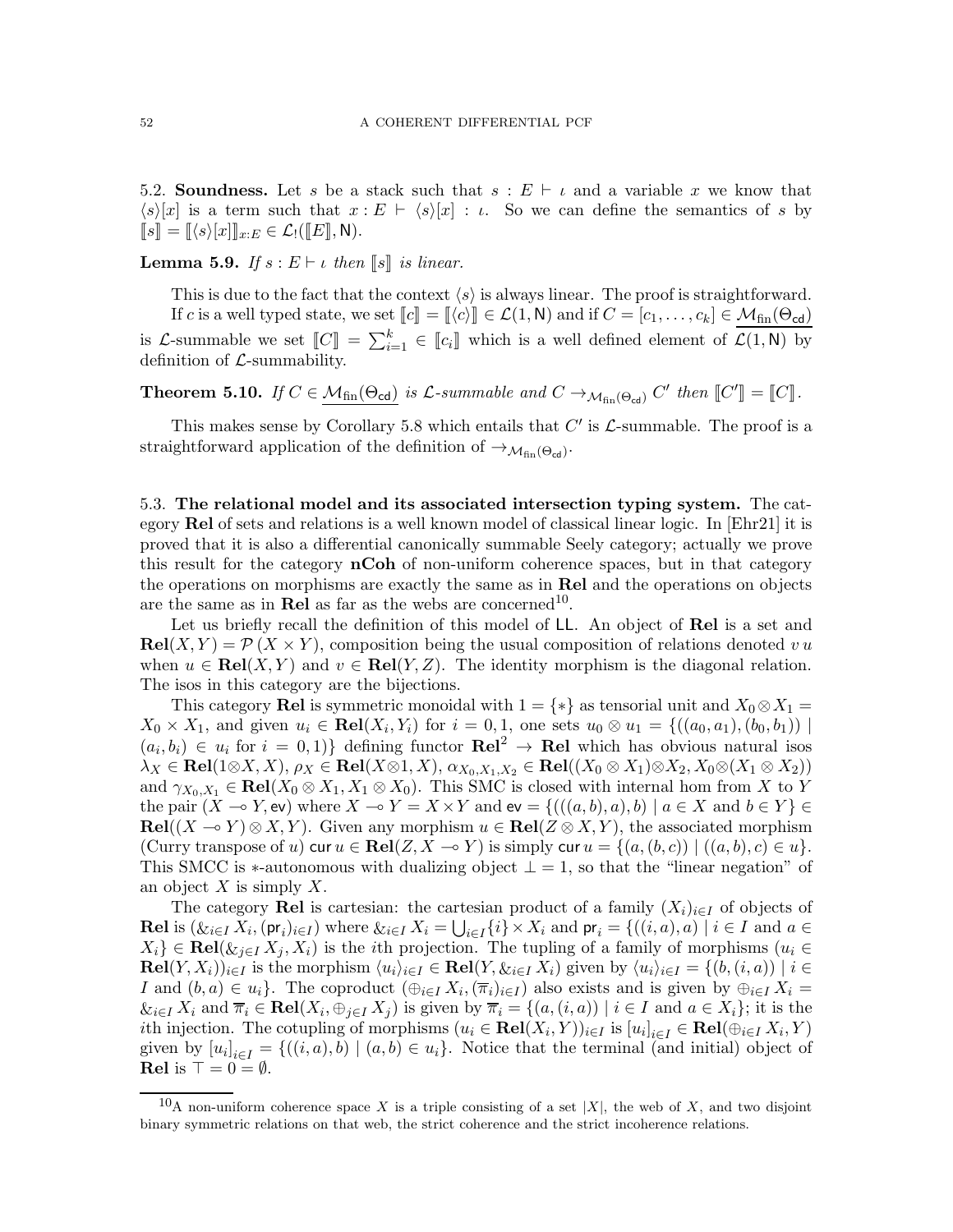5.2. Soundness. Let s be a stack such that  $s : E \vdash \iota$  and a variable x we know that  $\langle s \rangle [x]$  is a term such that  $x : E \vdash \langle s \rangle [x] : \iota$ . So we can define the semantics of s by  $\llbracket s \rrbracket = \llbracket \langle s \rangle [x] \rrbracket_{x:E} \in \mathcal{L}_!([\llbracket E \rrbracket, \mathsf{N}).$ 

**Lemma 5.9.** If  $s : E \vdash \iota$  then  $\llbracket s \rrbracket$  is linear.

This is due to the fact that the context  $\langle s \rangle$  is always linear. The proof is straightforward. If c is a well typed state, we set  $\llbracket c \rrbracket = \llbracket \langle c \rangle \rrbracket \in \mathcal{L}(1, \mathsf{N})$  and if  $C = [c_1, \ldots, c_k] \in \mathcal{M}_{fin}(\Theta_{\text{cd}})$ is L-summable we set  $\llbracket C \rrbracket = \sum_{i=1}^k \in \llbracket c_i \rrbracket$  which is a well defined element of  $\mathcal{L}(1, \mathsf{N})$  by definition of  $\mathcal{L}$ -summability.

**Theorem 5.10.** If  $C \in \mathcal{M}_{fin}(\Theta_{\text{cd}})$  is  $\mathcal{L}$ -summable and  $C \to_{\mathcal{M}_{fin}(\Theta_{\text{cd}})} C'$  then  $[[C']] = [[C]].$ 

This makes sense by Corollary [5.8](#page-50-0) which entails that  $C'$  is  $\mathcal{L}$ -summable. The proof is a straightforward application of the definition of  $\rightarrow$   $M_{fin}(\Theta_{\text{cd}})$ .

<span id="page-51-1"></span>5.3. The relational model and its associated intersection typing system. The category Rel of sets and relations is a well known model of classical linear logic. In [\[Ehr21\]](#page-71-0) it is proved that it is also a differential canonically summable Seely category; actually we prove this result for the category **nCoh** of non-uniform coherence spaces, but in that category the operations on morphisms are exactly the same as in **Rel** and the operations on objects are the same as in **Rel** as far as the webs are concerned<sup>[10](#page-51-0)</sup>.

Let us briefly recall the definition of this model of LL. An object of Rel is a set and  $\text{Rel}(X, Y) = \mathcal{P}(X \times Y)$ , composition being the usual composition of relations denoted v u when  $u \in \text{Rel}(X, Y)$  and  $v \in \text{Rel}(Y, Z)$ . The identity morphism is the diagonal relation. The isos in this category are the bijections.

This category Rel is symmetric monoidal with  $1 = \{*\}$  as tensorial unit and  $X_0 \otimes X_1 =$  $X_0 \times X_1$ , and given  $u_i \in \text{Rel}(X_i, Y_i)$  for  $i = 0, 1$ , one sets  $u_0 \otimes u_1 = \{((a_0, a_1), (b_0, b_1)) |$  $(a_i, b_i) \in u_i$  for  $i = 0, 1$ } defining functor  $\mathbf{Rel}^2 \to \mathbf{Rel}$  which has obvious natural isos  $\lambda_X \in \textbf{Rel}(1 \otimes X, X), \rho_X \in \textbf{Rel}(X \otimes 1, X), \alpha_{X_0, X_1, X_2} \in \textbf{Rel}((X_0 \otimes X_1) \otimes X_2, X_0 \otimes (X_1 \otimes X_2))$ and  $\gamma_{X_0,X_1} \in \text{Rel}(X_0 \otimes X_1, X_1 \otimes X_0)$ . This SMC is closed with internal hom from X to Y the pair  $(X \to Y, \text{ev})$  where  $X \to Y = X \times Y$  and  $\text{ev} = \{((a, b), a), b) \mid a \in X \text{ and } b \in Y\} \in$  $\textbf{Rel}((X \multimap Y) \otimes X, Y)$ . Given any morphism  $u \in \textbf{Rel}(Z \otimes X, Y)$ , the associated morphism (Curry transpose of u) cur  $u \in \text{Rel}(Z, X \to Y)$  is simply cur  $u = \{(a, (b, c)) \mid ((a, b), c) \in u\}.$ This SMCC is  $\ast$ -autonomous with dualizing object  $\bot = 1$ , so that the "linear negation" of an object  $X$  is simply  $X$ .

The category Rel is cartesian: the cartesian product of a family  $(X_i)_{i\in I}$  of objects of **Rel** is  $(\mathcal{X}_i \in I X_i, (\mathsf{pr}_i)_{i \in I})$  where  $\mathcal{X}_i \in I X_i = \bigcup_{i \in I} \{i\} \times X_i$  and  $\mathsf{pr}_i = \{((i, a), a) \mid i \in I \text{ and } a \in I \}$  $X_i$ } ∈ Rel( $\&_{j\in I} X_j, X_i$ ) is the *i*th projection. The tupling of a family of morphisms ( $u_i \in$  $\text{Rel}(Y, X_i))_{i \in I}$  is the morphism  $\langle u_i \rangle_{i \in I} \in \text{Rel}(Y, \&i \in I} \times \{i\})$  given by  $\langle u_i \rangle_{i \in I} = \{(b, (i, a)) \mid i \in I\}$ I and  $(b, a) \in u_i$ . The coproduct  $(\bigoplus_{i \in I} X_i, (\overline{\pi}_i)_{i \in I})$  also exists and is given by  $\bigoplus_{i \in I} X_i =$  $\&_{i\in I} X_i$  and  $\overline{\pi}_i \in \text{Rel}(X_i, \oplus_{j\in I} X_j)$  is given by  $\overline{\pi}_i = \{(a, (i, a)) \mid i \in I \text{ and } a \in X_i\}$ ; it is the ith injection. The cotupling of morphisms  $(u_i \in \textbf{Rel}(X_i, Y))_{i \in I}$  is  $[u_i]_{i \in I} \in \textbf{Rel}(\bigoplus_{i \in I} X_i, Y)$ given by  $[u_i]_{i\in I} = \{((i, a), b) \mid (a, b) \in u_i\}$ . Notice that the terminal (and initial) object of Rel is  $\top = 0 = \emptyset$ .

<span id="page-51-0"></span><sup>&</sup>lt;sup>10</sup>A non-uniform coherence space X is a triple consisting of a set |X|, the web of X, and two disjoint binary symmetric relations on that web, the strict coherence and the strict incoherence relations.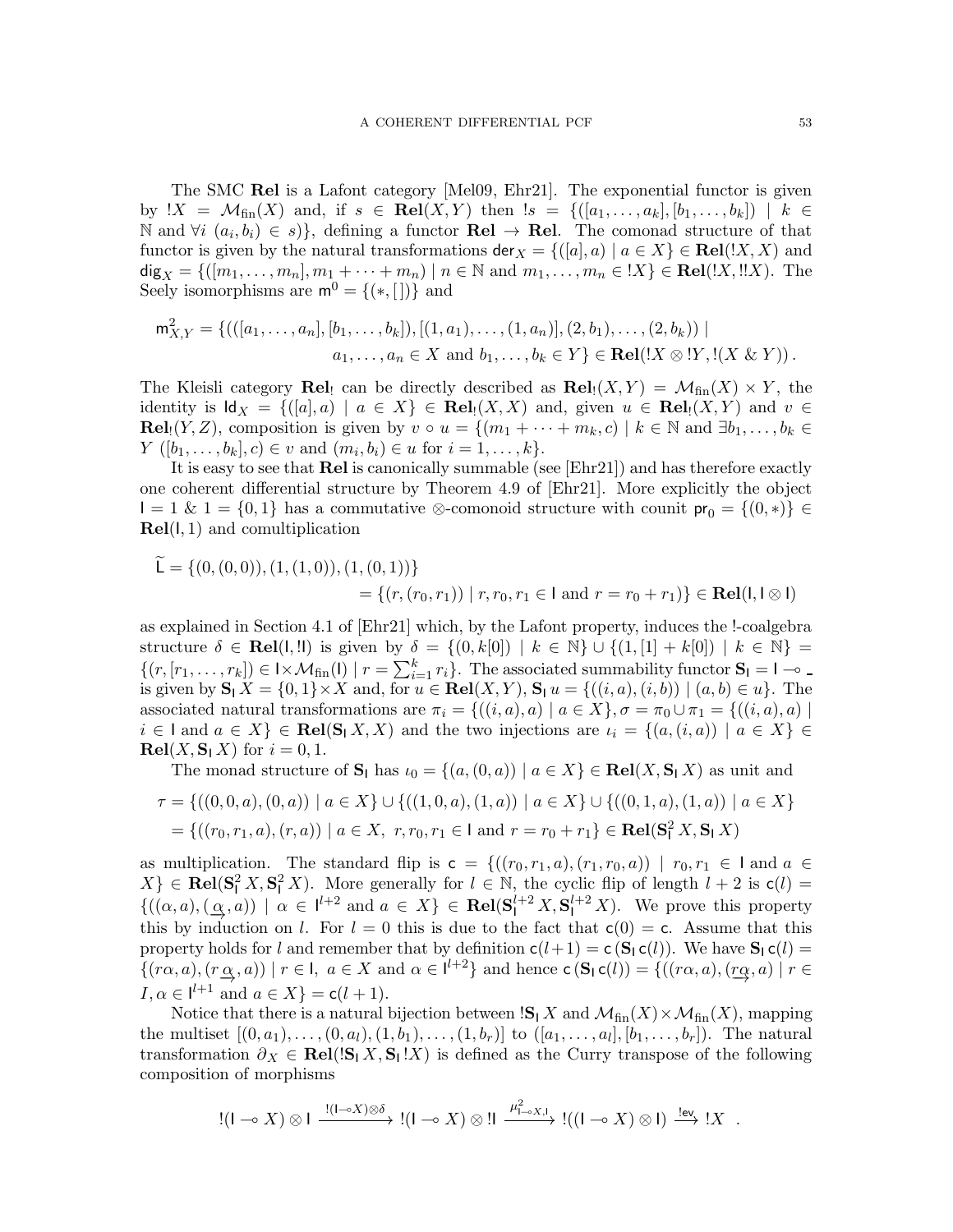The SMC Rel is a Lafont category [\[Mel09,](#page-71-1) [Ehr21\]](#page-71-0). The exponential functor is given by  $!X = \mathcal{M}_{fin}(X)$  and, if  $s \in \text{Rel}(X, Y)$  then  $!s = \{([a_1, \ldots, a_k], [b_1, \ldots, b_k]) | k \in$ N and  $\forall i \ (a_i, b_i) \in s$ }, defining a functor **Rel** → **Rel**. The comonad structure of that functor is given by the natural transformations  $\mathsf{der}_X = \{([a], a) \mid a \in X\} \in \mathbf{Rel}(X, X)$  and dig<sub>X</sub> = {([m<sub>1</sub>,...,m<sub>n</sub>], m<sub>1</sub> + ··· + m<sub>n</sub>) | n ∈ N and m<sub>1</sub>,...,m<sub>n</sub> ∈ !X} ∈ **Rel**(!X,!!X). The Seely isomorphisms are  $m^0 = \{(*, []\}$  and

$$
\mathsf{m}_{X,Y}^2 = \{(([a_1,\ldots,a_n],[b_1,\ldots,b_k]),[(1,a_1),\ldots,(1,a_n)],(2,b_1),\ldots,(2,b_k)) \mid a_1,\ldots,a_n \in X \text{ and } b_1,\ldots,b_k \in Y\} \in \mathbf{Rel}(!X \otimes !Y,!(X \& Y)).
$$

The Kleisli category **Rel**! can be directly described as  $\text{Rel}_{!}(X,Y) = \mathcal{M}_{fin}(X) \times Y$ , the identity is  $\mathsf{Id}_X = \{([a], a) \mid a \in X\} \in \mathbf{Rel}_1(X, X)$  and, given  $u \in \mathbf{Rel}_1(X, Y)$  and  $v \in$ **Rel**<sub>1</sub> $(Y, Z)$ , composition is given by  $v \circ u = \{(m_1 + \cdots + m_k, c) \mid k \in \mathbb{N} \text{ and } \exists b_1, \ldots, b_k \in \mathbb{N} \}$  $Y([b_1, \ldots, b_k], c) \in v \text{ and } (m_i, b_i) \in u \text{ for } i = 1, \ldots, k\}.$ 

It is easy to see that Rel is canonically summable (see [\[Ehr21\]](#page-71-0)) and has therefore exactly one coherent differential structure by Theorem 4.9 of [\[Ehr21\]](#page-71-0). More explicitly the object  $I = 1 \& 1 = \{0, 1\}$  has a commutative ⊗-comonoid structure with counit  $pr_0 = \{(0, *)\} \in$  $Rel(I, 1)$  and comultiplication

$$
\mathsf{L} = \{(0, (0, 0)), (1, (1, 0)), (1, (0, 1))\}
$$
  
=  $\{(r, (r_0, r_1)) \mid r, r_0, r_1 \in \mathsf{I} \text{ and } r = r_0 + r_1)\} \in \mathbf{Rel}(\mathsf{I}, \mathsf{I} \otimes \mathsf{I})$ 

as explained in Section 4.1 of [\[Ehr21\]](#page-71-0) which, by the Lafont property, induces the !-coalgebra structure  $\delta \in \textbf{Rel}(1, !)$  is given by  $\delta = \{(0, k[0]) \mid k \in \mathbb{N}\} \cup \{(1, [1] + k[0]) \mid k \in \mathbb{N}\} =$  $\{(r, [r_1, \ldots, r_k]) \in \mathbb{I} \times \mathcal{M}_{fin}(\mathsf{I}) \mid r = \sum_{i=1}^k r_i\}.$  The associated summability functor  $\mathbf{S}_1 = \mathsf{I} \rightarrow$ is given by  $\mathbf{S}_1 X = \{0,1\} \times X$  and, for  $u \in \mathbf{Rel}(X, Y)$ ,  $\mathbf{S}_1 u = \{((i, a), (i, b)) \mid (a, b) \in u\}$ . The associated natural transformations are  $\pi_i = \{((i, a), a) \mid a \in X\}, \sigma = \pi_0 \cup \pi_1 = \{((i, a), a) \mid a \in X\}$  $i \in I$  and  $a \in X$   $\in \text{Rel}(S_1 X, X)$  and the two injections are  $\iota_i = \{(a, (i, a)) \mid a \in X\}$  $\mathbf{Rel}(X, \mathbf{S}_1 X)$  for  $i = 0, 1$ .

The monad structure of  $S_1$  has  $\iota_0 = \{(a,(0,a)) \mid a \in X\} \in \text{Rel}(X, S_1 X)$  as unit and

$$
\tau = \{((0,0,a),(0,a)) \mid a \in X\} \cup \{((1,0,a),(1,a)) \mid a \in X\} \cup \{((0,1,a),(1,a)) \mid a \in X\}
$$

$$
= \{((r_0,r_1,a),(r,a)) \mid a \in X, r, r_0, r_1 \in I \text{ and } r = r_0 + r_1\} \in \text{Rel}(S_1^2 X, S_1 X)
$$

as multiplication. The standard flip is  $c = \{((r_0, r_1, a), (r_1, r_0, a)) \mid r_0, r_1 \in I \text{ and } a \in I \}$  $X\}\in \text{Rel}(\mathbf{S}_l^2 X, \mathbf{S}_l^2 X)$ . More generally for  $l \in \mathbb{N}$ , the cyclic flip of length  $l+2$  is  $\mathsf{c}(l)$  =  $\{((\alpha, a), (\underline{\alpha}, a)) \mid \alpha \in I^{l+2} \text{ and } a \in X\} \in \textbf{Rel}(\mathbf{S}_1^{l+2} X, \mathbf{S}_1^{l+2} X)$ . We prove this property this by induction on l. For  $l = 0$  this is due to the fact that  $c(0) = c$ . Assume that this property holds for l and remember that by definition  $c(l+1) = c(S<sub>1</sub> c(l))$ . We have  $S<sub>1</sub> c(l)$  $\{(r\alpha, a), (r\alpha, a)\mid r \in I, a \in X \text{ and } \alpha \in l^{l+2}\}\$ and hence  $\mathsf{c}\left(\mathbf{S}_1\mathsf{c}(l)\right) = \{((r\alpha, a), (r\alpha, a)\mid r \in I, a \in I^{l+1}\}\$  $I, \alpha \in l^{l+1}$  and  $a \in X$ } = c( $l + 1$ ).

Notice that there is a natural bijection between  $\mathbf{S}_1 X$  and  $\mathcal{M}_{fin}(X) \times \mathcal{M}_{fin}(X)$ , mapping the multiset  $[(0, a_1), \ldots, (0, a_l), (1, b_1), \ldots, (1, b_r)]$  to  $([a_1, \ldots, a_l], [b_1, \ldots, b_r])$ . The natural transformation  $\partial_X \in \text{Rel}(|S_1 X, S_1 | X)$  is defined as the Curry transpose of the following composition of morphisms

$$
!(I \multimap X) \otimes I \xrightarrow{!(I \multimap X) \otimes \delta} [(I \multimap X) \otimes I] \xrightarrow{\mu^2_{I \multimap X,I}} !((I \multimap X) \otimes I) \xrightarrow{!ev} !X .
$$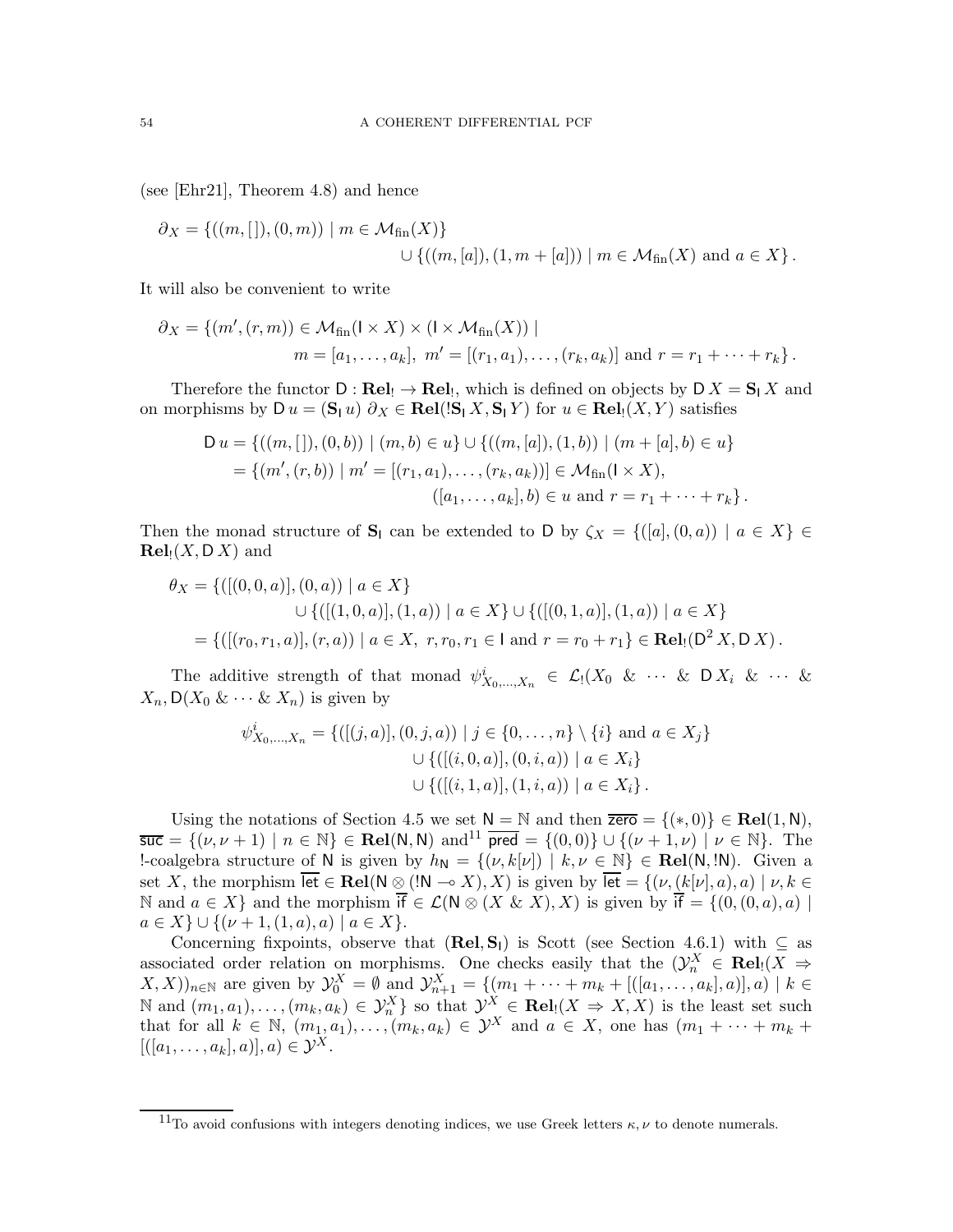(see [\[Ehr21\]](#page-71-0), Theorem 4.8) and hence

$$
\partial_X = \{((m, []), (0, m)) \mid m \in \mathcal{M}_{fin}(X) \} \cup \{((m, [a]), (1, m + [a])) \mid m \in \mathcal{M}_{fin}(X) \text{ and } a \in X \}.
$$

It will also be convenient to write

$$
\partial_X = \{ (m', (r, m)) \in \mathcal{M}_{fin}(I \times X) \times (I \times \mathcal{M}_{fin}(X)) \mid \n m = [a_1, ..., a_k], \ m' = [(r_1, a_1), ..., (r_k, a_k)] \text{ and } r = r_1 + \cdots + r_k \}.
$$

Therefore the functor  $D : \textbf{Rel}_! \to \textbf{Rel}_!,$  which is defined on objects by  $D X = \mathbf{S} | X$  and on morphisms by  $D u = (\mathbf{S}_1 u) \partial_X \in \mathbf{Rel}([\mathbf{S}_1 X, \mathbf{S}_1 Y)]$  for  $u \in \mathbf{Rel}(X, Y)$  satisfies

$$
D u = \{ ((m, []), (0, b)) \mid (m, b) \in u \} \cup \{ ((m, [a]), (1, b)) \mid (m + [a], b) \in u \}
$$
  
= \{ (m', (r, b)) \mid m' = [(r\_1, a\_1), \dots, (r\_k, a\_k)] \in M\_{fin}(l \times X),  
 ([a\_1, \dots, a\_k], b) \in u \text{ and } r = r\_1 + \dots + r\_k \}.

Then the monad structure of  $S_1$  can be extended to D by  $\zeta_X = \{([a],(0,a)) \mid a \in X\} \in$  $\mathbf{Rel}_{!}(X, \mathsf{D}\,X)$  and

$$
\theta_X = \{([(0,0,a)],(0,a)) \mid a \in X\}
$$
  

$$
\cup \{([(1,0,a)],(1,a)) \mid a \in X\} \cup \{([(0,1,a)],(1,a)) \mid a \in X\}
$$
  

$$
= \{([(r_0,r_1,a)],(r,a)) \mid a \in X, r, r_0, r_1 \in I \text{ and } r = r_0 + r_1\} \in \text{Rel}_{!}(D^2 X,DX).
$$

The additive strength of that monad  $\psi^i_{X_0,\dots,X_n} \in \mathcal{L}_1(X_0 \& \cdots \& D X_i \& \cdots \& D X_i)$  $X_n, \mathsf{D}(X_0 \& \cdots \& X_n)$  is given by

$$
\psi_{X_0,\ldots,X_n}^i = \{([(j,a)],(0,j,a)) \mid j \in \{0,\ldots,n\} \setminus \{i\} \text{ and } a \in X_j\}
$$

$$
\cup \{([(i,0,a)],(0,i,a)) \mid a \in X_i\}
$$

$$
\cup \{([(i,1,a)],(1,i,a)) \mid a \in X_i\}.
$$

Using the notations of Section [4.5](#page-28-0) we set  $N = N$  and then  $\overline{zero} = \{(*,0)\} \in \mathbf{Rel}(1,N)$ ,  $\overline{\text{succ}} = \{(\nu, \nu + 1) \mid n \in \mathbb{N}\}\in \text{Rel}(\mathsf{N}, \mathsf{N}) \text{ and}^{11}$  $\overline{\text{succ}} = \{(\nu, \nu + 1) \mid n \in \mathbb{N}\}\in \text{Rel}(\mathsf{N}, \mathsf{N}) \text{ and}^{11}$  $\overline{\text{succ}} = \{(\nu, \nu + 1) \mid n \in \mathbb{N}\}\in \text{Rel}(\mathsf{N}, \mathsf{N}) \text{ and}^{11}$   $\overline{\text{pred}} = \{(0, 0)\} \cup \{(\nu + 1, \nu) \mid \nu \in \mathbb{N}\}\.$  The !-coalgebra structure of N is given by  $h_N = \{(\nu, k[\nu]) \mid k, \nu \in \mathbb{N}\}\in \mathbf{Rel}(N, N)$ . Given a set X, the morphism  $\overline{\text{let}} \in \text{Rel}(\mathbb{N} \otimes (\text{!N} \multimap X), X)$  is given by  $\overline{\text{let}} = \{(\nu, (k[\nu], a), a) \mid \nu, k \in \mathbb{N}\}$ N and  $a \in X$ } and the morphism  $\overline{if} \in \mathcal{L}(N \otimes (X \& X), X)$  is given by  $\overline{if} = \{(0, (0, a), a) \mid \overline{if} \in \mathcal{L} \times \mathcal{L} \times \mathcal{L} \times \mathcal{L} \times \mathcal{L} \times \mathcal{L} \times \mathcal{L} \times \mathcal{L} \times \mathcal{L} \times \mathcal{L} \times \mathcal{L} \times \mathcal{L} \times \mathcal{L} \times \mathcal{L} \times \mathcal{L} \$  $a \in X$   $\cup$  { $(\nu + 1, (1, a), a)$  |  $a \in X$  }.

Concerning fixpoints, observe that  $(Rel, S<sub>1</sub>)$  is Scott (see Section [4.6.1\)](#page-30-1) with  $\subseteq$  as associated order relation on morphisms. One checks easily that the  $(\mathcal{Y}_n^X \in \text{Rel}_!(X \Rightarrow$  $(X, X))_{n \in \mathbb{N}}$  are given by  $\mathcal{Y}_{0}^{X} = \emptyset$  and  $\mathcal{Y}_{n+1}^{X} = \{ (m_1 + \cdots + m_k + [(a_1, \ldots, a_k], a)], a) \mid k \in \mathbb{N} \}$  $\mathbb{N}$  and  $(m_1, a_1), \ldots, (m_k, a_k) \in \mathcal{Y}_n^X$  so that  $\mathcal{Y}_n^X \in \textbf{Rel}_1(X \Rightarrow X, X)$  is the least set such that for all  $k \in \mathbb{N}$ ,  $(m_1, a_1), \ldots, (m_k, a_k) \in \mathcal{Y}^X$  and  $a \in X$ , one has  $(m_1 + \cdots + m_k + \mathcal{Y}^k)$  $[([a_1, \ldots, a_k], a)], a) \in \mathcal{Y}^X.$ 

<span id="page-53-0"></span><sup>&</sup>lt;sup>11</sup>To avoid confusions with integers denoting indices, we use Greek letters  $\kappa$ ,  $\nu$  to denote numerals.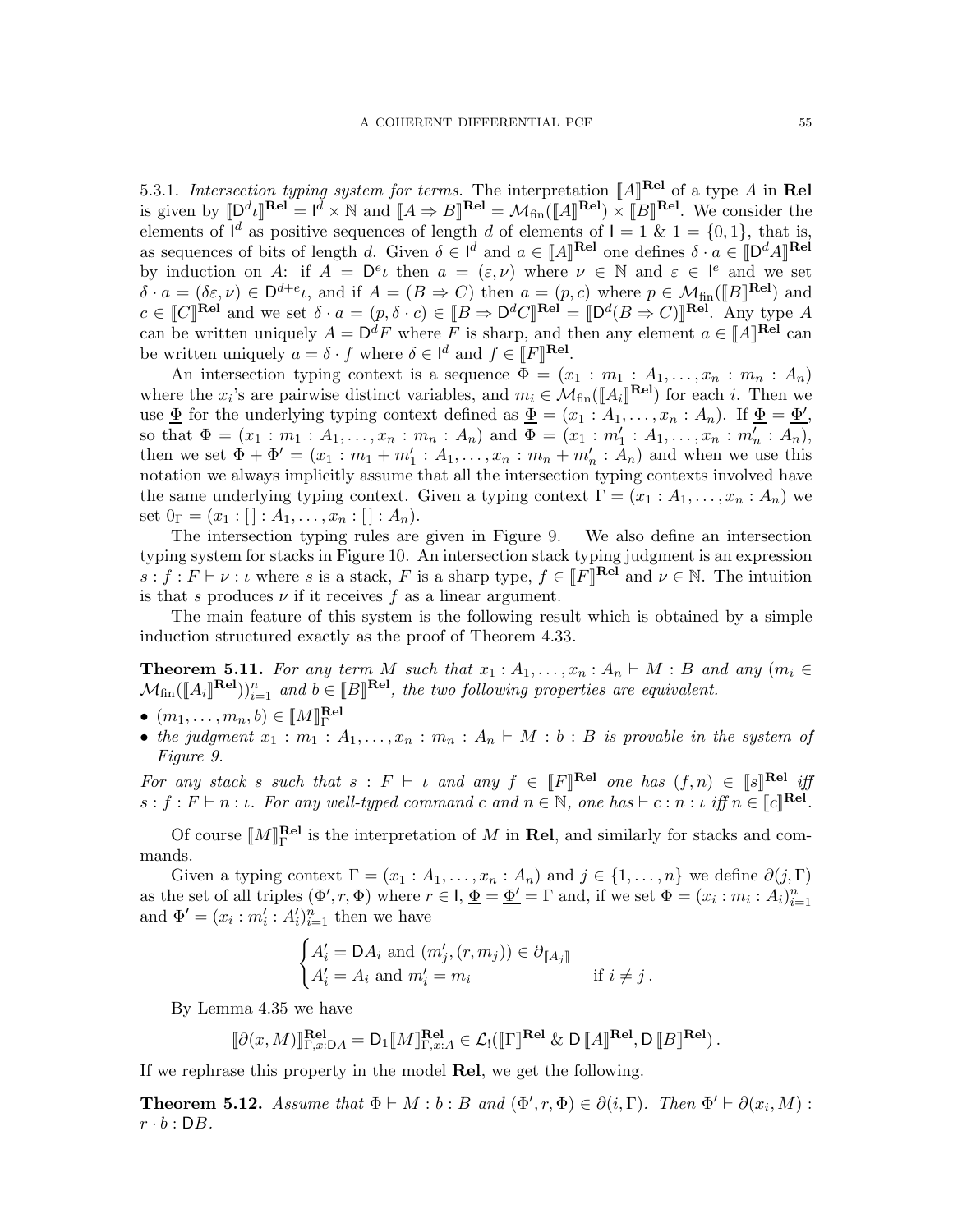5.3.1. Intersection typing system for terms. The interpretation  $\llbracket A \rrbracket^{\textbf{Rel}}$  of a type A in Rel is given by  $[\mathbb{D}^d \iota]^{(\mathbf{Rel})} = \mathbb{I}^d \times \mathbb{N}$  and  $[\![A \Rightarrow B]\!]^{\mathbf{Rel}} = \mathcal{M}_{fin}([\![A]\!]^{\mathbf{Rel}}) \times [\![B]\!]^{\mathbf{Rel}}$ . We consider the elements of  $I^d$  as positive sequences of length d of elements of  $I = 1$  &  $1 = \{0, 1\}$ , that is, as sequences of bits of length d. Given  $\delta \in \mathbb{I}^d$  and  $a \in [\![A]\!]^{\textbf{Rel}}$  one defines  $\delta \cdot a \in [\![D^d A]\!]^{\textbf{Rel}}$ by induction on A: if  $A = \mathsf{D}^e \iota$  then  $a = (\varepsilon, \nu)$  where  $\nu \in \mathbb{N}$  and  $\varepsilon \in \mathsf{I}^e$  and we set  $\delta \cdot a = (\delta \varepsilon, \nu) \in \mathsf{D}^{d+e} \iota$ , and if  $A = (B \Rightarrow C)$  then  $a = (p, c)$  where  $p \in \mathcal{M}_{fin}(\llbracket B \rrbracket^{\mathbf{Rel}})$  and  $c \in \llbracket C \rrbracket^{\textbf{Rel}}$  and we set  $\delta \cdot a = (p, \delta \cdot c) \in \llbracket B \Rightarrow D^d C \rrbracket^{\textbf{Rel}} = \llbracket D^d(B \Rightarrow C) \rrbracket^{\textbf{Rel}}$ . Any type A can be written uniquely  $A = D^d F$  where F is sharp, and then any element  $a \in [A]^{Rel}$  can be written uniquely  $a = \delta \cdot f$  where  $\delta \in \mathbb{I}^d$  and  $f \in \mathbb{I}F]\mathbb{R}$ <sup>el</sup>.

An intersection typing context is a sequence  $\Phi = (x_1 : m_1 : A_1, \ldots, x_n : m_n : A_n)$ where the  $x_i$ 's are pairwise distinct variables, and  $m_i \in \mathcal{M}_{fin}(\llbracket A_i \rrbracket^{\text{Rel}})$  for each i. Then we use  $\underline{\Phi}$  for the underlying typing context defined as  $\underline{\Phi} = (x_1 : A_1, \ldots, x_n : A_n)$ . If  $\underline{\Phi} = \underline{\Phi}',$ so that  $\Phi = (x_1 : m_1 : A_1, \ldots, x_n : m_n : A_n)$  and  $\Phi = (x_1 : m'_1 : A_1, \ldots, x_n : m'_n : A_n)$ , then we set  $\Phi + \Phi' = (x_1 : m_1 + m'_1 : A_1, \dots, x_n : m_n + m'_n : A_n)$  and when we use this notation we always implicitly assume that all the intersection typing contexts involved have the same underlying typing context. Given a typing context  $\Gamma = (x_1 : A_1, \ldots, x_n : A_n)$  we set  $0_{\Gamma} = (x_1 : [\cdot] : A_1, \ldots, x_n : [\cdot] : A_n).$ 

The intersection typing rules are given in Figure [9.](#page-55-0) We also define an intersection typing system for stacks in Figure [10.](#page-56-0) An intersection stack typing judgment is an expression  $s : f : F \vdash \nu : \iota$  where s is a stack, F is a sharp type,  $f \in \llbracket F \rrbracket^{\text{Rel}}$  and  $\nu \in \mathbb{N}$ . The intuition is that s produces  $\nu$  if it receives f as a linear argument.

The main feature of this system is the following result which is obtained by a simple induction structured exactly as the proof of Theorem [4.33.](#page-32-0)

<span id="page-54-0"></span>**Theorem 5.11.** For any term M such that  $x_1 : A_1, \ldots, x_n : A_n \vdash M : B$  and any  $(m_i \in$  $\mathcal{M}_{fin}(\llbracket A_i \rrbracket^{\textbf{Rel}}))_{i=1}^n$  and  $b \in \llbracket B \rrbracket^{\textbf{Rel}},$  the two following properties are equivalent.

- $(m_1, \ldots, m_n, b) \in [\![M]\!]_{\Gamma}^{\textbf{Rel}}$ Γ
- the judgment  $x_1 : m_1 : A_1, \ldots, x_n : m_n : A_n \vdash M : b : B$  is provable in the system of Figure [9.](#page-55-0)

For any stack s such that  $s : F \vdash \iota$  and any  $f \in [F]^{Rel}$  one has  $(f, n) \in [s]^{Rel}$  if  $s : f : F \vdash n : \iota$ . For any well-typed command c and  $n \in \mathbb{N}$ , one has  $\vdash c : n : \iota$  iff  $n \in \llbracket c \rrbracket^{\text{Rel}}$ .

Of course  $\llbracket M \rrbracket_{\Gamma}^{\textbf{Rel}}$  $F<sup>Rel</sup>$  is the interpretation of M in **Rel**, and similarly for stacks and commands.

Given a typing context  $\Gamma = (x_1 : A_1, \ldots, x_n : A_n)$  and  $j \in \{1, \ldots, n\}$  we define  $\partial(j, \Gamma)$ as the set of all triples  $(\Phi', r, \Phi)$  where  $r \in I$ ,  $\underline{\Phi} = \underline{\Phi'} = \Gamma$  and, if we set  $\Phi = (x_i : m_i : A_i)_{i=1}^n$ and  $\Phi' = (x_i : m'_i : A'_i)_{i=1}^n$  then we have

$$
\begin{cases} A_i' = \mathsf{D} A_i \text{ and } (m_j',(r,m_j)) \in \partial_{[\![A_j]\!]} \\ A_i' = A_i \text{ and } m_i' = m_i \end{cases} \quad \text{if } i \neq j \, .
$$

By Lemma [4.35](#page-34-0) we have

$$
[\![\partial(x,M)]\!]_{\Gamma,x:DA}^{\textbf{Rel}} = \mathsf{D}_1[\![M]\!]_{\Gamma,x:A}^{\textbf{Rel}} \in \mathcal{L}_!(\llbracket \Gamma \rrbracket^{\textbf{Rel}} \& \mathsf{D}[\![A]\!]^{\textbf{Rel}}, \mathsf{D}[\![B]\!]^{\textbf{Rel}}).
$$

If we rephrase this property in the model Rel, we get the following.

**Theorem 5.12.** Assume that  $\Phi \vdash M : b : B$  and  $(\Phi', r, \Phi) \in \partial(i, \Gamma)$ . Then  $\Phi' \vdash \partial(x_i, M) :$  $r \cdot b : DB.$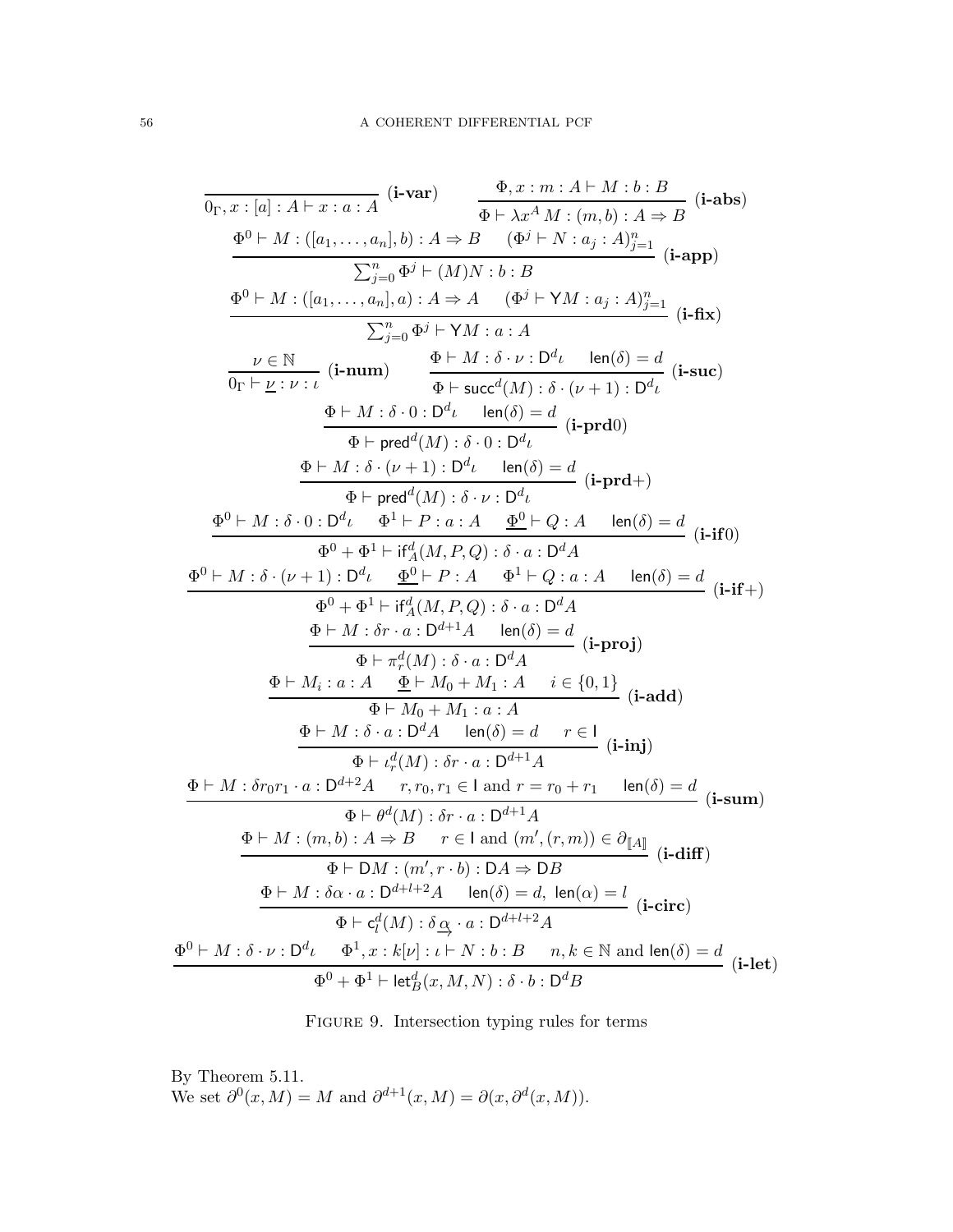<span id="page-55-0"></span>
$$
\frac{\Phi_{r} x : [a] : A \vdash x : a : A \quad (i-var)}{\Phi \vdash \lambda x^{A} M : (m, b) : A \Rightarrow B} \quad (i - abs)
$$
\n
$$
\frac{\Phi_{0} x : m : A \vdash M : b : B}{\Phi \vdash \lambda x^{A} M : (m, b) : A \Rightarrow B} \quad (i - abs)
$$
\n
$$
\frac{\sum_{j=0}^{n} \Phi^{j} \vdash (M) N : b : B}{\sum_{j=0}^{n} \Phi^{j} \vdash \forall M : a : A} \quad (i - app)
$$
\n
$$
\frac{\sum_{j=0}^{n} \Phi^{j} \vdash \forall M : a : A}{\sum_{j=0}^{n} \Phi^{j} \vdash \forall M : a : A} \quad (i - false)
$$
\n
$$
\frac{\sum_{j=0}^{n} \Phi^{j} \vdash \forall M : a : A}{\Phi \vdash \text{succ}^{d}(M) : \delta \cdot \nu : D^{d} \nu \quad \text{len}(\delta) = d} \quad (i - size)
$$
\n
$$
\frac{\Phi \vdash M : \delta \cdot 0 : D^{d} \nu \quad \text{len}(\delta) = d}{\Phi \vdash \text{pred}^{d}(M) : \delta \cdot 0 : D^{d} \nu} \quad (i - pred)
$$
\n
$$
\frac{\Phi \vdash M : \delta \cdot (\nu + 1) : D^{d} \nu \quad \text{len}(\delta) = d}{\Phi \vdash \text{pred}^{d}(M) : \delta \cdot \nu : D^{d} \nu} \quad (i - pred)
$$
\n
$$
\frac{\Phi \vdash M : \delta \cdot (\nu + 1) : D^{d} \nu \quad \text{len}(\delta) = d}{\Phi \vdash \text{pred}^{d}(M) : \delta \cdot u : D^{d} A} \quad (i - pred)
$$
\n
$$
\frac{\Phi \vdash M : \delta \cdot (u + 1) : D^{d} \nu \quad \frac{\Phi \vdash P : a : A \quad \frac{\Phi \vdash P}{\Phi \vdash Q : a : A} \quad \text{len}(\delta) = d}{\Phi \vdash M : \delta \cdot (u + 1) : D^{d} \nu} \quad (i - rad)
$$
\n
$$
\frac{\Phi \vdash M : \delta \cdot (u + 1) : D^{d} \nu \quad \frac{\Phi \vdash P : A \quad \Phi^{1} \vdash
$$

FIGURE 9. Intersection typing rules for terms

By Theorem [5.11.](#page-54-0) We set  $\partial^0(x, M) = M$  and  $\partial^{d+1}(x, M) = \partial(x, \partial^d(x, M)).$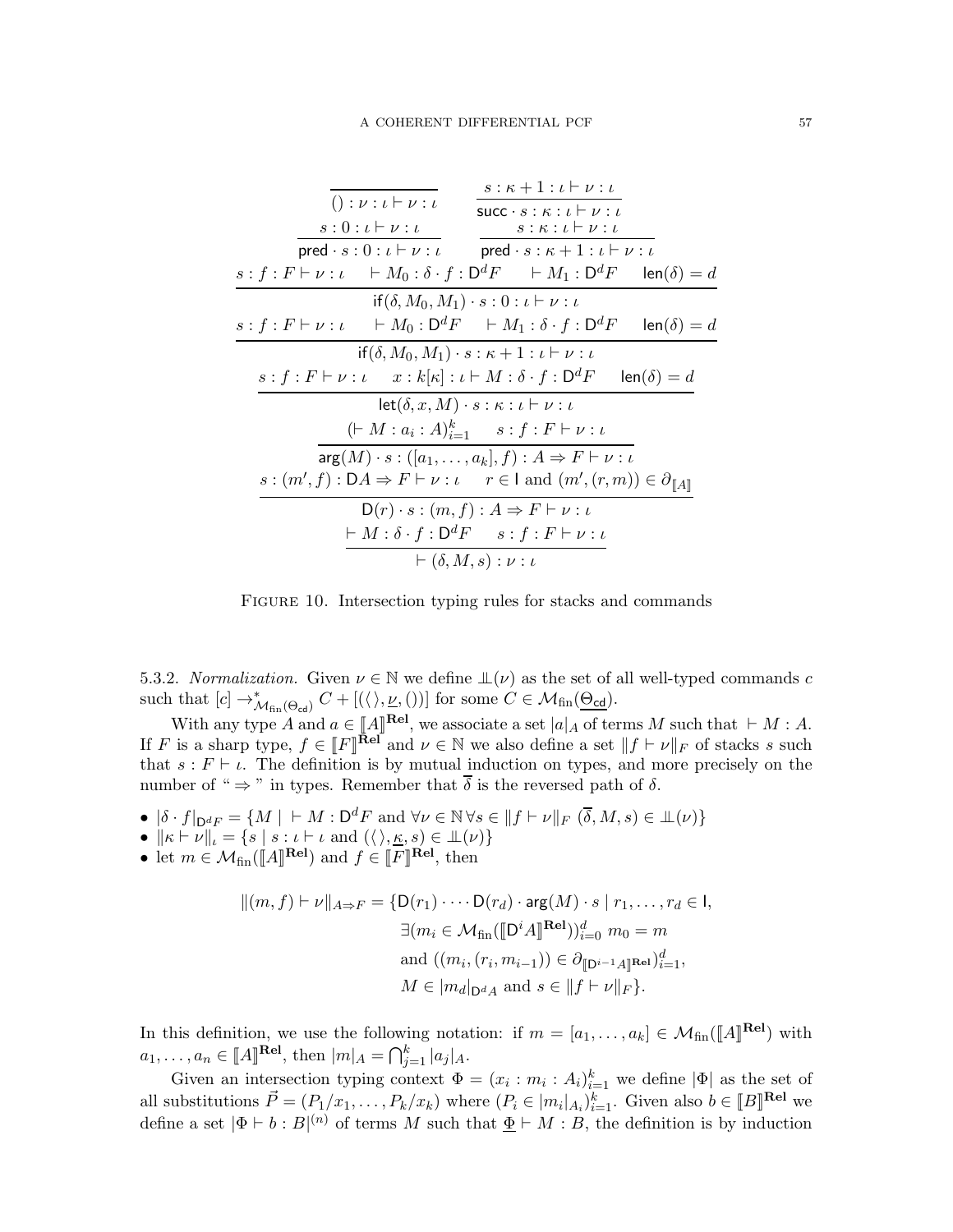<span id="page-56-0"></span>
$$
\frac{s:\kappa+1:\iota\vdash\nu:\iota}{\text{succ}\cdot s:\kappa:\iota\vdash\nu:\iota}
$$
\n
$$
s:0:\iota\vdash\nu:\iota
$$
\n
$$
\text{pred}\cdot s:0:\iota\vdash\nu:\iota
$$
\n
$$
s:\kappa:\iota\vdash\nu:\iota
$$
\n
$$
s:\kappa:\iota\vdash\nu:\iota
$$
\n
$$
s:\iota:\iota\vdash\nu:\iota
$$
\n
$$
s:\iota:\iota\vdash\nu:\iota
$$
\n
$$
\text{pred}\cdot s:\kappa+1:\iota\vdash\nu:\iota
$$
\n
$$
\text{pred}\cdot s:\kappa+1:\iota\vdash\nu:\iota
$$
\n
$$
\text{if}(\delta,M_0,M_1)\cdot s:0:\iota\vdash\nu:\iota
$$
\n
$$
s:\iota:\iota\vdash\nu:\iota
$$
\n
$$
\text{if}(\delta,M_0,M_1)\cdot s:\kappa+1:\iota\vdash\nu:\iota
$$
\n
$$
\text{if}(\delta,M_0,M_1)\cdot s:\kappa+1:\iota\vdash\nu:\iota
$$
\n
$$
\text{if}(\delta,M_0,M_1)\cdot s:\kappa+1:\iota\vdash\nu:\iota
$$
\n
$$
\text{let}(\delta,x,M)\cdot s:\kappa:\iota\vdash\nu:\iota
$$
\n
$$
(\vdash M:a:\iota:\lambda)_{i=1}^k \quad s:\iota:\iota\vdash\nu:\iota
$$
\n
$$
\text{arg}(M)\cdot s:\left([a_1,\ldots,a_k],f\right):\iota \Rightarrow F\vdash\nu:\iota
$$
\n
$$
s:\left(m',f\right):DA\Rightarrow F\vdash\nu:\iota
$$
\n
$$
\text{arg}(m')\cdot s:\left(m,f\right):\iota \Rightarrow F\vdash\nu:\iota
$$
\n
$$
\text{not}(\kappa,\kappa,\iota):V\vdash\nu:\iota
$$
\n
$$
\text{not}(\kappa,\kappa,\iota):V\vdash\nu:\iota
$$
\n
$$
\text{not}(\kappa,\kappa,\iota):V\vdash\nu:\iota
$$
\n
$$
\text{not}(\kappa,\kappa
$$

FIGURE 10. Intersection typing rules for stacks and commands

5.3.2. Normalization. Given  $\nu \in \mathbb{N}$  we define  $\mathbb{L}(\nu)$  as the set of all well-typed commands c such that  $[c] \to^*_{\mathcal{M}_{fin}(\Theta_{\mathsf{cd}})} C + [(\langle \rangle, \underline{\nu}, \langle \rangle)]$  for some  $C \in \mathcal{M}_{fin}(\underline{\Theta_{\mathsf{cd}}}).$ 

With any type A and  $a \in [A]^{[Rel]}$ , we associate a set  $|a|_A$  of terms M such that  $\vdash M : A$ . If F is a sharp type,  $f \in [F]^{Re\Gamma}$  and  $\nu \in \mathbb{N}$  we also define a set  $||f \vdash \nu||_F$  of stacks s such that  $s : F \vdash \iota$ . The definition is by mutual induction on types, and more precisely on the number of "  $\Rightarrow$  " in types. Remember that  $\overline{\delta}$  is the reversed path of  $\delta$ .

- $|\delta \cdot f|_{\mathcal{D}^{d}F} = \{M \mid \ \vdash M : \mathcal{D}^{d}F \text{ and } \forall \nu \in \mathbb{N} \forall s \in ||f \vdash \nu||_F (\overline{\delta}, M, s) \in \mathbb{L}(\nu)\}\$
- $\|\kappa \vdash \nu\|_{\iota} = \{s \mid s : \iota \vdash \iota \text{ and } (\langle \rangle, \underline{\kappa}, s) \in \bot(\nu)\}\$
- let  $m \in \mathcal{M}_{fin}(\llbracket A \rrbracket^{\text{Rel}})$  and  $f \in \llbracket F \rrbracket^{\text{Rel}},$  then

$$
||(m, f) \vdash \nu||_{A \Rightarrow F} = \{D(r_1) \cdot \cdots D(r_d) \cdot \arg(M) \cdot s \mid r_1, \dots, r_d \in I, \n\exists (m_i \in \mathcal{M}_{fin}([\![D^i A]\!]^{\text{Rel}}))_{i=0}^d \ m_0 = m \n\text{and } ((m_i, (r_i, m_{i-1})) \in \partial_{[\![D^{i-1} A]\!]^{\text{Rel}}})_{i=1}^d, \nM \in |m_d|_{D^d A} \text{ and } s \in ||f \vdash \nu||_F\}.
$$

In this definition, we use the following notation: if  $m = [a_1, \ldots, a_k] \in \mathcal{M}_{fin}(\llbracket A \rrbracket^{\text{Rel}})$  with  $a_1, \ldots, a_n \in [A]^{rel}$ , then  $|m|_A = \bigcap_{j=1}^k |a_j|_A$ .

Given an intersection typing context  $\Phi = (x_i : m_i : A_i)_{i=1}^k$  we define  $|\Phi|$  as the set of all substitutions  $\vec{P} = (P_1/x_1, \ldots, P_k/x_k)$  where  $(P_i \in [m_i]_{A_i})_{i=1}^k$ . Given also  $b \in [B]^{[Rel]}$  we define a set  $|\Phi \vdash b : B|^{(n)}$  of terms M such that  $\underline{\Phi} \vdash M : B$ , the definition is by induction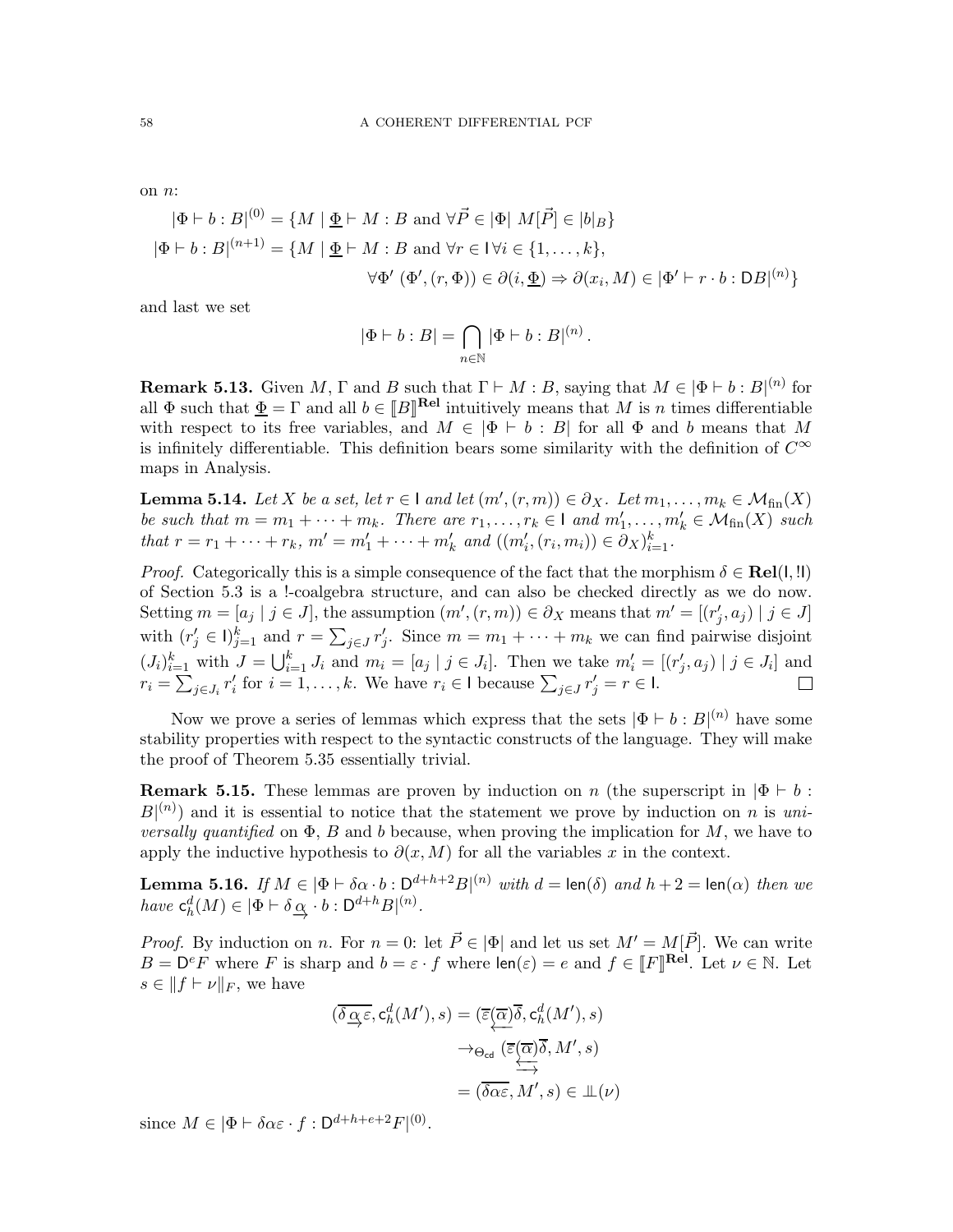on n:

$$
|\Phi \vdash b : B|^{(0)} = \{M \mid \underline{\Phi} \vdash M : B \text{ and } \forall \vec{P} \in |\Phi| \ M[\vec{P}] \in |b|_B\}
$$
  

$$
|\Phi \vdash b : B|^{(n+1)} = \{M \mid \underline{\Phi} \vdash M : B \text{ and } \forall r \in V \forall i \in \{1, ..., k\},\
$$
  

$$
\forall \Phi' \ (\Phi', (r, \Phi)) \in \partial(i, \underline{\Phi}) \Rightarrow \partial(x_i, M) \in |\Phi' \vdash r \cdot b : DB|^{(n)}\}
$$

and last we set

$$
|\Phi \vdash b : B| = \bigcap_{n \in \mathbb{N}} |\Phi \vdash b : B|^{(n)}.
$$

**Remark 5.13.** Given M,  $\Gamma$  and B such that  $\Gamma \vdash M : B$ , saying that  $M \in |\Phi \vdash b : B|^{(n)}$  for all  $\Phi$  such that  $\underline{\Phi} = \Gamma$  and all  $b \in [B]^{rel}$  intuitively means that M is n times differentiable with respect to its free variables, and  $M \in |\Phi + b : B|$  for all  $\Phi$  and b means that M is infinitely differentiable. This definition bears some similarity with the definition of  $C^{\infty}$ maps in Analysis.

<span id="page-57-1"></span>**Lemma 5.14.** Let X be a set, let  $r \in I$  and let  $(m', (r, m)) \in \partial_X$ . Let  $m_1, \ldots, m_k \in \mathcal{M}_{fin}(X)$ be such that  $m = m_1 + \cdots + m_k$ . There are  $r_1, \ldots, r_k \in \mathsf{I}$  and  $m'_1, \ldots, m'_k \in \mathcal{M}_{\text{fin}}(X)$  such that  $r = r_1 + \dots + r_k$ ,  $m' = m'_1 + \dots + m'_k$  and  $((m'_i, (r_i, m_i)) \in \partial_X)_{i=1}^k$ .

*Proof.* Categorically this is a simple consequence of the fact that the morphism  $\delta \in \text{Rel}(I, I)$ of Section [5.3](#page-51-1) is a !-coalgebra structure, and can also be checked directly as we do now. Setting  $m = [a_j | j \in J]$ , the assumption  $(m', (r, m)) \in \partial_X$  means that  $m' = [(r'_j, a_j) | j \in J]$ with  $(r'_j \in I)^k_{j=1}$  and  $r = \sum_{j \in J} r'_j$ . Since  $m = m_1 + \cdots + m_k$  we can find pairwise disjoint  $(J_i)_{i=1}^k$  with  $J = \bigcup_{i=1}^k J_i$  and  $m_i = [a_j | j \in J_i]$ . Then we take  $m'_i = [(r'_j, a_j) | j \in J_i]$  and  $r_i = \sum_{j \in J_i} r'_i$  for  $i = 1, ..., k$ . We have  $r_i \in I$  because  $\sum_{j \in J} r'_j = r \in I$ .

Now we prove a series of lemmas which express that the sets  $|\Phi \vdash b : B|^{(n)}$  have some stability properties with respect to the syntactic constructs of the language. They will make the proof of Theorem [5.35](#page-62-0) essentially trivial.

**Remark 5.15.** These lemmas are proven by induction on n (the superscript in  $|\Phi \vdash b$ :  $B^{(n)}$  and it is essential to notice that the statement we prove by induction on n is uni*versally quantified* on  $\Phi$ , B and b because, when proving the implication for M, we have to apply the inductive hypothesis to  $\partial(x, M)$  for all the variables x in the context.

<span id="page-57-0"></span>**Lemma 5.16.** If  $M \in |\Phi \vdash \delta \alpha \cdot b : D^{d+h+2}B|^{(n)}$  with  $d = \text{len}(\delta)$  and  $h + 2 = \text{len}(\alpha)$  then we have  $\mathsf{c}_h^d(M) \in |\Phi \vdash \delta \underline{\alpha} \cdot b : \mathsf{D}^{d+h} B|^{(n)}$ .

*Proof.* By induction on n. For  $n = 0$ : let  $\vec{P} \in |\Phi|$  and let us set  $M' = M[\vec{P}]$ . We can write  $B = D^e F$  where F is sharp and  $b = \varepsilon \cdot f$  where  $\text{len}(\varepsilon) = e$  and  $f \in [F]^{Rel}$ . Let  $\nu \in \mathbb{N}$ . Let  $s \in ||f \vdash \nu||_F$ , we have

$$
(\overline{\delta \alpha \varepsilon}, \mathbf{c}_h^d(M'), s) = (\overline{\varepsilon}(\overline{\alpha})\overline{\delta}, \mathbf{c}_h^d(M'), s)
$$

$$
\rightarrow_{\Theta_{\text{cd}}} (\overline{\varepsilon}(\overline{\alpha})\overline{\delta}, M', s)
$$

$$
= (\overline{\delta \alpha \varepsilon}, M', s) \in \mathbb{L}(\nu)
$$

since  $M \in |\Phi \vdash \delta \alpha \varepsilon \cdot f : \mathsf{D}^{d+h+e+2} F|^{(0)}$ .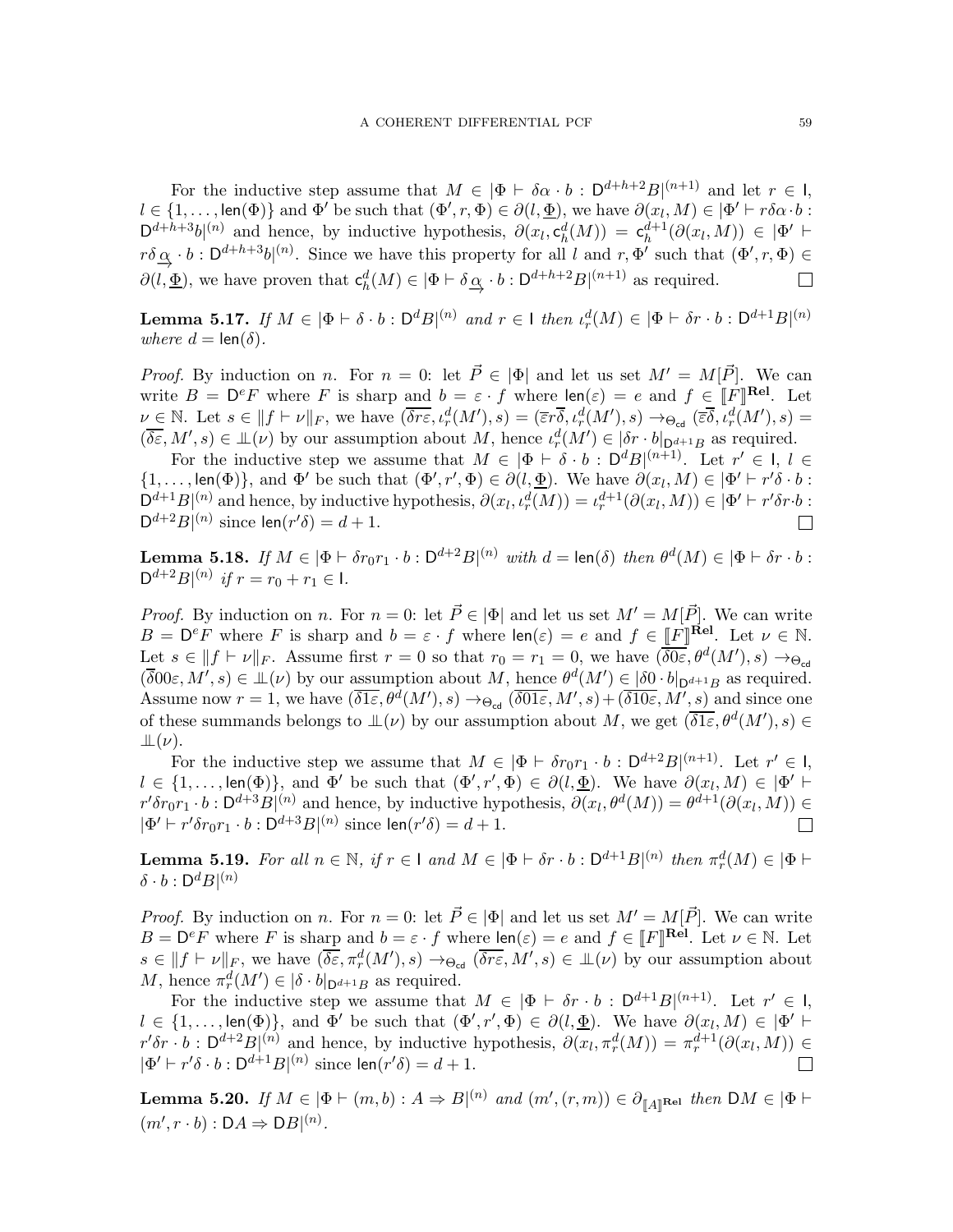For the inductive step assume that  $M \in |\Phi \vdash \delta \alpha \cdot b : D^{d+h+2}B|^{(n+1)}$  and let  $r \in I$ ,  $l \in \{1,\ldots,\text{len}(\Phi)\}\$ and  $\Phi'$  be such that  $(\Phi',r,\Phi) \in \partial(l,\underline{\Phi})$ , we have  $\partial(x_l,M) \in |\Phi'| + r\delta\alpha \cdot b$ :  $D^{d+h+3}b^{(n)}$  and hence, by inductive hypothesis,  $\partial(x_l, c_h^d(M)) = c_h^{d+1}(\partial(x_l, M)) \in |\Phi'|$  $r\delta \alpha \rightarrow b : \mathsf{D}^{d+h+3}b|^{(n)}$ . Since we have this property for all l and  $r, \Phi'$  such that  $(\Phi', r, \Phi) \in \Omega$  $\partial(l, \underline{\Phi})$ , we have proven that  $\mathsf{c}_h^d(M) \in |\Phi \vdash \delta \underline{\alpha} \cdot b : \mathsf{D}^{d+h+2}B|^{(n+1)}$  as required.  $\Box$ 

<span id="page-58-0"></span>**Lemma 5.17.** If  $M \in |\Phi \vdash \delta \cdot b : \mathsf{D}^d B|^{(n)}$  and  $r \in I$  then  $\iota_r^d(M) \in |\Phi \vdash \delta r \cdot b : \mathsf{D}^{d+1} B|^{(n)}$ where  $d = \text{len}(\delta)$ .

*Proof.* By induction on n. For  $n = 0$ : let  $\vec{P} \in |\Phi|$  and let us set  $M' = M[\vec{P}]$ . We can write  $B = D^e F$  where F is sharp and  $b = \varepsilon \cdot f$  where  $\text{len}(\varepsilon) = e$  and  $f \in [F]^{Rel}$ . Let  $\nu \in \mathbb{N}$ . Let  $s \in ||f \vdash \nu||_F$ , we have  $(\overline{\delta r \varepsilon}, \iota_r^d(M'), s) = (\overline{\varepsilon}r \overline{\delta}, \iota_r^d(M'), s) \rightarrow_{\Theta_{\text{cd}}} (\overline{\varepsilon} \overline{\delta}, \overline{\iota_r^d(M')}, s) =$  $(\overline{\delta \varepsilon}, M', s) \in \mathbb{L}(\nu)$  by our assumption about M, hence  $\iota_r^d(M') \in |\delta r \cdot b|_{D^{d+1}B}$  as required.

For the inductive step we assume that  $M \in [\Phi \vdash \delta \cdot b : D^d B]^{(n+1)}$ . Let  $r' \in I, l \in$  $\{1,\ldots,\text{len}(\Phi)\}\text{, and }\Phi'\text{ be such that }(\Phi',r',\Phi)\in\partial\mathcal{U},\underline{\Phi}\text{. We have }\partial(x_l,M)\in|\Phi'+r'\delta\cdot b:\underline{\Phi}\text{, and }\underline{\Phi}\text{, and }\underline{\Phi}\text{, respectively.}$  $D^{d+1}B|^{(n)}$  and hence, by inductive hypothesis,  $\partial(x_l, \iota_r^d(M)) = \iota_r^{d+1}(\partial(x_l, M)) \in |\Phi' \vdash r'\delta r \cdot b :$  $D^{d+2}B|^{(n)}$  since  $len(r'\delta) = d+1$ .

<span id="page-58-1"></span>**Lemma 5.18.** If  $M \in |\Phi \vdash \delta r_0 r_1 \cdot b : D^{d+2}B|^{(n)}$  with  $d = \text{len}(\delta)$  then  $\theta^d(M) \in |\Phi \vdash \delta r \cdot b : D^{(n)} \circ b|^{(n)}$  $D^{d+2}B|^{(n)}$  if  $r = r_0 + r_1 \in I$ .

*Proof.* By induction on n. For  $n = 0$ : let  $\vec{P} \in |\Phi|$  and let us set  $M' = M[\vec{P}]$ . We can write  $B = D^e F$  where F is sharp and  $b = \varepsilon \cdot f$  where  $\text{len}(\varepsilon) = e$  and  $f \in \underline{\llbracket F \rrbracket}^{\text{Rel}}$ . Let  $\nu \in \mathbb{N}$ . Let  $s \in ||f \vdash \nu||_F$ . Assume first  $r = 0$  so that  $r_0 = r_1 = 0$ , we have  $(\overline{\delta0\varepsilon}, \theta^d(M'), s) \rightarrow_{\Theta_{\text{cd}}}$  $(\overline{\delta}00\varepsilon, M', s) \in \mathbb{L}(\nu)$  by our assumption about  $M$ , hence  $\theta^d(M') \in |\delta 0 \cdot b|_{\mathsf{D}^{d+1}B}$  as required. Assume now  $r = 1$ , we have  $(\overline{\delta1\varepsilon}, \theta^d(M'), s) \to_{\Theta_{\text{cd}}} (\overline{\delta01\varepsilon}, M', s) + (\overline{\delta10\varepsilon}, M', s)$  and since one of these summands belongs to  $\mathcal{L}(\nu)$  by our assumption about M, we get  $(\overline{\delta1\varepsilon}, \theta^d(M'), s) \in$  $\perp\!\!\!\perp(\nu)$ .

For the inductive step we assume that  $M \in |\Phi \vdash \delta r_0 r_1 \cdot b : \mathsf{D}^{d+2} B|^{(n+1)}$ . Let  $r' \in \mathsf{I}$ ,  $l \in \{1,\ldots,\text{len}(\Phi)\}\)$  and  $\Phi'$  be such that  $(\Phi', r', \Phi) \in \partial(l, \underline{\Phi})$ . We have  $\partial(x_l, M) \in |\Phi'|$   $\vdash$  $r'\delta r_0r_1 \cdot b : D^{d+3}B|^{(n)}$  and hence, by inductive hypothesis,  $\partial(x_l, \theta^d(M)) = \theta^{d+1}(\partial(x_l, M)) \in$  $|\Phi' \vdash r' \delta r_0 r_1 \cdot b : \mathsf{D}^{d+3} B|^{(n)}$  since  $\mathsf{len}(r' \delta) = d+1$ .

<span id="page-58-3"></span>**Lemma 5.19.** For all  $n \in \mathbb{N}$ , if  $r \in I$  and  $M \in |\Phi \vdash \delta r \cdot b : D^{d+1}B|^{(n)}$  then  $\pi_r^d(M) \in |\Phi \vdash$  $\delta \cdot b : \mathsf{D}^dB|^{(n)}$ 

*Proof.* By induction on n. For  $n = 0$ : let  $\vec{P} \in |\Phi|$  and let us set  $M' = M[\vec{P}]$ . We can write  $B = D^e F$  where F is sharp and  $b = \varepsilon \cdot f$  where  $\text{len}(\varepsilon) = e$  and  $f \in [F]$ **Rel.** Let  $\nu \in \mathbb{N}$ . Let  $s \in ||f \vdash \nu||_F$ , we have  $(\overline{\delta \varepsilon}, \pi_r^d(M'), s) \to_{\Theta_{\text{cd}}} (\overline{\delta r \varepsilon}, M', s) \in \mathcal{L}(\nu)$  by our assumption about M, hence  $\pi_r^d(M') \in |\delta \cdot b|_{\mathsf{D}^{d+1}B}$  as required.

For the inductive step we assume that  $M \in |\Phi \vdash \delta r \cdot b : D^{d+1}B|^{(n+1)}$ . Let  $r' \in I$ ,  $l \in \{1,\ldots,\text{len}(\Phi)\}\)$ , and  $\Phi'$  be such that  $(\Phi', r', \Phi) \in \partial(l, \underline{\Phi})$ . We have  $\partial(x_l, M) \in |\Phi'| +$  $r'\delta r \cdot b$ :  $D^{d+2}B|^{(n)}$  and hence, by inductive hypothesis,  $\partial(x_l, \pi_r^d(M)) = \pi_r^{d+1}(\partial(x_l, M)) \in$  $|\Phi' \vdash r' \delta \cdot b : D^{d+1} B|^{(n)}$  since  $\text{len}(r' \delta) = d + 1$ .

<span id="page-58-2"></span>Lemma 5.20. If  $M \in |\Phi \vdash (m, b): A \Rightarrow B|^{(n)}$  and  $(m', (r, m)) \in \partial_{\llbracket A \rrbracket}$ Rel then  $\mathsf{D}M \in |\Phi \vdash$  $(m', r \cdot b) : DA \Rightarrow DB|^{(n)}$ .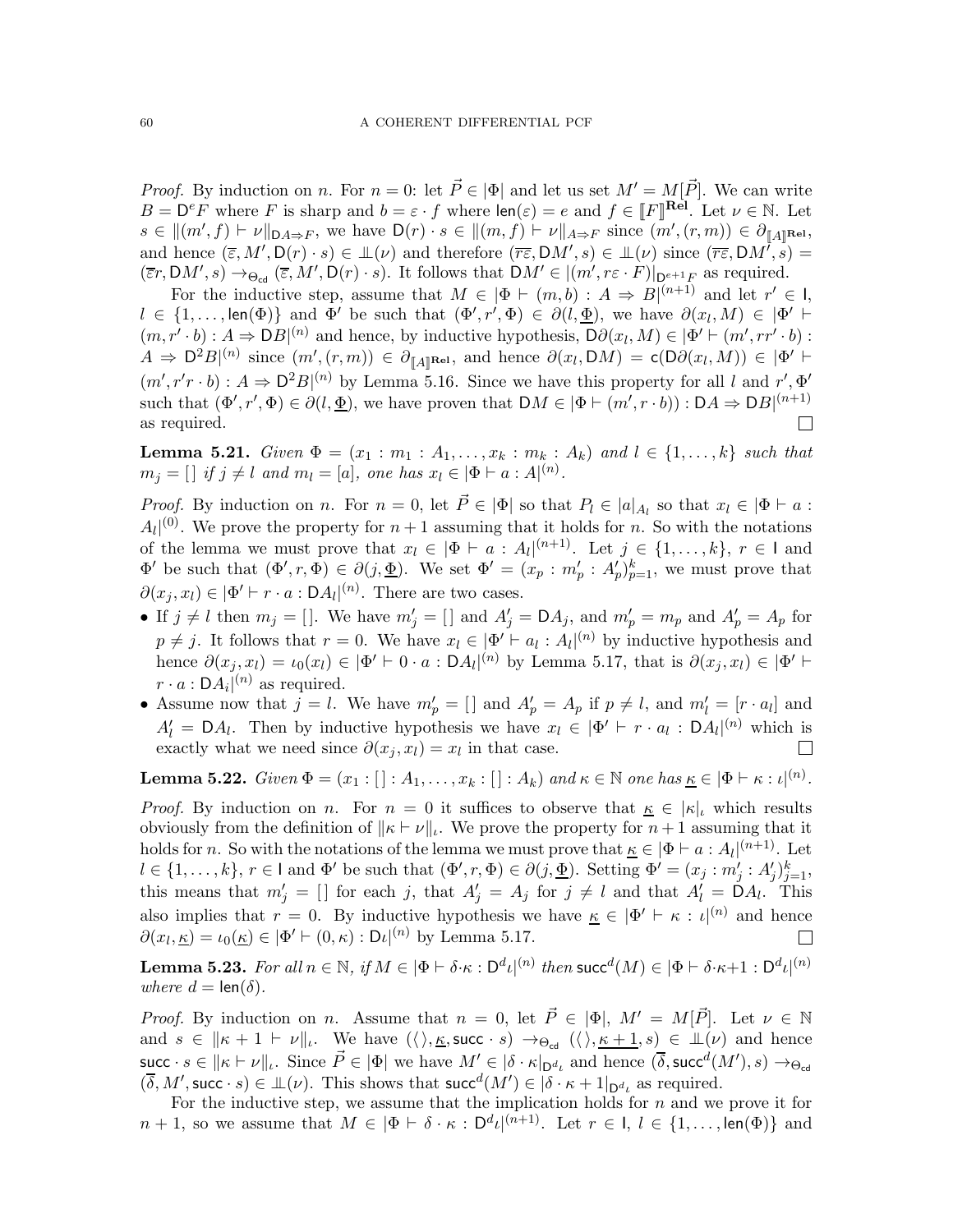*Proof.* By induction on n. For  $n = 0$ : let  $\vec{P} \in |\Phi|$  and let us set  $M' = M[\vec{P}]$ . We can write  $B = D^e F$  where F is sharp and  $b = \varepsilon \cdot f$  where  $\text{len}(\varepsilon) = e$  and  $f \in [F]^{Rel}$ . Let  $\nu \in \mathbb{N}$ . Let  $s \in ||(m', f) \vdash \nu||_{\mathsf{D}A \Rightarrow F}$ , we have  $\mathsf{D}(r) \cdot s \in ||(m, f) \vdash \nu||_{A \Rightarrow F}$  since  $(m', (r, m)) \in \partial_{\llbracket A \rrbracket}$ Rel, and hence  $(\overline{\varepsilon}, M', D(r) \cdot s) \in \mathbb{L}(\nu)$  and therefore  $(\overline{r\varepsilon}, DM', s) \in \mathbb{L}(\nu)$  since  $(\overline{r\varepsilon}, DM', s) =$  $(\overline{\varepsilon}r, \mathrm{D}M', s) \to_{\Theta_{\mathrm{cd}}} (\overline{\varepsilon}, M', \mathrm{D}(r) \cdot s)$ . It follows that  $\mathrm{D}M' \in |(m', r\varepsilon \cdot F)|_{\mathrm{D}^{e+1}F}$  as required.

For the inductive step, assume that  $M \in |\Phi| \vdash (m, b) : A \Rightarrow B|^{(n+1)}$  and let  $r' \in I$ ,  $l \in \{1,\ldots,\text{len}(\Phi)\}\$  and  $\Phi'$  be such that  $(\Phi',r',\Phi) \in \partial(l,\underline{\Phi})$ , we have  $\partial(x_l,M) \in |\Phi'|$   $\vdash$  $(m, r' \cdot b) : A \Rightarrow DB|^{(n)}$  and hence, by inductive hypothesis,  $D\partial(x_l, M) \in |\Phi' \vdash (m', rr' \cdot b) :$  $A \Rightarrow D^2B^{(n)}$  since  $(m', (r, m)) \in \partial_{\llbracket A \rrbracket^{\text{Rel}}},$  and hence  $\partial(x_l, DM) = \mathsf{c}(D\partial(x_l, M)) \in |\Phi'| +$  $(m', r'r \cdot b): A \Rightarrow D^2B|^{(n)}$  by Lemma [5.16.](#page-57-0) Since we have this property for all l and  $r', \Phi'$ such that  $(\Phi', r', \Phi) \in \partial(l, \underline{\Phi})$ , we have proven that  $\mathsf{D}M \in |\Phi \vdash (m', r \cdot b)) : \mathsf{D}A \Rightarrow \mathsf{D}B|^{(n+1)}$ as required.  $\Box$ 

<span id="page-59-1"></span>**Lemma 5.21.** Given  $\Phi = (x_1 : m_1 : A_1, \ldots, x_k : m_k : A_k)$  and  $l \in \{1, \ldots, k\}$  such that  $m_j = []$  if  $j \neq l$  and  $m_l = [a]$ , one has  $x_l \in |\Phi \vdash a : A|^{(n)}$ .

Proof. By induction on n. For  $n = 0$ , let  $\vec{P} \in |\Phi|$  so that  $P_l \in |a|_{A_l}$  so that  $x_l \in |\Phi| + a$ :  $A_l$ <sup>(0)</sup>. We prove the property for  $n+1$  assuming that it holds for n. So with the notations of the lemma we must prove that  $x_l \in |\Phi \vdash a : A_l|^{(n+1)}$ . Let  $j \in \{1, ..., k\}, r \in I$  and  $\Phi'$  be such that  $(\Phi', r, \Phi) \in \partial(j, \underline{\Phi})$ . We set  $\Phi' = (x_p : m'_p : A'_p)_{p=1}^k$ , we must prove that  $\partial(x_j, x_l) \in |\Phi' \vdash r \cdot a : DA_l|^{(n)}$ . There are two cases.

- If  $j \neq l$  then  $m_j = []$ . We have  $m'_j = []$  and  $A'_j = D A_j$ , and  $m'_p = m_p$  and  $A'_p = A_p$  for  $p \neq j$ . It follows that  $r = 0$ . We have  $x_l \in \Phi' \vdash a_l : A_l|^{(n)}$  by inductive hypothesis and hence  $\partial(x_j, x_l) = \iota_0(x_l) \in |\Phi' \vdash 0 \cdot a : DA_l|^{(n)}$  by Lemma [5.17,](#page-58-0) that is  $\partial(x_j, x_l) \in |\Phi' \vdash$  $r \cdot a : DA_i|^{(n)}$  as required.
- Assume now that  $j = l$ . We have  $m'_p = []$  and  $A'_p = A_p$  if  $p \neq l$ , and  $m'_l = [r \cdot a_l]$  and  $A'_{l} = \mathsf{D} A_{l}$ . Then by inductive hypothesis we have  $x_{l} \in |\Phi' \vdash r \cdot a_{l} : \mathsf{D} A_{l}|^{(n)}$  which is exactly what we need since  $\partial(x_j, x_l) = x_l$  in that case.  $\Box$

**Lemma 5.22.** Given  $\Phi = (x_1 : []: A_1, \ldots, x_k : []: A_k)$  and  $\kappa \in \mathbb{N}$  one has  $\underline{\kappa} \in [\Phi \vdash \kappa : \iota]^{(n)}$ .

*Proof.* By induction on n. For  $n = 0$  it suffices to observe that  $K \in |\kappa|$ , which results obviously from the definition of  $\|\kappa \vdash \nu\|_{\iota}$ . We prove the property for  $n+1$  assuming that it holds for n. So with the notations of the lemma we must prove that  $\underline{\kappa} \in |\Phi \vdash a : A_l|^{(n+1)}$ . Let  $l \in \{1, \ldots, k\}, r \in I$  and  $\Phi'$  be such that  $(\Phi', r, \Phi) \in \partial(j, \underline{\Phi})$ . Setting  $\Phi' = (x_j : m'_j : A'_j)_{j=1}^k$ , this means that  $m'_j = []$  for each j, that  $A'_j = A_j$  for  $j \neq l$  and that  $A'_l = D A_l$ . This also implies that  $r = 0$ . By inductive hypothesis we have  $\underline{\kappa} \in |\Phi' \vdash \kappa : \iota|^{(n)}$  and hence  $\partial(x_l, \underline{\kappa}) = \iota_0(\underline{\kappa}) \in |\Phi' \vdash (0, \kappa) : \mathrm{D}\iota|^{(n)}$  by Lemma [5.17.](#page-58-0)  $\begin{array}{c} \hline \end{array}$ 

<span id="page-59-0"></span>Lemma 5.23. For all  $n \in \mathbb{N}$ , if  $M \in |\Phi \vdash \delta \cdot \kappa : \mathsf{D}^d \iota |^{(n)}$  then  $\mathsf{succ}^d(M) \in |\Phi \vdash \delta \cdot \kappa + 1 : \mathsf{D}^d \iota |^{(n)}$ where  $d = \text{len}(\delta)$ .

*Proof.* By induction on n. Assume that  $n = 0$ , let  $\vec{P} \in |\Phi|$ ,  $M' = M[\vec{P}]$ . Let  $\nu \in \mathbb{N}$ and  $s \in ||\kappa + 1 \vdash \nu||_l$ . We have  $(\langle \rangle, \underline{\kappa}, \text{succ} \cdot s) \rightarrow_{\Theta_{\text{cd}}} (\langle \rangle, \underline{\kappa + 1}, s) \in \mathbb{L}(\nu)$  and hence succ  $s \in ||\kappa \vdash \nu||_{\iota}$ . Since  $\vec{P} \in |\Phi|$  we have  $M' \in |\delta \cdot \kappa|_{\mathsf{D}^d_{\iota}}$  and hence  $(\overline{\delta}, \mathsf{succ}^d(M'), s) \to_{\Theta_{\mathsf{cd}}}$  $(\overline{\delta}, M', \text{succ} \cdot s) \in \mathbb{L}(\nu)$ . This shows that  $\text{succ}^d(M') \in |\delta \cdot \kappa + 1|_{\mathsf{D}^{d_\nu}}$  as required.

For the inductive step, we assume that the implication holds for  $n$  and we prove it for  $n+1$ , so we assume that  $M \in |\Phi \vdash \delta \cdot \kappa : \mathsf{D}^d \iota|^{(n+1)}$ . Let  $r \in \mathsf{I}, \mathsf{l} \in \{1, \ldots, \mathsf{len}(\Phi)\}\$  and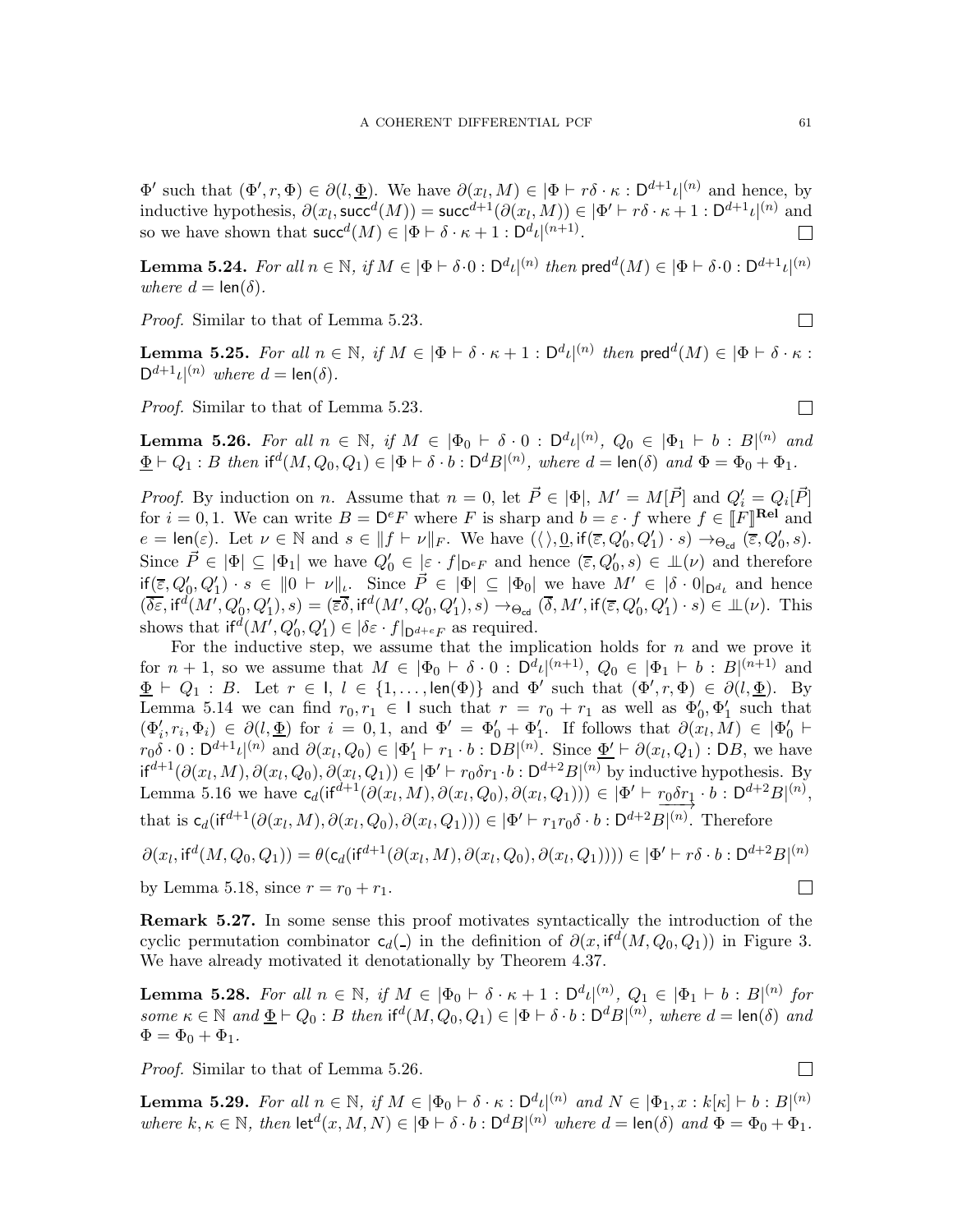$\Phi'$  such that  $(\Phi', r, \Phi) \in \partial(l, \underline{\Phi})$ . We have  $\partial(x_l, M) \in |\Phi| \cap r\delta \cdot \kappa : \mathsf{D}^{d+1} \iota|^{(n)}$  and hence, by inductive hypothesis,  $\partial(x_l, \text{succ}^d(M)) = \text{succ}^{d+1}(\partial(x_l, M)) \in |\Phi' \vdash r\delta \cdot \kappa + 1 : \mathsf{D}^{d+1}\iota|^{(n)}$  and so we have shown that  $succ^d(M) \in |\Phi \vdash \delta \cdot \kappa + 1 : D^d \iota|^{(n+1)}$ .  $\Box$ 

<span id="page-60-1"></span>**Lemma 5.24.** For all  $n \in \mathbb{N}$ , if  $M \in |\Phi \vdash \delta \cdot 0 : \mathsf{D}^d \iota|^{(n)}$  then  $\mathsf{pred}^d(M) \in |\Phi \vdash \delta \cdot 0 : \mathsf{D}^{d+1} \iota|^{(n)}$ where  $d = \text{len}(\delta)$ .

Proof. Similar to that of Lemma [5.23.](#page-59-0)

<span id="page-60-2"></span>**Lemma 5.25.** For all  $n \in \mathbb{N}$ , if  $M \in |\Phi \vdash \delta \cdot \kappa + 1 : \mathsf{D}^d \iota|^{(n)}$  then  $\mathsf{pred}^d(M) \in |\Phi \vdash \delta \cdot \kappa :$  $D^{d+1} \iota |^{(n)}$  where  $d = \text{len}(\delta)$ .

Proof. Similar to that of Lemma [5.23.](#page-59-0)

<span id="page-60-0"></span>**Lemma 5.26.** For all  $n \in \mathbb{N}$ , if  $M \in |\Phi_0 \vdash \delta \cdot 0 : \mathsf{D}^d \iota|^{(n)}$ ,  $Q_0 \in |\Phi_1 \vdash b : B|^{(n)}$  and  $\underline{\Phi} \vdash Q_1 : B$  then  $\text{if}^d(M, Q_0, Q_1) \in |\Phi \vdash \delta \cdot b : \mathsf{D}^d B|^{(n)}$ , where  $d = \text{len}(\delta)$  and  $\Phi = \Phi_0 + \Phi_1$ .

*Proof.* By induction on n. Assume that  $n = 0$ , let  $\vec{P} \in |\Phi|$ ,  $M' = M[\vec{P}]$  and  $Q'_i = Q_i[\vec{P}]$ for  $i = 0, 1$ . We can write  $B = D^e F$  where F is sharp and  $b = \varepsilon \cdot f$  where  $f \in [F]^{[Rel]}$  and  $e = \text{len}(\varepsilon)$ . Let  $\nu \in \mathbb{N}$  and  $s \in ||f \vdash \nu||_F$ . We have  $(\langle \rangle, \underline{0}, \text{if}(\overline{\varepsilon}, Q'_0, Q'_1) \cdot s) \rightarrow_{\Theta_{\text{cd}}} (\overline{\varepsilon}, Q'_0, s)$ . Since  $\vec{P} \in |\Phi| \subseteq |\Phi_1|$  we have  $Q'_0 \in [\varepsilon \cdot f]_{\mathsf{D}^eF}$  and hence  $(\overline{\varepsilon}, Q'_0, s) \in \mathcal{L}(\nu)$  and therefore  $\text{if}(\overline{\varepsilon},Q_0',Q_1')\cdot s \in ||0 \vdash \nu||_l$ . Since  $\overrightarrow{P} \in |\Phi| \subseteq |\Phi_0|$  we have  $M' \in |\delta \cdot 0|_{\mathcal{D}^{d_i}}$  and hence  $(\overline{\delta \varepsilon}, \text{if}^d(M', Q'_0, Q'_1), s) = (\overline{\varepsilon} \overline{\delta}, \text{if}^d(M', Q'_0, Q'_1), s) \rightarrow_{\Theta_{\text{cd}}} (\overline{\delta}, M', \text{if}(\overline{\varepsilon}, Q'_0, Q'_1) \cdot s) \in \mathbb{L}(\nu)$ . This shows that  $if^d(M', Q'_0, Q'_1) \in |\delta \varepsilon \cdot f|_{\mathsf{D}^{d+e}F}$  as required.

For the inductive step, we assume that the implication holds for  $n$  and we prove it for  $n + 1$ , so we assume that  $M \in |\Phi_0 \vdash \delta \cdot 0 : D^d \iota|^{(n+1)}$ ,  $Q_0 \in |\Phi_1 \vdash b : B|^{(n+1)}$  and  $\underline{\Phi} \vdash Q_1 : B$ . Let  $r \in I$ ,  $l \in \{1, ..., len(\Phi)\}\$  and  $\Phi'$  such that  $(\Phi', r, \Phi) \in \partial(l, \underline{\Phi})$ . By Lemma [5.14](#page-57-1) we can find  $r_0, r_1 \in I$  such that  $r = r_0 + r_1$  as well as  $\Phi'_0, \Phi'_1$  such that  $(\Phi'_i, r_i, \Phi_i) \in \partial(l, \underline{\Phi})$  for  $i = 0, 1$ , and  $\Phi' = \Phi'_0 + \Phi'_1$ . If follows that  $\partial(x_i, M) \in |\Phi'_0|$  $r_0\delta \cdot 0$ :  $D^{d+1}\iota^{(n)}$  and  $\partial(x_l,Q_0) \in |\Phi'_1 \vdash r_1 \cdot b$ :  $DB|^{(n)}$ . Since  $\underline{\Phi'} \vdash \partial(x_l,Q_1)$ :  $DB$ , we have  $\mathsf{if}^{d+1}(\partial(x_l,M),\partial(x_l,Q_0),\partial(x_l,Q_1))\in |\Phi' \vdash r_0\delta r_1 \cdot b : \mathsf{D}^{d+2}B|^{(n)}$  by inductive hypothesis. By Lemma [5.16](#page-57-0) we have  $\mathsf{c}_d(\mathsf{if}^{d+1}(\partial(x_l, M), \partial(x_l, Q_0), \partial(x_l, Q_1))) \in |\Phi' \vdash \underline{r_0 \delta r_1} \cdot b : \mathsf{D}^{d+2} B|^{(n)},$ that is  $c_d(\text{if}^{d+1}(\partial(x_l,M),\partial(x_l,Q_0),\partial(x_l,Q_1))) \in |\Phi' \vdash r_1r_0\delta \cdot b : D^{d+2}B|^{(n)}$ . Therefore

$$
\partial(x_l, \text{if}^d(M, Q_0, Q_1)) = \theta(\mathsf{c}_d(\text{if}^{d+1}(\partial(x_l, M), \partial(x_l, Q_0), \partial(x_l, Q_1)))) \in |\Phi' \vdash r\delta \cdot b : \mathsf{D}^{d+2} B|^{(n)}
$$
  
by Lemma 5.18, since  $r = r_0 + r_1$ .

by Lemma [5.18,](#page-58-1) since  $r = r_0 + r_1$ .

Remark 5.27. In some sense this proof motivates syntactically the introduction of the cyclic permutation combinator  $c_d(z)$  in the definition of  $\partial(x, \text{if}^d(M, Q_0, Q_1))$  in Figure [3.](#page-8-0) We have already motivated it denotationally by Theorem [4.37.](#page-38-0)

<span id="page-60-3"></span>**Lemma 5.28.** For all  $n \in \mathbb{N}$ , if  $M \in |\Phi_0 + \delta \cdot \kappa + 1 : \mathsf{D}^{d} \iota |^{(n)}$ ,  $Q_1 \in |\Phi_1 + b : B|^{(n)}$  for some  $\kappa \in \mathbb{N}$  and  $\underline{\Phi} \vdash Q_0 : B$  then  $\text{if}^d(M, Q_0, Q_1) \in |\Phi \vdash \delta \cdot b : \mathsf{D}^d B|^{(n)}$ , where  $d = \text{len}(\delta)$  and  $\Phi = \Phi_0 + \Phi_1.$ 

Proof. Similar to that of Lemma [5.26.](#page-60-0)

<span id="page-60-4"></span>**Lemma 5.29.** For all  $n \in \mathbb{N}$ , if  $M \in |\Phi_0 \vdash \delta \cdot \kappa : D^d \iota|^{(n)}$  and  $N \in |\Phi_1, x : k[\kappa] \vdash b : B|^{(n)}$ where  $k, \kappa \in \mathbb{N}$ , then  $\text{let}^d(x, M, N) \in |\Phi \vdash \delta \cdot b : \mathsf{D}^d B|^{(n)}$  where  $d = \text{len}(\delta)$  and  $\Phi = \Phi_0 + \Phi_1$ .

 $\Box$ 

 $\Box$ 

 $\Box$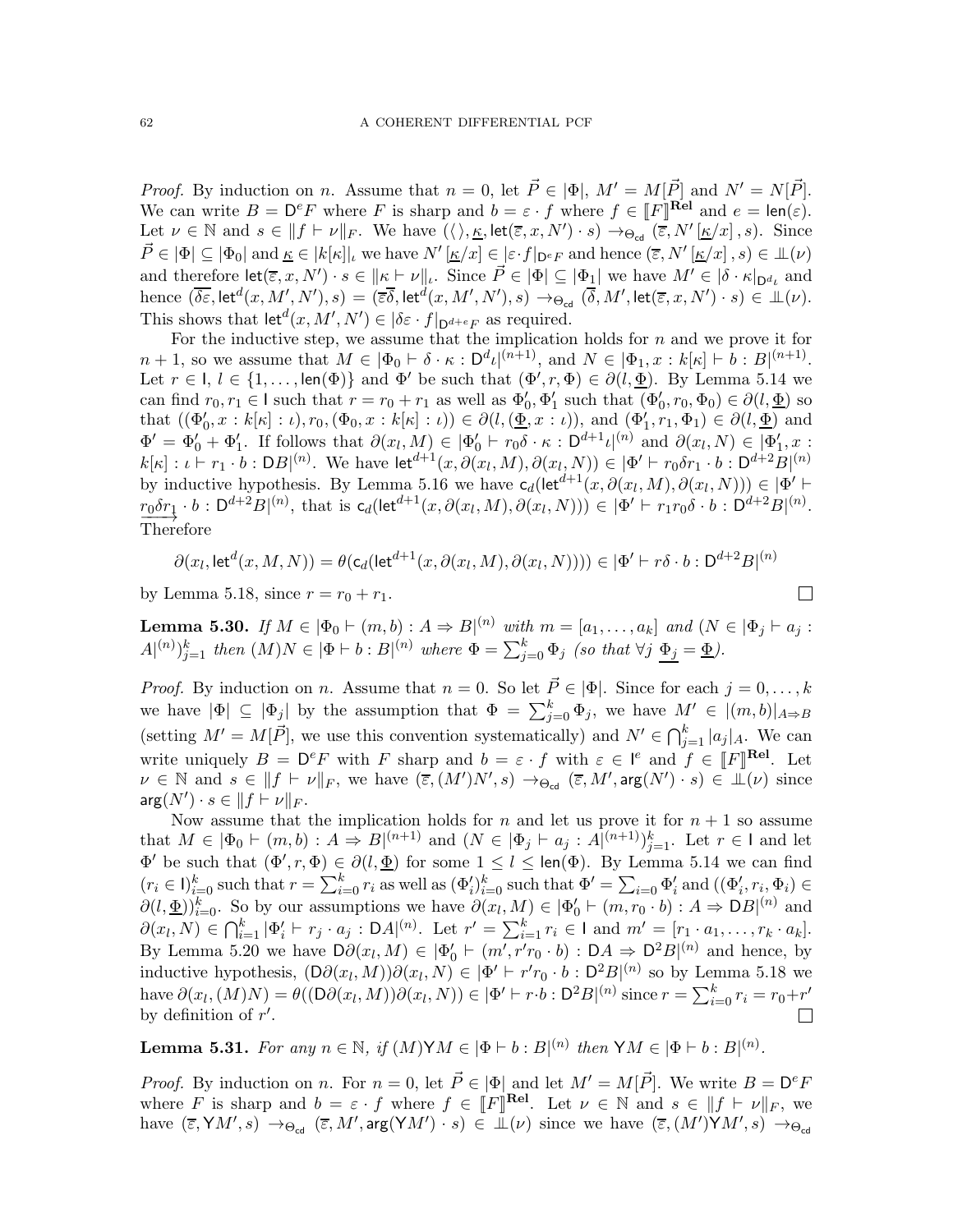*Proof.* By induction on n. Assume that  $n = 0$ , let  $\vec{P} \in |\Phi|$ ,  $M' = M[\vec{P}]$  and  $N' = N[\vec{P}]$ . We can write  $B = D^e F$  where F is sharp and  $b = \varepsilon \cdot f$  where  $f \in [F]^{rel}$  and  $e = len(\varepsilon)$ . Let  $\nu \in \mathbb{N}$  and  $s \in ||f \vdash \nu||_F$ . We have  $(\langle \rangle, \underline{\kappa}, \text{let}(\overline{\varepsilon}, x, N') \cdot s) \rightarrow_{\Theta_{\text{cd}}} (\overline{\varepsilon}, N'[\underline{\kappa}/x], s)$ . Since  $\vec{P} \in |\Phi| \subseteq |\Phi_0|$  and  $\underline{\kappa} \in |k[\kappa]|_l$  we have  $N'[\underline{\kappa}/x] \in [\varepsilon \cdot f|_{\mathsf{D}^eF}$  and hence  $(\overline{\varepsilon}, N'[\underline{\kappa}/x], s) \in \mathcal{L}(\nu)$ and therefore  $\text{let}(\overline{\varepsilon}, x, N') \cdot s \in ||\kappa \vdash \nu||_l$ . Since  $\vec{P} \in |\Phi| \subseteq |\Phi_1|$  we have  $M' \in |\delta \cdot \kappa|_{\mathcal{D}^{d_i}}$  and  $\text{hence} \,\, (\overline{\delta \varepsilon}, \textsf{let}^d(x, M', N'), s) = (\overline{\varepsilon}\overline{\delta}, \textsf{let}^d(x, M', N'), s) \rightarrow_{\Theta_{\textsf{cd}}} (\overline{\delta}, M', \textsf{let}(\overline{\varepsilon}, x, N') \cdot s) \in {\mathbb L}(\nu).$ This shows that  $\text{let}^d(x, M', N') \in |\delta \varepsilon \cdot f|_{\mathsf{D}^{d+e}F}$  as required.

For the inductive step, we assume that the implication holds for  $n$  and we prove it for  $n+1$ , so we assume that  $M \in |\Phi_0 \vdash \delta \cdot \kappa : D^d \iota|^{(n+1)}$ , and  $N \in |\Phi_1, x : k[\kappa] \vdash b : B|^{(n+1)}$ . Let  $r \in I$ ,  $l \in \{1, ..., \text{len}(\Phi)\}\$  and  $\Phi'$  be such that  $(\Phi', r, \Phi) \in \partial(l, \underline{\Phi})$ . By Lemma [5.14](#page-57-1) we can find  $r_0, r_1 \in I$  such that  $r = r_0 + r_1$  as well as  $\Phi'_0, \Phi'_1$  such that  $(\Phi'_0, r_0, \Phi_0) \in \partial(l, \Phi)$  so that  $((\Phi'_0, x : k[\kappa] : \iota), r_0, (\Phi_0, x : k[\kappa] : \iota)) \in \partial(l, (\underline{\Phi}, x : \iota))$ , and  $(\Phi'_1, r_1, \Phi_1) \in \partial(l, \underline{\Phi})$  and  $\Phi' = \Phi'_0 + \Phi'_1$ . If follows that  $\partial(x_l, M) \in |\Phi'_0| + r_0 \delta \cdot \kappa : D^{d+1} \iota^{(n)}$  and  $\partial(x_l, N) \in [\Phi'_1, x]$ .  $k[\kappa]: \iota \vdash r_1 \cdot b : DB|^{(n)}$ . We have  $\det^{d+1}(x, \partial(x_l, M), \partial(x_l, N)) \in |\Phi' \vdash r_0 \delta r_1 \cdot b : D^{d+2}B|^{(n)}$ by inductive hypothesis. By Lemma [5.16](#page-57-0) we have  $c_d(\text{let}^{d+1}(x, \partial(x_l, M), \partial(x_l, N))) \in |\Phi'|$  $r_0 \delta r_1 \cdot b : D^{d+2}B^{(n)}$ , that is  $c_d(\text{let}^{d+1}(x, \partial(x_l, M), \partial(x_l, N))) \in |\Phi' \vdash r_1 r_0 \delta \cdot b : D^{d+2}B^{(n)}$ .<br>Therefore Therefore

$$
\partial(x_l, \text{let}^d(x, M, N)) = \theta(\mathsf{c}_d(\text{let}^{d+1}(x, \partial(x_l, M), \partial(x_l, N)))) \in |\Phi' \vdash r\delta \cdot b : \mathsf{D}^{d+2}B|^{(n)}
$$

 $\Box$ 

by Lemma [5.18,](#page-58-1) since  $r = r_0 + r_1$ .

<span id="page-61-0"></span>**Lemma 5.30.** If  $M \in |\Phi_0 \vdash (m, b) : A \Rightarrow B|^{(n)}$  with  $m = [a_1, \ldots, a_k]$  and  $(N \in |\Phi_j \vdash a_j : A \Rightarrow B|^{(n)}$  $A^{(n)}\}_{j=1}^k$  then  $(M)N \in |\Phi \vdash b : B^{(n)}$  where  $\Phi = \sum_{j=0}^k \Phi_j$  (so that  $\forall j \Phi_j = \underline{\Phi}$ ).

*Proof.* By induction on n. Assume that  $n = 0$ . So let  $\vec{P} \in |\Phi|$ . Since for each  $j = 0, ..., k$ we have  $|\Phi| \subseteq |\Phi_j|$  by the assumption that  $\Phi = \sum_{j=0}^k \Phi_j$ , we have  $M' \in |(m, b)|_{A \Rightarrow B}$ (setting  $M' = M[\vec{P}]$ , we use this convention systematically) and  $N' \in \bigcap_{j=1}^k |a_j|_A$ . We can write uniquely  $B = D^e F$  with F sharp and  $b = \varepsilon \cdot f$  with  $\varepsilon \in [e]$  and  $f \in [F]^{Rel}$ . Let  $\nu \in \mathbb{N}$  and  $s \in ||f| \vdash \nu||_F$ , we have  $(\overline{\varepsilon}, (M')N', s) \to_{\Theta_{\text{cd}}} (\overline{\varepsilon}, M', \arg(N') \cdot s) \in \mathbb{L}(\nu)$  since  $\arg(N') \cdot s \in \|f \vdash \nu\|_F.$ 

Now assume that the implication holds for  $n$  and let us prove it for  $n + 1$  so assume that  $M \in |\Phi_0 \vdash (m, b) : A \Rightarrow B|^{(n+1)}$  and  $(N \in |\Phi_j \vdash a_j : A|^{(n+1)})_{j=1}^k$ . Let  $r \in I$  and let  $\Phi'$  be such that  $(\Phi', r, \Phi) \in \partial(l, \underline{\Phi})$  for some  $1 \leq l \leq \text{len}(\Phi)$ . By Lemma [5.14](#page-57-1) we can find  $(r_i \in I)_{i=0}^k$  such that  $r = \sum_{i=0}^k r_i$  as well as  $(\Phi_i')_{i=0}^k$  such that  $\Phi' = \sum_{i=0}^k \Phi_i'$  and  $((\Phi_i', r_i, \Phi_i) \in$  $\partial(l, \underline{\Phi})_{i=0}^k$ . So by our assumptions we have  $\partial(x_l, M) \in |\Phi'_0| \vdash (m, r_0 \cdot b) : A \Rightarrow DB|^{(n)}$  and  $\partial(x_l, N) \in \bigcap_{i=1}^k |\Phi'_i + r_j \cdot a_j : \mathsf{D}A|^{(n)}$ . Let  $r' = \sum_{i=1}^k r_i \in \mathsf{I}$  and  $m' = [r_1 \cdot a_1, \dots, r_k \cdot a_k].$ By Lemma [5.20](#page-58-2) we have  $D\partial(x_l, M) \in |\Phi_0' \vdash (m', r'r_0 \cdot b) : DA \Rightarrow D^2B|^{(n)}$  and hence, by inductive hypothesis,  $(D\partial(x_l, M))\partial(x_l, N) \in |\Phi' \vdash r'r_0 \cdot b : D^2B|^{(n)}$  so by Lemma [5.18](#page-58-1) we have  $\partial(x_l, (M)N) = \theta((D\partial(x_l, M))\partial(x_l, N)) \in |\Phi' \vdash r \cdot b : D^2B|^{(n)}$  since  $r = \sum_{i=0}^k r_i = r_0 + r'$ by definition of  $r'$ .

<span id="page-61-1"></span>**Lemma 5.31.** For any  $n \in \mathbb{N}$ , if  $(M) \forall M \in [\Phi \vdash b : B]^{(n)}$  then  $\forall M \in [\Phi \vdash b : B]^{(n)}$ .

*Proof.* By induction on n. For  $n = 0$ , let  $\vec{P} \in |\Phi|$  and let  $M' = M[\vec{P}]$ . We write  $B = D^e F$ where F is sharp and  $b = \varepsilon \cdot f$  where  $f \in [F]^{rel}$ . Let  $\nu \in \mathbb{N}$  and  $s \in ||f| + \nu||_F$ , we have  $(\overline{\varepsilon}, \overline{Y}M', s) \rightarrow_{\Theta_{\text{cd}}} (\overline{\varepsilon}, M', \arg(\overline{Y}M') \cdot s) \in \mathbb{L}(\nu)$  since we have  $(\overline{\varepsilon}, (M')\overline{Y}M', s) \rightarrow_{\Theta_{\text{cd}}}$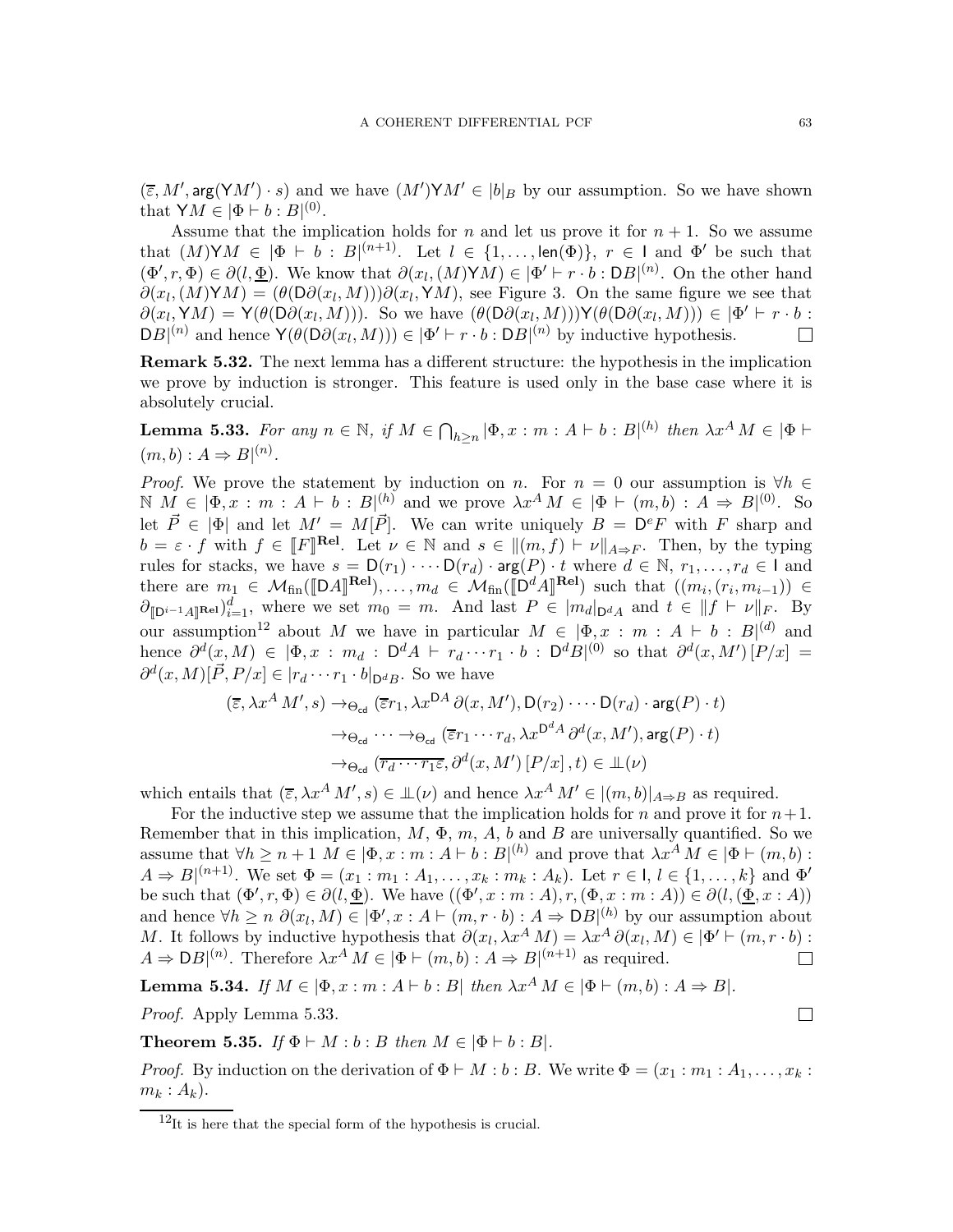$(\overline{\varepsilon}, M', \arg(\mathsf{Y}M') \cdot s)$  and we have  $(M')\mathsf{Y}M' \in |b|_B$  by our assumption. So we have shown that  $\mathsf{Y}M \in |\Phi \vdash b : B|^{(0)}$ .

Assume that the implication holds for n and let us prove it for  $n + 1$ . So we assume that  $(M) \text{Y} M \in |\Phi \vdash b : B|^{(n+1)}$ . Let  $l \in \{1, \ldots, \text{len}(\Phi)\}, r \in J$  and  $\Phi'$  be such that  $(\Phi', r, \Phi) \in \partial(l, \underline{\Phi})$ . We know that  $\partial(x_l, (M) \mathsf{Y} M) \in |\Phi' \vdash r \cdot b : \mathsf{D} B|^{(n)}$ . On the other hand  $\partial(x_l, (M) \mathsf{Y} M) = (\theta(\mathsf{D} \partial(x_l, M))) \partial(x_l, \mathsf{Y} M)$ , see Figure [3.](#page-8-0) On the same figure we see that  $\partial(x_l, \mathsf{Y} M) = \mathsf{Y}(\theta(\mathsf{D}\partial(x_l, M)))$ . So we have  $(\theta(\mathsf{D}\partial(x_l, M)))\mathsf{Y}(\theta(\mathsf{D}\partial(x_l, M))) \in |\Phi' \vdash r \cdot b$ :  $DB|^{(n)}$  and hence  $\mathsf{Y}(\theta(D\partial(x_l, M))) \in |\Phi' \vdash r \cdot b : DB|^{(n)}$  by inductive hypothesis.

Remark 5.32. The next lemma has a different structure: the hypothesis in the implication we prove by induction is stronger. This feature is used only in the base case where it is absolutely crucial.

<span id="page-62-2"></span>**Lemma 5.33.** For any  $n \in \mathbb{N}$ , if  $M \in \bigcap_{h \geq n} |\Phi, x : m : A \vdash b : B|^{(h)}$  then  $\lambda x^A M \in |\Phi \vdash$  $(m, b) : A \Rightarrow B|^{(n)}$ .

*Proof.* We prove the statement by induction on n. For  $n = 0$  our assumption is  $\forall h \in$  $\mathbb{N}$   $M \in [\Phi, x : m : A \vdash b : B]_{\rightarrow}^{(h)}$  and we prove  $\lambda x^A M \in [\Phi \vdash (m, b) : A \Rightarrow B]_{\rightarrow}^{(0)}$ . So let  $\vec{P} \in |\Phi|$  and let  $M' = M[\vec{P}]$ . We can write uniquely  $B = D^e F$  with F sharp and  $b = \varepsilon \cdot f$  with  $f \in [F]^{rel}$ . Let  $\nu \in \mathbb{N}$  and  $s \in ||(m, f) \vdash \nu||_{A \Rightarrow F}$ . Then, by the typing rules for stacks, we have  $s = D(r_1) \cdots D(r_d) \cdot \arg(P) \cdot t$  where  $d \in \mathbb{N}, r_1, \ldots, r_d \in \mathsf{I}$  and there are  $m_1 \in \mathcal{M}_{fin}(\llbracket DA \rrbracket^{\text{Rel}}), \ldots, m_d \in \mathcal{M}_{fin}(\llbracket D^d A \rrbracket^{\text{Rel}})$  such that  $((m_i, (r_i, m_{i-1})) \in$  $\partial_{\llbracket \mathbf{D}^{i-1}A\rrbracket^{\mathbf{Rel}}}\big)_{i=1}^d$ , where we set  $m_0 = m$ . And last  $P \in |m_d|_{\mathbf{D}^dA}$  and  $t \in ||f \vdash \nu||_F$ . By our assumption<sup>[12](#page-62-1)</sup> about M we have in particular  $M \in [\Phi, x : m : A \vdash b : B]^{(d)}$  and hence  $\partial^d(x,M) \in [\Phi, x : m_d : \mathsf{D}^d A + r_d \cdots r_1 \cdot b : \mathsf{D}^d B|^{(0)}$  so that  $\partial^d(x,M') [P/x] =$  $\partial^d(x, M)[\vec{P}, P/x] \in |r_d \cdots r_1 \cdot b|_{D^d B}$ . So we have

$$
(\overline{\varepsilon}, \lambda x^A M', s) \to_{\Theta_{\text{cd}}} (\overline{\varepsilon} r_1, \lambda x^{DA} \partial(x, M'), \mathsf{D}(r_2) \cdots \mathsf{D}(r_d) \cdot \arg(P) \cdot t)
$$
  

$$
\to_{\Theta_{\text{cd}}} \cdots \to_{\Theta_{\text{cd}}} (\overline{\varepsilon} r_1 \cdots r_d, \lambda x^{D^d A} \partial^d(x, M'), \arg(P) \cdot t)
$$
  

$$
\to_{\Theta_{\text{cd}}} (\overline{r_d \cdots r_1 \varepsilon}, \partial^d(x, M') [P/x], t) \in \mathsf{L}(\nu)
$$

which entails that  $(\overline{\varepsilon}, \lambda x^A M', s) \in \mathbb{L}(\nu)$  and hence  $\lambda x^A M' \in |(m, b)|_{A \Rightarrow B}$  as required.

For the inductive step we assume that the implication holds for n and prove it for  $n+1$ . Remember that in this implication,  $M$ ,  $\Phi$ ,  $m$ ,  $A$ ,  $b$  and  $B$  are universally quantified. So we assume that  $\forall h \ge n+1$   $M \in [\Phi, x : m : A \vdash b : B]^{(h)}$  and prove that  $\lambda x^A M \in [\Phi \vdash (m, b) :$  $A \Rightarrow B|^{(n+1)}$ . We set  $\Phi = (x_1 : m_1 : A_1, \ldots, x_k : m_k : A_k)$ . Let  $r \in I, l \in \{1, \ldots, k\}$  and  $\Phi'$ be such that  $(\Phi', r, \Phi) \in \partial(l, \underline{\Phi})$ . We have  $((\Phi', x : m : A), r, (\Phi, x : m : A)) \in \partial(l, (\underline{\Phi}, x : A))$ and hence  $\forall h \ge n \ \partial(x_l, M) \in [\Phi', x : A \vdash (m, r \cdot b) : A \Rightarrow DB]^{\{h\}}$  by our assumption about M. It follows by inductive hypothesis that  $\partial(x_l, \lambda x^A M) = \lambda x^A \partial(x_l, M) \in |\Phi' \vdash (m, r \cdot b) :$  $A \Rightarrow DB|^{(n)}$ . Therefore  $\lambda x^A M \in |\Phi \vdash (m, b) : A \Rightarrow B|^{(n+1)}$  as required.

<span id="page-62-3"></span>Lemma 5.34. If  $M \in [\Phi, x : m : A \vdash b : B]$  then  $\lambda x^A M \in [\Phi \vdash (m, b) : A \Rightarrow B]$ .

Proof. Apply Lemma [5.33.](#page-62-2)

<span id="page-62-0"></span>**Theorem 5.35.** If  $\Phi \vdash M : b : B$  then  $M \in |\Phi \vdash b : B|$ .

*Proof.* By induction on the derivation of  $\Phi \vdash M : b : B$ . We write  $\Phi = (x_1 : m_1 : A_1, \ldots, x_k : A_k)$  $m_k : A_k$ .

 $\Box$ 

<span id="page-62-1"></span> $12$ It is here that the special form of the hypothesis is crucial.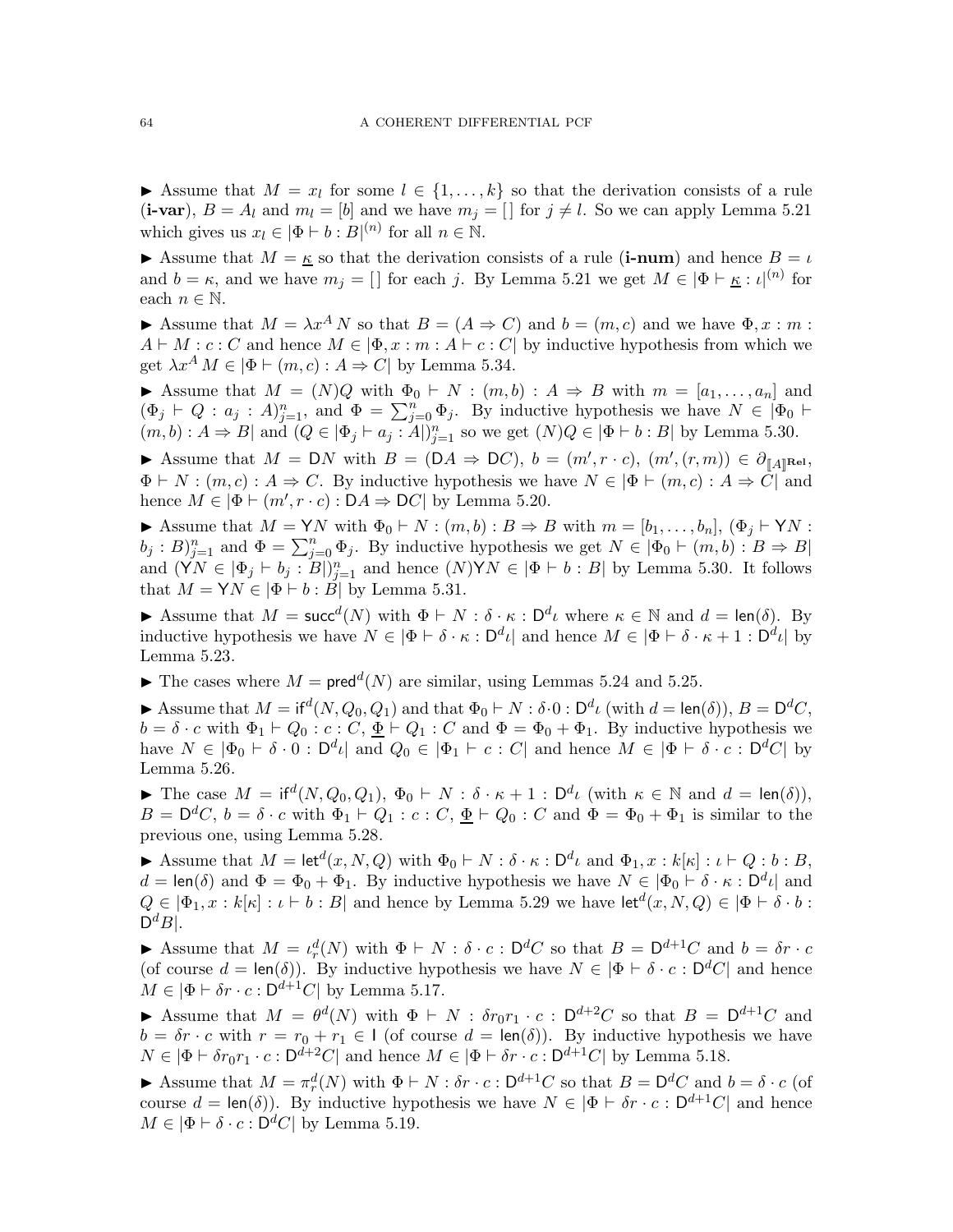Assume that  $M = x_l$  for some  $l \in \{1, ..., k\}$  so that the derivation consists of a rule (i-var),  $B = A_l$  and  $m_l = [b]$  and we have  $m_j = [c]$  for  $j \neq l$ . So we can apply Lemma [5.21](#page-59-1) which gives us  $x_l \in |\Phi \vdash b : B|^{(n)}$  for all  $n \in \mathbb{N}$ .

Assume that  $M = \kappa$  so that the derivation consists of a rule (i-num) and hence  $B = \iota$ and  $b = \kappa$ , and we have  $m_j = []$  for each j. By Lemma [5.21](#page-59-1) we get  $M \in |\Phi \vdash_{K} : \iota|^{(n)}$  for each  $n \in \mathbb{N}$ .

Assume that  $M = \lambda x^A N$  so that  $B = (A \Rightarrow C)$  and  $b = (m, c)$  and we have  $\Phi, x : m :$  $A \vdash M : c : C$  and hence  $M \in [\Phi, x : m : A \vdash c : C]$  by inductive hypothesis from which we get  $\lambda x^A M \in |\Phi \vdash (m, c) : A \Rightarrow C|$  by Lemma [5.34.](#page-62-3)

Assume that  $M = (N)Q$  with  $\Phi_0 \vdash N : (m, b) : A \Rightarrow B$  with  $m = [a_1, \ldots, a_n]$  and  $(\Phi_j \vdash Q : a_j : A)_{j=1}^n$ , and  $\Phi = \sum_{j=0}^n \Phi_j$ . By inductive hypothesis we have  $N \in |\Phi_0 \vdash \Phi_1|$  $(m, b) : A \Rightarrow B$  and  $(Q \in [\Phi_j \vdash a_j : A])_{j=1}^n$  so we get  $(N)Q \in [\Phi \vdash b : B]$  by Lemma [5.30.](#page-61-0)

Assume that  $M = DN$  with  $B = (DA \Rightarrow DC)$ ,  $b = (m', r \cdot c)$ ,  $(m', (r, m)) \in \partial_{\llbracket A \rrbracket^{\text{Rel}}}$ ,  $\Phi \vdash N : (m, c) : A \Rightarrow C$ . By inductive hypothesis we have  $N \in |\Phi \vdash (m, c) : A \Rightarrow C|$  and hence  $M \in |\Phi \vdash (m', r \cdot c) : \mathsf{D}A \Rightarrow \mathsf{D}C|$  by Lemma [5.20.](#page-58-2)

Assume that  $M = YN$  with  $\Phi_0 \vdash N : (m, b) : B \Rightarrow B$  with  $m = [b_1, \ldots, b_n], (\Phi_j \vdash YN$ :  $(b_j : B)_{j=1}^n$  and  $\Phi = \sum_{j=0}^n \Phi_j$ . By inductive hypothesis we get  $N \in |\Phi_0 \vdash (m, b) : B \Rightarrow B|$ and  $(\check{Y}N \in [\Phi_j \vdash b_j : B])_{j=1}^n$  and hence  $(N) \check{Y} N \in [\Phi \vdash b : B]$  by Lemma [5.30.](#page-61-0) It follows that  $M = \mathsf{Y}N \in |\Phi \vdash b : \mathring{B}|$  by Lemma [5.31.](#page-61-1)

Assume that  $M = succ^d(N)$  with  $\Phi \vdash N : \delta \cdot \kappa : D^d\iota$  where  $\kappa \in \mathbb{N}$  and  $d = len(\delta)$ . By inductive hypothesis we have  $N \in |\Phi \vdash \delta \cdot \kappa : \mathsf{D}^d \iota|$  and hence  $M \in |\Phi \vdash \delta \cdot \kappa + 1 : \mathsf{D}^d \iota|$  by Lemma [5.23.](#page-59-0)

 $\blacktriangleright$  The cases where  $M = \text{pred}^d(N)$  are similar, using Lemmas [5.24](#page-60-1) and [5.25.](#page-60-2)

Assume that  $M = \text{if}^d(N, Q_0, Q_1)$  and that  $\Phi_0 \vdash N : \delta \cdot 0 : \mathsf{D}^d \iota \text{ (with } d = \text{len}(\delta)), B = \mathsf{D}^d C$ ,  $b = \delta \cdot c$  with  $\Phi_1 \vdash Q_0 : c : C, \underline{\Phi} \vdash Q_1 : C$  and  $\Phi = \Phi_0 + \Phi_1$ . By inductive hypothesis we have  $N \in |\Phi_0 \vdash \delta \cdot 0 : \mathsf{D}^d \iota|$  and  $Q_0 \in |\Phi_1 \vdash c : C|$  and hence  $M \in |\Phi \vdash \delta \cdot c : \mathsf{D}^d C|$  by Lemma [5.26.](#page-60-0)

The case  $M = \text{if}^d(N, Q_0, Q_1), \Phi_0 \vdash N : \delta \cdot \kappa + 1 : \mathsf{D}^d \iota \text{ (with } \kappa \in \mathbb{N} \text{ and } d = \text{len}(\delta) \text{),}$  $B = \mathsf{D}^d C$ ,  $b = \delta \cdot c$  with  $\Phi_1 \vdash Q_1 : c : C$ ,  $\underline{\Phi} \vdash Q_0 : C$  and  $\Phi = \Phi_0 + \Phi_1$  is similar to the previous one, using Lemma [5.28.](#page-60-3)

Assume that  $M = \text{let}^d(x, N, Q)$  with  $\Phi_0 \vdash N : \delta \cdot \kappa : \mathsf{D}^d \iota$  and  $\Phi_1, x : k[\kappa] : \iota \vdash Q : b : B$ ,  $d = \text{len}(\delta)$  and  $\Phi = \Phi_0 + \Phi_1$ . By inductive hypothesis we have  $N \in |\Phi_0 \vdash \delta \cdot \kappa : \mathsf{D}^d \iota|$  and  $Q \in |\Phi_1, x : k[\kappa] : \iota \vdash b : B|$  and hence by Lemma [5.29](#page-60-4) we have  $\mathsf{let}^d(x, N, Q) \in |\Phi \vdash \delta \cdot b :$  $\mathsf{D}^dB|.$ 

Assume that  $M = \iota_r^d(N)$  with  $\Phi \vdash N : \delta \cdot c : \mathsf{D}^d C$  so that  $B = \mathsf{D}^{d+1} C$  and  $b = \delta r \cdot c$ (of course  $d = \text{len}(\delta)$ ). By inductive hypothesis we have  $N \in |\Phi \vdash \delta \cdot c : \mathsf{D}^d C|$  and hence  $M \in |\Phi \vdash \delta r \cdot c : \mathsf{D}^{d+1}C|$  by Lemma [5.17.](#page-58-0)

Assume that  $M = \theta^d(N)$  with  $\Phi \vdash N : \delta r_0 r_1 \cdot c : \mathsf{D}^{d+2}C$  so that  $B = \mathsf{D}^{d+1}C$  and  $b = \delta r \cdot c$  with  $r = r_0 + r_1 \in I$  (of course  $d = \text{len}(\delta)$ ). By inductive hypothesis we have  $N \in |\Phi \vdash \delta r_0 r_1 \cdot c : \mathsf{D}^{d+2}C|$  and hence  $M \in |\Phi \vdash \delta r \cdot c : \mathsf{D}^{d+1}C|$  by Lemma [5.18.](#page-58-1)

Assume that  $M = \pi_r^d(N)$  with  $\Phi \vdash N : \delta r \cdot c : \mathsf{D}^{d+1}C$  so that  $B = \mathsf{D}^d C$  and  $b = \delta \cdot c$  (of course  $d = \text{len}(\delta)$ . By inductive hypothesis we have  $N \in |\Phi \vdash \delta r \cdot c : \mathsf{D}^{d+1}C|$  and hence  $M \in |\Phi \vdash \delta \cdot c : \mathsf{D}^d C|$  by Lemma [5.19.](#page-58-3)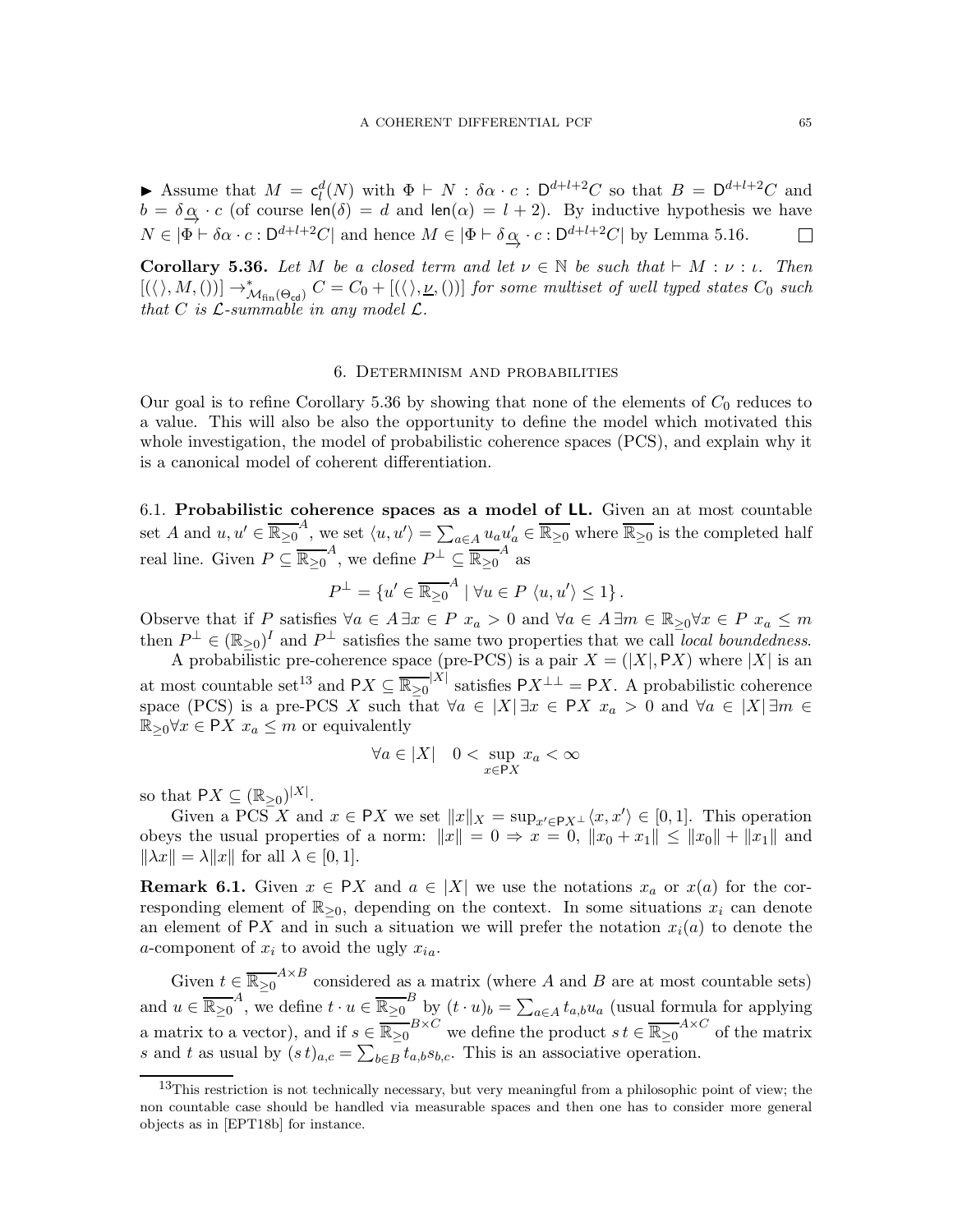Assume that  $M = c_l^d(N)$  with  $\Phi \vdash N : \delta \alpha \cdot c : D^{d+l+2}C$  so that  $B = D^{d+l+2}C$  and  $b = \delta \alpha \cdot c$  (of course len( $\delta$ ) = d and len( $\alpha$ ) = l + 2). By inductive hypothesis we have  $N \in |\Phi \vdash \delta \alpha \cdot c : \mathsf{D}^{d+l+2}C|$  and hence  $M \in |\Phi \vdash \delta \underline{\alpha} \cdot c : \mathsf{D}^{d+l+2}C|$  by Lemma [5.16.](#page-57-0)

<span id="page-64-0"></span>**Corollary 5.36.** Let M be a closed term and let  $\nu \in \mathbb{N}$  be such that  $\vdash M : \nu : \iota$ . Then  $[(\langle \rangle, M, ())] \rightarrow^*_{\mathcal{M}_{fin}(\Theta_{\mathsf{cd}})} C = C_0 + [(\langle \rangle, \underline{\nu}, ())]$  for some multiset of well typed states  $C_0$  such that C is  $\mathcal{L}$ -summable in any model  $\mathcal{L}$ .

#### 6. Determinism and probabilities

Our goal is to refine Corollary [5.36](#page-64-0) by showing that none of the elements of  $C_0$  reduces to a value. This will also be also the opportunity to define the model which motivated this whole investigation, the model of probabilistic coherence spaces (PCS), and explain why it is a canonical model of coherent differentiation.

6.1. Probabilistic coherence spaces as a model of LL. Given an at most countable set A and  $u, u' \in \overline{\mathbb{R}_{\geq 0}}^A$ , we set  $\langle u, u' \rangle = \sum_{a \in A} u_a u'_a \in \overline{\mathbb{R}_{\geq 0}}$  where  $\overline{\mathbb{R}_{\geq 0}}$  is the completed half real line. Given  $P \subseteq \overline{\mathbb{R}_{\geq 0}}^A$ , we define  $P^{\perp} \subseteq \overline{\mathbb{R}_{\geq 0}}^A$  as

$$
P^{\perp} = \{u' \in \overline{\mathbb{R}_{\geq 0}}^{A} \mid \forall u \in P \langle u, u' \rangle \leq 1\}.
$$

Observe that if P satisfies  $\forall a \in A \exists x \in P \ x_a > 0$  and  $\forall a \in A \exists m \in \mathbb{R}_{\geq 0} \forall x \in P \ x_a \leq m$ then  $P^{\perp} \in (\mathbb{R}_{\geq 0})^I$  and  $P^{\perp}$  satisfies the same two properties that we call *local boundedness.* 

A probabilistic pre-coherence space (pre-PCS) is a pair  $X = (|X|, PX)$  where  $|X|$  is an at most countable set<sup>[13](#page-64-1)</sup> and  $PX \subseteq \overline{\mathbb{R}_{\geq 0}}^{|X|}$  satisfies  $PX^{\perp \perp} = PX$ . A probabilistic coherence space (PCS) is a pre-PCS X such that  $\forall a \in |X| \exists x \in PX$   $x_a > 0$  and  $\forall a \in |X| \exists m \in Y$  $\mathbb{R}_{\geq 0}$  $\forall x \in \mathsf{P} X \ x_a \leq m$  or equivalently

$$
\forall a \in |X| \quad 0 < \sup_{x \in \mathsf{P}X} x_a < \infty
$$

so that  $PX \subseteq (\mathbb{R}_{\geq 0})^{|X|}$ .

Given a PCS X and  $x \in PX$  we set  $||x||_X = \sup_{x' \in PX} \langle x, x' \rangle \in [0, 1]$ . This operation obeys the usual properties of a norm:  $||x|| = 0 \Rightarrow x = 0, ||x_0 + x_1|| \le ||x_0|| + ||x_1||$  and  $\|\lambda x\| = \lambda \|x\|$  for all  $\lambda \in [0, 1].$ 

<span id="page-64-2"></span>**Remark 6.1.** Given  $x \in PX$  and  $a \in |X|$  we use the notations  $x_a$  or  $x(a)$  for the corresponding element of  $\mathbb{R}_{\geq 0}$ , depending on the context. In some situations  $x_i$  can denote an element of PX and in such a situation we will prefer the notation  $x_i(a)$  to denote the a-component of  $x_i$  to avoid the ugly  $x_{ia}$ .

Given  $t \in \overline{\mathbb{R}_{\geq 0}}^{A \times B}$  considered as a matrix (where A and B are at most countable sets) and  $u \in \overline{\mathbb{R}_{\geq 0}}^A$ , we define  $t \cdot u \in \overline{\mathbb{R}_{\geq 0}}^B$  by  $(t \cdot u)_b = \sum_{a \in A} t_{a,b} u_a$  (usual formula for applying a matrix to a vector), and if  $s \in \overline{\mathbb{R}_{\geq 0}}^{B \times C}$  we define the product  $s t \in \overline{\mathbb{R}_{\geq 0}}^{A \times C}$  of the matrix s and t as usual by  $(st)_{a,c} = \sum_{b \in B} t_{a,b} s_{b,c}$ . This is an associative operation.

<span id="page-64-1"></span> $13$ This restriction is not technically necessary, but very meaningful from a philosophic point of view; the non countable case should be handled via measurable spaces and then one has to consider more general objects as in [\[EPT18b\]](#page-71-2) for instance.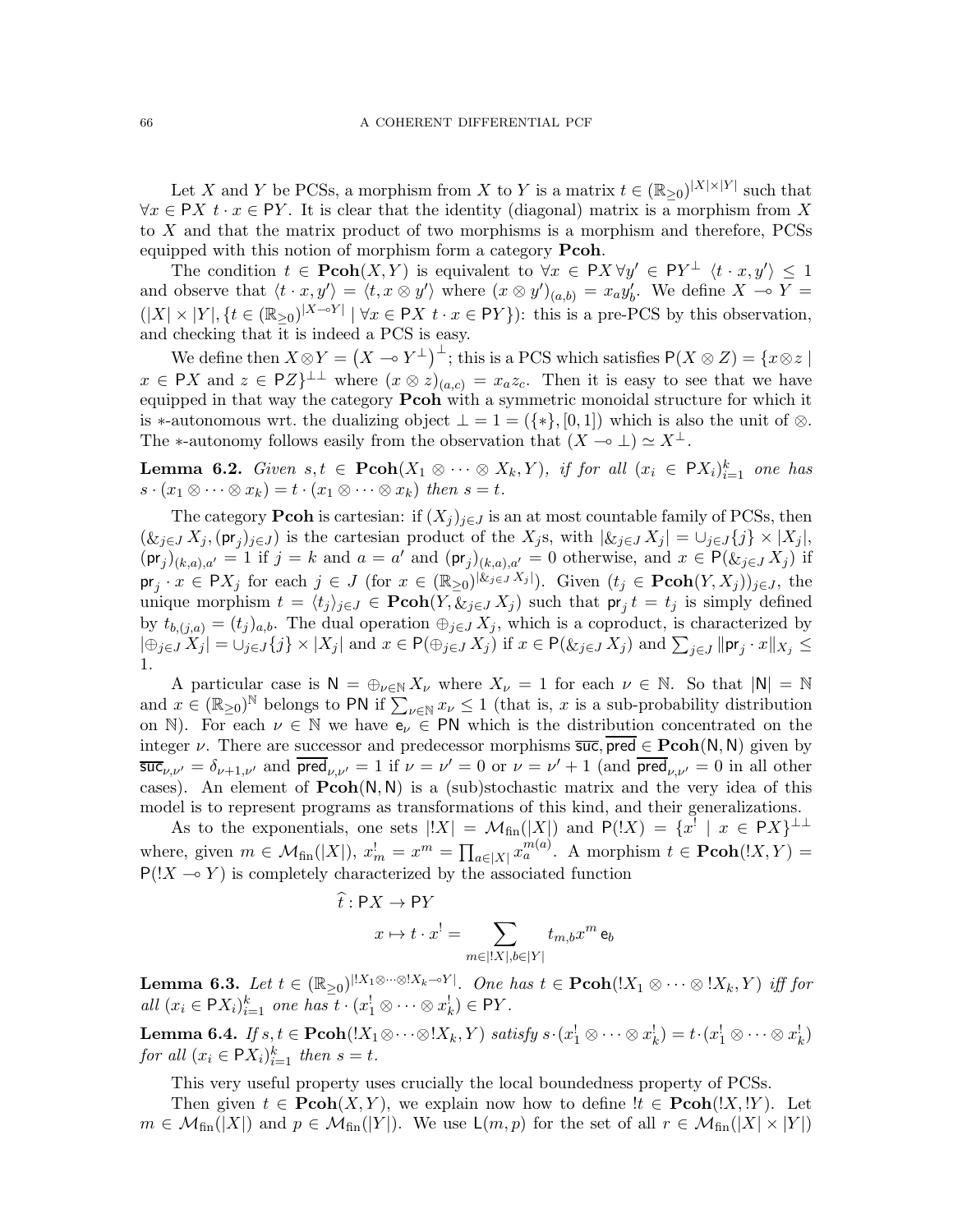Let X and Y be PCSs, a morphism from X to Y is a matrix  $t \in (\mathbb{R}_{\geq 0})^{|X| \times |Y|}$  such that  $\forall x \in \mathsf{P}X$   $t \cdot x \in \mathsf{P}Y$ . It is clear that the identity (diagonal) matrix is a morphism from X to X and that the matrix product of two morphisms is a morphism and therefore, PCSs equipped with this notion of morphism form a category **Pcoh**.

The condition  $t \in \text{Pcoh}(X, Y)$  is equivalent to  $\forall x \in PX \forall y' \in PY^{\perp} \langle t \cdot x, y' \rangle \leq 1$ and observe that  $\langle t \cdot x, y' \rangle = \langle t, x \otimes y' \rangle$  where  $(x \otimes y')_{(a,b)} = x_a y'_b$ . We define  $X \to Y =$  $(|X| \times |Y|, \{t \in (\mathbb{R}_{\geq 0})^{|X-\circ Y|} | \forall x \in \mathsf{P} X \ t \cdot x \in \mathsf{P} Y\}$ : this is a pre-PCS by this observation, and checking that it is indeed a PCS is easy.

We define then  $X \otimes Y = (X \multimap Y^{\perp})^{\perp}$ ; this is a PCS which satisfies  $P(X \otimes Z) = \{x \otimes z \mid$  $x \in \bigcap X$  and  $z \in \bigcap Z$ <sup> $\perp \perp$ </sup> where  $(x \otimes z)_{(a,c)} = x_a z_c$ . Then it is easy to see that we have equipped in that way the category **Pcoh** with a symmetric monoidal structure for which it is ∗-autonomous wrt. the dualizing object  $\bot = 1 = (\{ \ast \}, [0, 1])$  which is also the unit of  $\otimes$ . The ∗-autonomy follows easily from the observation that  $(X \multimap \bot) \simeq X^{\bot}$ .

**Lemma 6.2.** Given  $s,t \in \text{Pcoh}(X_1 \otimes \cdots \otimes X_k, Y)$ , if for all  $(x_i \in \text{PX}_i)_{i=1}^k$  one has  $s \cdot (x_1 \otimes \cdots \otimes x_k) = t \cdot (x_1 \otimes \cdots \otimes x_k)$  then  $s = t$ .

The category **Pcoh** is cartesian: if  $(X_j)_{j\in J}$  is an at most countable family of PCSs, then  $(\&_{j\in J} X_j, (\mathsf{pr}_j)_{j\in J})$  is the cartesian product of the  $X_j$ s, with  $|\&_{j\in J} X_j| = \cup_{j\in J} \{j\} \times |X_j|$ ,  $(\textsf{pr}_j)_{(k,a),a'} = 1$  if  $j = k$  and  $a = a'$  and  $(\textsf{pr}_j)_{(k,a),a'} = 0$  otherwise, and  $x \in \textsf{P}(\&_{j \in J} X_j)$  if  $pr_j \cdot x \in PX_j$  for each  $j \in J$  (for  $x \in (\mathbb{R}_{\geq 0})^{|\&_{j \in J} X_j|}$ ). Given  $(t_j \in \text{Pcoh}(Y, X_j))_{j \in J}$ , the unique morphism  $t = \langle t_j \rangle_{j \in J} \in \text{Pcoh}(Y, \&_{j \in J} X_j)$  such that  $\text{pr}_j t = t_j$  is simply defined by  $t_{b,(j,a)} = (t_j)_{a,b}$ . The dual operation  $\bigoplus_{j\in J} X_j$ , which is a coproduct, is characterized by  $|\bigoplus_{j\in J} X_j| = \bigcup_{j\in J} \{j\} \times |X_j|$  and  $x \in \mathsf{P}(\bigoplus_{j\in J} X_j)$  if  $x \in \mathsf{P}(\&_{j\in J} X_j)$  and  $\sum_{j\in J} ||\mathsf{pr}_j \cdot x||_{X_j} \le$ 1.

A particular case is  $N = \bigoplus_{\nu \in \mathbb{N}} X_{\nu}$  where  $X_{\nu} = 1$  for each  $\nu \in \mathbb{N}$ . So that  $|\mathcal{N}| = \mathbb{N}$ and  $x \in (\mathbb{R}_{\geq 0})^{\mathbb{N}}$  belongs to PN if  $\sum_{\nu \in \mathbb{N}} x_{\nu} \leq 1$  (that is, x is a sub-probability distribution on N). For each  $\nu \in \mathbb{N}$  we have  $e_{\nu} \in \mathsf{PN}$  which is the distribution concentrated on the integer  $\nu$ . There are successor and predecessor morphisms  $\overline{\mathsf{suc}}, \overline{\mathsf{pred}} \in \mathbf{Pcoh}(\mathsf{N}, \mathsf{N})$  given by  $\overline{\mathsf{succ}}_{\nu,\nu'} = \delta_{\nu+1,\nu'}$  and  $\mathsf{pred}_{\nu,\nu'} = 1$  if  $\nu = \nu' = 0$  or  $\nu = \nu' + 1$  (and  $\mathsf{pred}_{\nu,\nu'} = 0$  in all other cases). An element of  $Pcoh(N, N)$  is a (sub)stochastic matrix and the very idea of this model is to represent programs as transformations of this kind, and their generalizations.

As to the exponentials, one sets  $|X| = \mathcal{M}_{fin}(|X|)$  and  $P(|X|) = \{x^! | x \in PX\}^{\perp \perp}$ where, given  $m \in \mathcal{M}_{fin}(|X|)$ ,  $x_m^l = x^m = \prod_{a \in |X|} x_a^{m(a)}$ . A morphism  $t \in \text{Pcoh}((X, Y) =$  $P(|X \to Y|)$  is completely characterized by the associated function

$$
\hat{t}: \mathsf{P}X \to \mathsf{P}Y
$$

$$
x \mapsto t \cdot x^! = \sum_{m \in |!X|, b \in |Y|} t_{m,b} x^m \mathsf{e}_b
$$

<span id="page-65-1"></span>**Lemma 6.3.** Let  $t \in (\mathbb{R}_{\geq 0})^{|lX_1\otimes\cdots\otimes|X_k\sim Y|}$ . One has  $t \in \textbf{Pcoh}(lX_1\otimes\cdots\otimes lX_k, Y)$  iff for all  $(x_i \in \mathsf{P}X_i)_{i=1}^k$  one has  $t \cdot (x_1^1 \otimes \cdots \otimes x_k^1) \in \mathsf{P}Y$ .

<span id="page-65-0"></span>**Lemma 6.4.** If  $s, t \in \textbf{Pcoh}(X_1 \otimes \cdots \otimes X_k, Y)$  satisfy  $s \cdot (x_1^1 \otimes \cdots \otimes x_k^1) = t \cdot (x_1^1 \otimes \cdots \otimes x_k^1)$ for all  $(x_i \in \mathsf{P}X_i)_{i=1}^k$  then  $s = t$ .

This very useful property uses crucially the local boundedness property of PCSs.

Then given  $t \in \text{Pcoh}(X, Y)$ , we explain now how to define  $!t \in \text{Pcoh}(X, Y)$ . Let  $m \in \mathcal{M}_{fin}(|X|)$  and  $p \in \mathcal{M}_{fin}(|Y|)$ . We use  $\mathsf{L}(m, p)$  for the set of all  $r \in \mathcal{M}_{fin}(|X| \times |Y|)$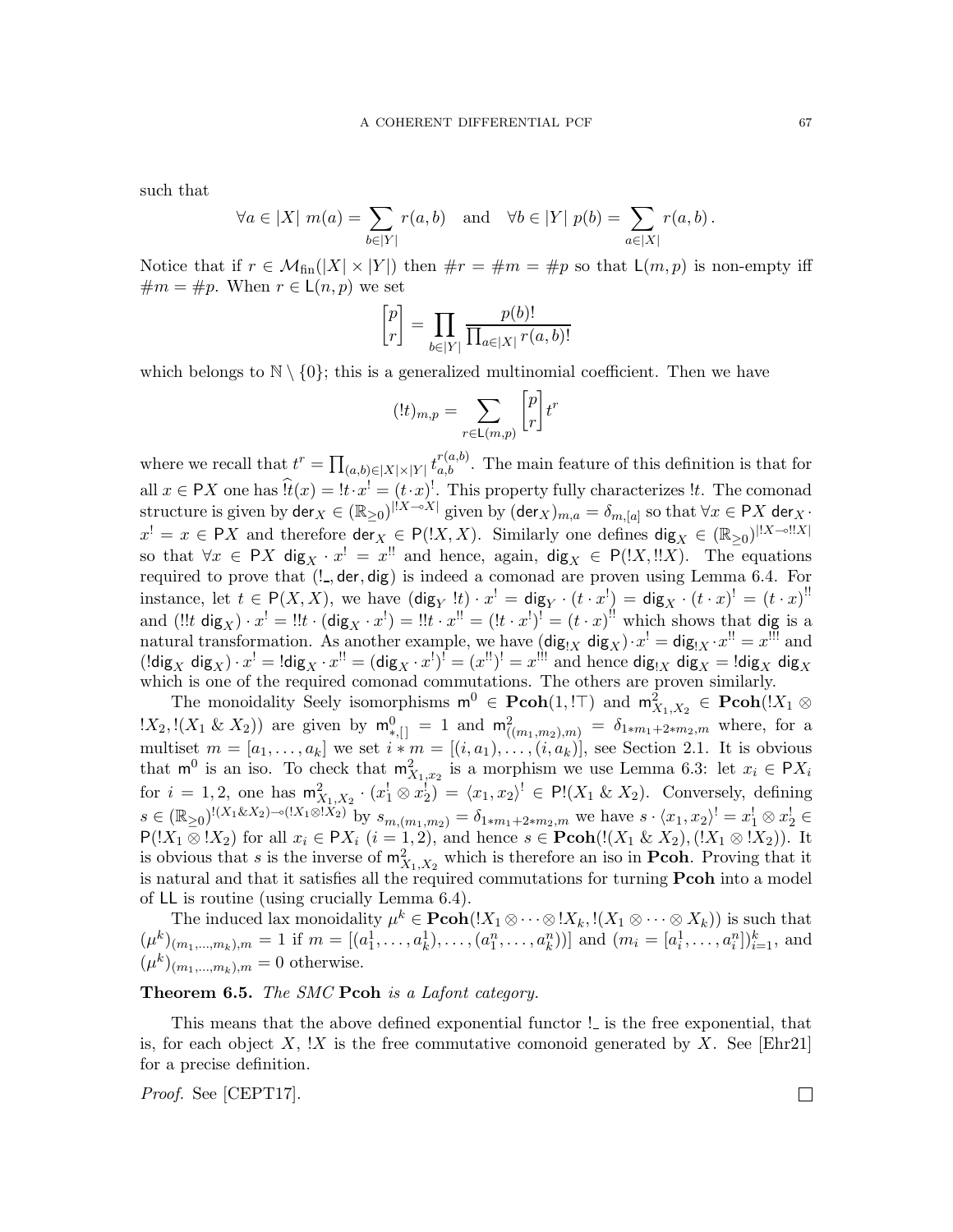such that

$$
\forall a \in |X| \ m(a) = \sum_{b \in |Y|} r(a, b) \quad \text{and} \quad \forall b \in |Y| \ p(b) = \sum_{a \in |X|} r(a, b).
$$

Notice that if  $r \in \mathcal{M}_{fin}(|X| \times |Y|)$  then  $\#r = \#m = \#p$  so that  $\mathsf{L}(m, p)$  is non-empty iff  $\#m = \#p$ . When  $r \in L(n, p)$  we set

$$
\begin{bmatrix} p \\ r \end{bmatrix} = \prod_{b \in |Y|} \frac{p(b)!}{\prod_{a \in |X|} r(a, b)!}
$$

which belongs to  $\mathbb{N} \setminus \{0\}$ ; this is a generalized multinomial coefficient. Then we have

$$
(!t)_{m,p} = \sum_{r \in \mathsf{L}(m,p)} \begin{bmatrix} p \\ r \end{bmatrix} t^r
$$

where we recall that  $t^r = \prod_{(a,b)\in |X|\times |Y|} t^{r(a,b)}_{a,b}$ . The main feature of this definition is that for all  $x \in PX$  one has  $\hat{t}(x) = \left[t \cdot x\right] = (t \cdot x)!$ . This property fully characterizes  $\mu$ . The comonad structure is given by  $\text{der}_X \in (\mathbb{R}_{\geq 0})^{|X - \delta X|}$  given by  $(\text{der}_X)_{m,a} = \delta_{m,[a]}$  so that  $\forall x \in \textsf{P}X$   $\text{der}_X$ .  $x^! = x \in \mathsf{P}X$  and therefore  $\mathsf{der}_X \in \mathsf{P}(!X,X)$ . Similarly one defines  $\mathsf{dig}_X \in (\mathbb{R}_{\geq 0})^{|!X-\circ|!X|}$ so that  $\forall x \in PX$  dig<sub>X</sub> ·  $x' = x''$  and hence, again, dig<sub>X</sub>  $\in P(!X,!!X)$ . The equations required to prove that  $(l_-,$  der, dig) is indeed a comonad are proven using Lemma [6.4.](#page-65-0) For instance, let  $t \in P(X, X)$ , we have  $(\text{dig}_Y : t) \cdot x' = \text{dig}_Y \cdot (t \cdot x') = \text{dig}_X \cdot (t \cdot x)' = (t \cdot x)'$ and  $(!!t \text{ dig}_X) \cdot x^! =!!t \cdot (\text{dig}_X \cdot x^!) =!!t \cdot x^{!!} = (!t \cdot x^!)^! = (t \cdot x)^{!!}$  which shows that dig is a natural transformation. As another example, we have  $(\text{dig}_{X} \text{ dig}_{X}) \cdot x^{!} = \text{dig}_{X} \cdot x^{!!} = x^{!!}$  and  $(\text{Idig}_X \text{ dig}_X) \cdot x^! = \text{Idig}_X \cdot x^{!} = (\text{dig}_X \cdot x^!)^! = (x^{!})^! = x^{!}$  and hence  $\text{dig}_{X} \text{ dig}_X = \text{Idig}_X \text{ dig}_X$ which is one of the required comonad commutations. The others are proven similarly.

The monoidality Seely isomorphisms  $\mathsf{m}^0 \in \mathbf{Pcoh}(1, \mathbb{I})$  and  $\mathsf{m}_{X_1, X_2}^2 \in \mathbf{Pcoh}(\mathbb{I}X_1 \otimes \mathbb{I})$  $(X_2,!(X_1 \& X_2))$  are given by  $m_{*,[]}^0 = 1$  and  $m_{((m_1,m_2),m)}^2 = \delta_{1*m_1+2*m_2,m}$  where, for a multiset  $m = [a_1, \ldots, a_k]$  we set  $i * m = [(i, a_1), \ldots, (i, a_k)]$ , see Section [2.1.](#page-5-0) It is obvious that  $\mathsf{m}^0$  is an iso. To check that  $\mathsf{m}^2_{X_1,x_2}$  is a morphism we use Lemma [6.3:](#page-65-1) let  $x_i \in \mathsf{P} X_i$ for  $i = 1, 2$ , one has  $m_{X_1, X_2}^2 \cdot (x_1^1 \otimes x_2^1) = \langle x_1, x_2 \rangle^1 \in \mathsf{Pl}(X_1 \& X_2)$ . Conversely, defining  $s \in (\mathbb{R}_{\geq 0})^{!(X_1 \& X_2) - \circ((X_1 \otimes X_2))}$  by  $s_{m,(m_1,m_2)} = \delta_{1 \ast m_1 + 2 \ast m_2, m}$  we have  $s \cdot \langle x_1, x_2 \rangle^! = x_1^! \otimes x_2^! \in$  $P(1X_1 \otimes 1X_2)$  for all  $x_i \in PX_i$   $(i = 1, 2)$ , and hence  $s \in \text{Pcoh}(!(X_1 \& X_2), (!X_1 \otimes 1X_2))$ . It is obvious that s is the inverse of  $m_{X_1,X_2}^2$  which is therefore an iso in **Pcoh**. Proving that it is natural and that it satisfies all the required commutations for turning Pcoh into a model of LL is routine (using crucially Lemma [6.4\)](#page-65-0).

The induced lax monoidality  $\mu^k \in \mathbf{Pcoh}(!X_1 \otimes \cdots \otimes !X_k, !(X_1 \otimes \cdots \otimes X_k))$  is such that  $(\mu^k)_{(m_1,...,m_k),m} = 1$  if  $m = [(a_1^1, \ldots, a_k^1), \ldots, (a_1^n, \ldots, a_k^n))]$  and  $(m_i = [a_i^1, \ldots, a_i^n])_{i=1}^k$ , and  $(\mu^k)_{(m_1,...,m_k),m} = 0$  otherwise.

<span id="page-66-0"></span>Theorem 6.5. The SMC Pcoh is a Lafont category.

This means that the above defined exponential functor ! is the free exponential, that is, for each object  $X$ ,  $X$  is the free commutative comonoid generated by  $X$ . See [\[Ehr21\]](#page-71-0) for a precise definition.

Proof. See [\[CEPT17\]](#page-71-3).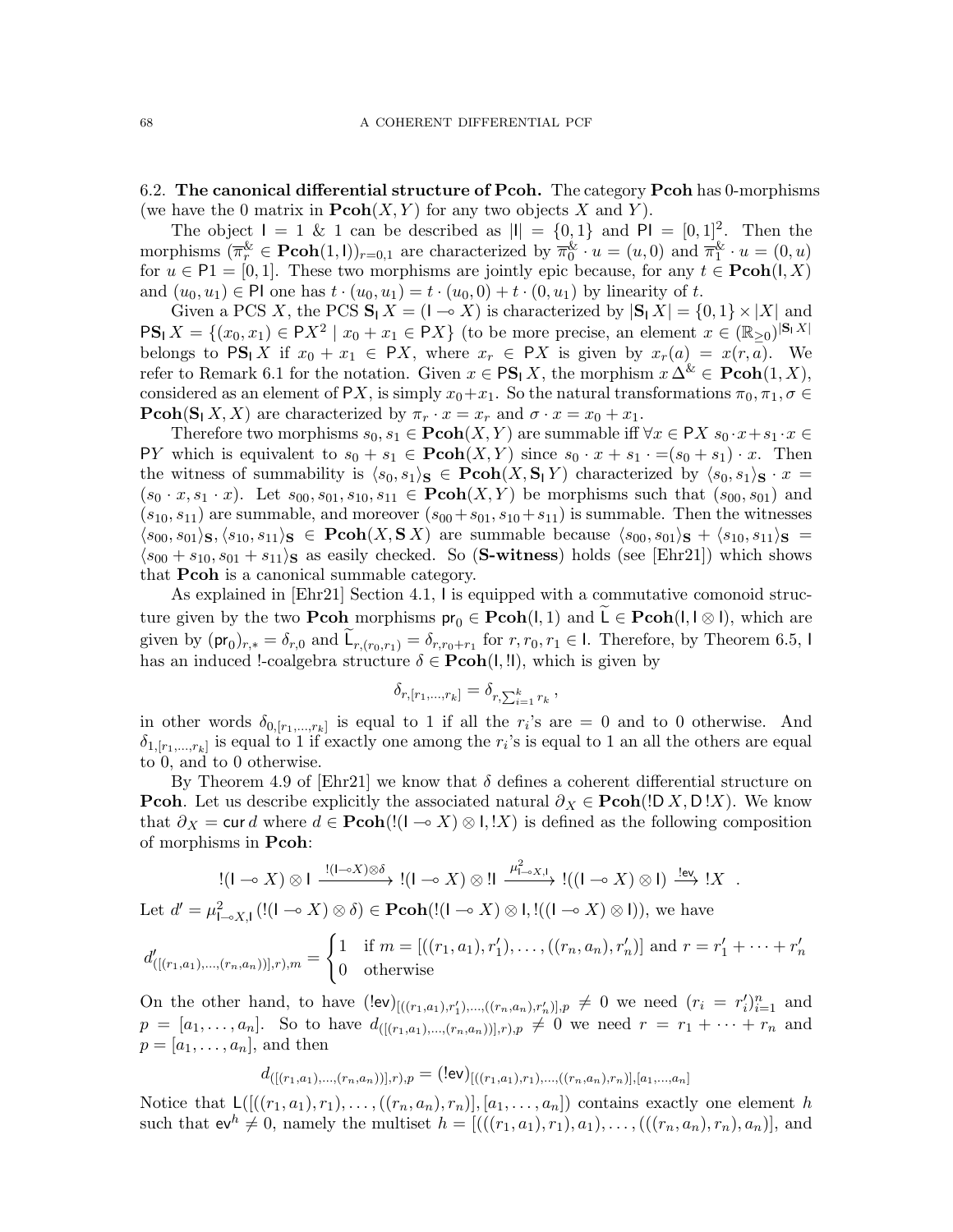6.2. The canonical differential structure of Pcoh. The category Pcoh has 0-morphisms (we have the 0 matrix in  $\text{Pcoh}(X, Y)$  for any two objects X and Y).

The object  $I = 1 \& 1$  can be described as  $|I| = \{0, 1\}$  and  $PI = [0, 1]^2$ . Then the morphisms  $(\overline{\pi}_r^{\&} \in \text{Pcoh}(1, I))_{r=0,1}$  are characterized by  $\overline{\pi}_0^{\&} \cdot u = (u, 0)$  and  $\overline{\pi}_1^{\&} \cdot u = (0, u)$ for  $u \in \mathsf{P1} = [0,1]$ . These two morphisms are jointly epic because, for any  $t \in \mathbf{Pcoh}(I,X)$ and  $(u_0, u_1) \in \mathsf{Pl}$  one has  $t \cdot (u_0, u_1) = t \cdot (u_0, 0) + t \cdot (0, u_1)$  by linearity of t.

Given a PCS X, the PCS  $S_1 X = (I \rightarrow X)$  is characterized by  $|S_1 X| = \{0, 1\} \times |X|$  and  $PS_1 X = \{(x_0, x_1) \in PX^2 \mid x_0 + x_1 \in PX\}$  (to be more precise, an element  $x \in (\mathbb{R}_{\geq 0})^{|S_1 X|}$ belongs to  $PS_1 X$  if  $x_0 + x_1 \in PX$ , where  $x_r \in PX$  is given by  $x_r(a) = x(r, a)$ . We refer to Remark [6.1](#page-64-2) for the notation. Given  $x \in \text{PS}_1 X$ , the morphism  $x \Delta^k \in \text{Pcoh}(1, X)$ , considered as an element of PX, is simply  $x_0+x_1$ . So the natural transformations  $\pi_0, \pi_1, \sigma \in$ **Pcoh(S**<sub>1</sub>X, X) are characterized by  $\pi_r \cdot x = x_r$  and  $\sigma \cdot x = x_0 + x_1$ .

Therefore two morphisms  $s_0, s_1 \in \mathbf{Pcoh}(X, Y)$  are summable iff  $\forall x \in \mathsf{P}X$   $s_0 \cdot x + s_1 \cdot x \in \mathsf{PSt}(X, Y)$ PY which is equivalent to  $s_0 + s_1 \in \text{Pcoh}(X, Y)$  since  $s_0 \cdot x + s_1 \cdot = (s_0 + s_1) \cdot x$ . Then the witness of summability is  $\langle s_0, s_1 \rangle$   $\in \text{Pcoh}(X, S_1 Y)$  characterized by  $\langle s_0, s_1 \rangle$   $\in$   $x =$  $(s_0 \cdot x, s_1 \cdot x)$ . Let  $s_{00}, s_{01}, s_{10}, s_{11} \in \text{Pcoh}(X, Y)$  be morphisms such that  $(s_{00}, s_{01})$  and  $(s_{10}, s_{11})$  are summable, and moreover  $(s_{00} + s_{01}, s_{10} + s_{11})$  is summable. Then the witnesses  $\langle s_{00}, s_{01} \rangle_{\mathbf{S}}, \langle s_{10}, s_{11} \rangle_{\mathbf{S}} \in \textbf{Pcoh}(X, \mathbf{S} X)$  are summable because  $\langle s_{00}, s_{01} \rangle_{\mathbf{S}} + \langle s_{10}, s_{11} \rangle_{\mathbf{S}} =$  $\langle s_{00} + s_{10}, s_{01} + s_{11} \rangle$  as easily checked. So (S-witness) holds (see [\[Ehr21\]](#page-71-0)) which shows that Pcoh is a canonical summable category.

As explained in [\[Ehr21\]](#page-71-0) Section 4.1, I is equipped with a commutative comonoid structure given by the two **Pcoh** morphisms  $pr_0 \in \mathbf{Pcoh}(I, 1)$  and  $L \in \mathbf{Pcoh}(I, I \otimes I)$ , which are given by  $(\mathsf{pr}_0)_{r,*} = \delta_{r,0}$  and  $\mathsf{L}_{r,(r_0,r_1)} = \delta_{r,r_0+r_1}$  for  $r,r_0,r_1 \in \mathsf{I}$ . Therefore, by Theorem [6.5,](#page-66-0) I has an induced !-coalgebra structure  $\delta \in \mathbf{Pcoh}(I, II)$ , which is given by

$$
\delta_{r,[r_1,...,r_k]} = \delta_{r,\sum_{i=1}^k r_k},
$$

in other words  $\delta_{0,[r_1,...,r_k]}$  is equal to 1 if all the  $r_i$ 's are  $= 0$  and to 0 otherwise. And  $\delta_{1,[r_1,...,r_k]}$  is equal to 1 if exactly one among the  $r_i$ 's is equal to 1 an all the others are equal to 0, and to 0 otherwise.

By Theorem 4.9 of [\[Ehr21\]](#page-71-0) we know that  $\delta$  defines a coherent differential structure on **Pcoh.** Let us describe explicitly the associated natural  $\partial_X \in \mathbf{Pcoh}(\mathbb{D}[X], \mathbb{D}[X])$ . We know that  $\partial_X = \text{curl } d$  where  $d \in \text{Pcoh}((I - \alpha X) \otimes I, I X)$  is defined as the following composition of morphisms in Pcoh:

$$
!(I \multimap X) \otimes 1 \xrightarrow{!(I \multimap X) \otimes \delta} [(I \multimap X) \otimes 1] \xrightarrow{\mu^2_{I \multimap X, I}} (((I \multimap X) \otimes 1) \xrightarrow{!ev} !X .
$$

Let  $d' = \mu_{1 \to X,1}^2 (!(1 \to X) \otimes \delta) \in \mathbf{Pcoh}((1 \to X) \otimes 1, !((1 \to X) \otimes 1)),$  we have

$$
d'_{([(r_1,a_1),...,(r_n,a_n)],r),m} = \begin{cases} 1 & \text{if } m = [((r_1,a_1),r'_1),...,((r_n,a_n),r'_n)] \text{ and } r = r'_1 + \cdots + r'_n \\ 0 & \text{otherwise} \end{cases}
$$

On the other hand, to have  $(\text{lev})_{[((r_1,a_1),r'_1),...((r_n,a_n),r'_n)],p} \neq 0$  we need  $(r_i = r'_i)_{i=1}^n$  and  $p = [a_1, \ldots, a_n].$  So to have  $d_{([r_1,a_1), \ldots, (r_n,a_n))], r, p} \neq 0$  we need  $r = r_1 + \cdots + r_n$  and  $p = [a_1, \ldots, a_n]$ , and then

 $d_{([(r_1,a_1),...,(r_n,a_n))] ,r),p}= (\mathsf{lev})_{[((r_1,a_1),r_1),...,((r_n,a_n),r_n)],[a_1,...,a_n]}$ 

Notice that  $L([((r_1, a_1), r_1), \ldots, ((r_n, a_n), r_n)], [a_1, \ldots, a_n])$  contains exactly one element h such that  $ev^h \neq 0$ , namely the multiset  $h = [(((r_1, a_1), r_1), a_1), \ldots, ((r_n, a_n), r_n), a_n)]$ , and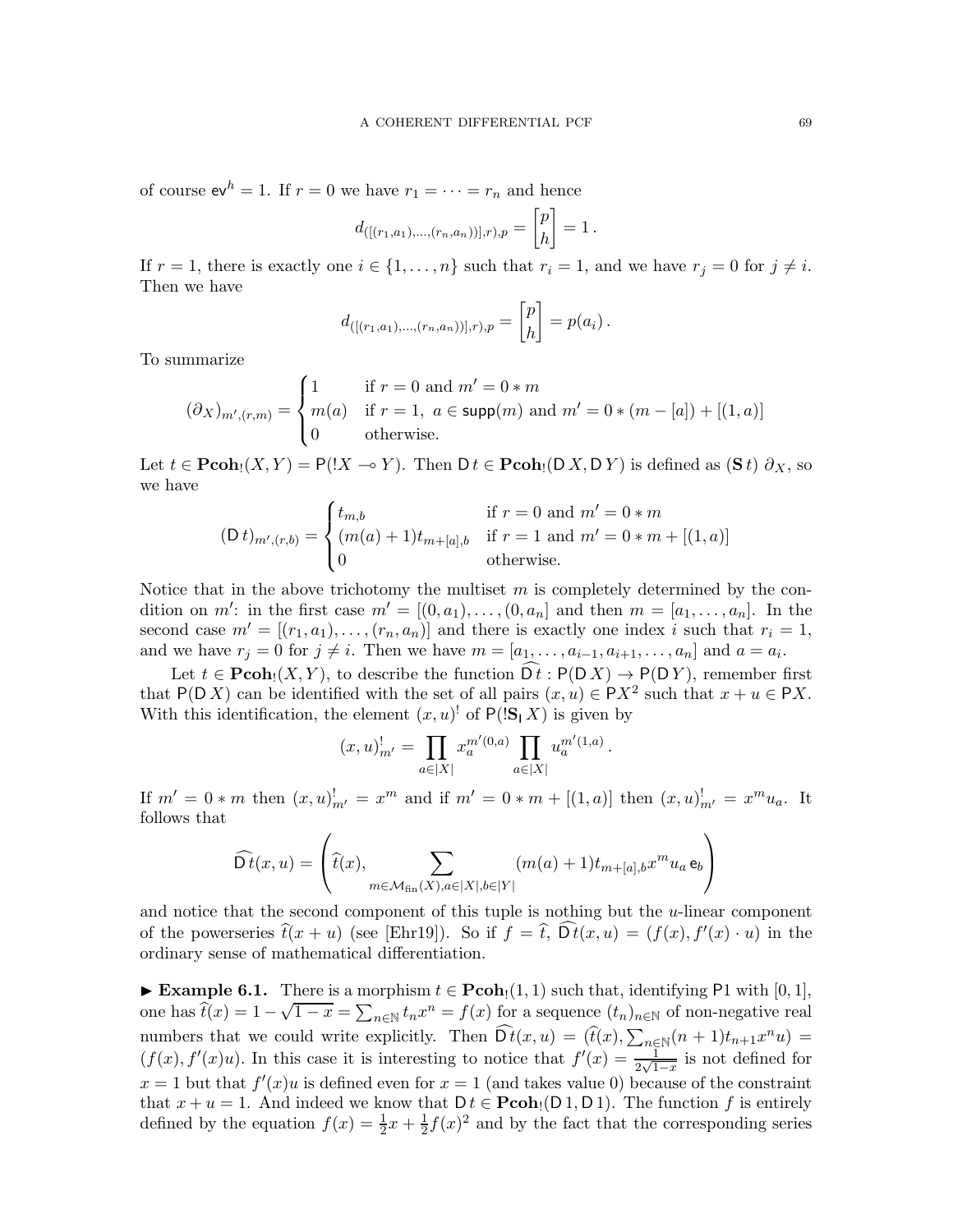of course  $ev^h = 1$ . If  $r = 0$  we have  $r_1 = \cdots = r_n$  and hence

$$
d_{([(r_1,a_1),...,(r_n,a_n))],r),p} = \begin{bmatrix} p \\ h \end{bmatrix} = 1.
$$

If  $r = 1$ , there is exactly one  $i \in \{1, \ldots, n\}$  such that  $r_i = 1$ , and we have  $r_j = 0$  for  $j \neq i$ . Then we have

$$
d_{([[r_1,a_1),...,(r_n,a_n))],r),p} = \begin{bmatrix} p \\ h \end{bmatrix} = p(a_i).
$$

To summarize

$$
(\partial X)_{m',(r,m)} = \begin{cases} 1 & \text{if } r = 0 \text{ and } m' = 0 * m \\ m(a) & \text{if } r = 1, \ a \in \text{supp}(m) \text{ and } m' = 0 * (m - [a]) + [(1, a)] \\ 0 & \text{otherwise.} \end{cases}
$$

Let  $t \in \mathbf{Pcoh}_!(X, Y) = \mathsf{P}(!X \multimap Y)$ . Then  $\mathsf{D} t \in \mathbf{Pcoh}_!(\mathsf{D} X, \mathsf{D} Y)$  is defined as  $(\mathbf{S} t) \partial_X$ , so we have

$$
(\mathsf{D} \, t)_{m',(r,b)} = \begin{cases} t_{m,b} & \text{if } r = 0 \text{ and } m' = 0 \, * \, m \\ (m(a) + 1)t_{m+[a],b} & \text{if } r = 1 \text{ and } m' = 0 \, * \, m + [(1, a)] \\ 0 & \text{otherwise.} \end{cases}
$$

Notice that in the above trichotomy the multiset  $m$  is completely determined by the condition on m': in the first case  $m' = [(0, a_1), \ldots, (0, a_n]$  and then  $m = [a_1, \ldots, a_n]$ . In the second case  $m' = [(r_1, a_1), \ldots, (r_n, a_n)]$  and there is exactly one index i such that  $r_i = 1$ , and we have  $r_j = 0$  for  $j \neq i$ . Then we have  $m = [a_1, \ldots, a_{i-1}, a_{i+1}, \ldots, a_n]$  and  $a = a_i$ .

Let  $t \in \mathbf{Pcoh}_1(X, Y)$ , to describe the function  $\widehat{D}t : P(D X) \to P(D Y)$ , remember first that P(DX) can be identified with the set of all pairs  $(x, u) \in PX^2$  such that  $x + u \in PX$ . With this identification, the element  $(x, u)$ <sup>!</sup> of  $P(|S| X)$  is given by

$$
(x,u)_{m'}^! = \prod_{a \in |X|} x_a^{m'(0,a)} \prod_{a \in |X|} u_a^{m'(1,a)}
$$

.

If  $m' = 0 * m$  then  $(x, u)_{m'}^! = x^m$  and if  $m' = 0 * m + [(1, a)]$  then  $(x, u)_{m'}^! = x^m u_a$ . It follows that

$$
\widehat{\mathsf{D}t}(x,u) = \left(\widehat{t}(x), \sum_{m \in \mathcal{M}_{\textrm{fin}}(X), a \in |X|, b \in |Y|} (m(a) + 1) t_{m+[a],b} x^m u_a \, \mathsf{e}_b\right)
$$

and notice that the second component of this tuple is nothing but the u-linear component of the powerseries  $\hat{t}(x + u)$  (see [\[Ehr19\]](#page-71-4)). So if  $f = \hat{t}$ ,  $D t(x, u) = (f(x), f'(x) \cdot u)$  in the ordinary sense of mathematical differentiation.

► Example 6.1. There is a morphism  $t \in \text{Pcoh}_1(1,1)$  such that, identifying P1 with  $[0,1]$ , one has  $\hat{t}(x) = 1 - \sqrt{1-x} = \sum_{n \in \mathbb{N}} t_n x^n = f(x)$  for a sequence  $(t_n)_{n \in \mathbb{N}}$  of non-negative real numbers that we could write explicitly. Then  $\widehat{Dt}(x, u) = (\widehat{t}(x), \sum_{n \in \mathbb{N}} (n+1)t_{n+1}x^n u) =$  $(f(x), f'(x)u)$ . In this case it is interesting to notice that  $f'(x) = \frac{1}{2\sqrt{1-x}}$  is not defined for  $x = 1$  but that  $f'(x)u$  is defined even for  $x = 1$  (and takes value 0) because of the constraint that  $x + u = 1$ . And indeed we know that  $D t \in \mathbf{Pcoh}_1(D_1, D_1)$ . The function f is entirely defined by the equation  $f(x) = \frac{1}{2}x + \frac{1}{2}$  $\frac{1}{2}f(x)^2$  and by the fact that the corresponding series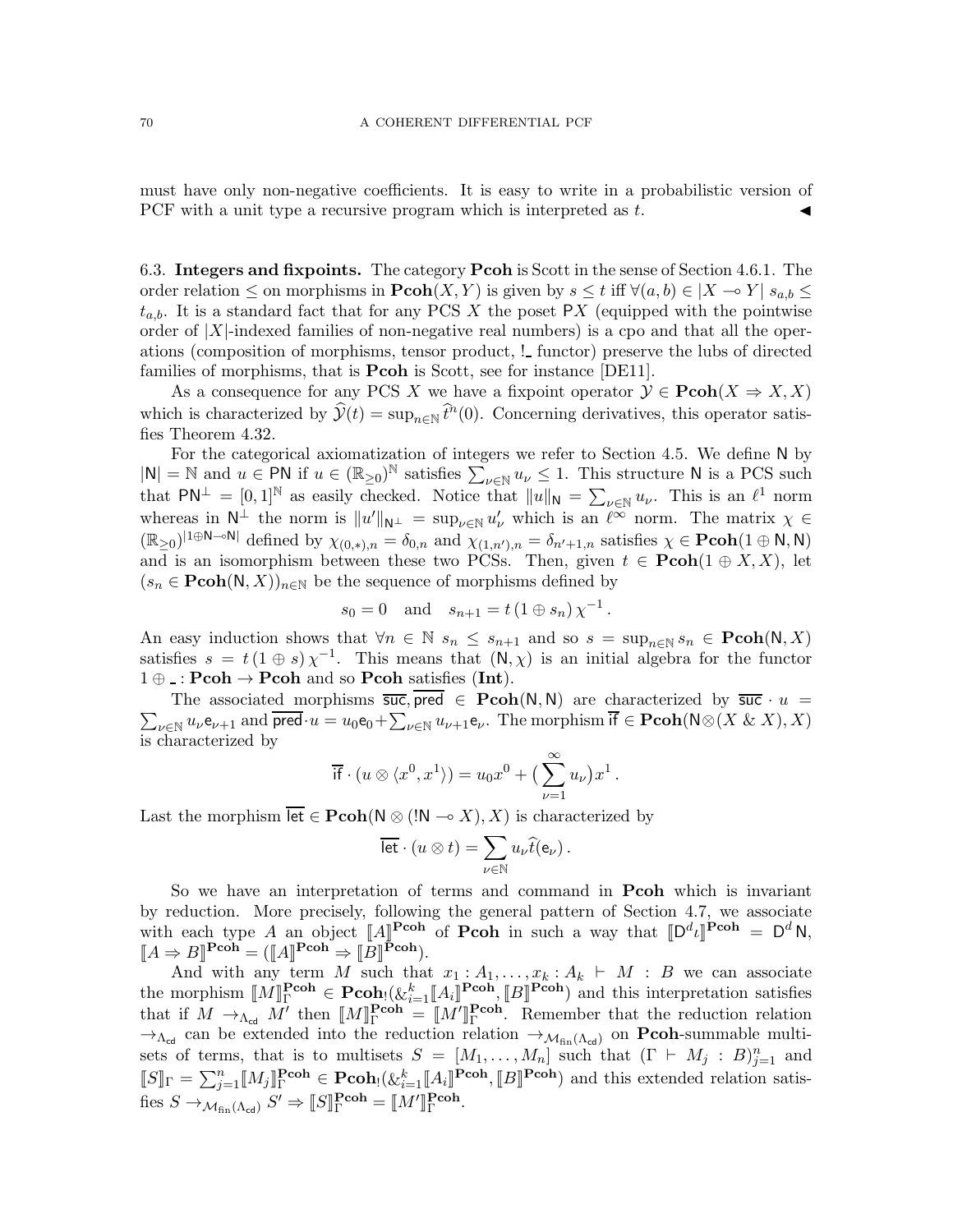must have only non-negative coefficients. It is easy to write in a probabilistic version of PCF with a unit type a recursive program which is interpreted as  $t$ .

6.3. Integers and fixpoints. The category Pcoh is Scott in the sense of Section [4.6.1.](#page-30-1) The order relation  $\leq$  on morphisms in  $\text{Pcoh}(X, Y)$  is given by  $s \leq t$  iff  $\forall (a, b) \in |X \to Y|$   $s_{a,b} \leq$  $t_{a,b}$ . It is a standard fact that for any PCS X the poset PX (equipped with the pointwise order of  $|X|$ -indexed families of non-negative real numbers) is a cpo and that all the operations (composition of morphisms, tensor product,  $!$  functor) preserve the lubs of directed families of morphisms, that is **Pcoh** is Scott, see for instance [\[DE11\]](#page-71-5).

As a consequence for any PCS X we have a fixpoint operator  $\mathcal{Y} \in \text{Pcoh}(X \Rightarrow X, X)$ which is characterized by  $\hat{\mathcal{Y}}(t) = \sup_{n \in \mathbb{N}} \hat{t}^n(0)$ . Concerning derivatives, this operator satisfies Theorem [4.32.](#page-31-0)

For the categorical axiomatization of integers we refer to Section [4.5.](#page-28-0) We define N by  $|N| = N$  and  $u \in PN$  if  $u \in (\mathbb{R}_{\geq 0})^N$  satisfies  $\sum_{\nu \in \mathbb{N}} u_{\nu} \leq 1$ . This structure N is a PCS such that  $\mathsf{PN}^{\perp} = [0,1]^{\mathbb{N}}$  as easily checked. Notice that  $||u||_{\mathsf{N}} = \sum_{\nu \in \mathbb{N}} u_{\nu}$ . This is an  $\ell^1$  norm whereas in  $N^{\perp}$  the norm is  $||u'||_{N^{\perp}} = \sup_{\nu \in \mathbb{N}} u'_{\nu}$  which is an  $\ell^{\infty}$  norm. The matrix  $\chi \in$  $(\mathbb{R}_{\geq 0})^{|1\oplus \mathsf{N}-\circ \mathsf{N}|}$  defined by  $\chi_{(0, *),n} = \delta_{0,n}$  and  $\chi_{(1,n'),n} = \delta_{n'+1,n}$  satisfies  $\chi \in \mathbf{Pcoh}(1 \oplus \mathsf{N}, \mathsf{N})$ and is an isomorphism between these two PCSs. Then, given  $t \in \text{Pcoh}(1 \oplus X, X)$ , let  $(s_n \in \text{Pcoh}(N, X))_{n \in \mathbb{N}}$  be the sequence of morphisms defined by

$$
s_0 = 0
$$
 and  $s_{n+1} = t (1 \oplus s_n) \chi^{-1}$ .

An easy induction shows that  $\forall n \in \mathbb{N}$   $s_n \leq s_{n+1}$  and so  $s = \sup_{n \in \mathbb{N}} s_n \in \text{Pcoh}(\mathbb{N}, X)$ satisfies  $s = t(1 \oplus s) \chi^{-1}$ . This means that  $(N, \chi)$  is an initial algebra for the functor  $1 \oplus \ldots$  Pcoh  $\rightarrow$  Pcoh and so Pcoh satisfies (Int).

 $\sum_{\nu \in \mathbb{N}} u_{\nu} e_{\nu+1}$  and  $\overline{\mathsf{pred}} \cdot u = u_0 e_0 + \sum_{\nu \in \mathbb{N}} u_{\nu+1} e_{\nu}$ . The morphism  $\overline{\mathsf{if}} \in \mathbf{Pcoh}(\mathsf{N} \otimes (X \& X), X)$ The associated morphisms  $\overline{\mathsf{succ}}$ , pred  $\in \mathbf{Pcoh}(\mathsf{N},\mathsf{N})$  are characterized by  $\overline{\mathsf{succ}} \cdot u =$ is characterized by

$$
\overline{\text{if}} \cdot (u \otimes \langle x^0, x^1 \rangle) = u_0 x^0 + \left( \sum_{\nu=1}^{\infty} u_{\nu} \right) x^1.
$$

Last the morphism  $\overline{\text{let}} \in \text{Pcoh}(\mathbb{N} \otimes (\mathbb{N} \to X), X)$  is characterized by

$$
\overline{\text{let}} \cdot (u \otimes t) = \sum_{\nu \in \mathbb{N}} u_{\nu} \widehat{t}(e_{\nu}).
$$

So we have an interpretation of terms and command in Pcoh which is invariant by reduction. More precisely, following the general pattern of Section [4.7,](#page-32-1) we associate with each type A an object  $\llbracket A \rrbracket^{Pcoh}$  of Pcoh in such a way that  $\llbracket D^d \iota \rrbracket^{Pcoh} = D^d N$ ,  $\llbracket A \Rightarrow B \rrbracket^{\text{Pcoh}} = (\llbracket A \rrbracket^{\text{Pcoh}} \Rightarrow \llbracket B \rrbracket^{\text{Pcoh}}).$ 

And with any term M such that  $x_1 : A_1, \ldots, x_k : A_k \vdash M : B$  we can associate the morphism  $\llbracket M \rrbracket_{\Gamma}^{\text{Pcoh}} \in \textbf{Pcoh}_{!}(\& \_{i=1}^{k} \llbracket A_{i} \rrbracket^{\textbf{Pcoh}}, \llbracket B \rrbracket^{\textbf{Pcoh}})$  and this interpretation satisfies that if  $M \to_{\Lambda_{\text{cd}}} M'$  then  $[M]_{\Gamma}^{\text{Pcoh}} = [M']_{\Gamma}^{\text{Pcoh}}$ Γ . Remember that the reduction relation  $\rightarrow_{\Lambda_{cd}}$  can be extended into the reduction relation  $\rightarrow_{\mathcal{M}_{fin}(\Lambda_{cd})}$  on **Pcoh**-summable multisets of terms, that is to multisets  $S = [M_1, \ldots, M_n]$  such that  $(\Gamma \vdash M_j : B)_{j=1}^n$  and  $\llbracket S \rrbracket_{\Gamma} = \sum_{j=1}^{n} [M_j]_{\Gamma}^{\text{Pcoh}} \in \text{Pcoh}_{!}(\& \_{i=1}^{k} [A_i]^{\text{Pcoh}}, [B]^{\text{Pcoh}})$  and this extended relation satisfies  $S \to M_{\text{fin}}(\Lambda_{\text{cd}})$   $S' \Rightarrow \llbracket S \rrbracket_{\Gamma}^{\textbf{Pcoh}} = \llbracket M' \rrbracket_{\Gamma}^{\textbf{Pcoh}}$ **Pcon**<br>Γ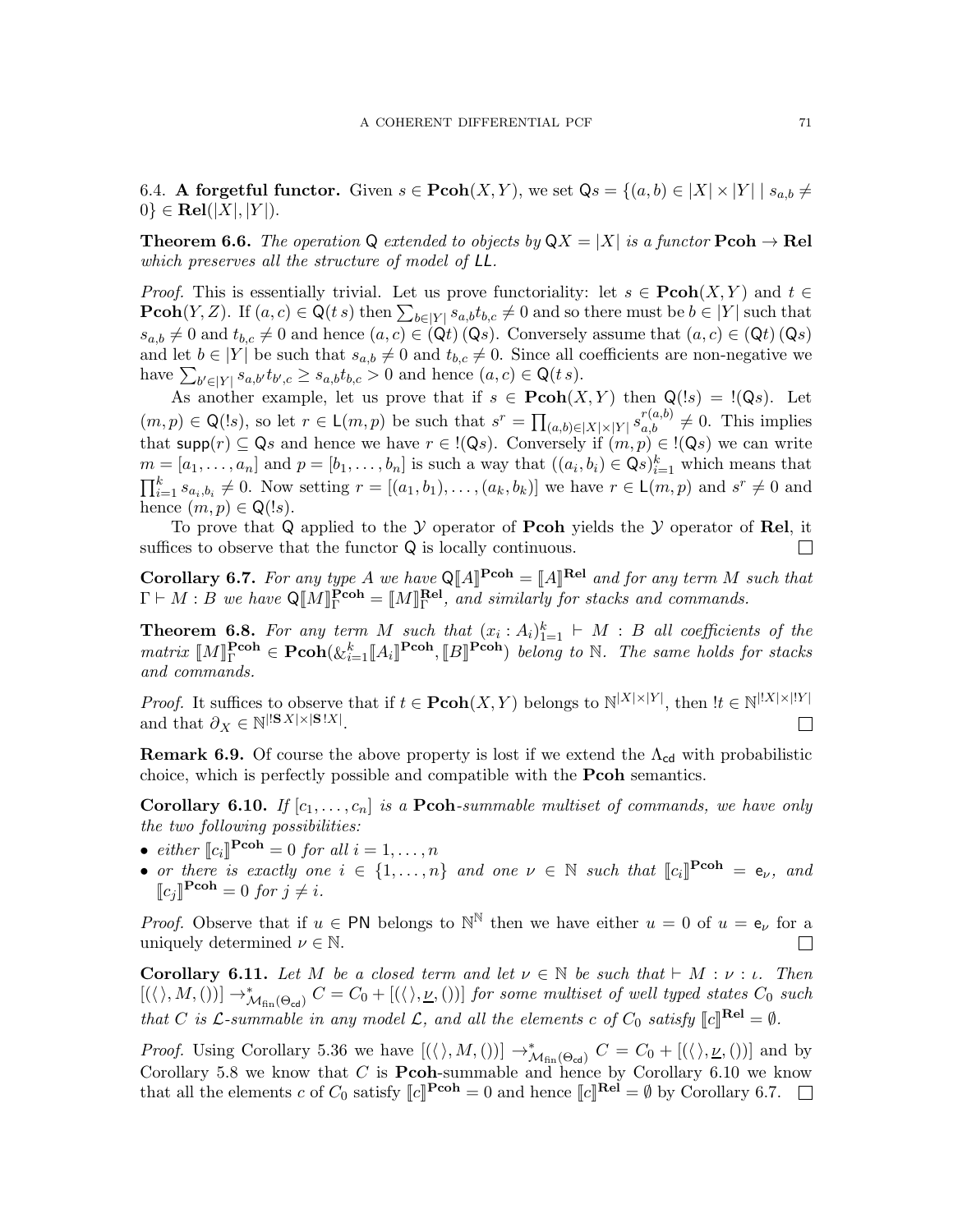6.4. A forgetful functor. Given  $s \in \text{Pcoh}(X, Y)$ , we set  $\mathbb{Q}s = \{(a, b) \in |X| \times |Y| \mid s_{a,b} \neq \emptyset\}$  $0\} \in \textbf{Rel}(|X|, |Y|).$ 

**Theorem 6.6.** The operation Q extended to objects by  $QX = |X|$  is a functor  $\text{Pcoh} \to \text{Rel}$ which preserves all the structure of model of LL.

*Proof.* This is essentially trivial. Let us prove functoriality: let  $s \in \text{Pcoh}(X, Y)$  and  $t \in$ **Pcoh** $(Y, Z)$ . If  $(a, c) \in \mathbb{Q}(t, s)$  then  $\sum_{b \in |Y|} s_{a,b} t_{b,c} \neq 0$  and so there must be  $b \in |Y|$  such that  $s_{a,b} \neq 0$  and  $t_{b,c} \neq 0$  and hence  $(a, c) \in (\mathsf{Q}t) (\mathsf{Q}s)$ . Conversely assume that  $(a, c) \in (\mathsf{Q}t) (\mathsf{Q}s)$ and let  $b \in |Y|$  be such that  $s_{a,b} \neq 0$  and  $t_{b,c} \neq 0$ . Since all coefficients are non-negative we have  $\sum_{b' \in |Y|} s_{a,b'} t_{b',c} \ge s_{a,b} t_{b,c} > 0$  and hence  $(a, c) \in \mathsf{Q}(t, s)$ .

As another example, let us prove that if  $s \in \text{Pcoh}(X, Y)$  then  $\mathsf{Q}(!s) = \mathsf{P}(s)$ . Let  $(m, p) \in \mathsf{Q}(\mathsf{I}s)$ , so let  $r \in \mathsf{L}(m, p)$  be such that  $s^r = \prod_{(a,b)\in[X]\times[Y]} s_{a,b}^{r(a,b)} \neq 0$ . This implies that supp $(r) \subseteq Q_s$  and hence we have  $r \in \{Q_s\}$ . Conversely if  $(m, p) \in \{Q_s\}$  we can write  $m = [a_1, \ldots, a_n]$  and  $p = [b_1, \ldots, b_n]$  is such a way that  $((a_i, b_i) \in \mathsf{Q}\mathfrak{s})_{i=1}^k$  which means that  $\prod_{i=1}^k s_{a_i, b_i} \neq 0$ . Now setting  $r = [(a_1, b_1), \ldots, (a_k, b_k)]$  we have  $r \in \mathsf{L}(m, p)$  and  $s^r \neq 0$  and hence  $(m, p) \in \mathsf{Q}(!s)$ .

To prove that Q applied to the  $Y$  operator of **Pcoh** yields the  $Y$  operator of **Rel**, it ces to observe that the functor Q is locally continuous. suffices to observe that the functor  $Q$  is locally continuous.

<span id="page-70-1"></span>**Corollary 6.7.** For any type A we have  $Q[A]^{Pcoh} = [A]^{Rel}$  and for any term M such that  $\Gamma \vdash M : B$  we have  $\mathsf{Q}[\![M]\!]^{\textbf{Pcoh}}_{\Gamma} = [\![M]\!]^{\textbf{Rel}}_{\Gamma}$  $F<sub>\Gamma</sub>$ , and similarly for stacks and commands.

**Theorem 6.8.** For any term M such that  $(x_i : A_i)_{i=1}^k \vdash M : B$  all coefficients of the  $matrix \; [\![M]\!]_1^{\textbf{Pcoh}} \in \textbf{Pcoh}(\& \_{i=1}^k [\![A_i]\!]^{\textbf{Pcoh}}, [\![B]\!]^{\textbf{Pcoh}})$  belong to N. The same holds for stacks and commands.

*Proof.* It suffices to observe that if  $t \in \mathbf{Pcoh}(X,Y)$  belongs to  $\mathbb{N}^{|X|\times|Y|}$ , then  $|t \in \mathbb{N}^{|X|\times|Y|}$ and that  $\partial_X \in \mathbb{N}^{\mid |\mathbf{S}|X| \times \mid |\mathbf{S}| \cdot X \mid}$ .  $\Box$ 

**Remark 6.9.** Of course the above property is lost if we extend the  $\Lambda_{cd}$  with probabilistic choice, which is perfectly possible and compatible with the Pcoh semantics.

<span id="page-70-0"></span>**Corollary 6.10.** If  $[c_1, \ldots, c_n]$  is a **Pcoh**-summable multiset of commands, we have only the two following possibilities:

- either  $\llbracket c_i \rrbracket^{\text{Pcoh}} = 0$  for all  $i = 1, ..., n$
- or there is exactly one  $i \in \{1, \ldots, n\}$  and one  $\nu \in \mathbb{N}$  such that  $\llbracket c_i \rrbracket^{\text{Pcoh}} = e_{\nu}$ , and  $\llbracket c_j \rrbracket^{\textbf{Pcoh}} = 0 \text{ for } j \neq i.$

*Proof.* Observe that if  $u \in \mathsf{PN}$  belongs to  $\mathbb{N}^{\mathbb{N}}$  then we have either  $u = 0$  of  $u = e_{\nu}$  for a uniquely determined  $\nu \in \mathbb{N}$ .  $\overline{\phantom{a}}$ 

**Corollary 6.11.** Let M be a closed term and let  $\nu \in \mathbb{N}$  be such that  $\vdash M : \nu : \iota$ . Then  $[(\langle \rangle, M, ())] \rightarrow^*_{\mathcal{M}_{fin}(\Theta_{\text{cd}})} C = C_0 + [(\langle \rangle, \underline{\nu}, ())]$  for some multiset of well typed states  $C_0$  such that C is L-summable in any model L, and all the elements c of  $C_0$  satisfy  $[[c]]^{rel} = \emptyset$ .

*Proof.* Using Corollary [5.36](#page-64-0) we have  $[(\langle \rangle, M, ()] \rightarrow^*_{\mathcal{M}_{fin}(\Theta_{\text{cd}})} C = C_0 + [(\langle \rangle, \underline{\nu}, ()])$  and by Corollary [5.8](#page-50-0) we know that  $C$  is **Pcoh**-summable and hence by Corollary [6.10](#page-70-0) we know that all the elements c of  $C_0$  satisfy  $[[c]]^{\text{Pcoh}} = 0$  and hence  $[[c]]^{\text{Re}\check{I}} = \emptyset$  by Corollary [6.7.](#page-70-1)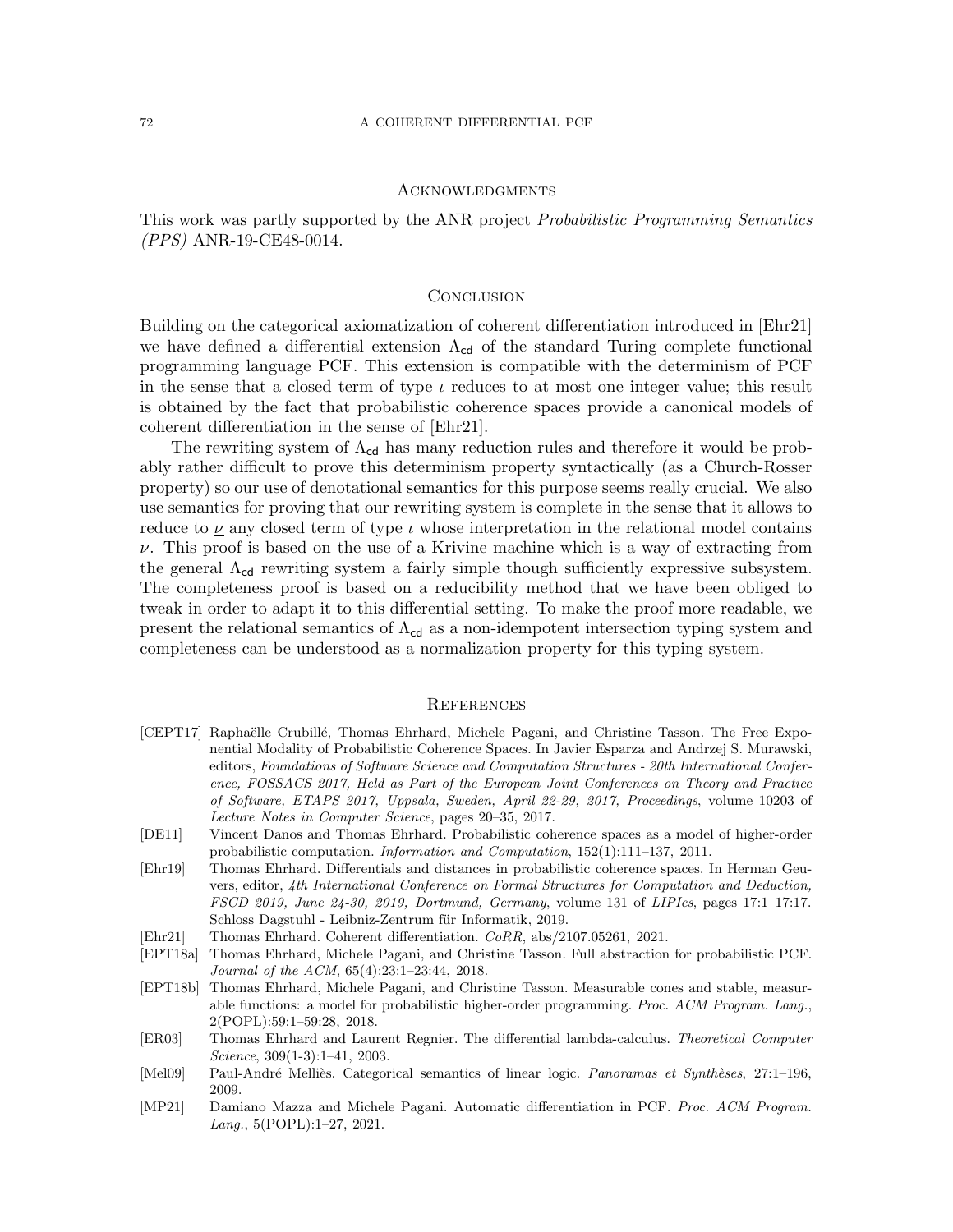## **ACKNOWLEDGMENTS**

This work was partly supported by the ANR project Probabilistic Programming Semantics (PPS) ANR-19-CE48-0014.

### **CONCLUSION**

Building on the categorical axiomatization of coherent differentiation introduced in [\[Ehr21\]](#page-71-0) we have defined a differential extension  $\Lambda_{cd}$  of the standard Turing complete functional programming language PCF. This extension is compatible with the determinism of PCF in the sense that a closed term of type  $\iota$  reduces to at most one integer value; this result is obtained by the fact that probabilistic coherence spaces provide a canonical models of coherent differentiation in the sense of [\[Ehr21\]](#page-71-0).

The rewriting system of  $\Lambda_{cd}$  has many reduction rules and therefore it would be probably rather difficult to prove this determinism property syntactically (as a Church-Rosser property) so our use of denotational semantics for this purpose seems really crucial. We also use semantics for proving that our rewriting system is complete in the sense that it allows to reduce to  $\nu$  any closed term of type  $\iota$  whose interpretation in the relational model contains  $\nu$ . This proof is based on the use of a Krivine machine which is a way of extracting from the general  $\Lambda_{cd}$  rewriting system a fairly simple though sufficiently expressive subsystem. The completeness proof is based on a reducibility method that we have been obliged to tweak in order to adapt it to this differential setting. To make the proof more readable, we present the relational semantics of  $\Lambda_{cd}$  as a non-idempotent intersection typing system and completeness can be understood as a normalization property for this typing system.

# **REFERENCES**

- <span id="page-71-3"></span>[CEPT17] Raphaëlle Crubillé, Thomas Ehrhard, Michele Pagani, and Christine Tasson. The Free Exponential Modality of Probabilistic Coherence Spaces. In Javier Esparza and Andrzej S. Murawski, editors, Foundations of Software Science and Computation Structures - 20th International Conference, FOSSACS 2017, Held as Part of the European Joint Conferences on Theory and Practice of Software, ETAPS 2017, Uppsala, Sweden, April 22-29, 2017, Proceedings, volume 10203 of Lecture Notes in Computer Science, pages 20–35, 2017.
- <span id="page-71-5"></span>[DE11] Vincent Danos and Thomas Ehrhard. Probabilistic coherence spaces as a model of higher-order probabilistic computation. Information and Computation, 152(1):111–137, 2011.
- <span id="page-71-4"></span>[Ehr19] Thomas Ehrhard. Differentials and distances in probabilistic coherence spaces. In Herman Geuvers, editor, 4th International Conference on Formal Structures for Computation and Deduction, FSCD 2019, June 24-30, 2019, Dortmund, Germany, volume 131 of LIPIcs, pages 17:1–17:17. Schloss Dagstuhl - Leibniz-Zentrum für Informatik, 2019.
- <span id="page-71-0"></span>[Ehr21] Thomas Ehrhard. Coherent differentiation. CoRR, abs/2107.05261, 2021.
- [EPT18a] Thomas Ehrhard, Michele Pagani, and Christine Tasson. Full abstraction for probabilistic PCF. Journal of the ACM, 65(4):23:1–23:44, 2018.
- <span id="page-71-2"></span>[EPT18b] Thomas Ehrhard, Michele Pagani, and Christine Tasson. Measurable cones and stable, measurable functions: a model for probabilistic higher-order programming. Proc. ACM Program. Lang., 2(POPL):59:1–59:28, 2018.
- [ER03] Thomas Ehrhard and Laurent Regnier. The differential lambda-calculus. Theoretical Computer Science, 309(1-3):1–41, 2003.
- <span id="page-71-1"></span>[Mel09] Paul-André Melliès. Categorical semantics of linear logic. Panoramas et Synthèses, 27:1–196, 2009.
- [MP21] Damiano Mazza and Michele Pagani. Automatic differentiation in PCF. Proc. ACM Program. Lang., 5(POPL):1–27, 2021.